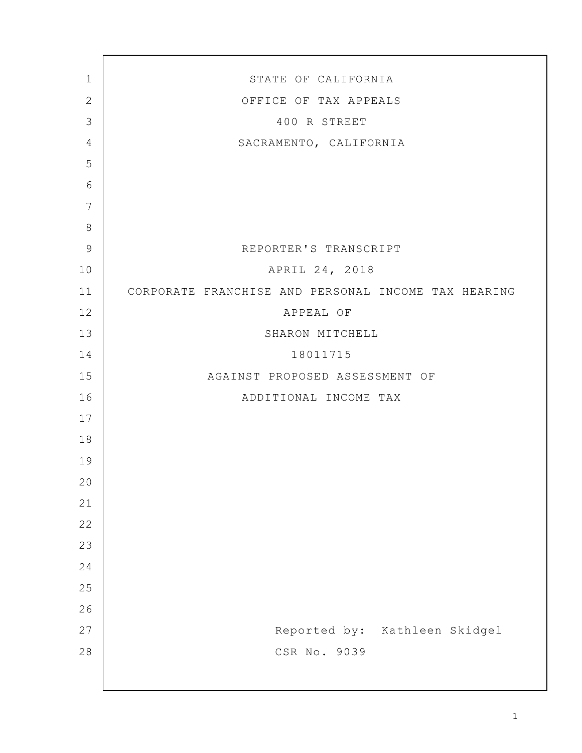| $\mathbf 1$    | STATE OF CALIFORNIA                                 |
|----------------|-----------------------------------------------------|
| $\mathbf{2}$   | OFFICE OF TAX APPEALS                               |
| 3              | 400 R STREET                                        |
| $\overline{4}$ | SACRAMENTO, CALIFORNIA                              |
| 5              |                                                     |
| 6              |                                                     |
| $7\phantom{.}$ |                                                     |
| 8              |                                                     |
| $\mathsf 9$    | REPORTER'S TRANSCRIPT                               |
| 10             | APRIL 24, 2018                                      |
| 11             | CORPORATE FRANCHISE AND PERSONAL INCOME TAX HEARING |
| 12             | APPEAL OF                                           |
| 13             | SHARON MITCHELL                                     |
| 14             | 18011715                                            |
| 15             | AGAINST PROPOSED ASSESSMENT OF                      |
| 16             | ADDITIONAL INCOME TAX                               |
| 17             |                                                     |
| 18             |                                                     |
| 19             |                                                     |
| 20             |                                                     |
| 21             |                                                     |
| 22             |                                                     |
| 23             |                                                     |
| 24             |                                                     |
| 25             |                                                     |
| 26             |                                                     |
| 27             | Reported by: Kathleen Skidgel                       |
| 28             | CSR No. 9039                                        |
|                |                                                     |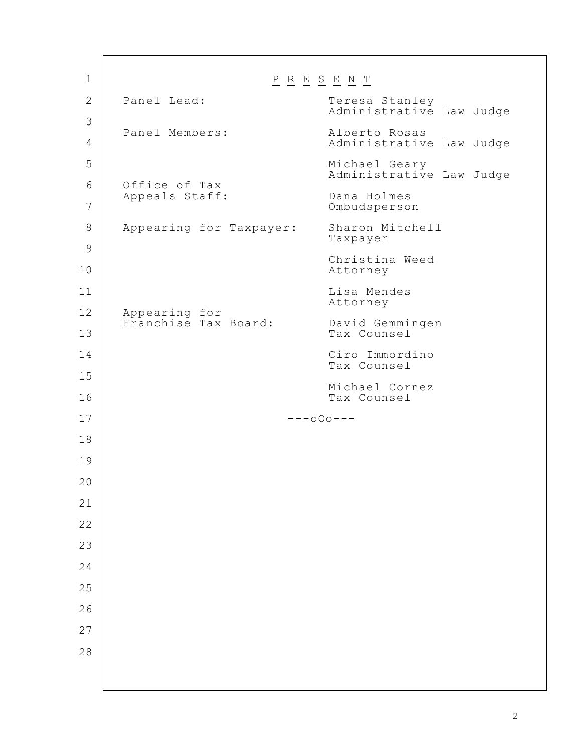$\underline{P} \underline{R} \underline{E} \underline{S} \underline{E} \underline{N} \underline{T}$ Panel Lead: Teresa Stanley Administrative Law Judge Panel Members: Alberto Rosas Administrative Law Judge Michael Geary Administrative Law Judge Office of Tax Appeals Staff: Dana Holmes Ombudsperson Appearing for Taxpayer: Sharon Mitchell Taxpayer Christina Weed Attorney Lisa Mendes Attorney Appearing for Franchise Tax Board: David Gemmingen Tax Counsel Ciro Immordino Tax Counsel Michael Cornez Tax Counsel ---oOo--- 1 2 3 4 5 6 7 8 9 10 11 12 13 14 15 16 17 18 19 20 21 22 23 24 25 26 27 28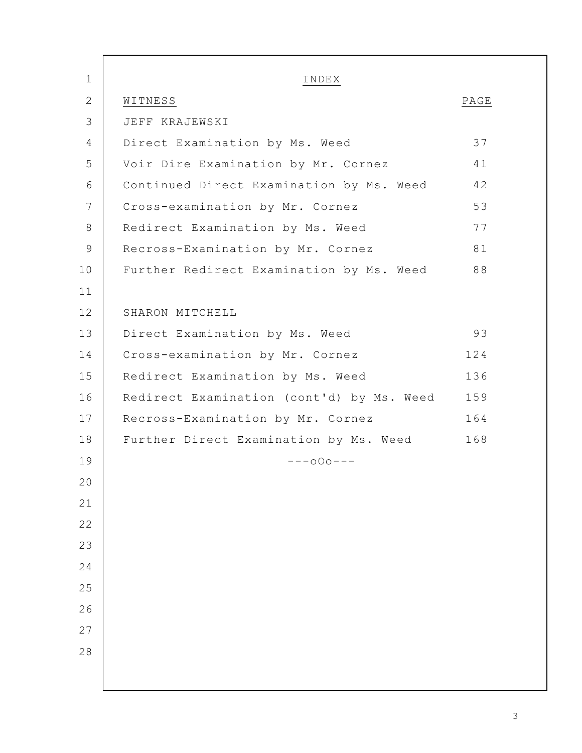| $\mathbf 1$  | INDEX                                     |      |
|--------------|-------------------------------------------|------|
| $\mathbf{2}$ | WITNESS                                   | PAGE |
| 3            | JEFF KRAJEWSKI                            |      |
| 4            | Direct Examination by Ms. Weed            | 37   |
| 5            | Voir Dire Examination by Mr. Cornez       | 41   |
| 6            | Continued Direct Examination by Ms. Weed  | 42   |
| 7            | Cross-examination by Mr. Cornez           | 53   |
| $8\,$        | Redirect Examination by Ms. Weed          | 77   |
| $\mathsf 9$  | Recross-Examination by Mr. Cornez         | 81   |
| 10           | Further Redirect Examination by Ms. Weed  | 88   |
| 11           |                                           |      |
| 12           | SHARON MITCHELL                           |      |
| 13           | Direct Examination by Ms. Weed            | 93   |
| 14           | Cross-examination by Mr. Cornez           | 124  |
| 15           | Redirect Examination by Ms. Weed          | 136  |
| 16           | Redirect Examination (cont'd) by Ms. Weed | 159  |
| 17           | Recross-Examination by Mr. Cornez         | 164  |
| 18           | Further Direct Examination by Ms. Weed    | 168  |
| 19           | $---000---$                               |      |
| 20           |                                           |      |
| 21           |                                           |      |
| 22           |                                           |      |
| 23           |                                           |      |
| 24           |                                           |      |
| 25           |                                           |      |
| 26           |                                           |      |
| 27           |                                           |      |
| 28           |                                           |      |
|              |                                           |      |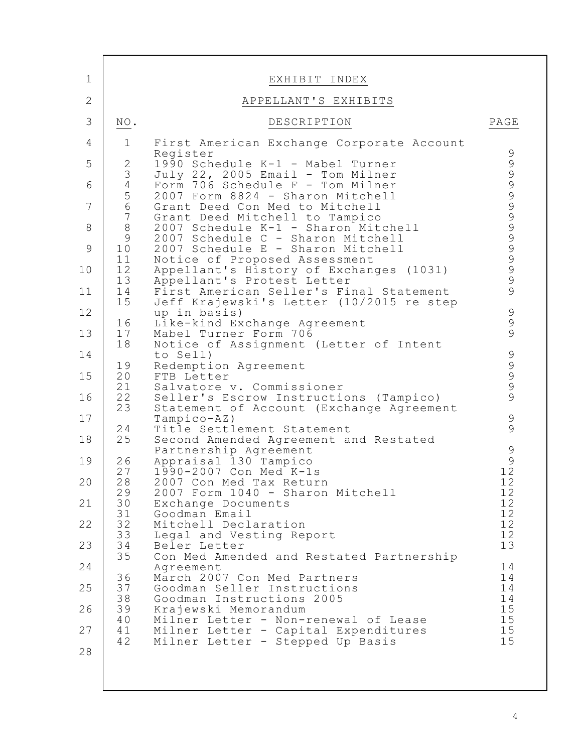| $\mathbf 1$                                                                                                                                  |                                                                                                                                                                                                                                                                                       | EXHIBIT INDEX                                                                                                                                                                                                                                                                                                                                                                                                                                                                                                                                                                                                                                                                                                                                                                                                                                                                                                                                                                                                                                                                                                                                                                                                                                                                                                                                                                                                                                         |                                                                                                                                                                                                                                                   |
|----------------------------------------------------------------------------------------------------------------------------------------------|---------------------------------------------------------------------------------------------------------------------------------------------------------------------------------------------------------------------------------------------------------------------------------------|-------------------------------------------------------------------------------------------------------------------------------------------------------------------------------------------------------------------------------------------------------------------------------------------------------------------------------------------------------------------------------------------------------------------------------------------------------------------------------------------------------------------------------------------------------------------------------------------------------------------------------------------------------------------------------------------------------------------------------------------------------------------------------------------------------------------------------------------------------------------------------------------------------------------------------------------------------------------------------------------------------------------------------------------------------------------------------------------------------------------------------------------------------------------------------------------------------------------------------------------------------------------------------------------------------------------------------------------------------------------------------------------------------------------------------------------------------|---------------------------------------------------------------------------------------------------------------------------------------------------------------------------------------------------------------------------------------------------|
| $\mathbf{2}$                                                                                                                                 |                                                                                                                                                                                                                                                                                       | APPELLANT'S EXHIBITS                                                                                                                                                                                                                                                                                                                                                                                                                                                                                                                                                                                                                                                                                                                                                                                                                                                                                                                                                                                                                                                                                                                                                                                                                                                                                                                                                                                                                                  |                                                                                                                                                                                                                                                   |
| 3                                                                                                                                            | $\rm NO$ .                                                                                                                                                                                                                                                                            | DESCRIPTION                                                                                                                                                                                                                                                                                                                                                                                                                                                                                                                                                                                                                                                                                                                                                                                                                                                                                                                                                                                                                                                                                                                                                                                                                                                                                                                                                                                                                                           | PAGE                                                                                                                                                                                                                                              |
| 4<br>5<br>6<br>7<br>8<br>$\mathcal{G}$<br>10<br>11<br>12<br>13<br>14<br>15<br>16<br>17<br>18<br>19<br>20<br>21<br>22<br>23<br>24<br>25<br>26 | $\mathbf 1$<br>$\sqrt{2}$<br>3456<br>$\begin{array}{c} 7 \\ 8 \end{array}$<br>$\mathsf 9$<br>$10$<br>11<br>12<br>13<br>14<br>15<br>16<br>17<br>18<br>19<br>20<br>21<br>22<br>23<br>24<br>25<br>26<br>27<br>28<br>29<br>30<br>31<br>32<br>33<br>34<br>35<br>36<br>37<br>38<br>39<br>40 | First American Exchange Corporate Account<br>Register<br>1990 Schedule K-1 - Mabel Turner<br>July 22, 2005 Email - Tom Milner<br>Form 706 Schedule F - Tom Milner<br>2007 Form 8824 - Sharon Mitchell<br>Grant Deed Con Med to Mitchell<br>Grant Deed Mitchell to Tampico<br>2007 Schedule K-1 - Sharon Mitchell<br>2007 Schedule C - Sharon Mitchell<br>2007 Schedule E - Sharon Mitchell<br>Notice of Proposed Assessment<br>Appellant's History of Exchanges (1031)<br>Appellant's Protest Letter<br>First American Seller's Final Statement<br>Jeff Krajewski's Letter (10/2015 re step<br>up in basis)<br>Like-kind Exchange Agreement<br>Mabel Turner Form 706<br>Notice of Assignment (Letter of Intent<br>to Sell)<br>Redemption Agreement<br>FTB Letter<br>Salvatore v. Commissioner<br>Seller's Escrow Instructions (Tampico)<br>Statement of Account (Exchange Agreement<br>$Tampico-AZ)$<br>Title Settlement Statement<br>Second Amended Agreement and Restated<br>Partnership Agreement<br>Appraisal 130 Tampico<br>1990-2007 Con Med K-1s<br>2007 Con Med Tax Return<br>2007 Form 1040 - Sharon Mitchell<br>Exchange Documents<br>Goodman Email<br>Mitchell Declaration<br>Legal and Vesting Report<br>Beler Letter<br>Con Med Amended and Restated Partnership<br>Agreement<br>March 2007 Con Med Partners<br>Goodman Seller Instructions<br>Goodman Instructions 2005<br>Krajewski Memorandum<br>Milner Letter - Non-renewal of Lease | $\mathsf 9$<br>9999999999999<br>$\begin{array}{c} 9 \\ 9 \\ 9 \end{array}$<br>99999<br>$\begin{array}{c} 9 \\ 9 \end{array}$<br>$\mathsf 9$<br>$\frac{9}{12}$<br>12<br>12<br>12<br>12<br>12<br>12<br>13<br>14<br>14<br>14<br>14<br>15<br>15<br>15 |
| 27<br>28                                                                                                                                     | 41<br>42                                                                                                                                                                                                                                                                              | Milner Letter - Capital Expenditures<br>Milner Letter - Stepped Up Basis                                                                                                                                                                                                                                                                                                                                                                                                                                                                                                                                                                                                                                                                                                                                                                                                                                                                                                                                                                                                                                                                                                                                                                                                                                                                                                                                                                              |                                                                                                                                                                                                                                                   |

Г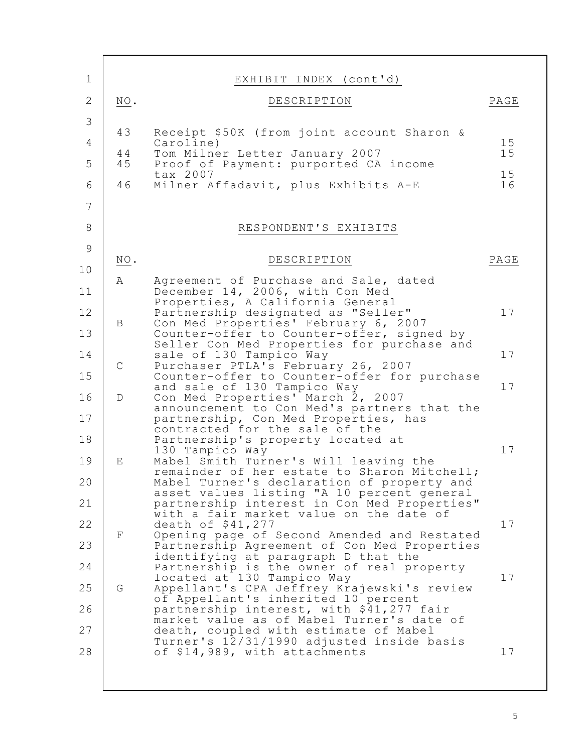| $\mathbf 1$     |             | EXHIBIT INDEX (cont'd)                                                                   |          |
|-----------------|-------------|------------------------------------------------------------------------------------------|----------|
| $\mathbf{2}$    | NO.         | DESCRIPTION                                                                              | PAGE     |
| 3               |             |                                                                                          |          |
| 4               | 43          | Receipt \$50K (from joint account Sharon &<br>Caroline)                                  | 15       |
| 5               | 44<br>45    | Tom Milner Letter January 2007<br>Proof of Payment: purported CA income                  | 15       |
| 6               | 46          | tax 2007<br>Milner Affadavit, plus Exhibits A-E                                          | 15<br>16 |
| $7\phantom{.0}$ |             |                                                                                          |          |
| $\,8\,$         |             |                                                                                          |          |
|                 |             | RESPONDENT'S EXHIBITS                                                                    |          |
| $\mathsf 9$     | NO.         | DESCRIPTION                                                                              | PAGE     |
| 10              | Α           | Agreement of Purchase and Sale, dated                                                    |          |
| 11              |             | December 14, 2006, with Con Med<br>Properties, A California General                      |          |
| 12              | B           | Partnership designated as "Seller"<br>Con Med Properties' February 6, 2007               | 17       |
| 13              |             | Counter-offer to Counter-offer, signed by                                                |          |
| 14              |             | Seller Con Med Properties for purchase and<br>sale of 130 Tampico Way                    | 17       |
| 15              | $\mathsf C$ | Purchaser PTLA's February 26, 2007<br>Counter-offer to Counter-offer for purchase        |          |
| 16              | $\mathbb D$ | and sale of 130 Tampico Way<br>Con Med Properties' March 2, 2007                         | 17       |
| 17              |             | announcement to Con Med's partners that the<br>partnership, Con Med Properties, has      |          |
| 18              |             | contracted for the sale of the<br>Partnership's property located at                      |          |
| 19              | Ε           | 130 Tampico Way<br>Mabel Smith Turner's Will leaving the                                 | 17       |
|                 |             | remainder of her estate to Sharon Mitchell;                                              |          |
| 20              |             | Mabel Turner's declaration of property and<br>asset values listing "A 10 percent general |          |
| 21              |             | partnership interest in Con Med Properties"<br>with a fair market value on the date of   |          |
| 22              | F           | death of \$41,277<br>Opening page of Second Amended and Restated                         | 17       |
| 23              |             | Partnership Agreement of Con Med Properties<br>identifying at paragraph D that the       |          |
| 24              |             | Partnership is the owner of real property                                                | 17       |
| 25              | G           | located at 130 Tampico Way<br>Appellant's CPA Jeffrey Krajewski's review                 |          |
| 26              |             | of Appellant's inherited 10 percent<br>partnership interest, with \$41,277 fair          |          |
| 27              |             | market value as of Mabel Turner's date of<br>death, coupled with estimate of Mabel       |          |
| 28              |             | Turner's 12/31/1990 adjusted inside basis<br>of \$14,989, with attachments               | 17       |
|                 |             |                                                                                          |          |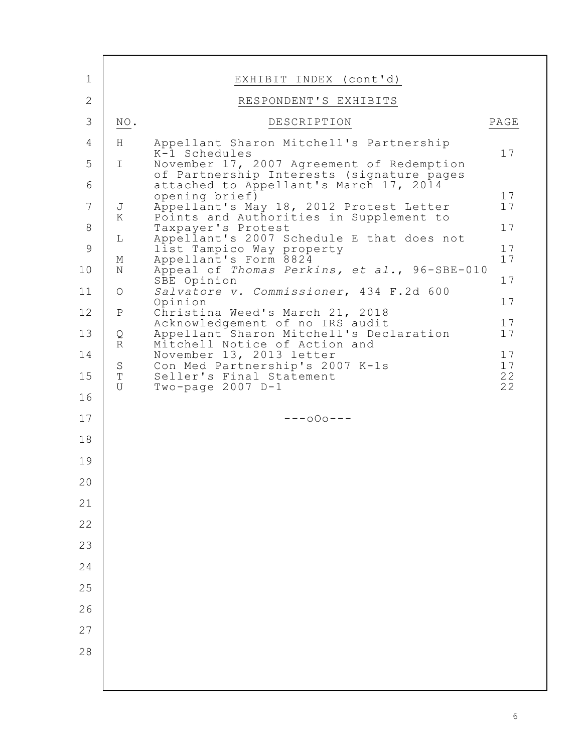| $\mathbf 1$    |                            | EXHIBIT INDEX (cont'd)                                                              |          |
|----------------|----------------------------|-------------------------------------------------------------------------------------|----------|
| $\overline{2}$ |                            | RESPONDENT'S EXHIBITS                                                               |          |
| 3              | $\underline{\text{NO}}$ .  | DESCRIPTION                                                                         | PAGE     |
| 4              | H                          | Appellant Sharon Mitchell's Partnership                                             |          |
| 5              | $\mathbf I$                | K-1 Schedules<br>November 17, 2007 Agreement of Redemption                          | 17       |
| 6              |                            | of Partnership Interests (signature pages<br>attached to Appellant's March 17, 2014 |          |
| $\overline{7}$ |                            | opening brief)                                                                      | 17<br>17 |
|                | J<br>K                     | Appellant's May 18, 2012 Protest Letter<br>Points and Authorities in Supplement to  | 17       |
| 8              | $\mathbb L$                | Taxpayer's Protest<br>Appellant's 2007 Schedule E that does not                     |          |
| $\mathcal{G}$  | М                          | list Tampico Way property<br>Appellant's Form 8824                                  | 17<br>17 |
| 10             | $\rm N$                    | Appeal of Thomas Perkins, et al., 96-SBE-010<br>SBE Opinion                         | 17       |
| 11             | $\bigcirc$                 | Salvatore v. Commissioner, 434 F.2d 600<br>Opinion                                  | 17       |
| 12             | $\, {\bf P}$               | Christina Weed's March 21, 2018<br>Acknowledgement of no IRS audit                  | 17       |
| 13             | $\rm _R^Q$                 | Appellant Sharon Mitchell's Declaration<br>Mitchell Notice of Action and            | 17       |
| 14             | $\rm S$                    | November 13, 2013 letter<br>Con Med Partnership's 2007 K-1s                         | 17<br>17 |
| 15             | $\mathbf T$<br>$\mathbf U$ | Seller's Final Statement<br>Two-page $2007$ D-1                                     | 22<br>22 |
| 16             |                            |                                                                                     |          |
| 17             |                            | $---000---$                                                                         |          |
| 18             |                            |                                                                                     |          |
| 19             |                            |                                                                                     |          |
| 20             |                            |                                                                                     |          |
| 21             |                            |                                                                                     |          |
| 22             |                            |                                                                                     |          |
| 23             |                            |                                                                                     |          |
| 24             |                            |                                                                                     |          |
| 25             |                            |                                                                                     |          |
| 26             |                            |                                                                                     |          |
| 27             |                            |                                                                                     |          |
| 28             |                            |                                                                                     |          |
|                |                            |                                                                                     |          |
|                |                            |                                                                                     |          |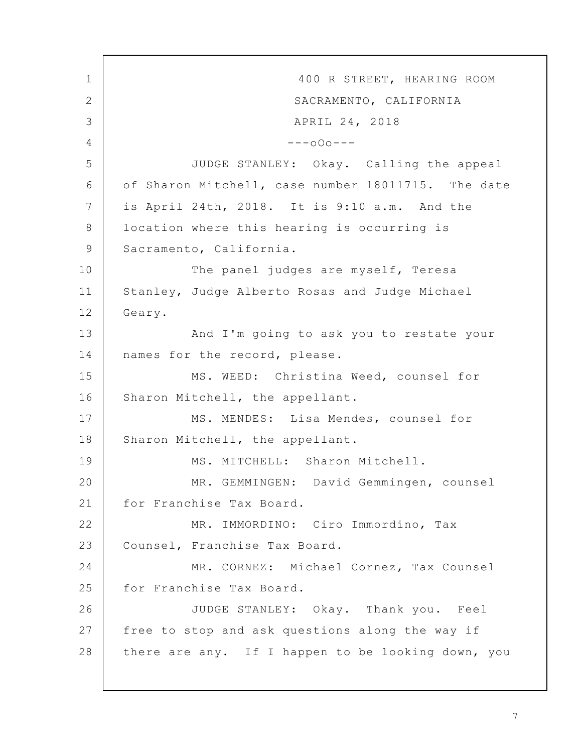400 R STREET, HEARING ROOM SACRAMENTO, CALIFORNIA APRIL 24, 2018  $---000---$ JUDGE STANLEY: Okay. Calling the appeal of Sharon Mitchell, case number 18011715. The date is April 24th, 2018. It is 9:10 a.m. And the location where this hearing is occurring is Sacramento, California. The panel judges are myself, Teresa Stanley, Judge Alberto Rosas and Judge Michael Geary. And I'm going to ask you to restate your names for the record, please. MS. WEED: Christina Weed, counsel for Sharon Mitchell, the appellant. MS. MENDES: Lisa Mendes, counsel for Sharon Mitchell, the appellant. MS. MITCHELL: Sharon Mitchell. MR. GEMMINGEN: David Gemmingen, counsel for Franchise Tax Board. MR. IMMORDINO: Ciro Immordino, Tax Counsel, Franchise Tax Board. MR. CORNEZ: Michael Cornez, Tax Counsel for Franchise Tax Board. JUDGE STANLEY: Okay. Thank you. Feel free to stop and ask questions along the way if there are any. If I happen to be looking down, you 1 2 3 4 5 6 7 8 9 10 11 12 13 14 15 16 17 18 19 20 21 22 23 24 25 26 27 28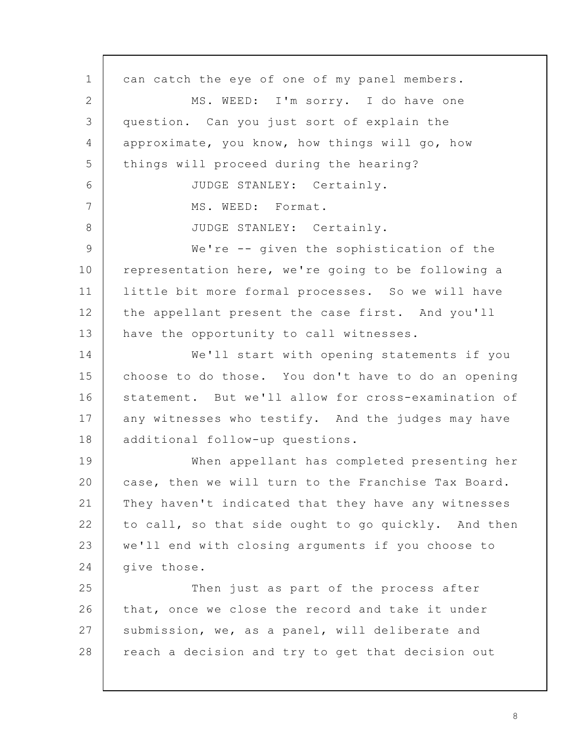can catch the eye of one of my panel members. MS. WEED: I'm sorry. I do have one question. Can you just sort of explain the approximate, you know, how things will go, how things will proceed during the hearing? JUDGE STANLEY: Certainly. MS. WEED: Format. JUDGE STANLEY: Certainly. We're -- given the sophistication of the representation here, we're going to be following a little bit more formal processes. So we will have the appellant present the case first. And you'll have the opportunity to call witnesses. We'll start with opening statements if you choose to do those. You don't have to do an opening statement. But we'll allow for cross-examination of any witnesses who testify. And the judges may have additional follow-up questions. When appellant has completed presenting her case, then we will turn to the Franchise Tax Board. They haven't indicated that they have any witnesses to call, so that side ought to go quickly. And then we'll end with closing arguments if you choose to give those. Then just as part of the process after that, once we close the record and take it under submission, we, as a panel, will deliberate and reach a decision and try to get that decision out 1 2 3 4 5 6 7 8 9 10 11 12 13 14 15 16 17 18 19 20 21 22 23 24 25 26 27 28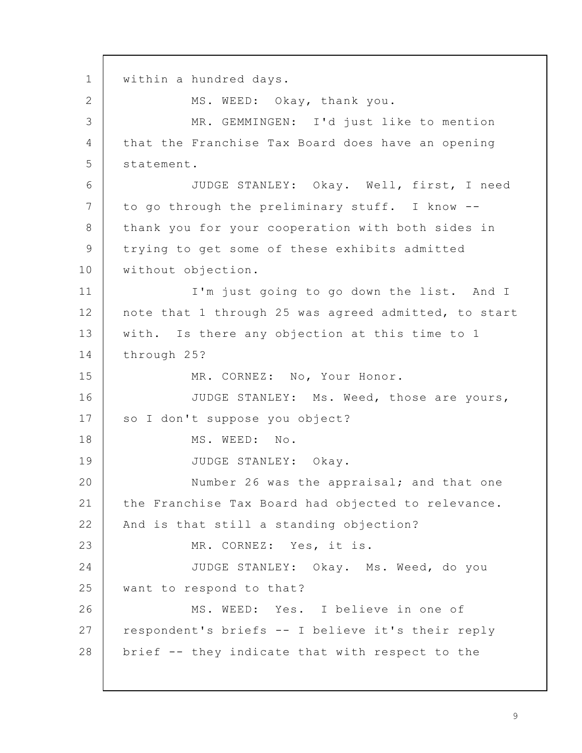within a hundred days. MS. WEED: Okay, thank you. MR. GEMMINGEN: I'd just like to mention that the Franchise Tax Board does have an opening statement. JUDGE STANLEY: Okay. Well, first, I need to go through the preliminary stuff. I know - thank you for your cooperation with both sides in trying to get some of these exhibits admitted without objection. I'm just going to go down the list. And I note that 1 through 25 was agreed admitted, to start with. Is there any objection at this time to 1 through 25? MR. CORNEZ: No, Your Honor. JUDGE STANLEY: Ms. Weed, those are yours, so I don't suppose you object? MS. WEED: No. JUDGE STANLEY: Okay. Number 26 was the appraisal; and that one the Franchise Tax Board had objected to relevance. And is that still a standing objection? MR. CORNEZ: Yes, it is. JUDGE STANLEY: Okay. Ms. Weed, do you want to respond to that? MS. WEED: Yes. I believe in one of respondent's briefs -- I believe it's their reply brief -- they indicate that with respect to the 1 2 3 4 5 6 7 8 9 10 11 12 13 14 15 16 17 18 19 20 21 22 23 24 25 26 27 28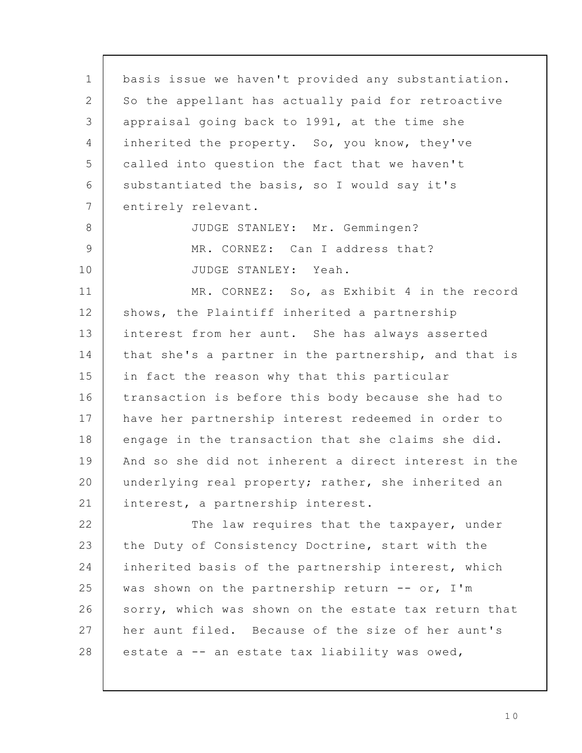basis issue we haven't provided any substantiation. So the appellant has actually paid for retroactive appraisal going back to 1991, at the time she inherited the property. So, you know, they've called into question the fact that we haven't substantiated the basis, so I would say it's entirely relevant. JUDGE STANLEY: Mr. Gemmingen? MR. CORNEZ: Can I address that? JUDGE STANLEY: Yeah. MR. CORNEZ: So, as Exhibit 4 in the record shows, the Plaintiff inherited a partnership interest from her aunt. She has always asserted that she's a partner in the partnership, and that is in fact the reason why that this particular transaction is before this body because she had to have her partnership interest redeemed in order to engage in the transaction that she claims she did. And so she did not inherent a direct interest in the underlying real property; rather, she inherited an interest, a partnership interest. The law requires that the taxpayer, under the Duty of Consistency Doctrine, start with the inherited basis of the partnership interest, which was shown on the partnership return -- or, I'm sorry, which was shown on the estate tax return that her aunt filed. Because of the size of her aunt's estate a -- an estate tax liability was owed, 1 2 3 4 5 6 7 8 9 10 11 12 13 14 15 16 17 18 19 20 21 22 23 24 25 26 27 28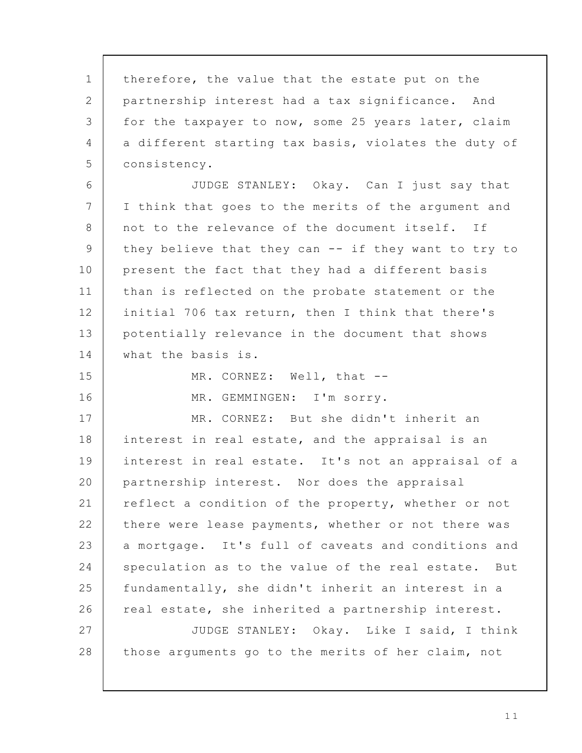therefore, the value that the estate put on the partnership interest had a tax significance. And for the taxpayer to now, some 25 years later, claim a different starting tax basis, violates the duty of consistency. JUDGE STANLEY: Okay. Can I just say that I think that goes to the merits of the argument and not to the relevance of the document itself. If they believe that they can -- if they want to try to present the fact that they had a different basis than is reflected on the probate statement or the initial 706 tax return, then I think that there's potentially relevance in the document that shows what the basis is. MR. CORNEZ: Well, that --MR. GEMMINGEN: I'm sorry. MR. CORNEZ: But she didn't inherit an interest in real estate, and the appraisal is an interest in real estate. It's not an appraisal of a partnership interest. Nor does the appraisal reflect a condition of the property, whether or not there were lease payments, whether or not there was a mortgage. It's full of caveats and conditions and speculation as to the value of the real estate. But fundamentally, she didn't inherit an interest in a real estate, she inherited a partnership interest. JUDGE STANLEY: Okay. Like I said, I think those arguments go to the merits of her claim, not 1 2 3 4 5 6 7 8 9 10 11 12 13 14 15 16 17 18 19 20 21 22 23 24 25 26 27 28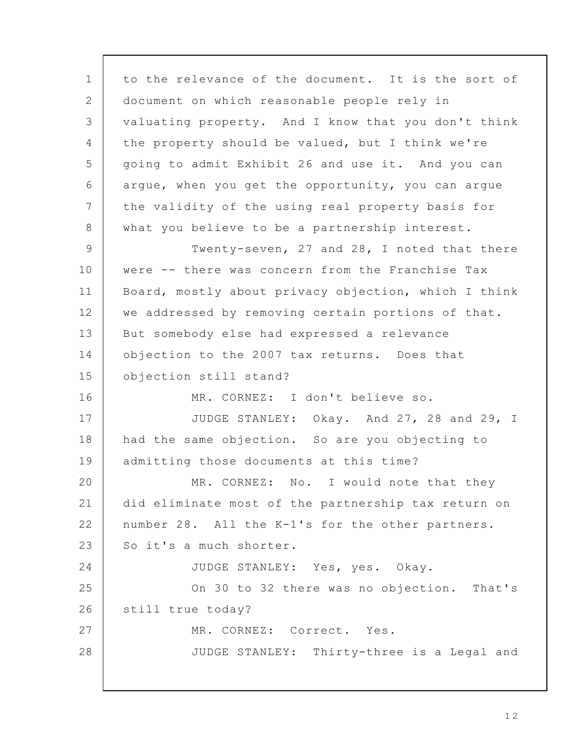to the relevance of the document. It is the sort of document on which reasonable people rely in valuating property. And I know that you don't think the property should be valued, but I think we're going to admit Exhibit 26 and use it. And you can argue, when you get the opportunity, you can argue the validity of the using real property basis for what you believe to be a partnership interest. Twenty-seven, 27 and 28, I noted that there were -- there was concern from the Franchise Tax Board, mostly about privacy objection, which I think we addressed by removing certain portions of that. But somebody else had expressed a relevance objection to the 2007 tax returns. Does that objection still stand? MR. CORNEZ: I don't believe so. JUDGE STANLEY: Okay. And 27, 28 and 29, I had the same objection. So are you objecting to admitting those documents at this time? MR. CORNEZ: No. I would note that they did eliminate most of the partnership tax return on number 28. All the K-1's for the other partners. So it's a much shorter. JUDGE STANLEY: Yes, yes. Okay. On 30 to 32 there was no objection. That's still true today? MR. CORNEZ: Correct. Yes. JUDGE STANLEY: Thirty-three is a Legal and 1 2 3 4 5 6 7 8 9 10 11 12 13 14 15 16 17 18 19 20 21 22 23 24 25 26 27 28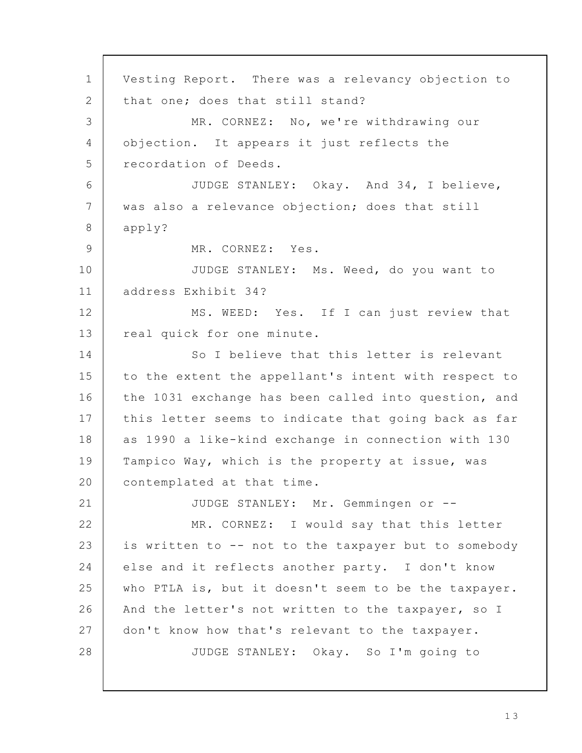Vesting Report. There was a relevancy objection to that one; does that still stand? MR. CORNEZ: No, we're withdrawing our objection. It appears it just reflects the recordation of Deeds. JUDGE STANLEY: Okay. And 34, I believe, was also a relevance objection; does that still apply? MR. CORNEZ: Yes. JUDGE STANLEY: Ms. Weed, do you want to address Exhibit 34? MS. WEED: Yes. If I can just review that real quick for one minute. So I believe that this letter is relevant to the extent the appellant's intent with respect to the 1031 exchange has been called into question, and this letter seems to indicate that going back as far as 1990 a like-kind exchange in connection with 130 Tampico Way, which is the property at issue, was contemplated at that time. JUDGE STANLEY: Mr. Gemmingen or -- MR. CORNEZ: I would say that this letter is written to -- not to the taxpayer but to somebody else and it reflects another party. I don't know who PTLA is, but it doesn't seem to be the taxpayer. And the letter's not written to the taxpayer, so I don't know how that's relevant to the taxpayer. JUDGE STANLEY: Okay. So I'm going to 1 2 3 4 5 6 7 8 9 10 11 12 13 14 15 16 17 18 19 20 21 22 23 24 25 26 27 28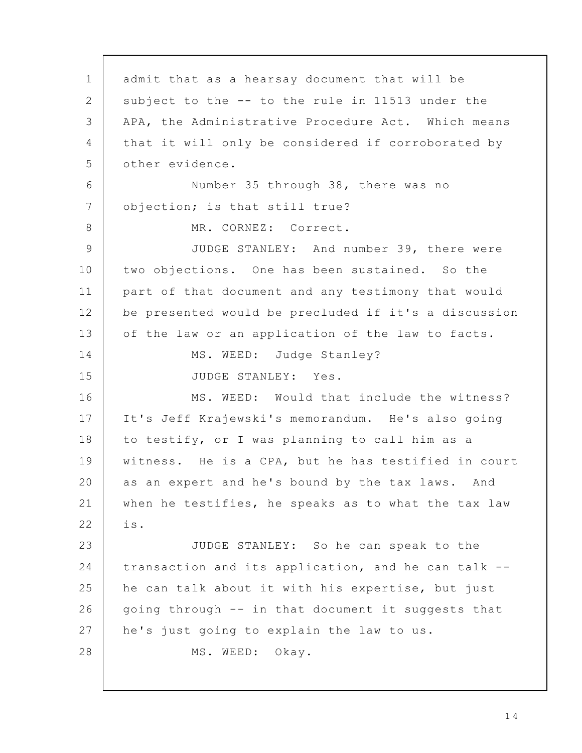admit that as a hearsay document that will be subject to the -- to the rule in 11513 under the APA, the Administrative Procedure Act. Which means that it will only be considered if corroborated by other evidence. Number 35 through 38, there was no objection; is that still true? MR. CORNEZ: Correct. JUDGE STANLEY: And number 39, there were two objections. One has been sustained. So the part of that document and any testimony that would be presented would be precluded if it's a discussion of the law or an application of the law to facts. MS. WEED: Judge Stanley? JUDGE STANLEY: Yes. MS. WEED: Would that include the witness? It's Jeff Krajewski's memorandum. He's also going to testify, or I was planning to call him as a witness. He is a CPA, but he has testified in court as an expert and he's bound by the tax laws. And when he testifies, he speaks as to what the tax law is. JUDGE STANLEY: So he can speak to the transaction and its application, and he can talk - he can talk about it with his expertise, but just going through -- in that document it suggests that he's just going to explain the law to us. MS. WEED: Okay. 1 2 3 4 5 6 7 8 9 10 11 12 13 14 15 16 17 18 19 20 21 22 23 24 25 26 27 28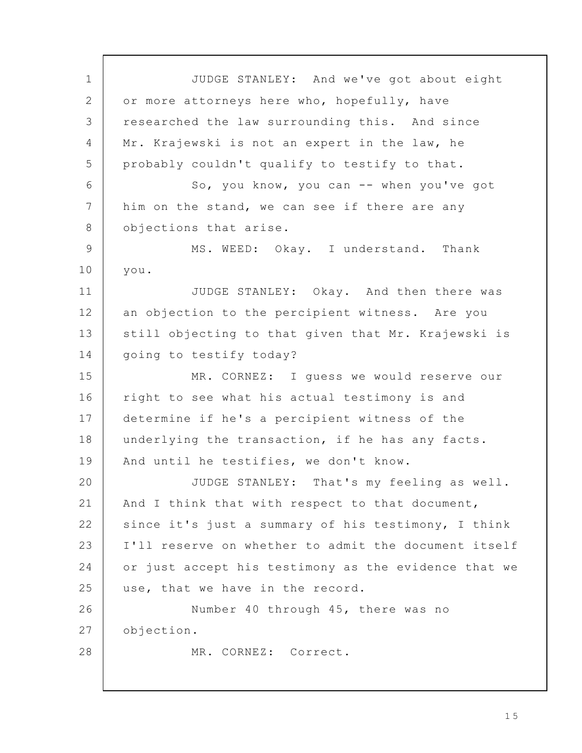JUDGE STANLEY: And we've got about eight or more attorneys here who, hopefully, have researched the law surrounding this. And since Mr. Krajewski is not an expert in the law, he probably couldn't qualify to testify to that. So, you know, you can -- when you've got him on the stand, we can see if there are any objections that arise. MS. WEED: Okay. I understand. Thank you. JUDGE STANLEY: Okay. And then there was an objection to the percipient witness. Are you still objecting to that given that Mr. Krajewski is going to testify today? MR. CORNEZ: I guess we would reserve our right to see what his actual testimony is and determine if he's a percipient witness of the underlying the transaction, if he has any facts. And until he testifies, we don't know. JUDGE STANLEY: That's my feeling as well. And I think that with respect to that document, since it's just a summary of his testimony, I think I'll reserve on whether to admit the document itself or just accept his testimony as the evidence that we use, that we have in the record. Number 40 through 45, there was no objection. MR. CORNEZ: Correct. 1 2 3 4 5 6 7 8 9 10 11 12 13 14 15 16 17 18 19 20 21 22 23 24 25 26 27 28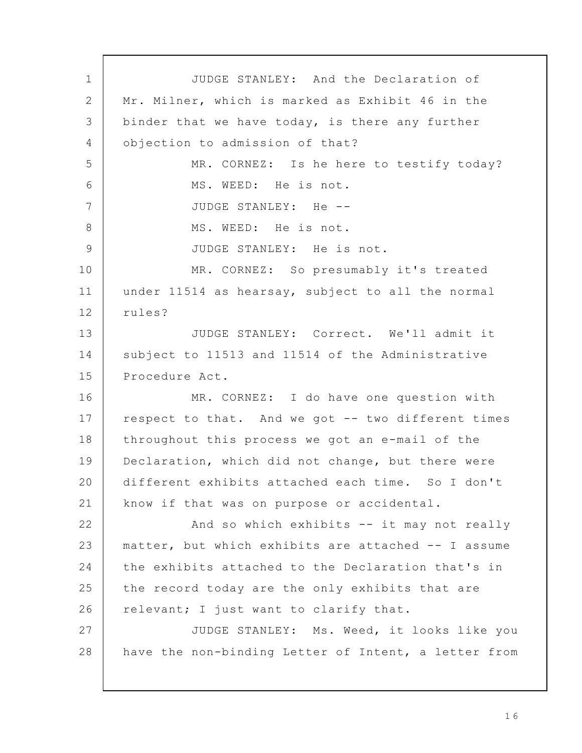JUDGE STANLEY: And the Declaration of Mr. Milner, which is marked as Exhibit 46 in the binder that we have today, is there any further objection to admission of that? MR. CORNEZ: Is he here to testify today? MS. WEED: He is not. JUDGE STANLEY: He -- MS. WEED: He is not. JUDGE STANLEY: He is not. MR. CORNEZ: So presumably it's treated under 11514 as hearsay, subject to all the normal rules? JUDGE STANLEY: Correct. We'll admit it subject to 11513 and 11514 of the Administrative Procedure Act. MR. CORNEZ: I do have one question with respect to that. And we got -- two different times throughout this process we got an e-mail of the Declaration, which did not change, but there were different exhibits attached each time. So I don't know if that was on purpose or accidental. And so which exhibits -- it may not really matter, but which exhibits are attached -- I assume the exhibits attached to the Declaration that's in the record today are the only exhibits that are relevant; I just want to clarify that. JUDGE STANLEY: Ms. Weed, it looks like you have the non-binding Letter of Intent, a letter from 1 2 3 4 5 6 7 8 9 10 11 12 13 14 15 16 17 18 19 20 21 22 23 24 25 26 27 28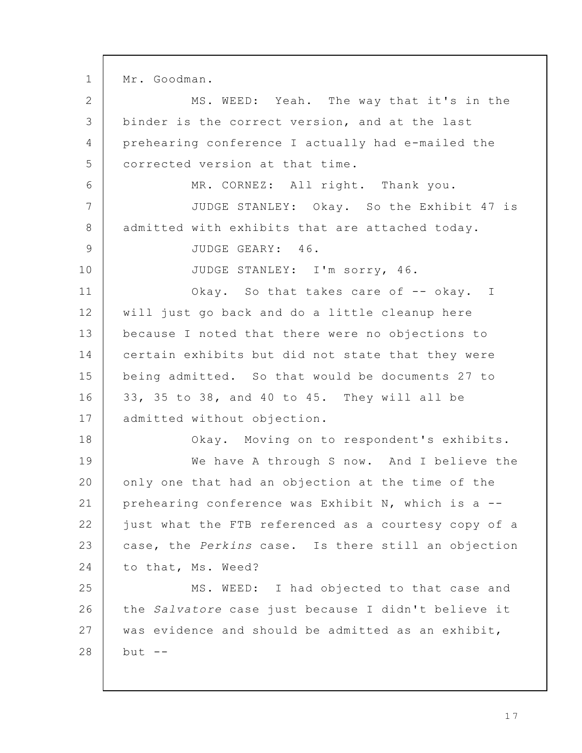Mr. Goodman. MS. WEED: Yeah. The way that it's in the binder is the correct version, and at the last prehearing conference I actually had e-mailed the corrected version at that time. MR. CORNEZ: All right. Thank you. JUDGE STANLEY: Okay. So the Exhibit 47 is admitted with exhibits that are attached today. JUDGE GEARY: 46. JUDGE STANLEY: I'm sorry, 46. Okay. So that takes care of -- okay. I will just go back and do a little cleanup here because I noted that there were no objections to certain exhibits but did not state that they were being admitted. So that would be documents 27 to 33, 35 to 38, and 40 to 45. They will all be admitted without objection. Okay. Moving on to respondent's exhibits. We have A through S now. And I believe the only one that had an objection at the time of the prehearing conference was Exhibit N, which is a - just what the FTB referenced as a courtesy copy of a case, the Perkins case. Is there still an objection to that, Ms. Weed? MS. WEED: I had objected to that case and the Salvatore case just because I didn't believe it was evidence and should be admitted as an exhibit,  $but --$ 1 2 3 4 5 6 7 8 9 10 11 12 13 14 15 16 17 18 19 20 21 22 23 24 25 26 27 28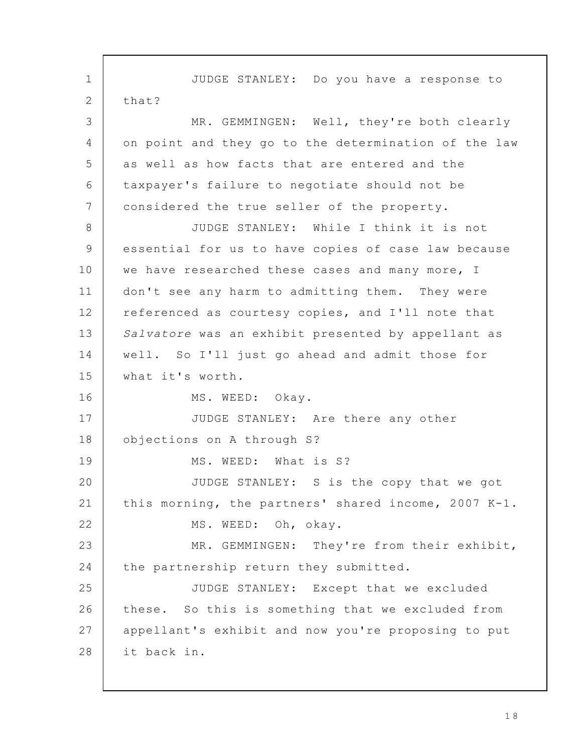JUDGE STANLEY: Do you have a response to that? MR. GEMMINGEN: Well, they're both clearly on point and they go to the determination of the law as well as how facts that are entered and the taxpayer's failure to negotiate should not be considered the true seller of the property. JUDGE STANLEY: While I think it is not essential for us to have copies of case law because we have researched these cases and many more, I don't see any harm to admitting them. They were referenced as courtesy copies, and I'll note that Salvatore was an exhibit presented by appellant as well. So I'll just go ahead and admit those for what it's worth. MS. WEED: Okay. JUDGE STANLEY: Are there any other objections on A through S? MS. WEED: What is S? JUDGE STANLEY: S is the copy that we got this morning, the partners' shared income, 2007 K-1. MS. WEED: Oh, okay. MR. GEMMINGEN: They're from their exhibit, the partnership return they submitted. JUDGE STANLEY: Except that we excluded these. So this is something that we excluded from appellant's exhibit and now you're proposing to put it back in. 1 2 3 4 5 6 7 8 9 10 11 12 13 14 15 16 17 18 19 20 21 22 23 24 25 26 27 28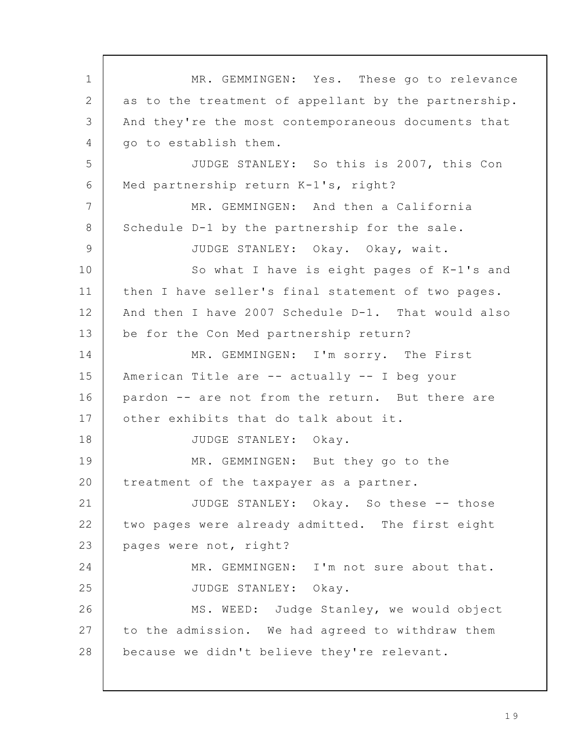MR. GEMMINGEN: Yes. These go to relevance as to the treatment of appellant by the partnership. And they're the most contemporaneous documents that go to establish them. JUDGE STANLEY: So this is 2007, this Con Med partnership return K-1's, right? MR. GEMMINGEN: And then a California Schedule D-1 by the partnership for the sale. JUDGE STANLEY: Okay. Okay, wait. So what I have is eight pages of K-1's and then I have seller's final statement of two pages. And then I have 2007 Schedule D-1. That would also be for the Con Med partnership return? MR. GEMMINGEN: I'm sorry. The First American Title are -- actually -- I beg your pardon -- are not from the return. But there are other exhibits that do talk about it. JUDGE STANLEY: Okay. MR. GEMMINGEN: But they go to the treatment of the taxpayer as a partner. JUDGE STANLEY: Okay. So these -- those two pages were already admitted. The first eight pages were not, right? MR. GEMMINGEN: I'm not sure about that. JUDGE STANLEY: Okay. MS. WEED: Judge Stanley, we would object to the admission. We had agreed to withdraw them because we didn't believe they're relevant. 1 2 3  $\Delta$ 5 6 7 8 9 10 11 12 13 14 15 16 17 18 19 20 21 22 23 24 25 26 27 28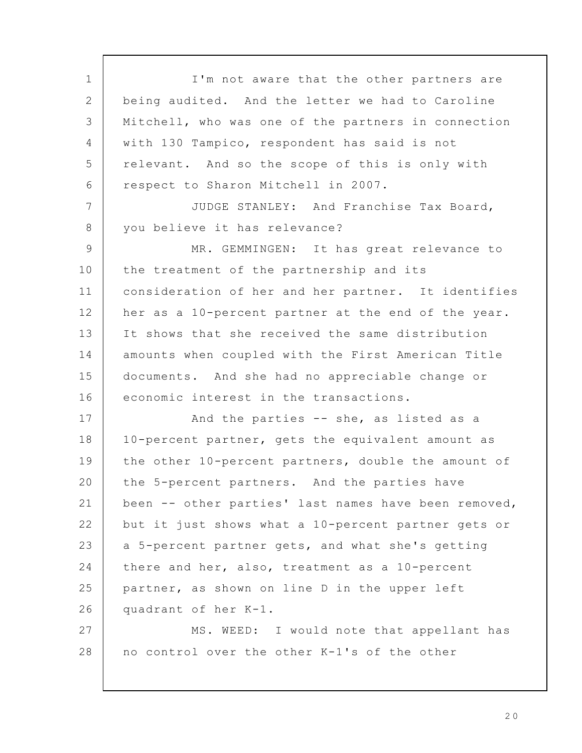I'm not aware that the other partners are being audited. And the letter we had to Caroline Mitchell, who was one of the partners in connection with 130 Tampico, respondent has said is not relevant. And so the scope of this is only with respect to Sharon Mitchell in 2007. JUDGE STANLEY: And Franchise Tax Board, you believe it has relevance? MR. GEMMINGEN: It has great relevance to the treatment of the partnership and its consideration of her and her partner. It identifies her as a 10-percent partner at the end of the year. It shows that she received the same distribution amounts when coupled with the First American Title documents. And she had no appreciable change or economic interest in the transactions. And the parties -- she, as listed as a 10-percent partner, gets the equivalent amount as the other 10-percent partners, double the amount of the 5-percent partners. And the parties have been -- other parties' last names have been removed, but it just shows what a 10-percent partner gets or a 5-percent partner gets, and what she's getting there and her, also, treatment as a 10-percent partner, as shown on line D in the upper left quadrant of her K-1. MS. WEED: I would note that appellant has no control over the other K-1's of the other 1 2 3 4 5 6 7 8 9 10 11 12 13 14 15 16 17 18 19 20 21 22 23 24 25 26 27 28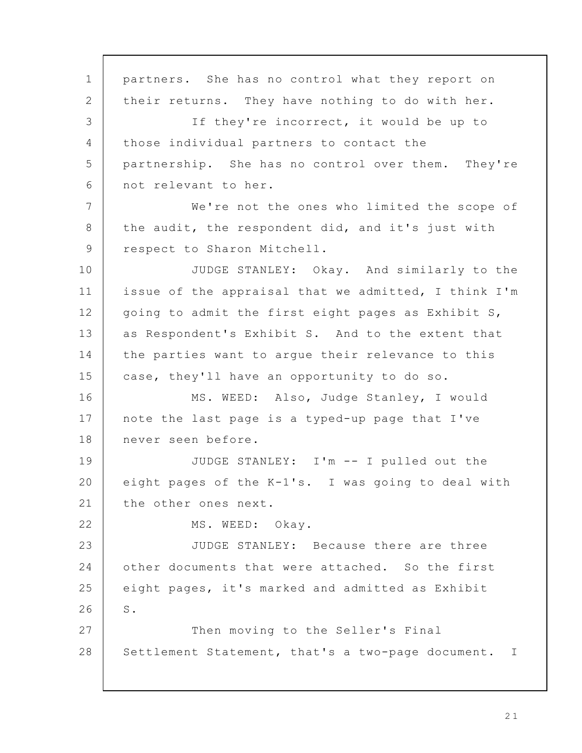partners. She has no control what they report on their returns. They have nothing to do with her. If they're incorrect, it would be up to those individual partners to contact the partnership. She has no control over them. They're not relevant to her. We're not the ones who limited the scope of the audit, the respondent did, and it's just with respect to Sharon Mitchell. JUDGE STANLEY: Okay. And similarly to the issue of the appraisal that we admitted, I think I'm going to admit the first eight pages as Exhibit S, as Respondent's Exhibit S. And to the extent that the parties want to argue their relevance to this case, they'll have an opportunity to do so. MS. WEED: Also, Judge Stanley, I would note the last page is a typed-up page that I've never seen before. JUDGE STANLEY: I'm -- I pulled out the eight pages of the K-1's. I was going to deal with the other ones next. MS. WEED: Okay. JUDGE STANLEY: Because there are three other documents that were attached. So the first eight pages, it's marked and admitted as Exhibit S. Then moving to the Seller's Final Settlement Statement, that's a two-page document. I 1 2 3 4 5 6 7 8 9 10 11 12 13 14 15 16 17 18 19 20 21 22 23 24 25 26 27 28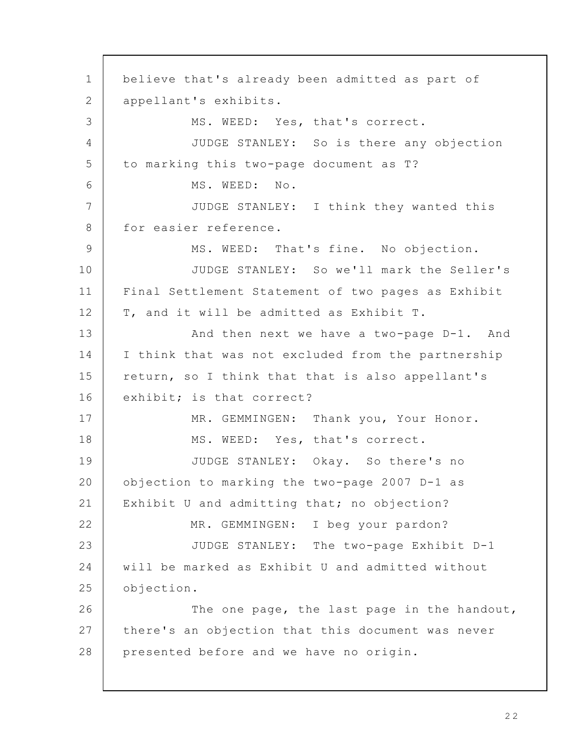believe that's already been admitted as part of appellant's exhibits. MS. WEED: Yes, that's correct. JUDGE STANLEY: So is there any objection to marking this two-page document as T? MS. WEED: No. JUDGE STANLEY: I think they wanted this for easier reference. MS. WEED: That's fine. No objection. JUDGE STANLEY: So we'll mark the Seller's Final Settlement Statement of two pages as Exhibit T, and it will be admitted as Exhibit T. And then next we have a two-page D-1. And I think that was not excluded from the partnership return, so I think that that is also appellant's exhibit; is that correct? MR. GEMMINGEN: Thank you, Your Honor. MS. WEED: Yes, that's correct. JUDGE STANLEY: Okay. So there's no objection to marking the two-page 2007 D-1 as Exhibit U and admitting that; no objection? MR. GEMMINGEN: I beg your pardon? JUDGE STANLEY: The two-page Exhibit D-1 will be marked as Exhibit U and admitted without objection. The one page, the last page in the handout, there's an objection that this document was never presented before and we have no origin. 1 2 3 4 5 6 7 8 9 10 11 12 13 14 15 16 17 18 19 20 21 22 23 24 25 26 27 28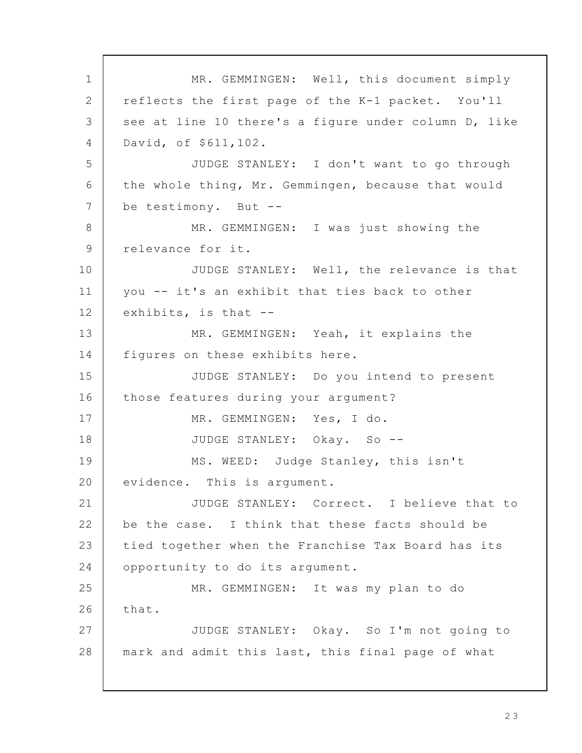MR. GEMMINGEN: Well, this document simply reflects the first page of the K-1 packet. You'll see at line 10 there's a figure under column D, like David, of \$611,102. JUDGE STANLEY: I don't want to go through the whole thing, Mr. Gemmingen, because that would be testimony. But -- MR. GEMMINGEN: I was just showing the relevance for it. JUDGE STANLEY: Well, the relevance is that you -- it's an exhibit that ties back to other exhibits, is that -- MR. GEMMINGEN: Yeah, it explains the figures on these exhibits here. JUDGE STANLEY: Do you intend to present those features during your argument? MR. GEMMINGEN: Yes, I do. JUDGE STANLEY: Okay. So -- MS. WEED: Judge Stanley, this isn't evidence. This is argument. JUDGE STANLEY: Correct. I believe that to be the case. I think that these facts should be tied together when the Franchise Tax Board has its opportunity to do its argument. MR. GEMMINGEN: It was my plan to do that. JUDGE STANLEY: Okay. So I'm not going to mark and admit this last, this final page of what 1 2 3 4 5 6 7 8 9 10 11 12 13 14 15 16 17 18 19 20 21 22 23 24 25 26 27 28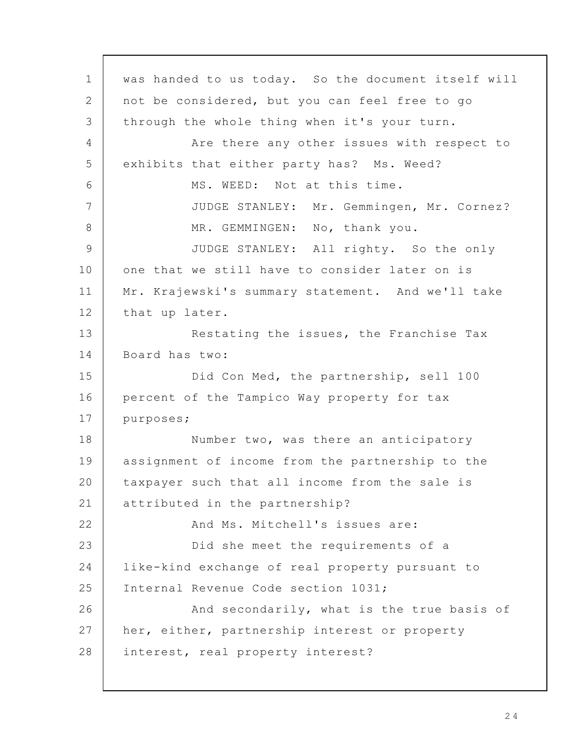was handed to us today. So the document itself will not be considered, but you can feel free to go through the whole thing when it's your turn. Are there any other issues with respect to exhibits that either party has? Ms. Weed? MS. WEED: Not at this time. JUDGE STANLEY: Mr. Gemmingen, Mr. Cornez? MR. GEMMINGEN: No, thank you. JUDGE STANLEY: All righty. So the only one that we still have to consider later on is Mr. Krajewski's summary statement. And we'll take that up later. Restating the issues, the Franchise Tax Board has two: Did Con Med, the partnership, sell 100 percent of the Tampico Way property for tax purposes; Number two, was there an anticipatory assignment of income from the partnership to the taxpayer such that all income from the sale is attributed in the partnership? And Ms. Mitchell's issues are: Did she meet the requirements of a like-kind exchange of real property pursuant to Internal Revenue Code section 1031; And secondarily, what is the true basis of her, either, partnership interest or property interest, real property interest? 1 2 3 4 5 6 7 8 9 10 11 12 13 14 15 16 17 18 19 20 21 22 23 24 25 26 27 28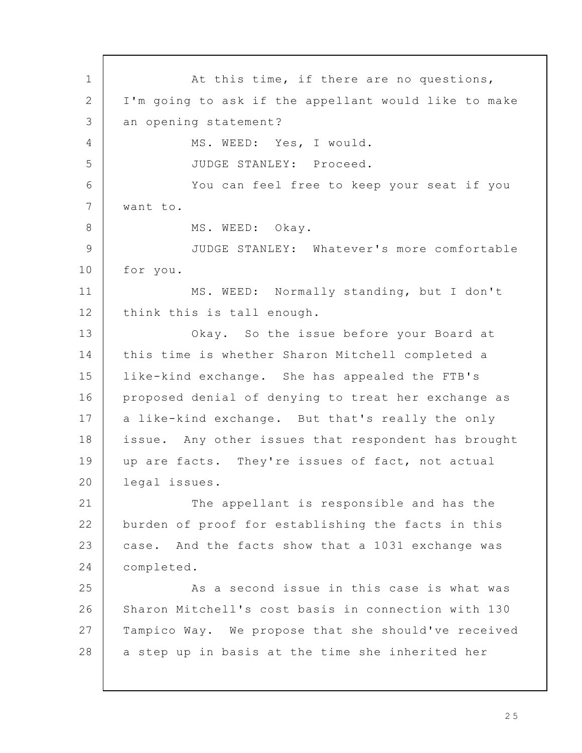At this time, if there are no questions, I'm going to ask if the appellant would like to make an opening statement? MS. WEED: Yes, I would. JUDGE STANLEY: Proceed. You can feel free to keep your seat if you want to. MS. WEED: Okay. JUDGE STANLEY: Whatever's more comfortable for you. MS. WEED: Normally standing, but I don't think this is tall enough. Okay. So the issue before your Board at this time is whether Sharon Mitchell completed a like-kind exchange. She has appealed the FTB's proposed denial of denying to treat her exchange as a like-kind exchange. But that's really the only issue. Any other issues that respondent has brought up are facts. They're issues of fact, not actual legal issues. The appellant is responsible and has the burden of proof for establishing the facts in this case. And the facts show that a 1031 exchange was completed. As a second issue in this case is what was Sharon Mitchell's cost basis in connection with 130 Tampico Way. We propose that she should've received a step up in basis at the time she inherited her 1 2 3  $\Delta$ 5 6 7 8 9 10 11 12 13 14 15 16 17 18 19 20 21 22 23 24 25 26 27 28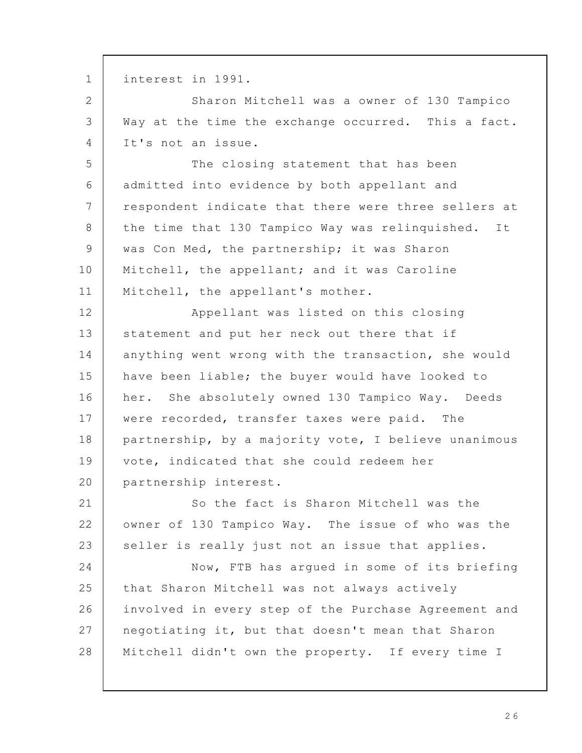interest in 1991. Sharon Mitchell was a owner of 130 Tampico Way at the time the exchange occurred. This a fact. It's not an issue. The closing statement that has been admitted into evidence by both appellant and respondent indicate that there were three sellers at the time that 130 Tampico Way was relinquished. It was Con Med, the partnership; it was Sharon Mitchell, the appellant; and it was Caroline Mitchell, the appellant's mother. Appellant was listed on this closing statement and put her neck out there that if anything went wrong with the transaction, she would have been liable; the buyer would have looked to her. She absolutely owned 130 Tampico Way. Deeds were recorded, transfer taxes were paid. The partnership, by a majority vote, I believe unanimous vote, indicated that she could redeem her partnership interest. So the fact is Sharon Mitchell was the owner of 130 Tampico Way. The issue of who was the seller is really just not an issue that applies. Now, FTB has argued in some of its briefing that Sharon Mitchell was not always actively involved in every step of the Purchase Agreement and negotiating it, but that doesn't mean that Sharon Mitchell didn't own the property. If every time I 1 2 3 4 5 6 7 8 9 10 11 12 13 14 15 16 17 18 19 20 21 22 23 24 25 26 27 28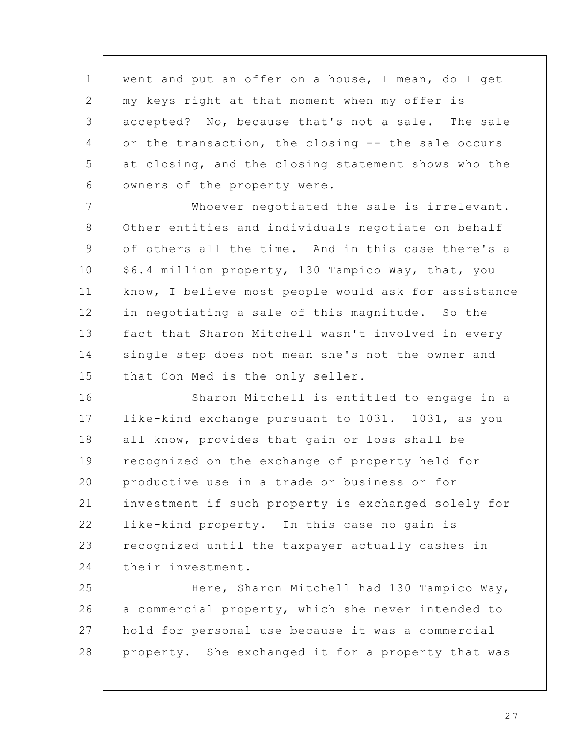went and put an offer on a house, I mean, do I get my keys right at that moment when my offer is accepted? No, because that's not a sale. The sale or the transaction, the closing -- the sale occurs at closing, and the closing statement shows who the owners of the property were. 1 2 3 4 5 6

Whoever negotiated the sale is irrelevant. Other entities and individuals negotiate on behalf of others all the time. And in this case there's a \$6.4 million property, 130 Tampico Way, that, you know, I believe most people would ask for assistance in negotiating a sale of this magnitude. So the fact that Sharon Mitchell wasn't involved in every single step does not mean she's not the owner and that Con Med is the only seller. 7 8 9 10 11 12 13 14 15

Sharon Mitchell is entitled to engage in a like-kind exchange pursuant to 1031. 1031, as you all know, provides that gain or loss shall be recognized on the exchange of property held for productive use in a trade or business or for investment if such property is exchanged solely for like-kind property. In this case no gain is recognized until the taxpayer actually cashes in their investment. 16 17 18 19 20 21 22 23 24

Here, Sharon Mitchell had 130 Tampico Way, a commercial property, which she never intended to hold for personal use because it was a commercial property. She exchanged it for a property that was 25 26 27 28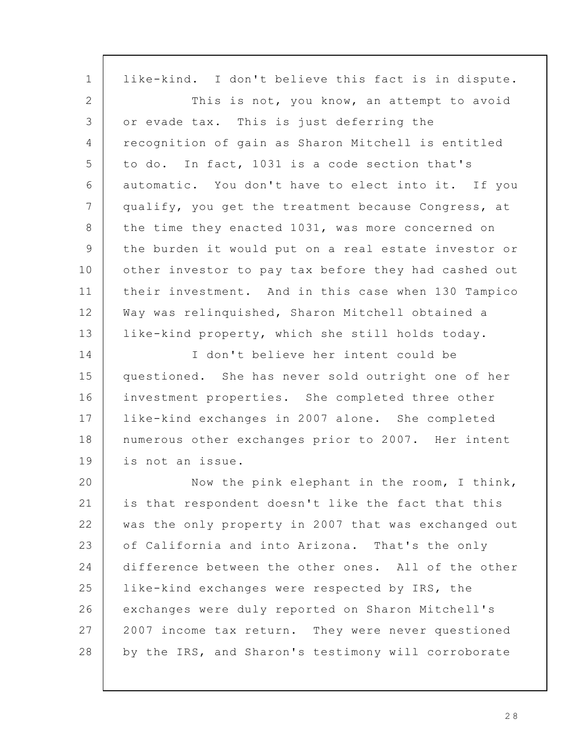| $\mathbf 1$    | like-kind. I don't believe this fact is in dispute.  |
|----------------|------------------------------------------------------|
| $\overline{2}$ | This is not, you know, an attempt to avoid           |
| 3              | or evade tax. This is just deferring the             |
| 4              | recognition of gain as Sharon Mitchell is entitled   |
| 5              | to do. In fact, 1031 is a code section that's        |
| 6              | automatic. You don't have to elect into it. If you   |
| 7              | qualify, you get the treatment because Congress, at  |
| 8              | the time they enacted 1031, was more concerned on    |
| 9              | the burden it would put on a real estate investor or |
| 10             | other investor to pay tax before they had cashed out |
| 11             | their investment. And in this case when 130 Tampico  |
| 12             | Way was relinquished, Sharon Mitchell obtained a     |
| 13             | like-kind property, which she still holds today.     |
| 14             | I don't believe her intent could be                  |
| 15             | questioned. She has never sold outright one of her   |
| 16             | investment properties. She completed three other     |
| 17             | like-kind exchanges in 2007 alone. She completed     |
| 18             | numerous other exchanges prior to 2007. Her intent   |
| 19             | is not an issue.                                     |
| 20             | Now the pink elephant in the room, I think,          |
| 21             | is that respondent doesn't like the fact that this   |
| 22             | was the only property in 2007 that was exchanged out |
| 23             | of California and into Arizona. That's the only      |
| 24             | difference between the other ones. All of the other  |
| 25             | like-kind exchanges were respected by IRS, the       |
| 26             | exchanges were duly reported on Sharon Mitchell's    |
| 27             | 2007 income tax return. They were never questioned   |
| 28             | by the IRS, and Sharon's testimony will corroborate  |

2 8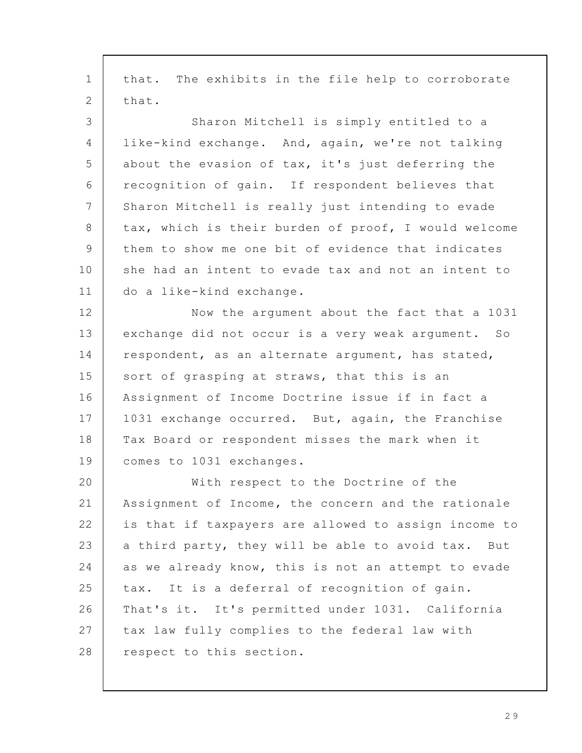that. The exhibits in the file help to corroborate that. Sharon Mitchell is simply entitled to a like-kind exchange. And, again, we're not talking about the evasion of tax, it's just deferring the recognition of gain. If respondent believes that Sharon Mitchell is really just intending to evade tax, which is their burden of proof, I would welcome them to show me one bit of evidence that indicates she had an intent to evade tax and not an intent to do a like-kind exchange. Now the argument about the fact that a 1031 exchange did not occur is a very weak argument. So respondent, as an alternate argument, has stated, sort of grasping at straws, that this is an Assignment of Income Doctrine issue if in fact a 1031 exchange occurred. But, again, the Franchise Tax Board or respondent misses the mark when it comes to 1031 exchanges. With respect to the Doctrine of the Assignment of Income, the concern and the rationale is that if taxpayers are allowed to assign income to a third party, they will be able to avoid tax. But as we already know, this is not an attempt to evade tax. It is a deferral of recognition of gain. That's it. It's permitted under 1031. California tax law fully complies to the federal law with respect to this section. 1 2 3 4 5 6 7 8 9 10 11 12 13 14 15 16 17 18 19 20 21 22 23 24 25 26 27 28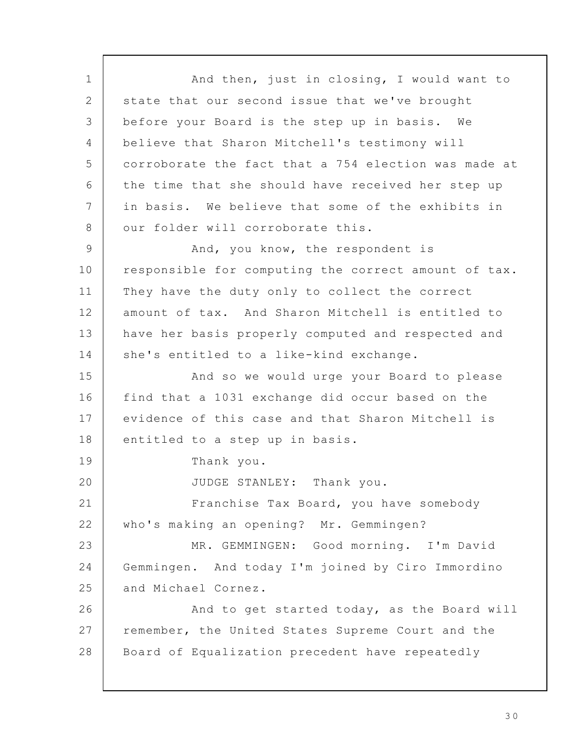And then, just in closing, I would want to state that our second issue that we've brought before your Board is the step up in basis. We believe that Sharon Mitchell's testimony will corroborate the fact that a 754 election was made at the time that she should have received her step up in basis. We believe that some of the exhibits in our folder will corroborate this. And, you know, the respondent is responsible for computing the correct amount of tax. They have the duty only to collect the correct amount of tax. And Sharon Mitchell is entitled to have her basis properly computed and respected and she's entitled to a like-kind exchange. And so we would urge your Board to please find that a 1031 exchange did occur based on the evidence of this case and that Sharon Mitchell is entitled to a step up in basis. Thank you. JUDGE STANLEY: Thank you. Franchise Tax Board, you have somebody who's making an opening? Mr. Gemmingen? MR. GEMMINGEN: Good morning. I'm David Gemmingen. And today I'm joined by Ciro Immordino and Michael Cornez. And to get started today, as the Board will remember, the United States Supreme Court and the Board of Equalization precedent have repeatedly 1 2 3 4 5 6 7 8 9 10 11 12 13 14 15 16 17 18 19 20 21 22 23 24 25 26 27 28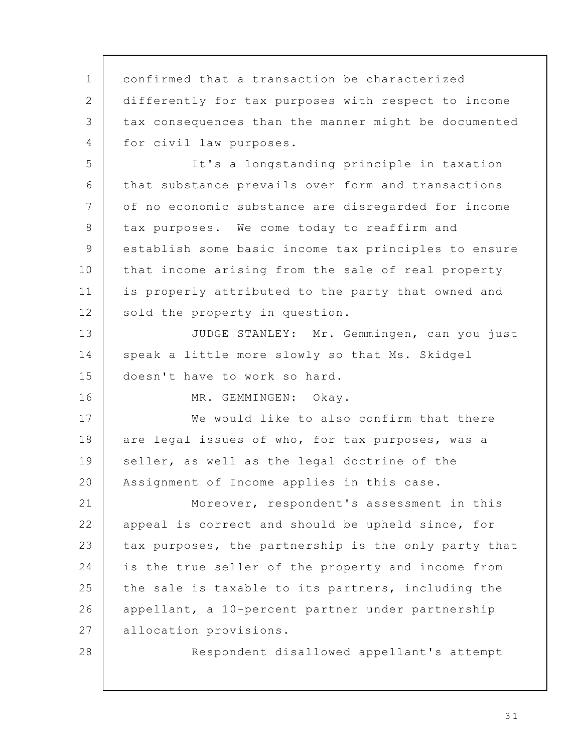confirmed that a transaction be characterized differently for tax purposes with respect to income tax consequences than the manner might be documented for civil law purposes. It's a longstanding principle in taxation that substance prevails over form and transactions of no economic substance are disregarded for income tax purposes. We come today to reaffirm and establish some basic income tax principles to ensure that income arising from the sale of real property is properly attributed to the party that owned and sold the property in question. JUDGE STANLEY: Mr. Gemmingen, can you just speak a little more slowly so that Ms. Skidgel doesn't have to work so hard. MR. GEMMINGEN: Okay. We would like to also confirm that there are legal issues of who, for tax purposes, was a seller, as well as the legal doctrine of the Assignment of Income applies in this case. Moreover, respondent's assessment in this appeal is correct and should be upheld since, for tax purposes, the partnership is the only party that is the true seller of the property and income from the sale is taxable to its partners, including the appellant, a 10-percent partner under partnership allocation provisions. Respondent disallowed appellant's attempt 1 2 3 4 5 6 7 8 9 10 11 12 13 14 15 16 17 18 19 20 21 22 23 24 25 26 27 28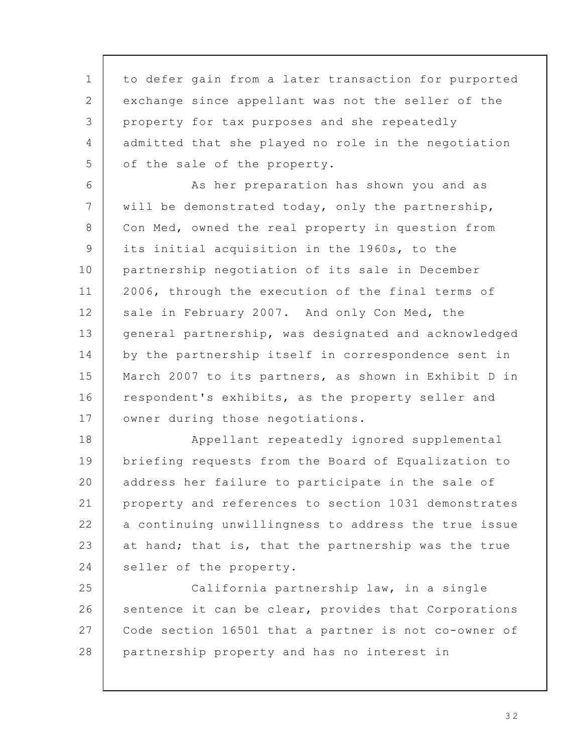to defer gain from a later transaction for purported exchange since appellant was not the seller of the property for tax purposes and she repeatedly admitted that she played no role in the negotiation of the sale of the property. 1 2 3 4 5

As her preparation has shown you and as will be demonstrated today, only the partnership, Con Med, owned the real property in question from its initial acquisition in the 1960s, to the partnership negotiation of its sale in December 2006, through the execution of the final terms of sale in February 2007. And only Con Med, the general partnership, was designated and acknowledged by the partnership itself in correspondence sent in March 2007 to its partners, as shown in Exhibit D in respondent's exhibits, as the property seller and owner during those negotiations. 6 7 8 9 10 11 12 13 14 15 16 17

Appellant repeatedly ignored supplemental briefing requests from the Board of Equalization to address her failure to participate in the sale of property and references to section 1031 demonstrates a continuing unwillingness to address the true issue at hand; that is, that the partnership was the true seller of the property. 18 19 20 21 22 23 24

California partnership law, in a single sentence it can be clear, provides that Corporations Code section 16501 that a partner is not co-owner of partnership property and has no interest in 25 26 27 28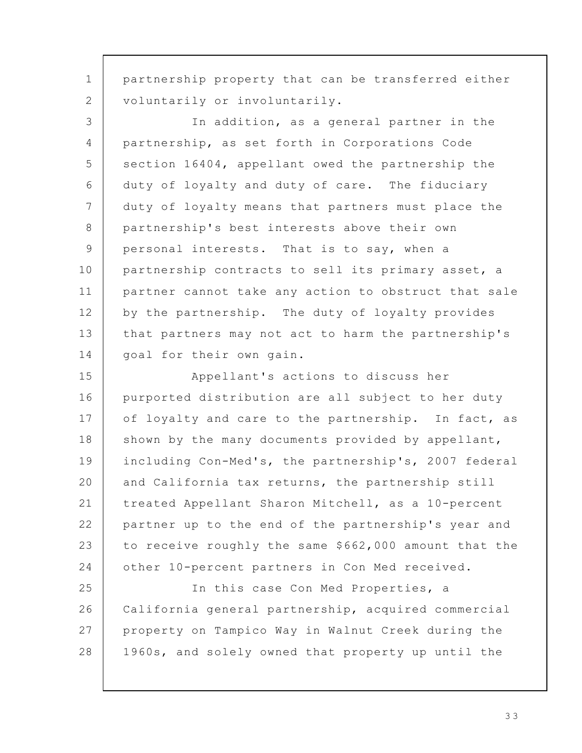partnership property that can be transferred either voluntarily or involuntarily. In addition, as a general partner in the partnership, as set forth in Corporations Code section 16404, appellant owed the partnership the duty of loyalty and duty of care. The fiduciary duty of loyalty means that partners must place the partnership's best interests above their own personal interests. That is to say, when a partnership contracts to sell its primary asset, a partner cannot take any action to obstruct that sale by the partnership. The duty of loyalty provides that partners may not act to harm the partnership's goal for their own gain. Appellant's actions to discuss her purported distribution are all subject to her duty of loyalty and care to the partnership. In fact, as shown by the many documents provided by appellant, including Con-Med's, the partnership's, 2007 federal and California tax returns, the partnership still treated Appellant Sharon Mitchell, as a 10-percent partner up to the end of the partnership's year and to receive roughly the same \$662,000 amount that the other 10-percent partners in Con Med received. In this case Con Med Properties, a California general partnership, acquired commercial property on Tampico Way in Walnut Creek during the 1960s, and solely owned that property up until the 1 2 3 4 5 6 7 8 9 10 11 12 13 14 15 16 17 18 19 20 21 22 23 24 25 26 27 28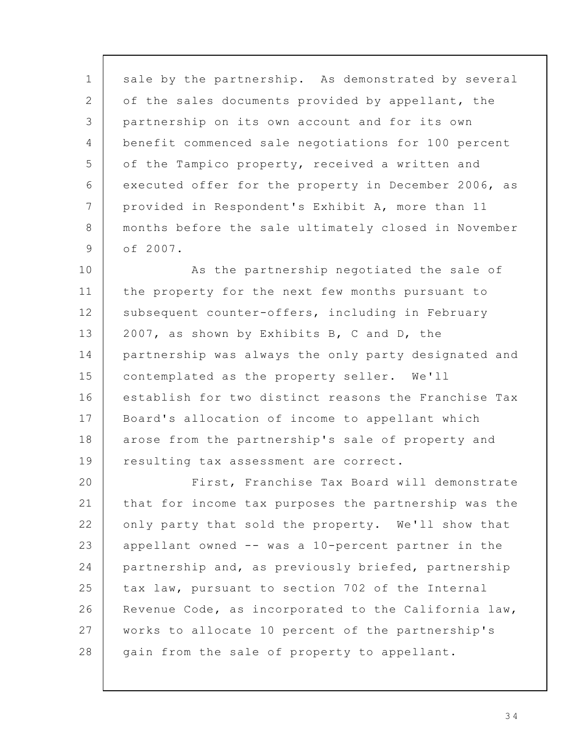sale by the partnership. As demonstrated by several of the sales documents provided by appellant, the partnership on its own account and for its own benefit commenced sale negotiations for 100 percent of the Tampico property, received a written and executed offer for the property in December 2006, as provided in Respondent's Exhibit A, more than 11 months before the sale ultimately closed in November of 2007. 1 2 3 4 5 6 7 8 9

As the partnership negotiated the sale of the property for the next few months pursuant to subsequent counter-offers, including in February 2007, as shown by Exhibits B, C and D, the partnership was always the only party designated and contemplated as the property seller. We'll establish for two distinct reasons the Franchise Tax Board's allocation of income to appellant which arose from the partnership's sale of property and resulting tax assessment are correct. 10 11 12 13 14 15 16 17 18 19

First, Franchise Tax Board will demonstrate that for income tax purposes the partnership was the only party that sold the property. We'll show that appellant owned -- was a 10-percent partner in the partnership and, as previously briefed, partnership tax law, pursuant to section 702 of the Internal Revenue Code, as incorporated to the California law, works to allocate 10 percent of the partnership's gain from the sale of property to appellant. 20 21 22 23 24 25 26 27 28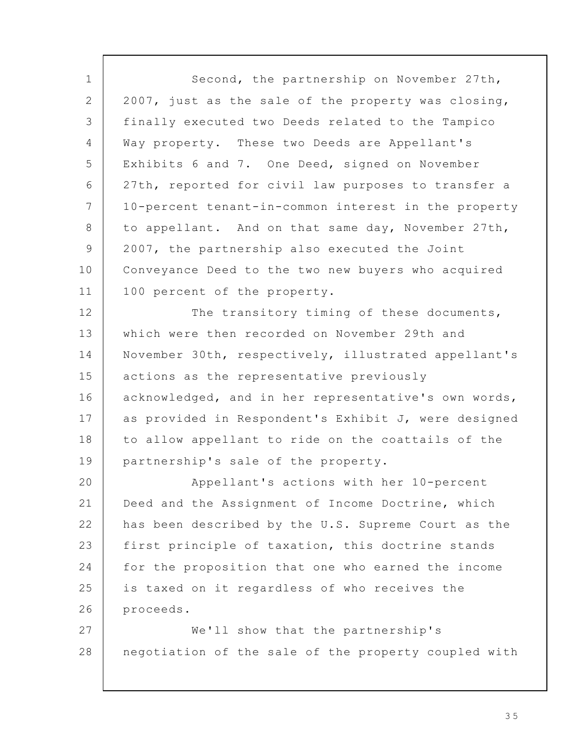Second, the partnership on November 27th, 2007, just as the sale of the property was closing, finally executed two Deeds related to the Tampico Way property. These two Deeds are Appellant's Exhibits 6 and 7. One Deed, signed on November 27th, reported for civil law purposes to transfer a 10-percent tenant-in-common interest in the property to appellant. And on that same day, November 27th, 2007, the partnership also executed the Joint Conveyance Deed to the two new buyers who acquired 100 percent of the property. The transitory timing of these documents, which were then recorded on November 29th and November 30th, respectively, illustrated appellant's actions as the representative previously acknowledged, and in her representative's own words, as provided in Respondent's Exhibit J, were designed to allow appellant to ride on the coattails of the partnership's sale of the property. Appellant's actions with her 10-percent Deed and the Assignment of Income Doctrine, which has been described by the U.S. Supreme Court as the first principle of taxation, this doctrine stands for the proposition that one who earned the income is taxed on it regardless of who receives the proceeds. We'll show that the partnership's negotiation of the sale of the property coupled with 1 2 3 4 5 6 7 8 9 10 11 12 13 14 15 16 17 18 19 20 21 22 23 24 25 26 27 28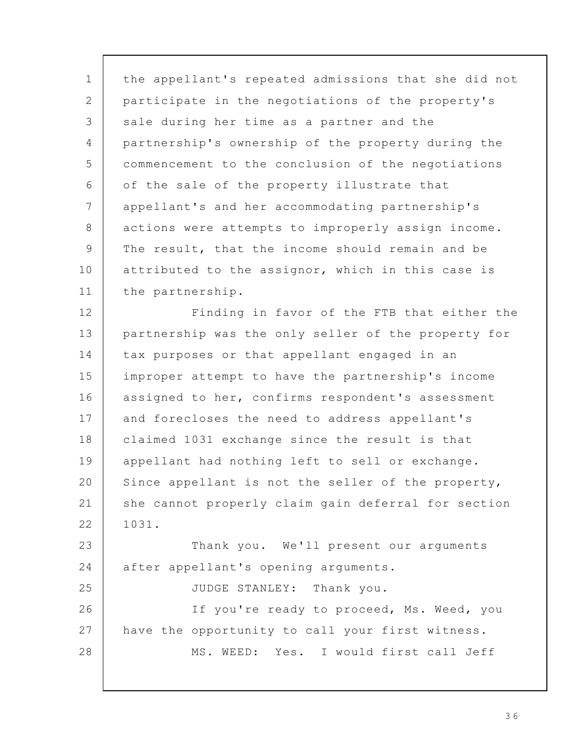the appellant's repeated admissions that she did not participate in the negotiations of the property's sale during her time as a partner and the partnership's ownership of the property during the commencement to the conclusion of the negotiations of the sale of the property illustrate that appellant's and her accommodating partnership's actions were attempts to improperly assign income. The result, that the income should remain and be attributed to the assignor, which in this case is the partnership. Finding in favor of the FTB that either the partnership was the only seller of the property for tax purposes or that appellant engaged in an improper attempt to have the partnership's income assigned to her, confirms respondent's assessment and forecloses the need to address appellant's claimed 1031 exchange since the result is that appellant had nothing left to sell or exchange. Since appellant is not the seller of the property, she cannot properly claim gain deferral for section 1031. Thank you. We'll present our arguments after appellant's opening arguments. JUDGE STANLEY: Thank you. If you're ready to proceed, Ms. Weed, you have the opportunity to call your first witness. MS. WEED: Yes. I would first call Jeff 1 2 3 4 5 6 7 8 9 10 11 12 13 14 15 16 17 18 19 20 21 22 23 24 25 26 27 28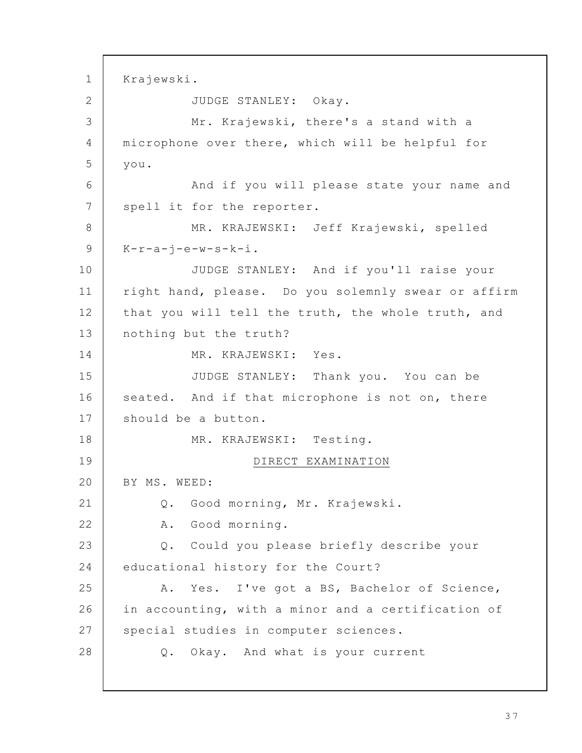Krajewski. JUDGE STANLEY: Okay. Mr. Krajewski, there's a stand with a microphone over there, which will be helpful for you. And if you will please state your name and spell it for the reporter. MR. KRAJEWSKI: Jeff Krajewski, spelled  $K-r-a-j-e-w-s-k-i$ . JUDGE STANLEY: And if you'll raise your right hand, please. Do you solemnly swear or affirm that you will tell the truth, the whole truth, and nothing but the truth? MR. KRAJEWSKI: Yes. JUDGE STANLEY: Thank you. You can be seated. And if that microphone is not on, there should be a button. MR. KRAJEWSKI: Testing. DIRECT EXAMINATION BY MS. WEED: Q. Good morning, Mr. Krajewski. A. Good morning. Q. Could you please briefly describe your educational history for the Court? A. Yes. I've got a BS, Bachelor of Science, in accounting, with a minor and a certification of special studies in computer sciences. Q. Okay. And what is your current 1 2 3 4 5 6 7 8 9 10 11 12 13 14 15 16 17 18 19 20 21 22 23 24 25 26 27 28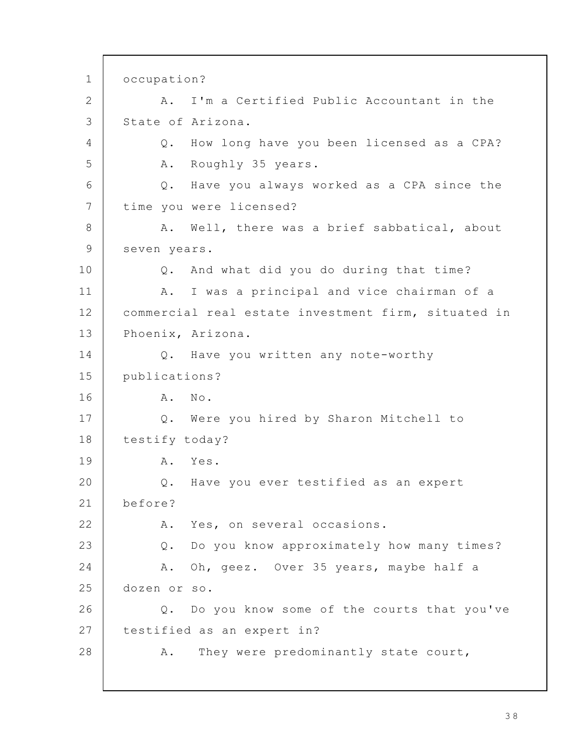occupation? A. I'm a Certified Public Accountant in the State of Arizona. Q. How long have you been licensed as a CPA? A. Roughly 35 years. Q. Have you always worked as a CPA since the time you were licensed? A. Well, there was a brief sabbatical, about seven years. Q. And what did you do during that time? A. I was a principal and vice chairman of a commercial real estate investment firm, situated in Phoenix, Arizona. Q. Have you written any note-worthy publications? A. No. Q. Were you hired by Sharon Mitchell to testify today? A. Yes. Q. Have you ever testified as an expert before? A. Yes, on several occasions. Q. Do you know approximately how many times? A. Oh, geez. Over 35 years, maybe half a dozen or so. Q. Do you know some of the courts that you've testified as an expert in? A. They were predominantly state court, 1 2 3 4 5 6 7 8 9 10 11 12 13 14 15 16 17 18 19 20 21 22 23 24 25 26 27 28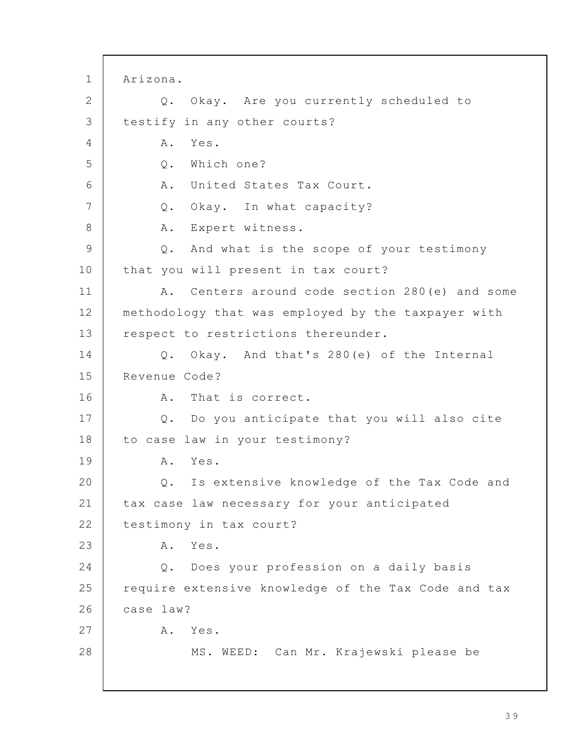Arizona. Q. Okay. Are you currently scheduled to testify in any other courts? A. Yes. Q. Which one? A. United States Tax Court. Q. Okay. In what capacity? A. Expert witness. Q. And what is the scope of your testimony that you will present in tax court? A. Centers around code section 280(e) and some methodology that was employed by the taxpayer with respect to restrictions thereunder. Q. Okay. And that's 280(e) of the Internal Revenue Code? A. That is correct. Q. Do you anticipate that you will also cite to case law in your testimony? A. Yes. Q. Is extensive knowledge of the Tax Code and tax case law necessary for your anticipated testimony in tax court? A. Yes. Q. Does your profession on a daily basis require extensive knowledge of the Tax Code and tax case law? A. Yes. MS. WEED: Can Mr. Krajewski please be 1 2 3 4 5 6 7 8 9 10 11 12 13 14 15 16 17 18 19 20 21 22 23 24 25 26 27 28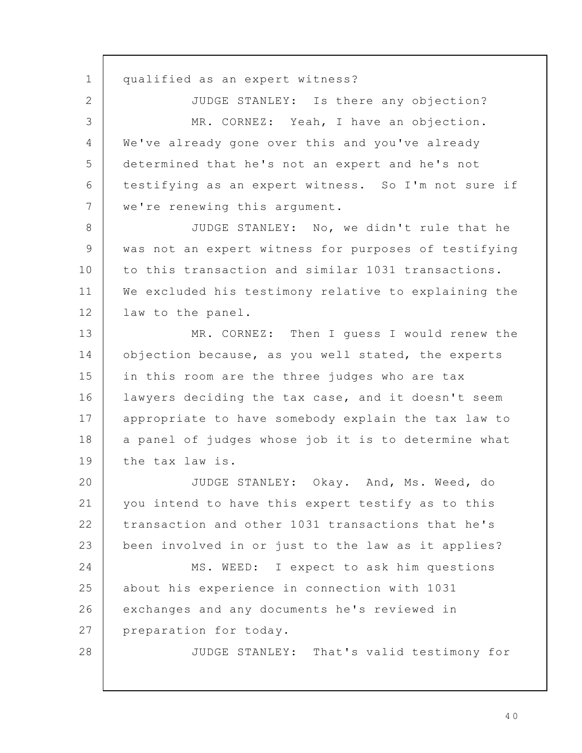qualified as an expert witness? JUDGE STANLEY: Is there any objection? MR. CORNEZ: Yeah, I have an objection. We've already gone over this and you've already determined that he's not an expert and he's not testifying as an expert witness. So I'm not sure if we're renewing this argument. JUDGE STANLEY: No, we didn't rule that he was not an expert witness for purposes of testifying to this transaction and similar 1031 transactions. We excluded his testimony relative to explaining the law to the panel. MR. CORNEZ: Then I guess I would renew the objection because, as you well stated, the experts in this room are the three judges who are tax lawyers deciding the tax case, and it doesn't seem appropriate to have somebody explain the tax law to a panel of judges whose job it is to determine what the tax law is. JUDGE STANLEY: Okay. And, Ms. Weed, do you intend to have this expert testify as to this transaction and other 1031 transactions that he's been involved in or just to the law as it applies? MS. WEED: I expect to ask him questions about his experience in connection with 1031 exchanges and any documents he's reviewed in preparation for today. JUDGE STANLEY: That's valid testimony for 1 2 3 4 5 6 7 8 9 10 11 12 13 14 15 16 17 18 19 20 21 22 23 24 25 26 27 28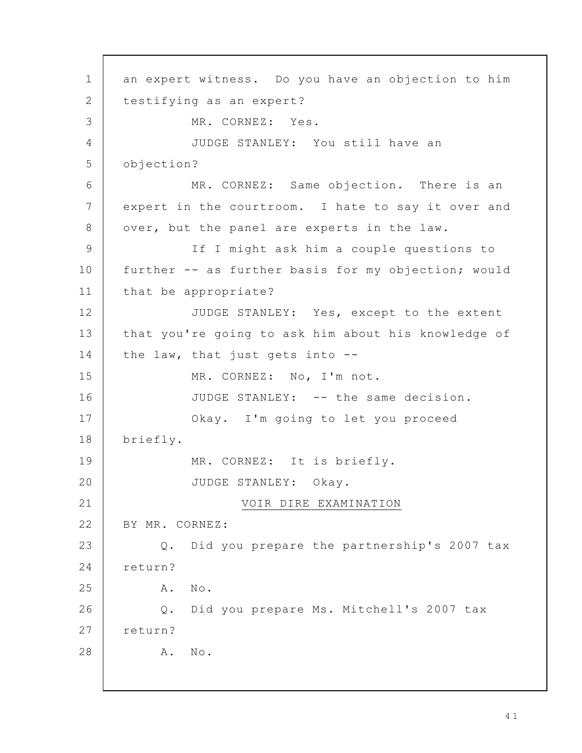an expert witness. Do you have an objection to him testifying as an expert? MR. CORNEZ: Yes. JUDGE STANLEY: You still have an objection? MR. CORNEZ: Same objection. There is an expert in the courtroom. I hate to say it over and over, but the panel are experts in the law. If I might ask him a couple questions to further -- as further basis for my objection; would that be appropriate? JUDGE STANLEY: Yes, except to the extent that you're going to ask him about his knowledge of the law, that just gets into -- MR. CORNEZ: No, I'm not. JUDGE STANLEY: -- the same decision. Okay. I'm going to let you proceed briefly. MR. CORNEZ: It is briefly. JUDGE STANLEY: Okay. VOIR DIRE EXAMINATION BY MR. CORNEZ: Q. Did you prepare the partnership's 2007 tax return? A. No. Q. Did you prepare Ms. Mitchell's 2007 tax return? A. No. 1 2 3 4 5 6 7 8 9 10 11 12 13 14 15 16 17 18 19 20 21 22 23 24 25 26 27 28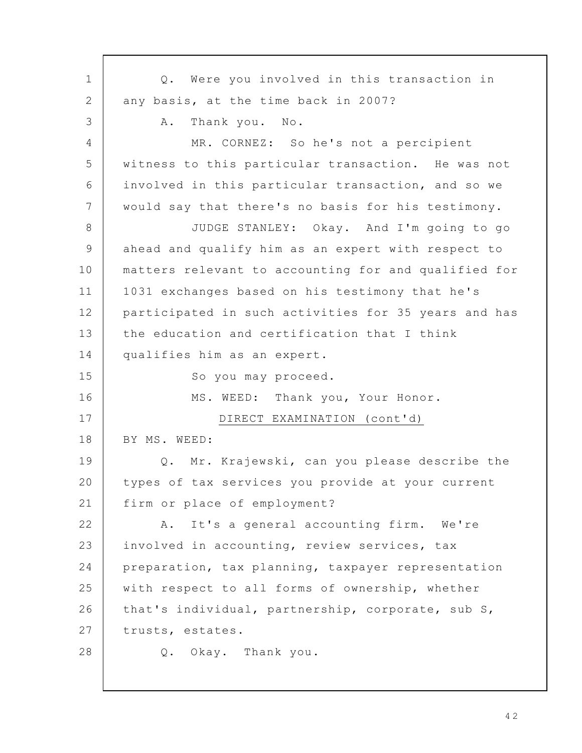Q. Were you involved in this transaction in any basis, at the time back in 2007? A. Thank you. No. MR. CORNEZ: So he's not a percipient witness to this particular transaction. He was not involved in this particular transaction, and so we would say that there's no basis for his testimony. JUDGE STANLEY: Okay. And I'm going to go ahead and qualify him as an expert with respect to matters relevant to accounting for and qualified for 1031 exchanges based on his testimony that he's participated in such activities for 35 years and has the education and certification that I think qualifies him as an expert. So you may proceed. MS. WEED: Thank you, Your Honor. DIRECT EXAMINATION (cont'd) BY MS. WEED: Q. Mr. Krajewski, can you please describe the types of tax services you provide at your current firm or place of employment? A. It's a general accounting firm. We're involved in accounting, review services, tax preparation, tax planning, taxpayer representation with respect to all forms of ownership, whether that's individual, partnership, corporate, sub S, trusts, estates. Q. Okay. Thank you. 1 2 3 4 5 6 7 8 9 10 11 12 13 14 15 16 17 18 19 20 21 22 23 24 25 26 27 28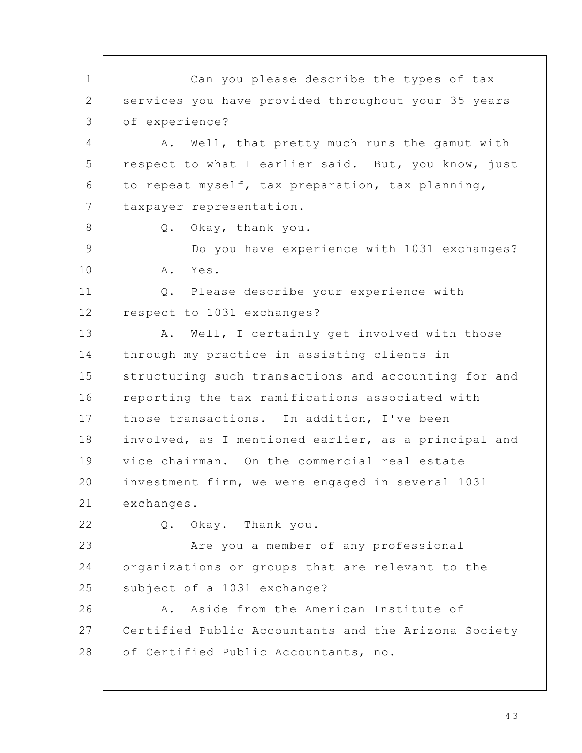Can you please describe the types of tax services you have provided throughout your 35 years of experience? A. Well, that pretty much runs the gamut with respect to what I earlier said. But, you know, just to repeat myself, tax preparation, tax planning, taxpayer representation. Q. Okay, thank you. Do you have experience with 1031 exchanges? A. Yes. Q. Please describe your experience with respect to 1031 exchanges? A. Well, I certainly get involved with those through my practice in assisting clients in structuring such transactions and accounting for and reporting the tax ramifications associated with those transactions. In addition, I've been involved, as I mentioned earlier, as a principal and vice chairman. On the commercial real estate investment firm, we were engaged in several 1031 exchanges. Q. Okay. Thank you. Are you a member of any professional organizations or groups that are relevant to the subject of a 1031 exchange? A. Aside from the American Institute of Certified Public Accountants and the Arizona Society of Certified Public Accountants, no. 1 2 3 4 5 6 7 8 9 10 11 12 13 14 15 16 17 18 19 20 21 22 23 24 25 26 27 28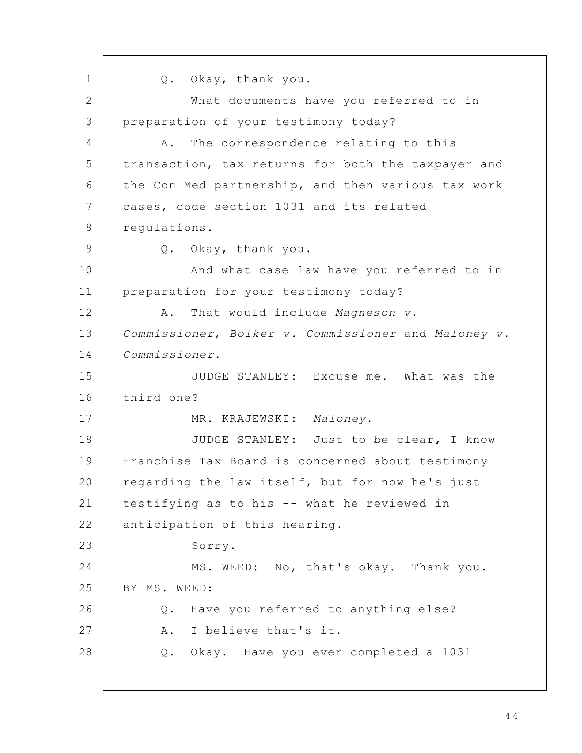Q. Okay, thank you. What documents have you referred to in preparation of your testimony today? A. The correspondence relating to this transaction, tax returns for both the taxpayer and the Con Med partnership, and then various tax work cases, code section 1031 and its related regulations. Q. Okay, thank you. And what case law have you referred to in preparation for your testimony today? A. That would include Magneson v. Commissioner, Bolker v. Commissioner and Maloney v. Commissioner. JUDGE STANLEY: Excuse me. What was the third one? MR. KRAJEWSKI: Maloney. JUDGE STANLEY: Just to be clear, I know Franchise Tax Board is concerned about testimony regarding the law itself, but for now he's just testifying as to his -- what he reviewed in anticipation of this hearing. Sorry. MS. WEED: No, that's okay. Thank you. BY MS. WEED: Q. Have you referred to anything else? A. I believe that's it. Q. Okay. Have you ever completed a 1031 1 2 3 4 5 6 7 8 9 10 11 12 13 14 15 16 17 18 19 20 21 22 23 24 25 26 27 28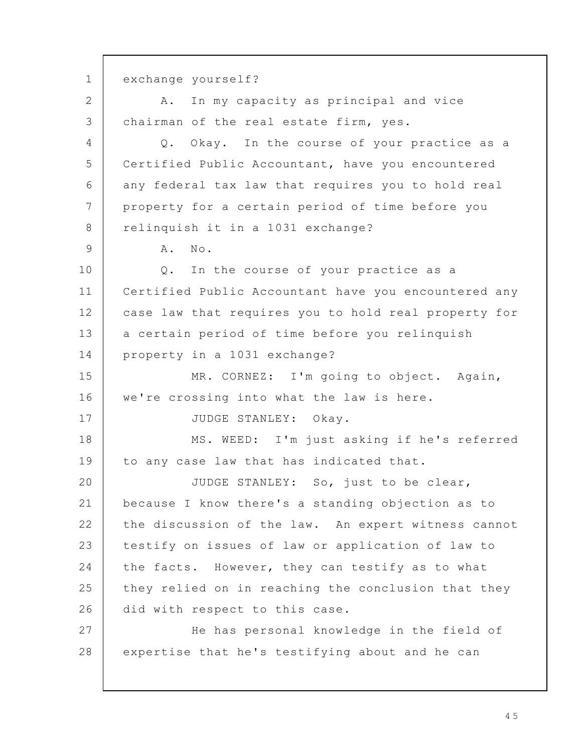exchange yourself? A. In my capacity as principal and vice chairman of the real estate firm, yes. Q. Okay. In the course of your practice as a Certified Public Accountant, have you encountered any federal tax law that requires you to hold real property for a certain period of time before you relinquish it in a 1031 exchange? A. No. Q. In the course of your practice as a Certified Public Accountant have you encountered any case law that requires you to hold real property for a certain period of time before you relinquish property in a 1031 exchange? MR. CORNEZ: I'm going to object. Again, we're crossing into what the law is here. JUDGE STANLEY: Okay. MS. WEED: I'm just asking if he's referred to any case law that has indicated that. JUDGE STANLEY: So, just to be clear, because I know there's a standing objection as to the discussion of the law. An expert witness cannot testify on issues of law or application of law to the facts. However, they can testify as to what they relied on in reaching the conclusion that they did with respect to this case. He has personal knowledge in the field of expertise that he's testifying about and he can 1 2 3 4 5 6 7 8 9 10 11 12 13 14 15 16 17 18 19 20 21 22 23 24 25 26 27 28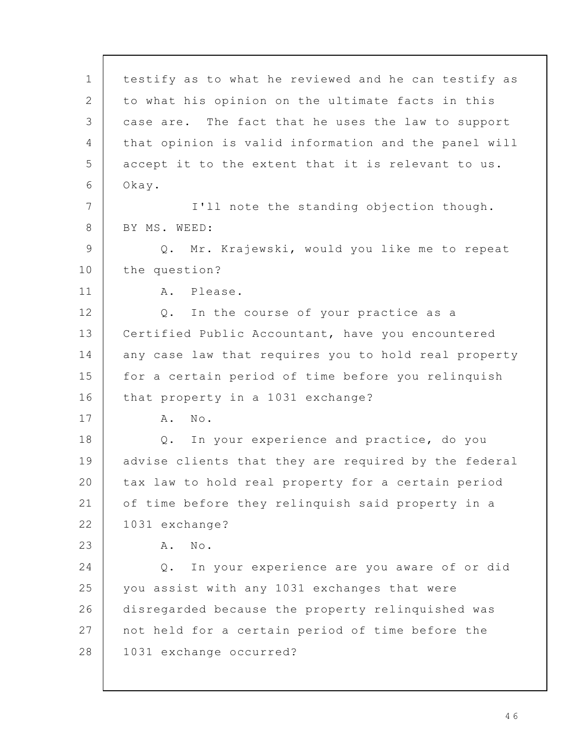testify as to what he reviewed and he can testify as to what his opinion on the ultimate facts in this case are. The fact that he uses the law to support that opinion is valid information and the panel will accept it to the extent that it is relevant to us. Okay. I'll note the standing objection though. BY MS. WEED: Q. Mr. Krajewski, would you like me to repeat the question? A. Please. Q. In the course of your practice as a Certified Public Accountant, have you encountered any case law that requires you to hold real property for a certain period of time before you relinquish that property in a 1031 exchange? A. No. Q. In your experience and practice, do you advise clients that they are required by the federal tax law to hold real property for a certain period of time before they relinquish said property in a 1031 exchange? A. No. Q. In your experience are you aware of or did you assist with any 1031 exchanges that were disregarded because the property relinquished was not held for a certain period of time before the 1031 exchange occurred? 1 2 3 4 5 6 7 8 9 10 11 12 13 14 15 16 17 18 19 20 21 22 23 24 25 26 27 28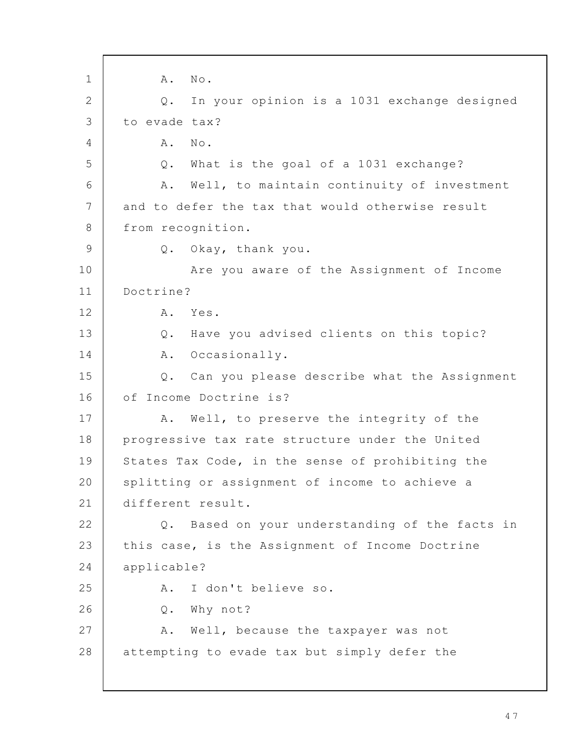A. No. Q. In your opinion is a 1031 exchange designed to evade tax? A. No. Q. What is the goal of a 1031 exchange? A. Well, to maintain continuity of investment and to defer the tax that would otherwise result from recognition. Q. Okay, thank you. Are you aware of the Assignment of Income Doctrine? A. Yes. Q. Have you advised clients on this topic? A. Occasionally. Q. Can you please describe what the Assignment of Income Doctrine is? A. Well, to preserve the integrity of the progressive tax rate structure under the United States Tax Code, in the sense of prohibiting the splitting or assignment of income to achieve a different result. Q. Based on your understanding of the facts in this case, is the Assignment of Income Doctrine applicable? A. I don't believe so. Q. Why not? A. Well, because the taxpayer was not attempting to evade tax but simply defer the 1 2 3 4 5 6 7 8 9 10 11 12 13 14 15 16 17 18 19 20 21 22 23 24 25 26 27 28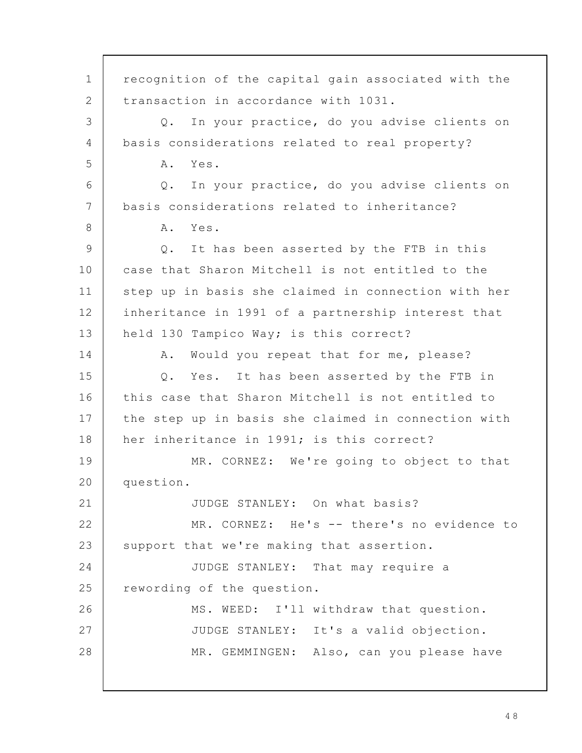recognition of the capital gain associated with the transaction in accordance with 1031. Q. In your practice, do you advise clients on basis considerations related to real property? A. Yes. Q. In your practice, do you advise clients on basis considerations related to inheritance? A. Yes. Q. It has been asserted by the FTB in this case that Sharon Mitchell is not entitled to the step up in basis she claimed in connection with her inheritance in 1991 of a partnership interest that held 130 Tampico Way; is this correct? A. Would you repeat that for me, please? Q. Yes. It has been asserted by the FTB in this case that Sharon Mitchell is not entitled to the step up in basis she claimed in connection with her inheritance in 1991; is this correct? MR. CORNEZ: We're going to object to that question. JUDGE STANLEY: On what basis? MR. CORNEZ: He's -- there's no evidence to support that we're making that assertion. JUDGE STANLEY: That may require a rewording of the question. MS. WEED: I'll withdraw that question. JUDGE STANLEY: It's a valid objection. MR. GEMMINGEN: Also, can you please have 1 2 3 4 5 6 7 8 9 10 11 12 13 14 15 16 17 18 19 20 21 22 23 24 25 26 27 28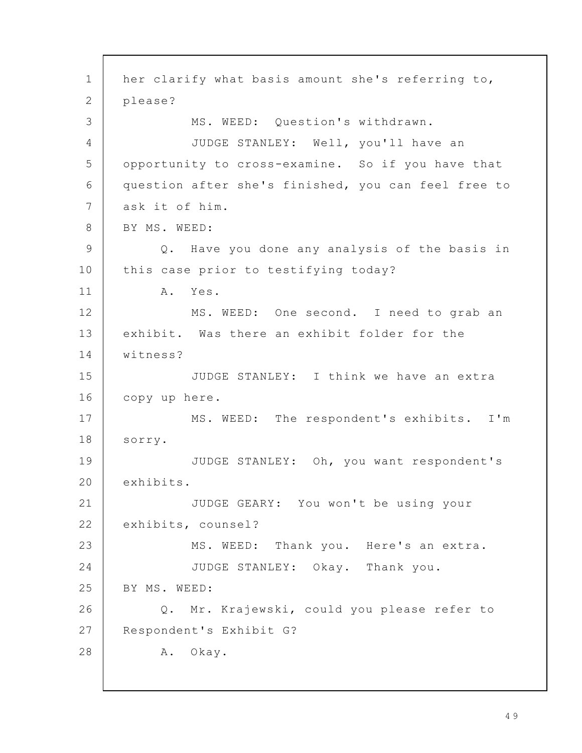her clarify what basis amount she's referring to, please? MS. WEED: Question's withdrawn. JUDGE STANLEY: Well, you'll have an opportunity to cross-examine. So if you have that question after she's finished, you can feel free to ask it of him. BY MS. WEED: Q. Have you done any analysis of the basis in this case prior to testifying today? A. Yes. MS. WEED: One second. I need to grab an exhibit. Was there an exhibit folder for the witness? JUDGE STANLEY: I think we have an extra copy up here. MS. WEED: The respondent's exhibits. I'm sorry. JUDGE STANLEY: Oh, you want respondent's exhibits. JUDGE GEARY: You won't be using your exhibits, counsel? MS. WEED: Thank you. Here's an extra. JUDGE STANLEY: Okay. Thank you. BY MS. WEED: Q. Mr. Krajewski, could you please refer to Respondent's Exhibit G? A. Okay. 1 2 3 4 5 6 7 8 9 10 11 12 13 14 15 16 17 18 19 20 21 22 23 24 25 26 27 28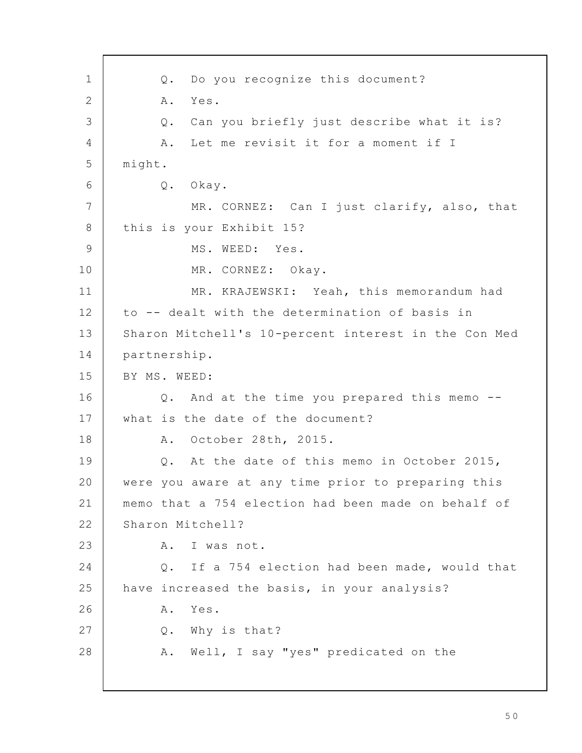Q. Do you recognize this document? A. Yes. Q. Can you briefly just describe what it is? A. Let me revisit it for a moment if I might. Q. Okay. MR. CORNEZ: Can I just clarify, also, that this is your Exhibit 15? MS. WEED: Yes. MR. CORNEZ: Okay. MR. KRAJEWSKI: Yeah, this memorandum had to -- dealt with the determination of basis in Sharon Mitchell's 10-percent interest in the Con Med partnership. BY MS. WEED: Q. And at the time you prepared this memo - what is the date of the document? A. October 28th, 2015. Q. At the date of this memo in October 2015, were you aware at any time prior to preparing this memo that a 754 election had been made on behalf of Sharon Mitchell? A. I was not. Q. If a 754 election had been made, would that have increased the basis, in your analysis? A. Yes. Q. Why is that? A. Well, I say "yes" predicated on the 1 2 3 4 5 6 7 8 9 10 11 12 13 14 15 16 17 18 19 20 21 22 23 24 25 26 27 28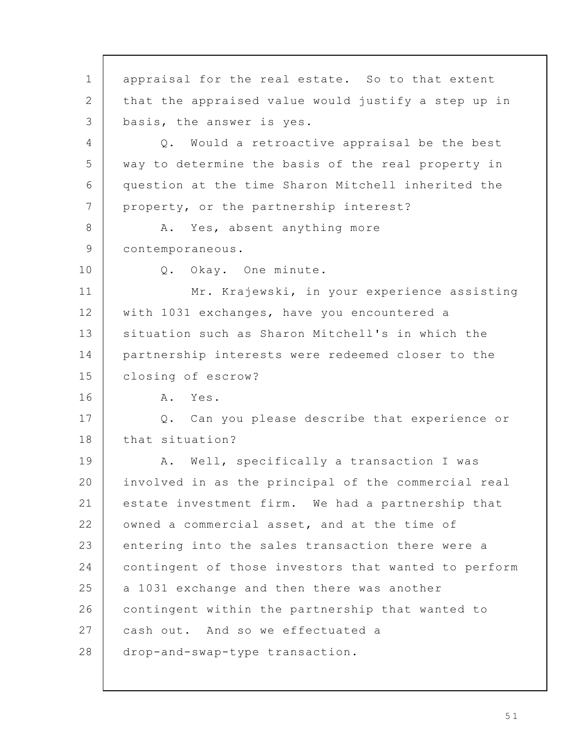appraisal for the real estate. So to that extent that the appraised value would justify a step up in basis, the answer is yes. Q. Would a retroactive appraisal be the best way to determine the basis of the real property in question at the time Sharon Mitchell inherited the property, or the partnership interest? A. Yes, absent anything more contemporaneous. Q. Okay. One minute. Mr. Krajewski, in your experience assisting with 1031 exchanges, have you encountered a situation such as Sharon Mitchell's in which the partnership interests were redeemed closer to the closing of escrow? A. Yes. Q. Can you please describe that experience or that situation? A. Well, specifically a transaction I was involved in as the principal of the commercial real estate investment firm. We had a partnership that owned a commercial asset, and at the time of entering into the sales transaction there were a contingent of those investors that wanted to perform a 1031 exchange and then there was another contingent within the partnership that wanted to cash out. And so we effectuated a drop-and-swap-type transaction. 1 2 3 4 5 6 7 8 9 10 11 12 13 14 15 16 17 18 19 20 21 22 23 24 25 26 27 28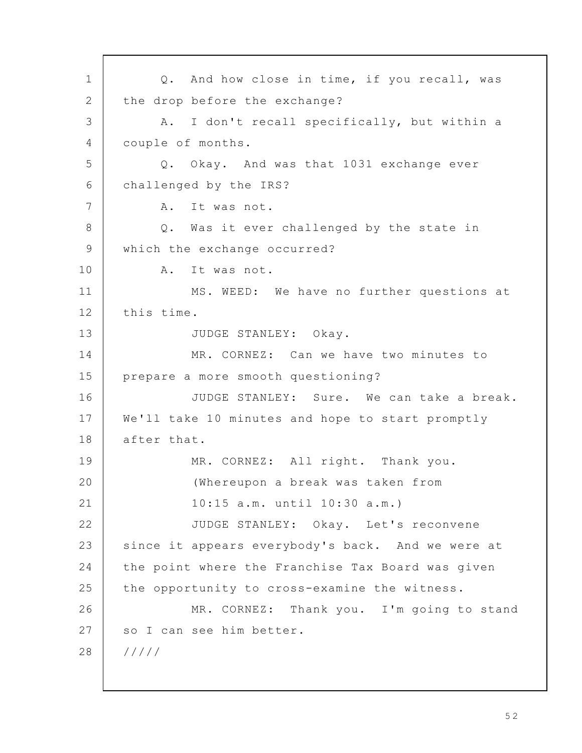Q. And how close in time, if you recall, was the drop before the exchange? A. I don't recall specifically, but within a couple of months. Q. Okay. And was that 1031 exchange ever challenged by the IRS? A. It was not. Q. Was it ever challenged by the state in which the exchange occurred? A. It was not. MS. WEED: We have no further questions at this time. JUDGE STANLEY: Okay. MR. CORNEZ: Can we have two minutes to prepare a more smooth questioning? JUDGE STANLEY: Sure. We can take a break. We'll take 10 minutes and hope to start promptly after that. MR. CORNEZ: All right. Thank you. (Whereupon a break was taken from 10:15 a.m. until 10:30 a.m.) JUDGE STANLEY: Okay. Let's reconvene since it appears everybody's back. And we were at the point where the Franchise Tax Board was given the opportunity to cross-examine the witness. MR. CORNEZ: Thank you. I'm going to stand so I can see him better. ///// 1 2 3 4 5 6 7 8 9 10 11 12 13 14 15 16 17 18 19 20 21 22 23 24 25 26 27 28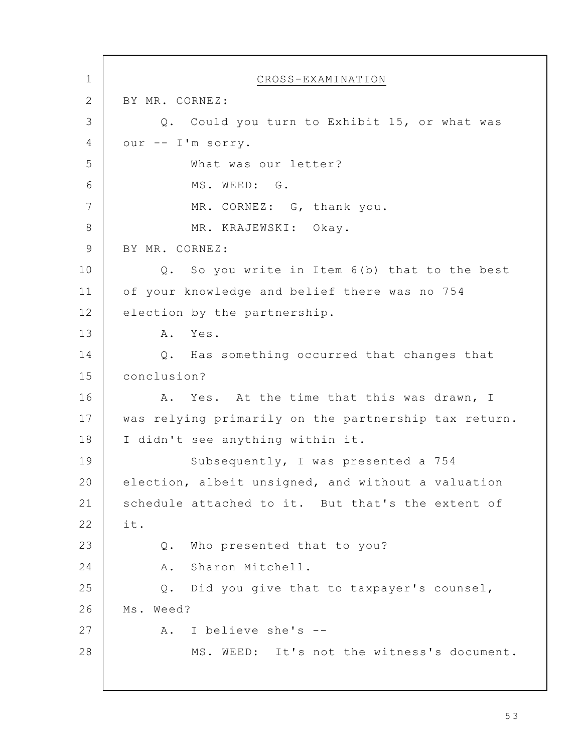CROSS-EXAMINATION BY MR. CORNEZ: Q. Could you turn to Exhibit 15, or what was our -- I'm sorry. What was our letter? MS. WEED: G. MR. CORNEZ: G, thank you. MR. KRAJEWSKI: Okay. BY MR. CORNEZ: Q. So you write in Item 6(b) that to the best of your knowledge and belief there was no 754 election by the partnership. A. Yes. Q. Has something occurred that changes that conclusion? A. Yes. At the time that this was drawn, I was relying primarily on the partnership tax return. I didn't see anything within it. Subsequently, I was presented a 754 election, albeit unsigned, and without a valuation schedule attached to it. But that's the extent of it. Q. Who presented that to you? A. Sharon Mitchell. Q. Did you give that to taxpayer's counsel, Ms. Weed? A. I believe she's -- MS. WEED: It's not the witness's document. 1 2 3 4 5 6 7 8 9 10 11 12 13 14 15 16 17 18 19 20 21 22 23 24 25 26 27 28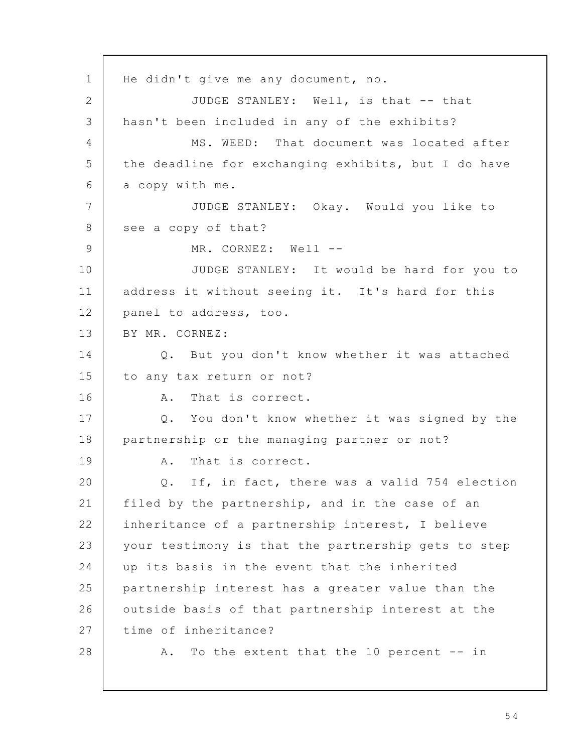He didn't give me any document, no. JUDGE STANLEY: Well, is that -- that hasn't been included in any of the exhibits? MS. WEED: That document was located after the deadline for exchanging exhibits, but I do have a copy with me. JUDGE STANLEY: Okay. Would you like to see a copy of that? MR. CORNEZ: Well --JUDGE STANLEY: It would be hard for you to address it without seeing it. It's hard for this panel to address, too. BY MR. CORNEZ: Q. But you don't know whether it was attached to any tax return or not? A. That is correct. Q. You don't know whether it was signed by the partnership or the managing partner or not? A. That is correct. Q. If, in fact, there was a valid 754 election filed by the partnership, and in the case of an inheritance of a partnership interest, I believe your testimony is that the partnership gets to step up its basis in the event that the inherited partnership interest has a greater value than the outside basis of that partnership interest at the time of inheritance? A. To the extent that the 10 percent -- in 1 2 3 4 5 6 7 8 9 10 11 12 13 14 15 16 17 18 19 20 21 22 23 24 25 26 27 28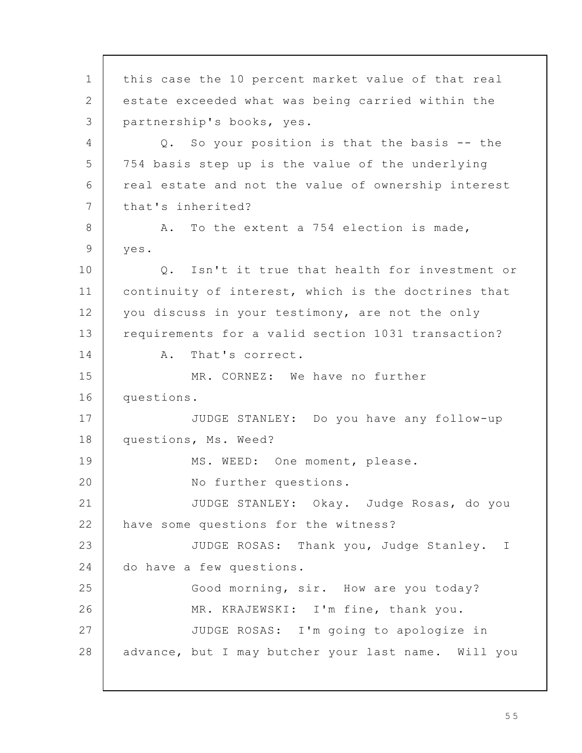this case the 10 percent market value of that real estate exceeded what was being carried within the partnership's books, yes. Q. So your position is that the basis -- the 754 basis step up is the value of the underlying real estate and not the value of ownership interest that's inherited? A. To the extent a 754 election is made, yes. Q. Isn't it true that health for investment or continuity of interest, which is the doctrines that you discuss in your testimony, are not the only requirements for a valid section 1031 transaction? A. That's correct. MR. CORNEZ: We have no further questions. JUDGE STANLEY: Do you have any follow-up questions, Ms. Weed? MS. WEED: One moment, please. No further questions. JUDGE STANLEY: Okay. Judge Rosas, do you have some questions for the witness? JUDGE ROSAS: Thank you, Judge Stanley. I do have a few questions. Good morning, sir. How are you today? MR. KRAJEWSKI: I'm fine, thank you. JUDGE ROSAS: I'm going to apologize in advance, but I may butcher your last name. Will you 1 2 3 4 5 6 7 8 9 10 11 12 13 14 15 16 17 18 19 20 21 22 23 24 25 26 27 28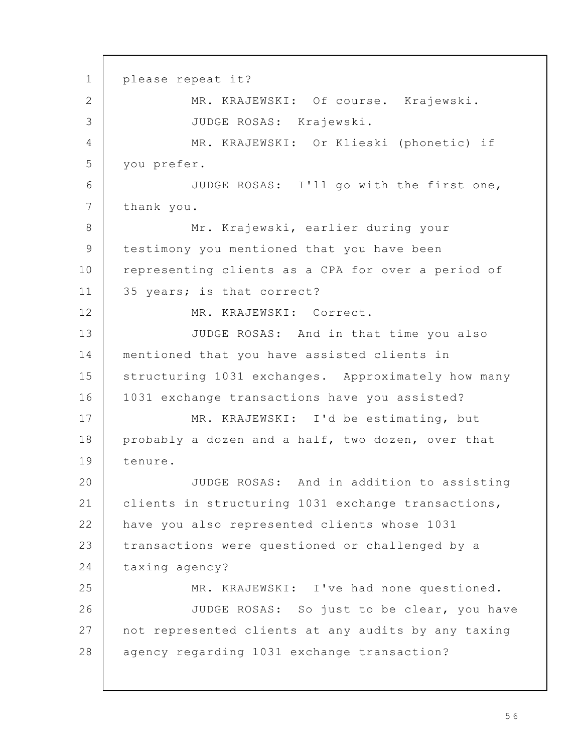please repeat it? MR. KRAJEWSKI: Of course. Krajewski. JUDGE ROSAS: Krajewski. MR. KRAJEWSKI: Or Klieski (phonetic) if you prefer. JUDGE ROSAS: I'll go with the first one, thank you. Mr. Krajewski, earlier during your testimony you mentioned that you have been representing clients as a CPA for over a period of 35 years; is that correct? MR. KRAJEWSKI: Correct. JUDGE ROSAS: And in that time you also mentioned that you have assisted clients in structuring 1031 exchanges. Approximately how many 1031 exchange transactions have you assisted? MR. KRAJEWSKI: I'd be estimating, but probably a dozen and a half, two dozen, over that tenure. JUDGE ROSAS: And in addition to assisting clients in structuring 1031 exchange transactions, have you also represented clients whose 1031 transactions were questioned or challenged by a taxing agency? MR. KRAJEWSKI: I've had none questioned. JUDGE ROSAS: So just to be clear, you have not represented clients at any audits by any taxing agency regarding 1031 exchange transaction? 1 2 3 4 5 6 7 8 9 10 11 12 13 14 15 16 17 18 19 20 21 22 23 24 25 26 27 28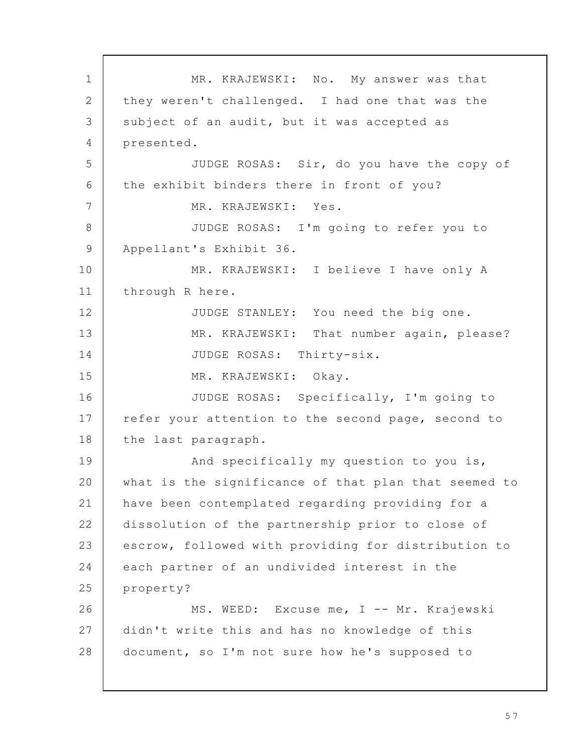MR. KRAJEWSKI: No. My answer was that they weren't challenged. I had one that was the subject of an audit, but it was accepted as presented. JUDGE ROSAS: Sir, do you have the copy of the exhibit binders there in front of you? MR. KRAJEWSKI: Yes. JUDGE ROSAS: I'm going to refer you to Appellant's Exhibit 36. MR. KRAJEWSKI: I believe I have only A through R here. JUDGE STANLEY: You need the big one. MR. KRAJEWSKI: That number again, please? JUDGE ROSAS: Thirty-six. MR. KRAJEWSKI: Okay. JUDGE ROSAS: Specifically, I'm going to refer your attention to the second page, second to the last paragraph. And specifically my question to you is, what is the significance of that plan that seemed to have been contemplated regarding providing for a dissolution of the partnership prior to close of escrow, followed with providing for distribution to each partner of an undivided interest in the property? MS. WEED: Excuse me, I -- Mr. Krajewski didn't write this and has no knowledge of this document, so I'm not sure how he's supposed to 1 2 3 4 5 6 7 8 9 10 11 12 13 14 15 16 17 18 19 20 21 22 23 24 25 26 27 28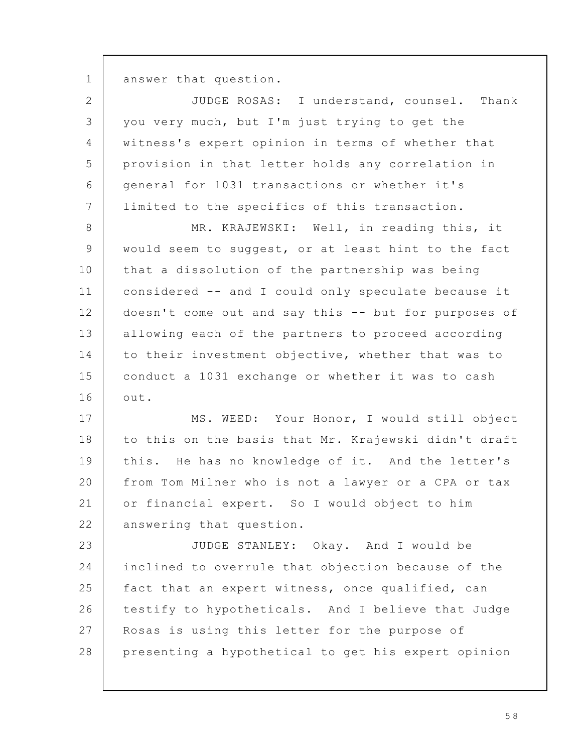answer that question. 1

| $\overline{2}$ | JUDGE ROSAS: I understand, counsel. Thank            |
|----------------|------------------------------------------------------|
| 3              | you very much, but I'm just trying to get the        |
| 4              | witness's expert opinion in terms of whether that    |
| 5              | provision in that letter holds any correlation in    |
| 6              | general for 1031 transactions or whether it's        |
| $7\phantom{.}$ | limited to the specifics of this transaction.        |
| $\,8\,$        | MR. KRAJEWSKI: Well, in reading this, it             |
| $\mathsf 9$    | would seem to suggest, or at least hint to the fact  |
| 10             | that a dissolution of the partnership was being      |
| 11             | considered -- and I could only speculate because it  |
| 12             | doesn't come out and say this -- but for purposes of |
| 13             | allowing each of the partners to proceed according   |
| 14             | to their investment objective, whether that was to   |
| 15             | conduct a 1031 exchange or whether it was to cash    |
| 16             | out.                                                 |
| 17             | MS. WEED: Your Honor, I would still object           |
| 18             | to this on the basis that Mr. Krajewski didn't draft |
| 19             | this. He has no knowledge of it. And the letter's    |
| 20             | from Tom Milner who is not a lawyer or a CPA or tax  |
| 21             | or financial expert. So I would object to him        |
| 22             | answering that question.                             |
| 23             | JUDGE STANLEY: Okay. And I would be                  |
| 24             | inclined to overrule that objection because of the   |
| 25             | fact that an expert witness, once qualified, can     |
| 26             | testify to hypotheticals. And I believe that Judge   |
| 27             | Rosas is using this letter for the purpose of        |
| 28             | presenting a hypothetical to get his expert opinion  |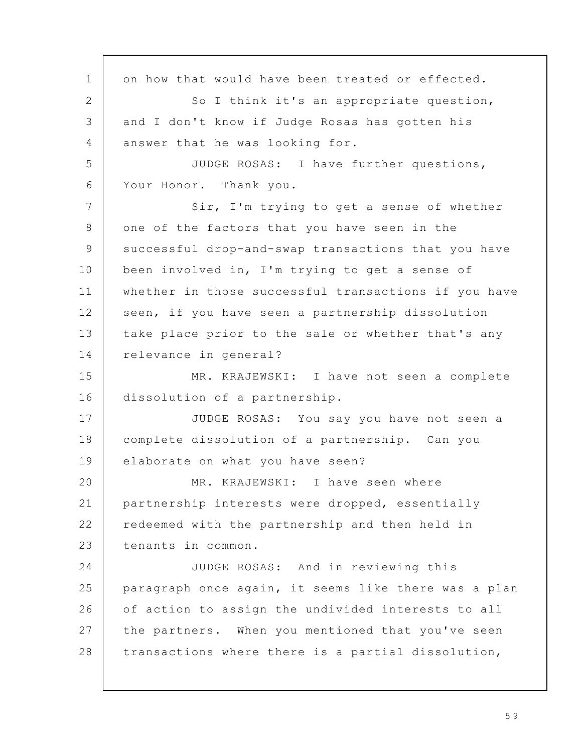on how that would have been treated or effected. So I think it's an appropriate question, and I don't know if Judge Rosas has gotten his answer that he was looking for. JUDGE ROSAS: I have further questions, Your Honor. Thank you. Sir, I'm trying to get a sense of whether one of the factors that you have seen in the successful drop-and-swap transactions that you have been involved in, I'm trying to get a sense of whether in those successful transactions if you have seen, if you have seen a partnership dissolution take place prior to the sale or whether that's any relevance in general? MR. KRAJEWSKI: I have not seen a complete dissolution of a partnership. JUDGE ROSAS: You say you have not seen a complete dissolution of a partnership. Can you elaborate on what you have seen? MR. KRAJEWSKI: I have seen where partnership interests were dropped, essentially redeemed with the partnership and then held in tenants in common. JUDGE ROSAS: And in reviewing this paragraph once again, it seems like there was a plan of action to assign the undivided interests to all the partners. When you mentioned that you've seen transactions where there is a partial dissolution, 1 2 3  $\Delta$ 5 6 7 8 9 10 11 12 13 14 15 16 17 18 19 20 21 22 23 24 25 26 27 28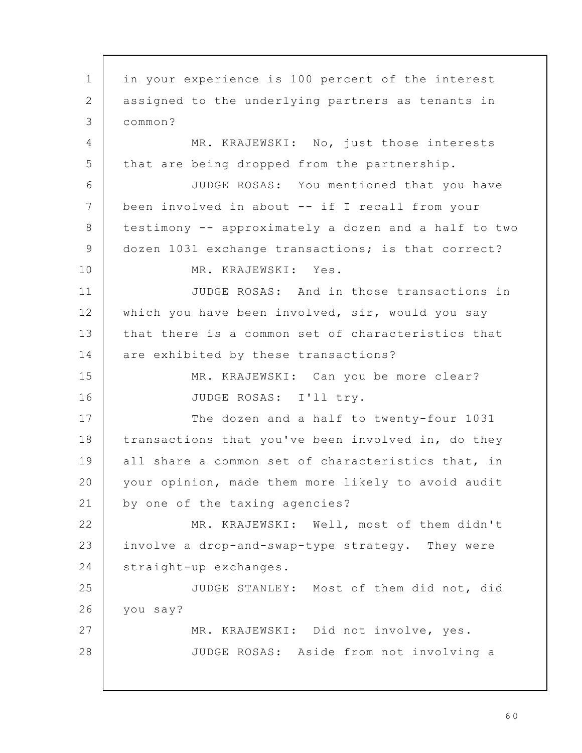in your experience is 100 percent of the interest assigned to the underlying partners as tenants in common? MR. KRAJEWSKI: No, just those interests that are being dropped from the partnership. JUDGE ROSAS: You mentioned that you have been involved in about -- if I recall from your testimony -- approximately a dozen and a half to two dozen 1031 exchange transactions; is that correct? MR. KRAJEWSKI: Yes. JUDGE ROSAS: And in those transactions in which you have been involved, sir, would you say that there is a common set of characteristics that are exhibited by these transactions? MR. KRAJEWSKI: Can you be more clear? JUDGE ROSAS: I'll try. The dozen and a half to twenty-four 1031 transactions that you've been involved in, do they all share a common set of characteristics that, in your opinion, made them more likely to avoid audit by one of the taxing agencies? MR. KRAJEWSKI: Well, most of them didn't involve a drop-and-swap-type strategy. They were straight-up exchanges. JUDGE STANLEY: Most of them did not, did you say? MR. KRAJEWSKI: Did not involve, yes. JUDGE ROSAS: Aside from not involving a 1 2 3 4 5 6 7 8 9 10 11 12 13 14 15 16 17 18 19 20 21 22 23 24 25 26 27 28

6 0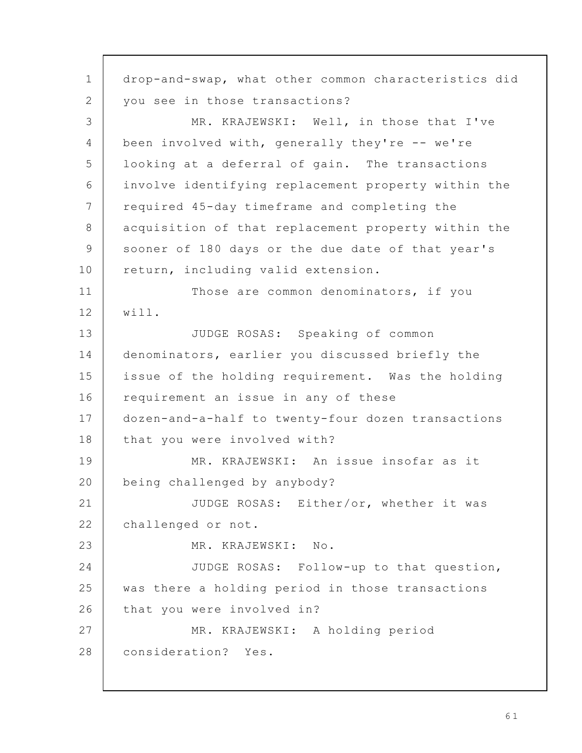drop-and-swap, what other common characteristics did you see in those transactions? MR. KRAJEWSKI: Well, in those that I've been involved with, generally they're -- we're looking at a deferral of gain. The transactions involve identifying replacement property within the required 45-day timeframe and completing the acquisition of that replacement property within the sooner of 180 days or the due date of that year's return, including valid extension. Those are common denominators, if you will. JUDGE ROSAS: Speaking of common denominators, earlier you discussed briefly the issue of the holding requirement. Was the holding requirement an issue in any of these dozen-and-a-half to twenty-four dozen transactions that you were involved with? MR. KRAJEWSKI: An issue insofar as it being challenged by anybody? JUDGE ROSAS: Either/or, whether it was challenged or not. MR. KRAJEWSKI: No. JUDGE ROSAS: Follow-up to that question, was there a holding period in those transactions that you were involved in? MR. KRAJEWSKI: A holding period consideration? Yes. 1 2 3 4 5 6 7 8 9 10 11 12 13 14 15 16 17 18 19 20 21 22 23 24 25 26 27 28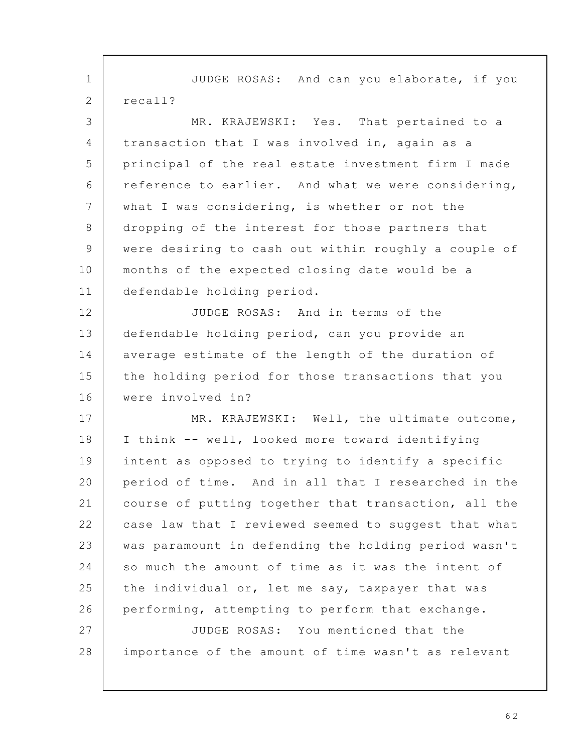JUDGE ROSAS: And can you elaborate, if you recall? MR. KRAJEWSKI: Yes. That pertained to a transaction that I was involved in, again as a principal of the real estate investment firm I made reference to earlier. And what we were considering, what I was considering, is whether or not the dropping of the interest for those partners that were desiring to cash out within roughly a couple of months of the expected closing date would be a defendable holding period. JUDGE ROSAS: And in terms of the defendable holding period, can you provide an average estimate of the length of the duration of the holding period for those transactions that you were involved in? MR. KRAJEWSKI: Well, the ultimate outcome, I think -- well, looked more toward identifying intent as opposed to trying to identify a specific period of time. And in all that I researched in the course of putting together that transaction, all the case law that I reviewed seemed to suggest that what was paramount in defending the holding period wasn't so much the amount of time as it was the intent of the individual or, let me say, taxpayer that was performing, attempting to perform that exchange. JUDGE ROSAS: You mentioned that the importance of the amount of time wasn't as relevant 1 2 3  $\Delta$ 5 6 7 8 9 10 11 12 13 14 15 16 17 18 19 20 21 22 23 24 25 26 27 28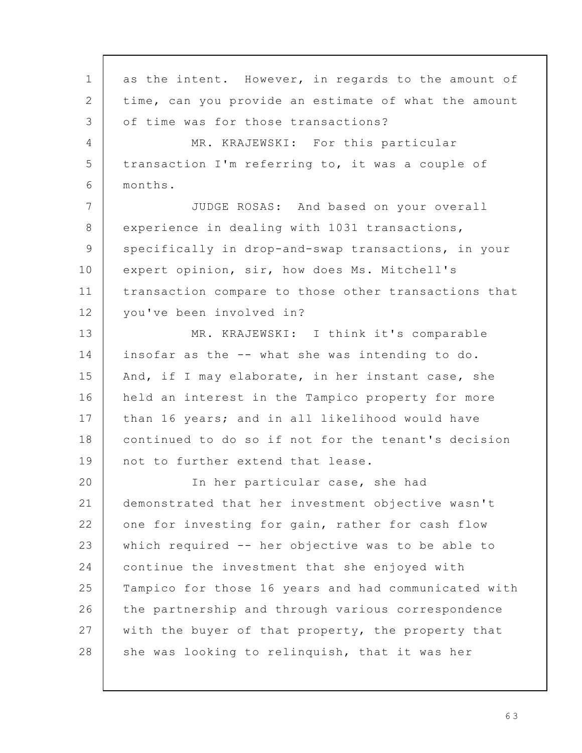as the intent. However, in regards to the amount of time, can you provide an estimate of what the amount of time was for those transactions? MR. KRAJEWSKI: For this particular transaction I'm referring to, it was a couple of months. JUDGE ROSAS: And based on your overall experience in dealing with 1031 transactions, specifically in drop-and-swap transactions, in your expert opinion, sir, how does Ms. Mitchell's transaction compare to those other transactions that you've been involved in? MR. KRAJEWSKI: I think it's comparable insofar as the -- what she was intending to do. And, if I may elaborate, in her instant case, she held an interest in the Tampico property for more than 16 years; and in all likelihood would have continued to do so if not for the tenant's decision not to further extend that lease. In her particular case, she had demonstrated that her investment objective wasn't one for investing for gain, rather for cash flow which required -- her objective was to be able to continue the investment that she enjoyed with Tampico for those 16 years and had communicated with the partnership and through various correspondence with the buyer of that property, the property that she was looking to relinquish, that it was her 1 2 3 4 5 6 7 8 9 10 11 12 13 14 15 16 17 18 19 20 21 22 23 24 25 26 27 28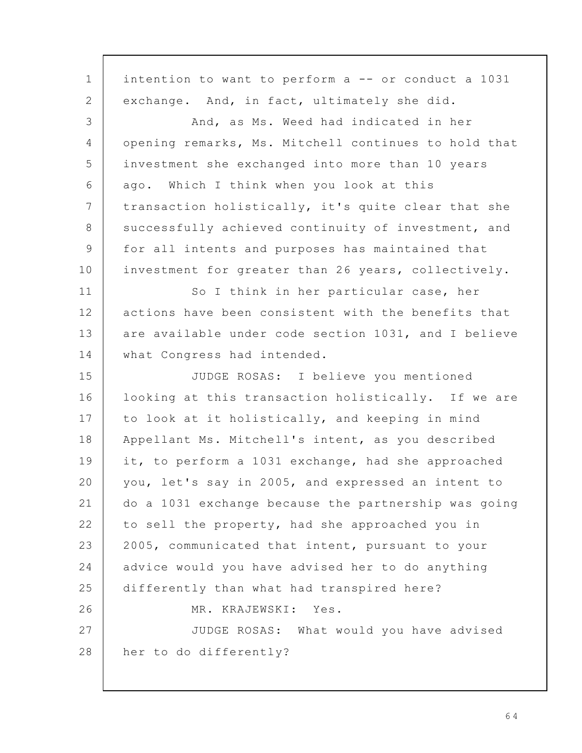intention to want to perform a -- or conduct a 1031 exchange. And, in fact, ultimately she did. And, as Ms. Weed had indicated in her opening remarks, Ms. Mitchell continues to hold that investment she exchanged into more than 10 years ago. Which I think when you look at this transaction holistically, it's quite clear that she successfully achieved continuity of investment, and for all intents and purposes has maintained that investment for greater than 26 years, collectively. So I think in her particular case, her actions have been consistent with the benefits that are available under code section 1031, and I believe what Congress had intended. JUDGE ROSAS: I believe you mentioned looking at this transaction holistically. If we are to look at it holistically, and keeping in mind Appellant Ms. Mitchell's intent, as you described it, to perform a 1031 exchange, had she approached you, let's say in 2005, and expressed an intent to do a 1031 exchange because the partnership was going to sell the property, had she approached you in 2005, communicated that intent, pursuant to your advice would you have advised her to do anything differently than what had transpired here? MR. KRAJEWSKI: Yes. JUDGE ROSAS: What would you have advised her to do differently? 1 2 3 4 5 6 7 8 9 10 11 12 13 14 15 16 17 18 19 20 21 22 23 24 25 26 27 28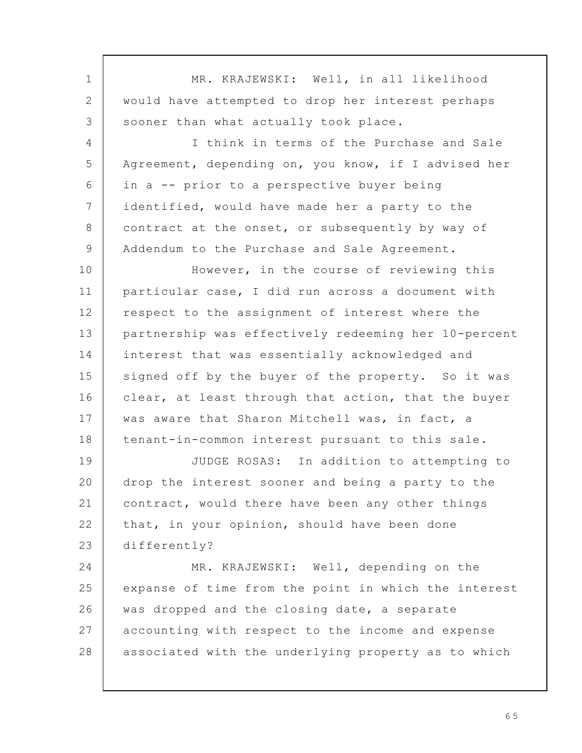| MR. KRAJEWSKI: Well, in all likelihood               |
|------------------------------------------------------|
| would have attempted to drop her interest perhaps    |
| sooner than what actually took place.                |
| I think in terms of the Purchase and Sale            |
| Agreement, depending on, you know, if I advised her  |
| in a -- prior to a perspective buyer being           |
| identified, would have made her a party to the       |
| contract at the onset, or subsequently by way of     |
| Addendum to the Purchase and Sale Agreement.         |
| However, in the course of reviewing this             |
| particular case, I did run across a document with    |
| respect to the assignment of interest where the      |
| partnership was effectively redeeming her 10-percent |
| interest that was essentially acknowledged and       |
| signed off by the buyer of the property. So it was   |
| clear, at least through that action, that the buyer  |
| was aware that Sharon Mitchell was, in fact, a       |
| tenant-in-common interest pursuant to this sale.     |
| JUDGE ROSAS: In addition to attempting to            |
| drop the interest sooner and being a party to the    |
| contract, would there have been any other things     |
| that, in your opinion, should have been done         |
| differently?                                         |
| MR. KRAJEWSKI: Well, depending on the                |
| expanse of time from the point in which the interest |
| was dropped and the closing date, a separate         |
| accounting with respect to the income and expense    |
| associated with the underlying property as to which  |
|                                                      |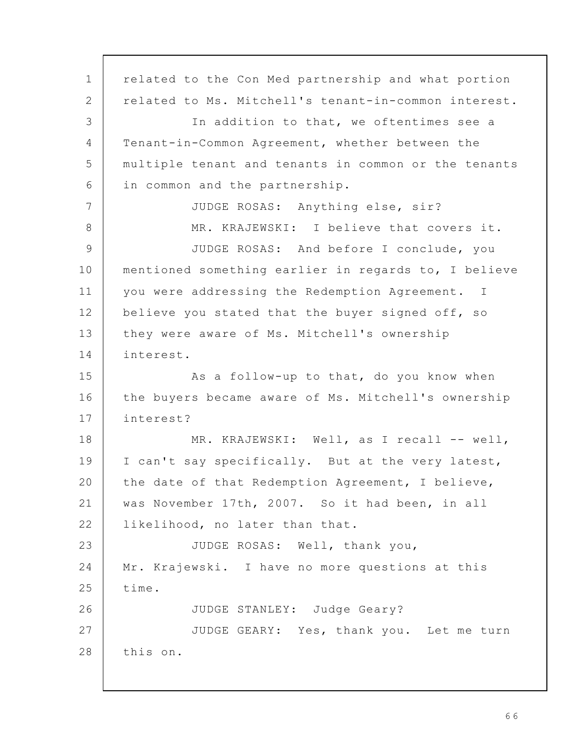related to the Con Med partnership and what portion related to Ms. Mitchell's tenant-in-common interest. In addition to that, we oftentimes see a Tenant-in-Common Agreement, whether between the multiple tenant and tenants in common or the tenants in common and the partnership. JUDGE ROSAS: Anything else, sir? MR. KRAJEWSKI: I believe that covers it. JUDGE ROSAS: And before I conclude, you mentioned something earlier in regards to, I believe you were addressing the Redemption Agreement. I believe you stated that the buyer signed off, so they were aware of Ms. Mitchell's ownership interest. As a follow-up to that, do you know when the buyers became aware of Ms. Mitchell's ownership interest? MR. KRAJEWSKI: Well, as I recall -- well, I can't say specifically. But at the very latest, the date of that Redemption Agreement, I believe, was November 17th, 2007. So it had been, in all likelihood, no later than that. JUDGE ROSAS: Well, thank you, Mr. Krajewski. I have no more questions at this time. JUDGE STANLEY: Judge Geary? JUDGE GEARY: Yes, thank you. Let me turn this on. 1 2 3 4 5 6 7 8 9 10 11 12 13 14 15 16 17 18 19 20 21 22 23 24 25 26 27 28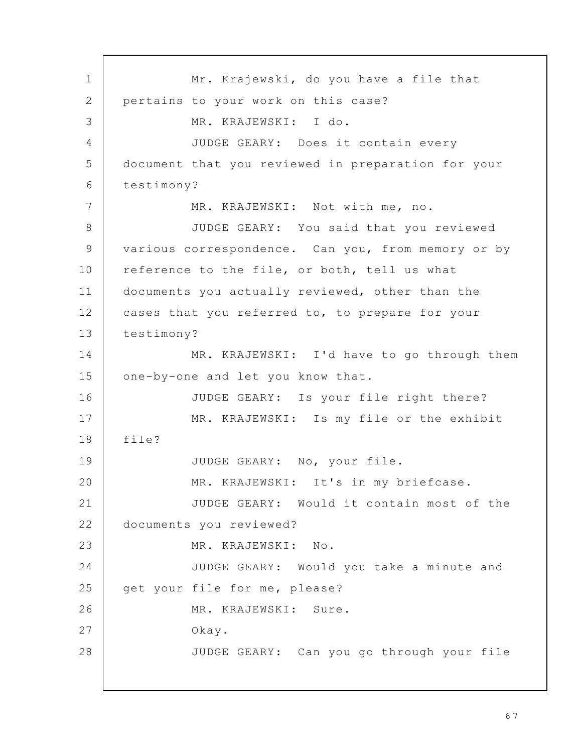Mr. Krajewski, do you have a file that pertains to your work on this case? MR. KRAJEWSKI: I do. JUDGE GEARY: Does it contain every document that you reviewed in preparation for your testimony? MR. KRAJEWSKI: Not with me, no. JUDGE GEARY: You said that you reviewed various correspondence. Can you, from memory or by reference to the file, or both, tell us what documents you actually reviewed, other than the cases that you referred to, to prepare for your testimony? MR. KRAJEWSKI: I'd have to go through them one-by-one and let you know that. JUDGE GEARY: Is your file right there? MR. KRAJEWSKI: Is my file or the exhibit file? JUDGE GEARY: No, your file. MR. KRAJEWSKI: It's in my briefcase. JUDGE GEARY: Would it contain most of the documents you reviewed? MR. KRAJEWSKI: No. JUDGE GEARY: Would you take a minute and get your file for me, please? MR. KRAJEWSKI: Sure. Okay. JUDGE GEARY: Can you go through your file 1 2 3 4 5 6 7 8 9 10 11 12 13 14 15 16 17 18 19 20 21 22 23 24 25 26 27 28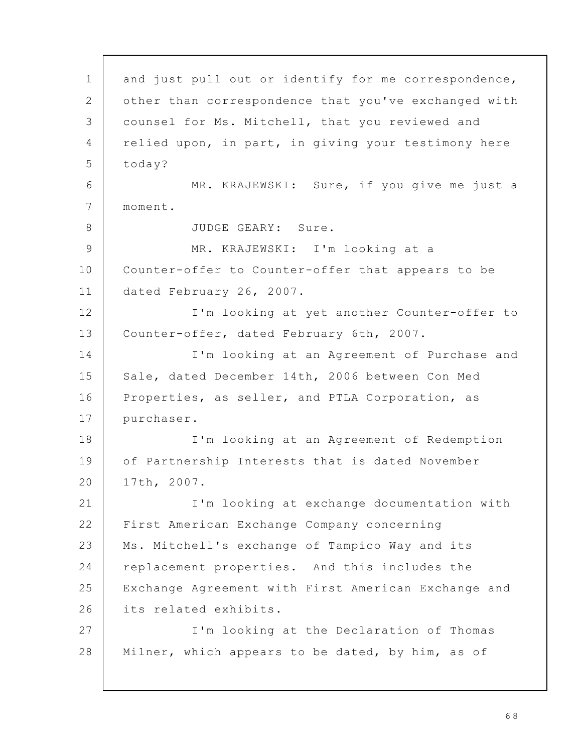and just pull out or identify for me correspondence, other than correspondence that you've exchanged with counsel for Ms. Mitchell, that you reviewed and relied upon, in part, in giving your testimony here today? MR. KRAJEWSKI: Sure, if you give me just a moment. JUDGE GEARY: Sure. MR. KRAJEWSKI: I'm looking at a Counter-offer to Counter-offer that appears to be dated February 26, 2007. I'm looking at yet another Counter-offer to Counter-offer, dated February 6th, 2007. I'm looking at an Agreement of Purchase and Sale, dated December 14th, 2006 between Con Med Properties, as seller, and PTLA Corporation, as purchaser. I'm looking at an Agreement of Redemption of Partnership Interests that is dated November 17th, 2007. I'm looking at exchange documentation with First American Exchange Company concerning Ms. Mitchell's exchange of Tampico Way and its replacement properties. And this includes the Exchange Agreement with First American Exchange and its related exhibits. I'm looking at the Declaration of Thomas Milner, which appears to be dated, by him, as of 1 2 3 4 5 6 7 8 9 10 11 12 13 14 15 16 17 18 19 20 21 22 23 24 25 26 27 28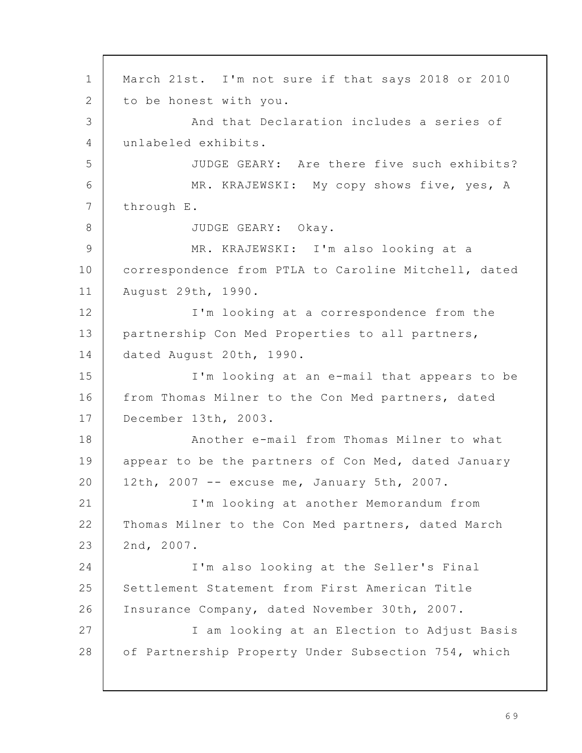March 21st. I'm not sure if that says 2018 or 2010 to be honest with you. And that Declaration includes a series of unlabeled exhibits. JUDGE GEARY: Are there five such exhibits? MR. KRAJEWSKI: My copy shows five, yes, A through E. JUDGE GEARY: Okay. MR. KRAJEWSKI: I'm also looking at a correspondence from PTLA to Caroline Mitchell, dated August 29th, 1990. I'm looking at a correspondence from the partnership Con Med Properties to all partners, dated August 20th, 1990. I'm looking at an e-mail that appears to be from Thomas Milner to the Con Med partners, dated December 13th, 2003. Another e-mail from Thomas Milner to what appear to be the partners of Con Med, dated January 12th, 2007 -- excuse me, January 5th, 2007. I'm looking at another Memorandum from Thomas Milner to the Con Med partners, dated March 2nd, 2007. I'm also looking at the Seller's Final Settlement Statement from First American Title Insurance Company, dated November 30th, 2007. I am looking at an Election to Adjust Basis of Partnership Property Under Subsection 754, which 1 2 3 4 5 6 7 8 9 10 11 12 13 14 15 16 17 18 19 20 21 22 23 24 25 26 27 28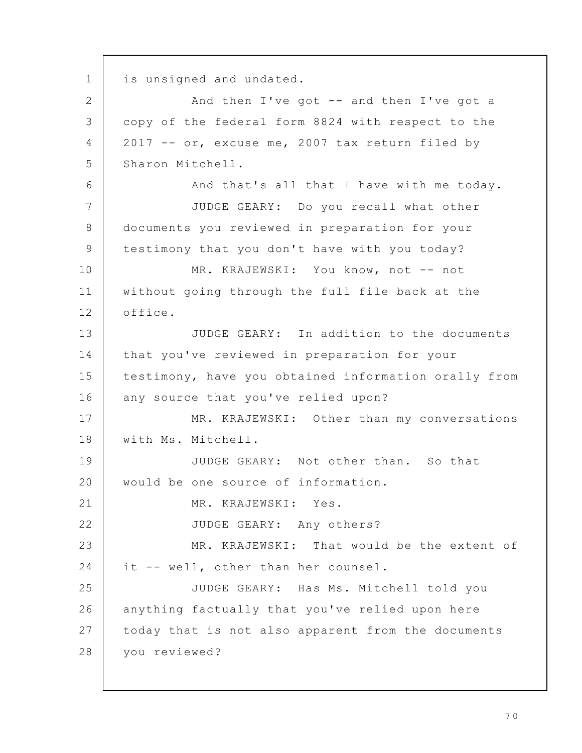is unsigned and undated. And then I've got  $-$  and then I've got a copy of the federal form 8824 with respect to the 2017 -- or, excuse me, 2007 tax return filed by Sharon Mitchell. And that's all that I have with me today. JUDGE GEARY: Do you recall what other documents you reviewed in preparation for your testimony that you don't have with you today? MR. KRAJEWSKI: You know, not -- not without going through the full file back at the office. JUDGE GEARY: In addition to the documents that you've reviewed in preparation for your testimony, have you obtained information orally from any source that you've relied upon? MR. KRAJEWSKI: Other than my conversations with Ms. Mitchell. JUDGE GEARY: Not other than. So that would be one source of information. MR. KRAJEWSKI: Yes. JUDGE GEARY: Any others? MR. KRAJEWSKI: That would be the extent of it -- well, other than her counsel. JUDGE GEARY: Has Ms. Mitchell told you anything factually that you've relied upon here today that is not also apparent from the documents you reviewed? 1 2 3 4 5 6 7 8 9 10 11 12 13 14 15 16 17 18 19 20 21 22 23 24 25 26 27 28

7 0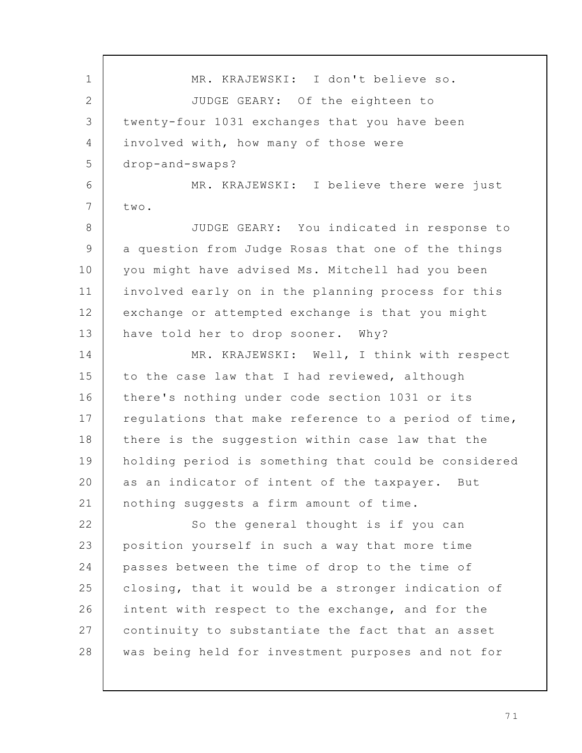MR. KRAJEWSKI: I don't believe so. JUDGE GEARY: Of the eighteen to twenty-four 1031 exchanges that you have been involved with, how many of those were drop-and-swaps? MR. KRAJEWSKI: I believe there were just two. JUDGE GEARY: You indicated in response to a question from Judge Rosas that one of the things you might have advised Ms. Mitchell had you been involved early on in the planning process for this exchange or attempted exchange is that you might have told her to drop sooner. Why? MR. KRAJEWSKI: Well, I think with respect to the case law that I had reviewed, although there's nothing under code section 1031 or its regulations that make reference to a period of time, there is the suggestion within case law that the holding period is something that could be considered as an indicator of intent of the taxpayer. But nothing suggests a firm amount of time. So the general thought is if you can position yourself in such a way that more time passes between the time of drop to the time of closing, that it would be a stronger indication of intent with respect to the exchange, and for the continuity to substantiate the fact that an asset was being held for investment purposes and not for 1 2 3  $\Delta$ 5 6 7 8 9 10 11 12 13 14 15 16 17 18 19 20 21 22 23 24 25 26 27 28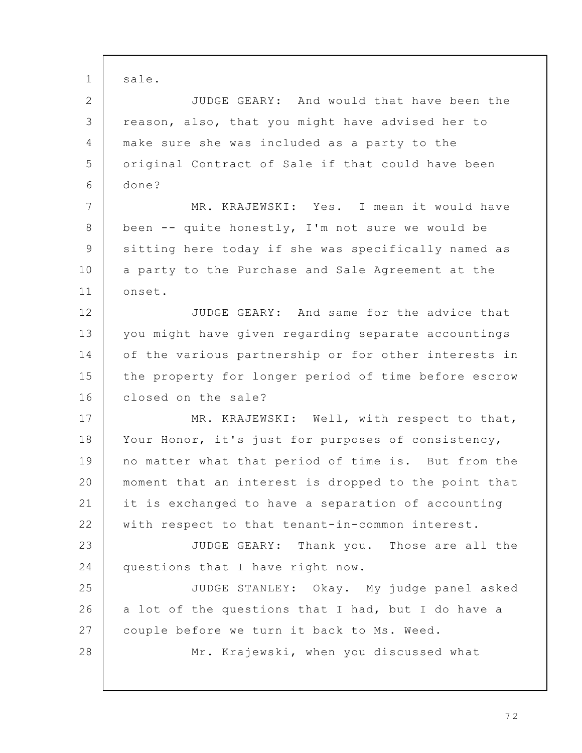sale. JUDGE GEARY: And would that have been the reason, also, that you might have advised her to make sure she was included as a party to the original Contract of Sale if that could have been done? MR. KRAJEWSKI: Yes. I mean it would have been -- quite honestly, I'm not sure we would be sitting here today if she was specifically named as a party to the Purchase and Sale Agreement at the onset. JUDGE GEARY: And same for the advice that you might have given regarding separate accountings of the various partnership or for other interests in the property for longer period of time before escrow closed on the sale? MR. KRAJEWSKI: Well, with respect to that, Your Honor, it's just for purposes of consistency, no matter what that period of time is. But from the moment that an interest is dropped to the point that it is exchanged to have a separation of accounting with respect to that tenant-in-common interest. JUDGE GEARY: Thank you. Those are all the questions that I have right now. JUDGE STANLEY: Okay. My judge panel asked a lot of the questions that I had, but I do have a couple before we turn it back to Ms. Weed. Mr. Krajewski, when you discussed what 1 2 3 4 5 6 7 8 9 10 11 12 13 14 15 16 17 18 19 20 21 22 23 24 25 26 27 28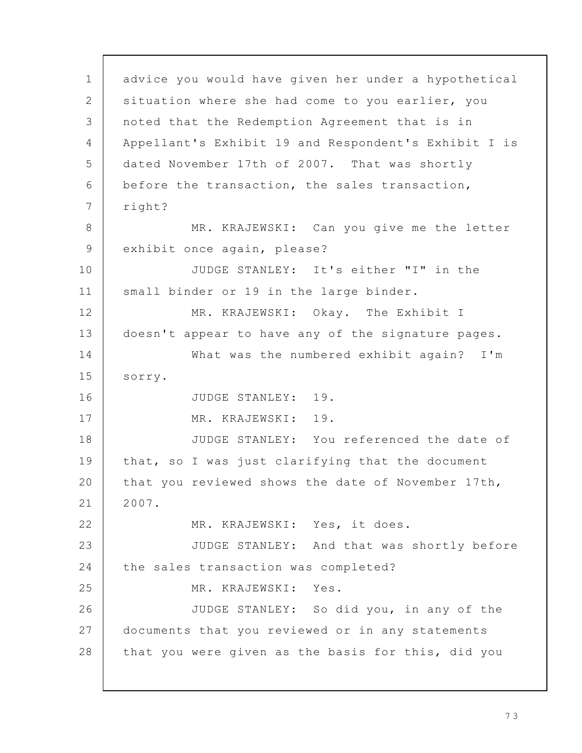advice you would have given her under a hypothetical situation where she had come to you earlier, you noted that the Redemption Agreement that is in Appellant's Exhibit 19 and Respondent's Exhibit I is dated November 17th of 2007. That was shortly before the transaction, the sales transaction, right? MR. KRAJEWSKI: Can you give me the letter exhibit once again, please? JUDGE STANLEY: It's either "I" in the small binder or 19 in the large binder. MR. KRAJEWSKI: Okay. The Exhibit I doesn't appear to have any of the signature pages. What was the numbered exhibit again? I'm sorry. JUDGE STANLEY: 19. MR. KRAJEWSKI: 19. JUDGE STANLEY: You referenced the date of that, so I was just clarifying that the document that you reviewed shows the date of November 17th, 2007. MR. KRAJEWSKI: Yes, it does. JUDGE STANLEY: And that was shortly before the sales transaction was completed? MR. KRAJEWSKI: Yes. JUDGE STANLEY: So did you, in any of the documents that you reviewed or in any statements that you were given as the basis for this, did you 1 2 3 4 5 6 7 8 9 10 11 12 13 14 15 16 17 18 19 20 21 22 23 24 25 26 27 28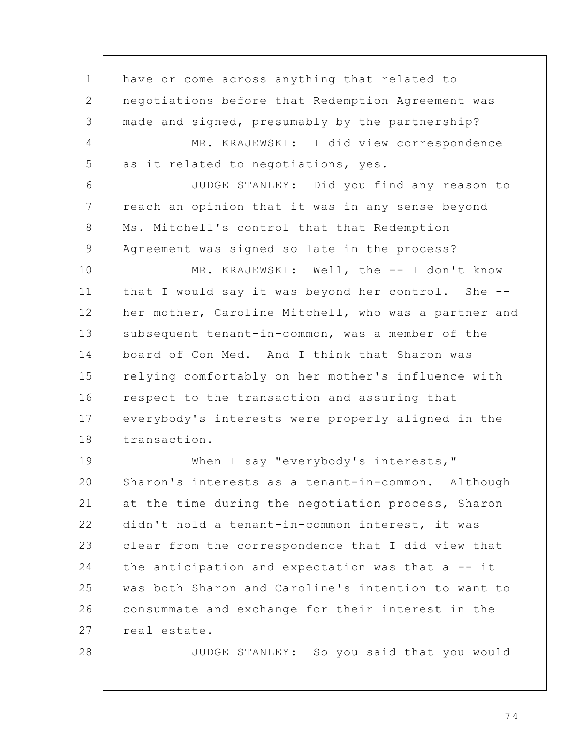have or come across anything that related to negotiations before that Redemption Agreement was made and signed, presumably by the partnership? MR. KRAJEWSKI: I did view correspondence as it related to negotiations, yes. JUDGE STANLEY: Did you find any reason to reach an opinion that it was in any sense beyond Ms. Mitchell's control that that Redemption Agreement was signed so late in the process? MR. KRAJEWSKI: Well, the -- I don't know that I would say it was beyond her control. She - her mother, Caroline Mitchell, who was a partner and subsequent tenant-in-common, was a member of the board of Con Med. And I think that Sharon was relying comfortably on her mother's influence with respect to the transaction and assuring that everybody's interests were properly aligned in the transaction. When I say "everybody's interests," Sharon's interests as a tenant-in-common. Although at the time during the negotiation process, Sharon didn't hold a tenant-in-common interest, it was clear from the correspondence that I did view that the anticipation and expectation was that a -- it was both Sharon and Caroline's intention to want to consummate and exchange for their interest in the real estate. JUDGE STANLEY: So you said that you would 1 2 3 4 5 6 7 8 9 10 11 12 13 14 15 16 17 18 19 20 21 22 23 24 25 26 27 28

7 4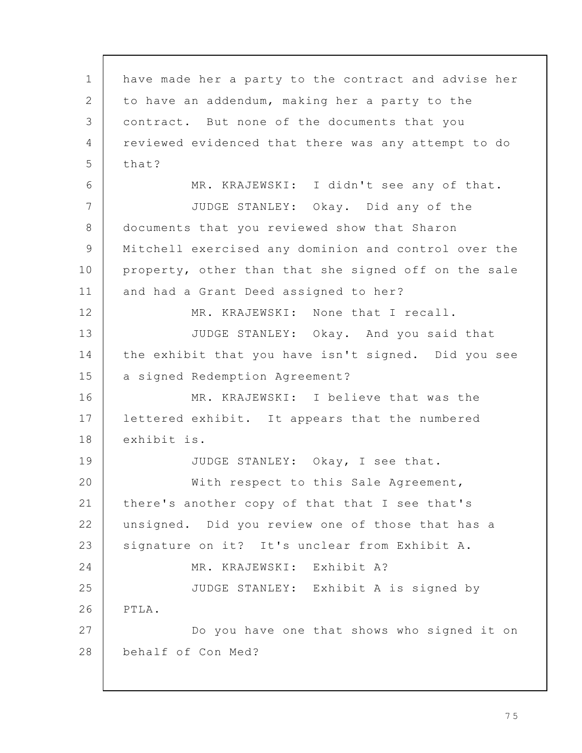have made her a party to the contract and advise her to have an addendum, making her a party to the contract. But none of the documents that you reviewed evidenced that there was any attempt to do that? MR. KRAJEWSKI: I didn't see any of that. JUDGE STANLEY: Okay. Did any of the documents that you reviewed show that Sharon Mitchell exercised any dominion and control over the property, other than that she signed off on the sale and had a Grant Deed assigned to her? MR. KRAJEWSKI: None that I recall. JUDGE STANLEY: Okay. And you said that the exhibit that you have isn't signed. Did you see a signed Redemption Agreement? MR. KRAJEWSKI: I believe that was the lettered exhibit. It appears that the numbered exhibit is. JUDGE STANLEY: Okay, I see that. With respect to this Sale Agreement, there's another copy of that that I see that's unsigned. Did you review one of those that has a signature on it? It's unclear from Exhibit A. MR. KRAJEWSKI: Exhibit A? JUDGE STANLEY: Exhibit A is signed by PTLA. Do you have one that shows who signed it on behalf of Con Med? 1 2 3 4 5 6 7 8 9 10 11 12 13 14 15 16 17 18 19 20 21 22 23 24 25 26 27 28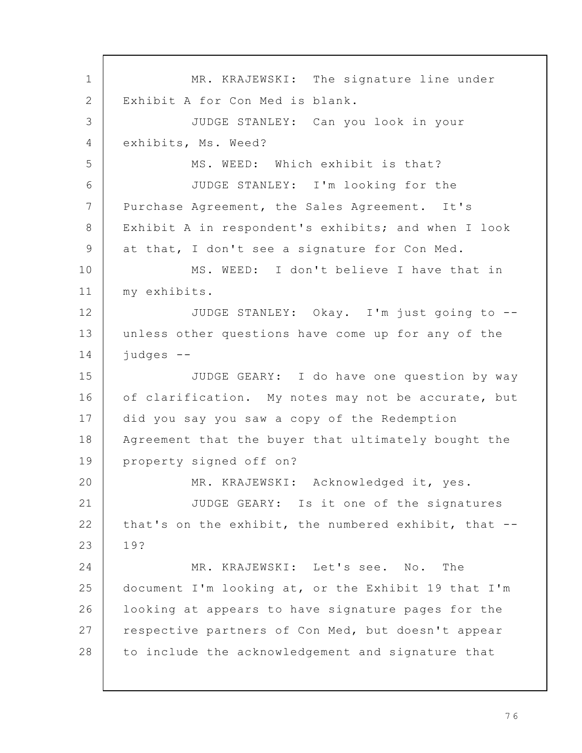MR. KRAJEWSKI: The signature line under Exhibit A for Con Med is blank. JUDGE STANLEY: Can you look in your exhibits, Ms. Weed? MS. WEED: Which exhibit is that? JUDGE STANLEY: I'm looking for the Purchase Agreement, the Sales Agreement. It's Exhibit A in respondent's exhibits; and when I look at that, I don't see a signature for Con Med. MS. WEED: I don't believe I have that in my exhibits. JUDGE STANLEY: Okay. I'm just going to - unless other questions have come up for any of the judges -- JUDGE GEARY: I do have one question by way of clarification. My notes may not be accurate, but did you say you saw a copy of the Redemption Agreement that the buyer that ultimately bought the property signed off on? MR. KRAJEWSKI: Acknowledged it, yes. JUDGE GEARY: Is it one of the signatures that's on the exhibit, the numbered exhibit, that -- 19? MR. KRAJEWSKI: Let's see. No. The document I'm looking at, or the Exhibit 19 that I'm looking at appears to have signature pages for the respective partners of Con Med, but doesn't appear to include the acknowledgement and signature that 1 2 3 4 5 6 7 8 9 10 11 12 13 14 15 16 17 18 19 20 21 22 23 24 25 26 27 28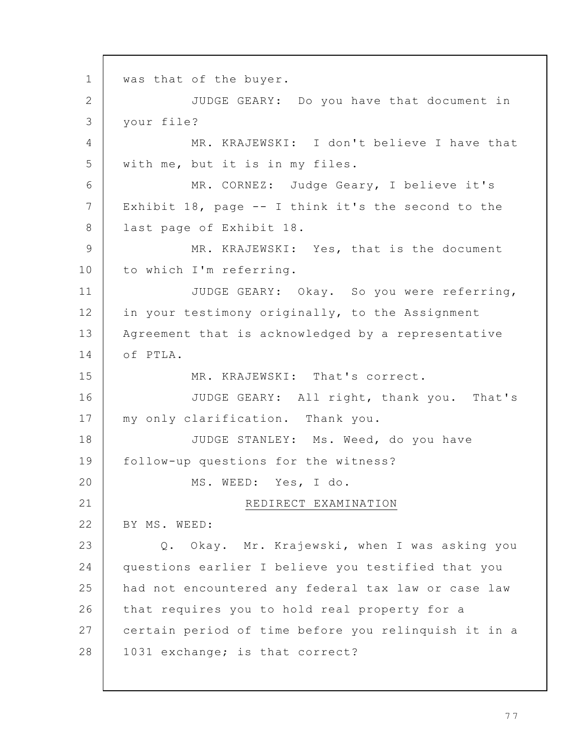was that of the buyer. JUDGE GEARY: Do you have that document in your file? MR. KRAJEWSKI: I don't believe I have that with me, but it is in my files. MR. CORNEZ: Judge Geary, I believe it's Exhibit 18, page -- I think it's the second to the last page of Exhibit 18. MR. KRAJEWSKI: Yes, that is the document to which I'm referring. JUDGE GEARY: Okay. So you were referring, in your testimony originally, to the Assignment Agreement that is acknowledged by a representative of PTLA. MR. KRAJEWSKI: That's correct. JUDGE GEARY: All right, thank you. That's my only clarification. Thank you. JUDGE STANLEY: Ms. Weed, do you have follow-up questions for the witness? MS. WEED: Yes, I do. REDIRECT EXAMINATION BY MS. WEED: Q. Okay. Mr. Krajewski, when I was asking you questions earlier I believe you testified that you had not encountered any federal tax law or case law that requires you to hold real property for a certain period of time before you relinquish it in a 1031 exchange; is that correct? 1 2 3 4 5 6 7 8 9 10 11 12 13 14 15 16 17 18 19 20 21 22 23 24 25 26 27 28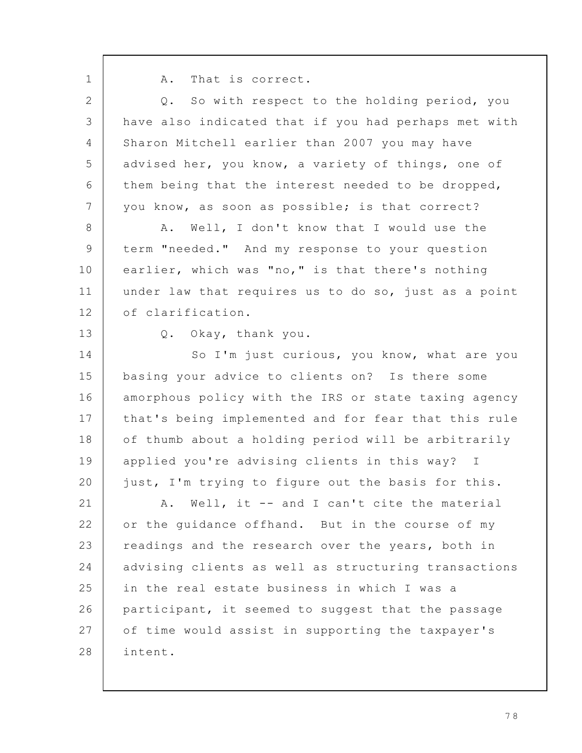1

A. That is correct.

Q. So with respect to the holding period, you have also indicated that if you had perhaps met with Sharon Mitchell earlier than 2007 you may have advised her, you know, a variety of things, one of them being that the interest needed to be dropped, you know, as soon as possible; is that correct? A. Well, I don't know that I would use the term "needed." And my response to your question earlier, which was "no," is that there's nothing under law that requires us to do so, just as a point of clarification. Q. Okay, thank you. So I'm just curious, you know, what are you basing your advice to clients on? Is there some amorphous policy with the IRS or state taxing agency that's being implemented and for fear that this rule of thumb about a holding period will be arbitrarily applied you're advising clients in this way? I just, I'm trying to figure out the basis for this. A. Well, it -- and I can't cite the material or the guidance offhand. But in the course of my readings and the research over the years, both in advising clients as well as structuring transactions in the real estate business in which I was a participant, it seemed to suggest that the passage of time would assist in supporting the taxpayer's intent. 2 3 4 5 6 7 8 9 10 11 12 13 14 15 16 17 18 19 20 21 22 23 24 25 26 27 28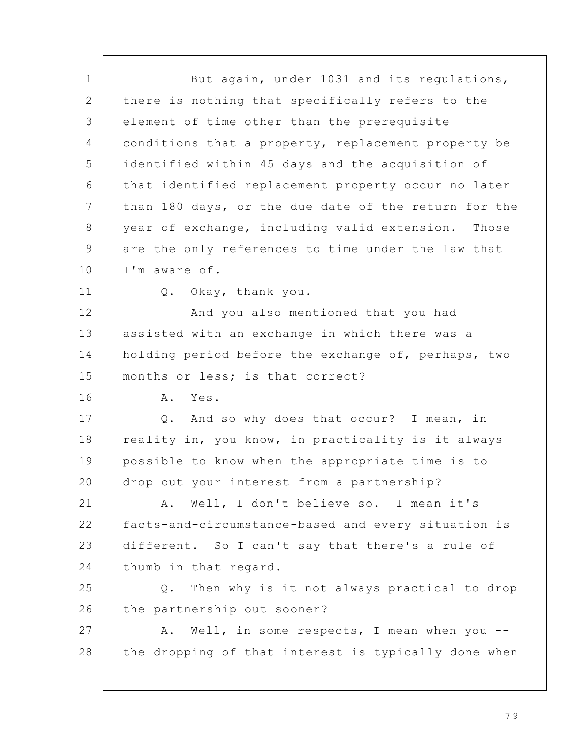But again, under 1031 and its regulations, there is nothing that specifically refers to the element of time other than the prerequisite conditions that a property, replacement property be identified within 45 days and the acquisition of that identified replacement property occur no later than 180 days, or the due date of the return for the year of exchange, including valid extension. Those are the only references to time under the law that I'm aware of. Q. Okay, thank you. And you also mentioned that you had assisted with an exchange in which there was a holding period before the exchange of, perhaps, two months or less; is that correct? A. Yes. Q. And so why does that occur? I mean, in reality in, you know, in practicality is it always possible to know when the appropriate time is to drop out your interest from a partnership? A. Well, I don't believe so. I mean it's facts-and-circumstance-based and every situation is different. So I can't say that there's a rule of thumb in that regard. Q. Then why is it not always practical to drop the partnership out sooner? A. Well, in some respects, I mean when you - the dropping of that interest is typically done when 1 2 3 4 5 6 7 8 9 10 11 12 13 14 15 16 17 18 19 20 21 22 23 24 25 26 27 28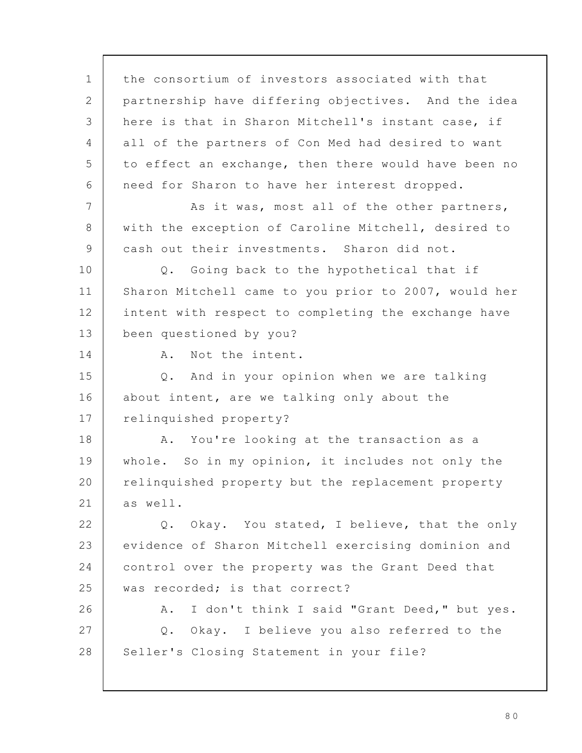the consortium of investors associated with that partnership have differing objectives. And the idea here is that in Sharon Mitchell's instant case, if all of the partners of Con Med had desired to want to effect an exchange, then there would have been no need for Sharon to have her interest dropped. As it was, most all of the other partners, with the exception of Caroline Mitchell, desired to cash out their investments. Sharon did not. Q. Going back to the hypothetical that if Sharon Mitchell came to you prior to 2007, would her intent with respect to completing the exchange have been questioned by you? A. Not the intent. Q. And in your opinion when we are talking about intent, are we talking only about the relinquished property? A. You're looking at the transaction as a whole. So in my opinion, it includes not only the relinquished property but the replacement property as well. Q. Okay. You stated, I believe, that the only evidence of Sharon Mitchell exercising dominion and control over the property was the Grant Deed that was recorded; is that correct? A. I don't think I said "Grant Deed," but yes. Q. Okay. I believe you also referred to the Seller's Closing Statement in your file? 1 2 3 4 5 6 7 8 9 10 11 12 13 14 15 16 17 18 19 20 21 22 23 24 25 26 27 28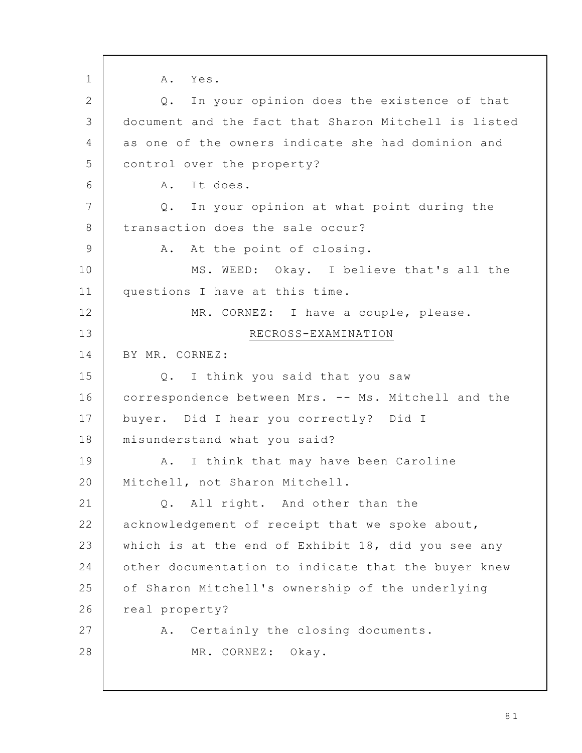A. Yes. Q. In your opinion does the existence of that document and the fact that Sharon Mitchell is listed as one of the owners indicate she had dominion and control over the property? A. It does. Q. In your opinion at what point during the transaction does the sale occur? A. At the point of closing. MS. WEED: Okay. I believe that's all the questions I have at this time. MR. CORNEZ: I have a couple, please. RECROSS-EXAMINATION BY MR. CORNEZ: Q. I think you said that you saw correspondence between Mrs. -- Ms. Mitchell and the buyer. Did I hear you correctly? Did I misunderstand what you said? A. I think that may have been Caroline Mitchell, not Sharon Mitchell. Q. All right. And other than the acknowledgement of receipt that we spoke about, which is at the end of Exhibit 18, did you see any other documentation to indicate that the buyer knew of Sharon Mitchell's ownership of the underlying real property? A. Certainly the closing documents. MR. CORNEZ: Okay. 1 2 3 4 5 6 7 8 9 10 11 12 13 14 15 16 17 18 19 20 21 22 23 24 25 26 27 28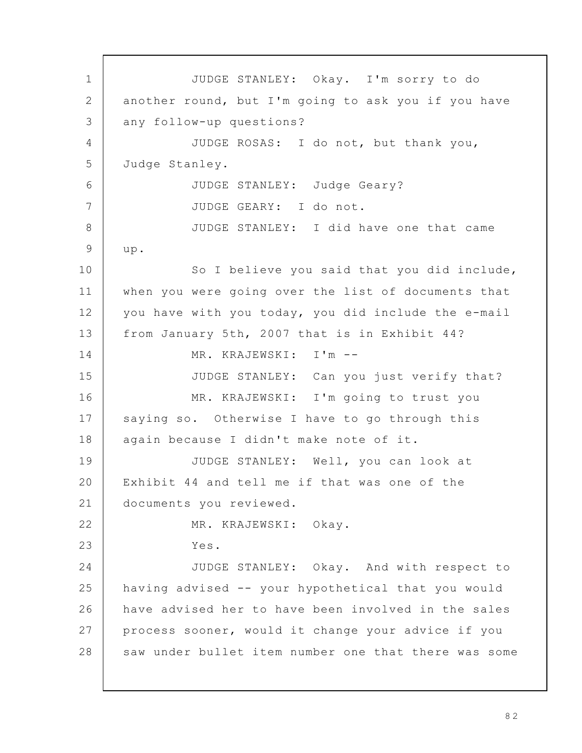JUDGE STANLEY: Okay. I'm sorry to do another round, but I'm going to ask you if you have any follow-up questions? JUDGE ROSAS: I do not, but thank you, Judge Stanley. JUDGE STANLEY: Judge Geary? JUDGE GEARY: I do not. JUDGE STANLEY: I did have one that came up. So I believe you said that you did include, when you were going over the list of documents that you have with you today, you did include the e-mail from January 5th, 2007 that is in Exhibit 44? MR. KRAJEWSKI: I'm -- JUDGE STANLEY: Can you just verify that? MR. KRAJEWSKI: I'm going to trust you saying so. Otherwise I have to go through this again because I didn't make note of it. JUDGE STANLEY: Well, you can look at Exhibit 44 and tell me if that was one of the documents you reviewed. MR. KRAJEWSKI: Okay. Yes. JUDGE STANLEY: Okay. And with respect to having advised -- your hypothetical that you would have advised her to have been involved in the sales process sooner, would it change your advice if you saw under bullet item number one that there was some 1 2 3 4 5 6 7 8 9 10 11 12 13 14 15 16 17 18 19 20 21 22 23 24 25 26 27 28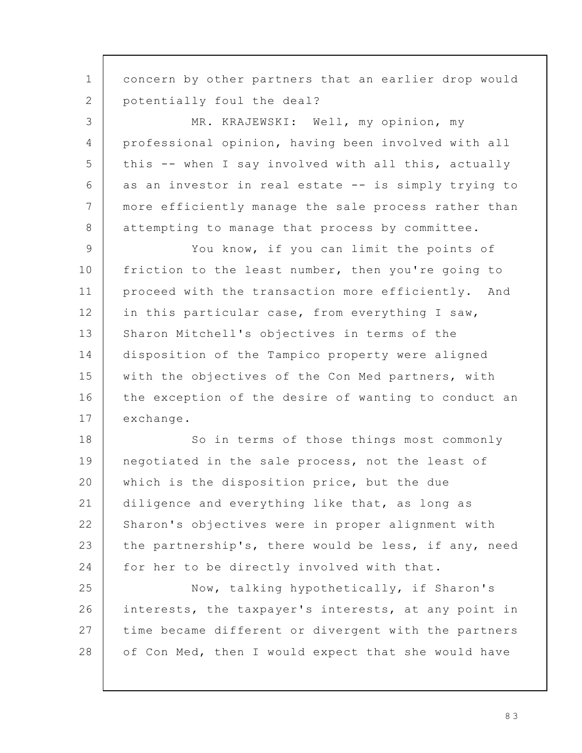concern by other partners that an earlier drop would potentially foul the deal? MR. KRAJEWSKI: Well, my opinion, my professional opinion, having been involved with all this -- when I say involved with all this, actually as an investor in real estate -- is simply trying to more efficiently manage the sale process rather than attempting to manage that process by committee. You know, if you can limit the points of friction to the least number, then you're going to proceed with the transaction more efficiently. And in this particular case, from everything I saw, Sharon Mitchell's objectives in terms of the disposition of the Tampico property were aligned with the objectives of the Con Med partners, with the exception of the desire of wanting to conduct an exchange. So in terms of those things most commonly negotiated in the sale process, not the least of which is the disposition price, but the due diligence and everything like that, as long as Sharon's objectives were in proper alignment with the partnership's, there would be less, if any, need for her to be directly involved with that. Now, talking hypothetically, if Sharon's interests, the taxpayer's interests, at any point in time became different or divergent with the partners of Con Med, then I would expect that she would have 1 2 3 4 5 6 7 8 9 10 11 12 13 14 15 16 17 18 19 20 21 22 23 24 25 26 27 28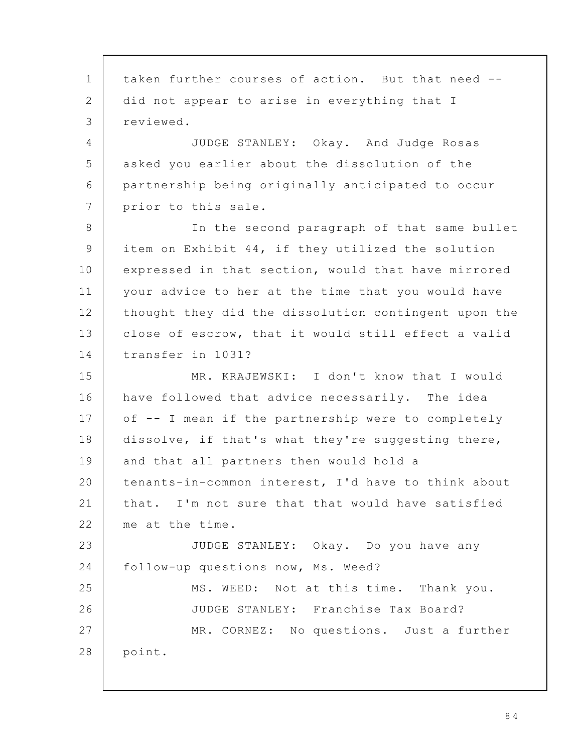taken further courses of action. But that need - did not appear to arise in everything that I reviewed. JUDGE STANLEY: Okay. And Judge Rosas asked you earlier about the dissolution of the partnership being originally anticipated to occur prior to this sale. In the second paragraph of that same bullet item on Exhibit 44, if they utilized the solution expressed in that section, would that have mirrored your advice to her at the time that you would have thought they did the dissolution contingent upon the close of escrow, that it would still effect a valid transfer in 1031? MR. KRAJEWSKI: I don't know that I would have followed that advice necessarily. The idea of -- I mean if the partnership were to completely dissolve, if that's what they're suggesting there, and that all partners then would hold a tenants-in-common interest, I'd have to think about that. I'm not sure that that would have satisfied me at the time. JUDGE STANLEY: Okay. Do you have any follow-up questions now, Ms. Weed? MS. WEED: Not at this time. Thank you. JUDGE STANLEY: Franchise Tax Board? MR. CORNEZ: No questions. Just a further point. 1 2 3 4 5 6 7 8 9 10 11 12 13 14 15 16 17 18 19 20 21 22 23 24 25 26 27 28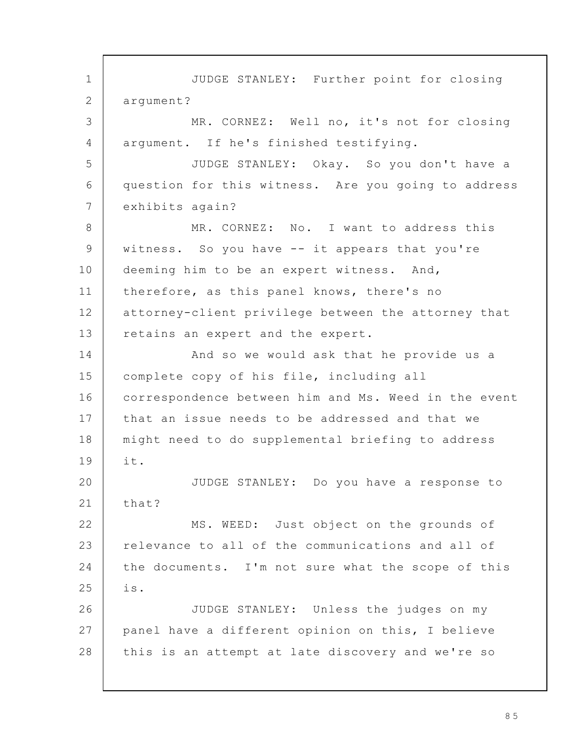JUDGE STANLEY: Further point for closing argument? MR. CORNEZ: Well no, it's not for closing argument. If he's finished testifying. JUDGE STANLEY: Okay. So you don't have a question for this witness. Are you going to address exhibits again? MR. CORNEZ: No. I want to address this witness. So you have -- it appears that you're deeming him to be an expert witness. And, therefore, as this panel knows, there's no attorney-client privilege between the attorney that retains an expert and the expert. And so we would ask that he provide us a complete copy of his file, including all correspondence between him and Ms. Weed in the event that an issue needs to be addressed and that we might need to do supplemental briefing to address it. JUDGE STANLEY: Do you have a response to that? MS. WEED: Just object on the grounds of relevance to all of the communications and all of the documents. I'm not sure what the scope of this is. JUDGE STANLEY: Unless the judges on my panel have a different opinion on this, I believe this is an attempt at late discovery and we're so 1 2 3 4 5 6 7 8 9 10 11 12 13 14 15 16 17 18 19 20 21 22 23 24 25 26 27 28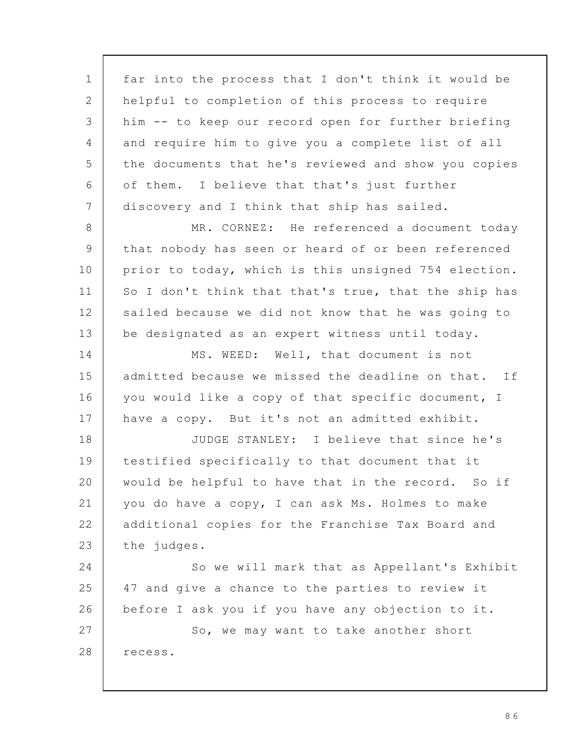far into the process that I don't think it would be helpful to completion of this process to require him -- to keep our record open for further briefing and require him to give you a complete list of all the documents that he's reviewed and show you copies of them. I believe that that's just further discovery and I think that ship has sailed. MR. CORNEZ: He referenced a document today that nobody has seen or heard of or been referenced prior to today, which is this unsigned 754 election. So I don't think that that's true, that the ship has sailed because we did not know that he was going to be designated as an expert witness until today. MS. WEED: Well, that document is not admitted because we missed the deadline on that. If you would like a copy of that specific document, I have a copy. But it's not an admitted exhibit. JUDGE STANLEY: I believe that since he's testified specifically to that document that it would be helpful to have that in the record. So if you do have a copy, I can ask Ms. Holmes to make additional copies for the Franchise Tax Board and the judges. So we will mark that as Appellant's Exhibit 47 and give a chance to the parties to review it before I ask you if you have any objection to it. So, we may want to take another short recess. 1 2 3 4 5 6 7 8 9 10 11 12 13 14 15 16 17 18 19 20 21 22 23 24 25 26 27 28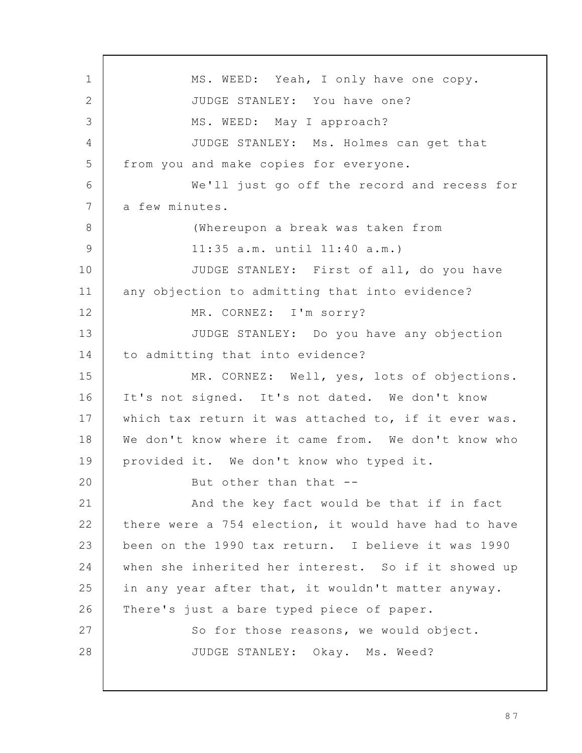MS. WEED: Yeah, I only have one copy. JUDGE STANLEY: You have one? MS. WEED: May I approach? JUDGE STANLEY: Ms. Holmes can get that from you and make copies for everyone. We'll just go off the record and recess for a few minutes. (Whereupon a break was taken from 11:35 a.m. until 11:40 a.m.) JUDGE STANLEY: First of all, do you have any objection to admitting that into evidence? MR. CORNEZ: I'm sorry? JUDGE STANLEY: Do you have any objection to admitting that into evidence? MR. CORNEZ: Well, yes, lots of objections. It's not signed. It's not dated. We don't know which tax return it was attached to, if it ever was. We don't know where it came from. We don't know who provided it. We don't know who typed it. But other than that -- And the key fact would be that if in fact there were a 754 election, it would have had to have been on the 1990 tax return. I believe it was 1990 when she inherited her interest. So if it showed up in any year after that, it wouldn't matter anyway. There's just a bare typed piece of paper. So for those reasons, we would object. JUDGE STANLEY: Okay. Ms. Weed? 1 2 3 4 5 6 7 8 9 10 11 12 13 14 15 16 17 18 19 20 21 22 23 24 25 26 27 28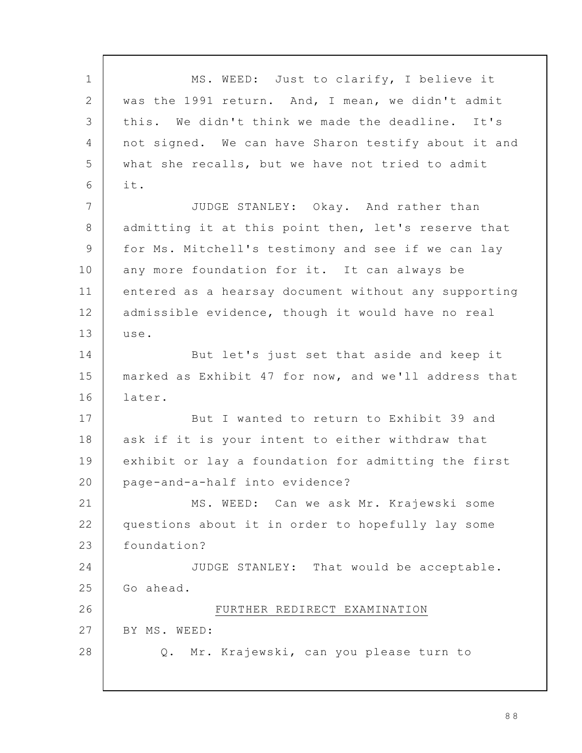MS. WEED: Just to clarify, I believe it was the 1991 return. And, I mean, we didn't admit this. We didn't think we made the deadline. It's not signed. We can have Sharon testify about it and what she recalls, but we have not tried to admit it. JUDGE STANLEY: Okay. And rather than admitting it at this point then, let's reserve that for Ms. Mitchell's testimony and see if we can lay any more foundation for it. It can always be entered as a hearsay document without any supporting admissible evidence, though it would have no real use. But let's just set that aside and keep it marked as Exhibit 47 for now, and we'll address that later. But I wanted to return to Exhibit 39 and ask if it is your intent to either withdraw that exhibit or lay a foundation for admitting the first page-and-a-half into evidence? MS. WEED: Can we ask Mr. Krajewski some questions about it in order to hopefully lay some foundation? JUDGE STANLEY: That would be acceptable. Go ahead. FURTHER REDIRECT EXAMINATION BY MS. WEED: Q. Mr. Krajewski, can you please turn to 1 2 3 4 5 6 7 8 9 10 11 12 13 14 15 16 17 18 19 20 21 22 23 24 25 26 27 28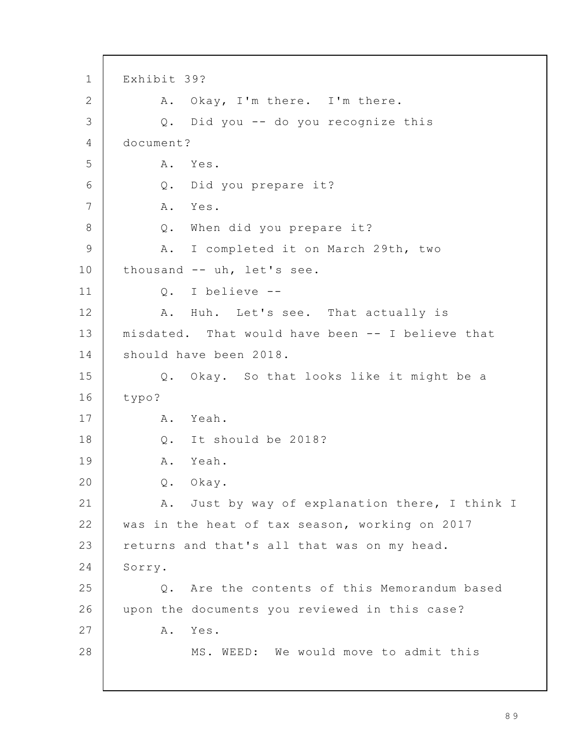Exhibit 39? A. Okay, I'm there. I'm there. Q. Did you -- do you recognize this document? A. Yes. Q. Did you prepare it? A. Yes. Q. When did you prepare it? A. I completed it on March 29th, two thousand -- uh, let's see. Q. I believe -- A. Huh. Let's see. That actually is misdated. That would have been -- I believe that should have been 2018. Q. Okay. So that looks like it might be a typo? A. Yeah. Q. It should be 2018? A. Yeah. Q. Okay. A. Just by way of explanation there, I think I was in the heat of tax season, working on 2017 returns and that's all that was on my head. Sorry. Q. Are the contents of this Memorandum based upon the documents you reviewed in this case? A. Yes. MS. WEED: We would move to admit this 1 2 3 4 5 6 7 8 9 10 11 12 13 14 15 16 17 18 19 20 21 22 23 24 25 26 27 28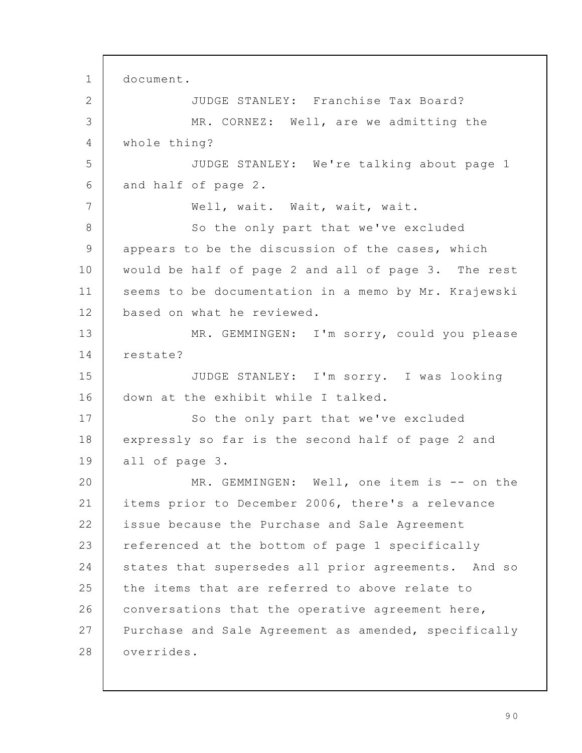document. JUDGE STANLEY: Franchise Tax Board? MR. CORNEZ: Well, are we admitting the whole thing? JUDGE STANLEY: We're talking about page 1 and half of page 2. Well, wait. Wait, wait, wait. So the only part that we've excluded appears to be the discussion of the cases, which would be half of page 2 and all of page 3. The rest seems to be documentation in a memo by Mr. Krajewski based on what he reviewed. MR. GEMMINGEN: I'm sorry, could you please restate? JUDGE STANLEY: I'm sorry. I was looking down at the exhibit while I talked. So the only part that we've excluded expressly so far is the second half of page 2 and all of page 3. MR. GEMMINGEN: Well, one item is -- on the items prior to December 2006, there's a relevance issue because the Purchase and Sale Agreement referenced at the bottom of page 1 specifically states that supersedes all prior agreements. And so the items that are referred to above relate to conversations that the operative agreement here, Purchase and Sale Agreement as amended, specifically overrides. 1 2 3 4 5 6 7 8 9 10 11 12 13 14 15 16 17 18 19 20 21 22 23 24 25 26 27 28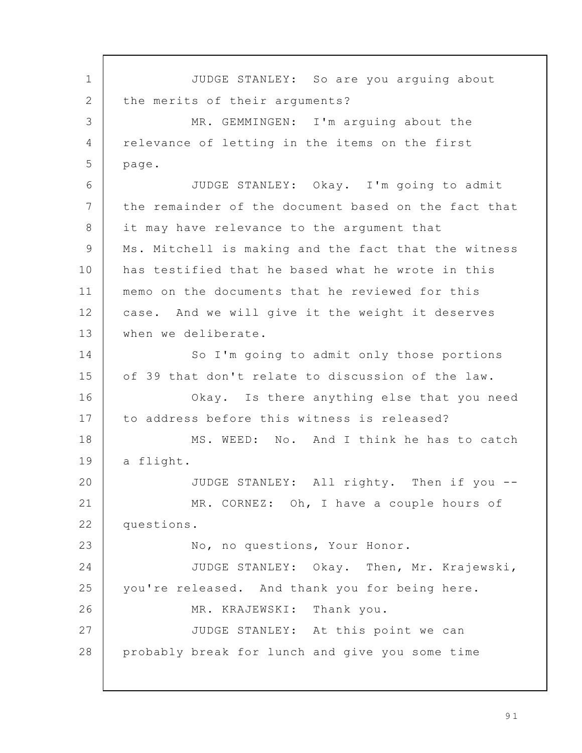JUDGE STANLEY: So are you arguing about the merits of their arguments? MR. GEMMINGEN: I'm arquing about the relevance of letting in the items on the first page. JUDGE STANLEY: Okay. I'm going to admit the remainder of the document based on the fact that it may have relevance to the argument that Ms. Mitchell is making and the fact that the witness has testified that he based what he wrote in this memo on the documents that he reviewed for this case. And we will give it the weight it deserves when we deliberate. So I'm going to admit only those portions of 39 that don't relate to discussion of the law. Okay. Is there anything else that you need to address before this witness is released? MS. WEED: No. And I think he has to catch a flight. JUDGE STANLEY: All righty. Then if you -- MR. CORNEZ: Oh, I have a couple hours of questions. No, no questions, Your Honor. JUDGE STANLEY: Okay. Then, Mr. Krajewski, you're released. And thank you for being here. MR. KRAJEWSKI: Thank you. JUDGE STANLEY: At this point we can probably break for lunch and give you some time 1 2 3 4 5 6 7 8 9 10 11 12 13 14 15 16 17 18 19 20 21 22 23 24 25 26 27 28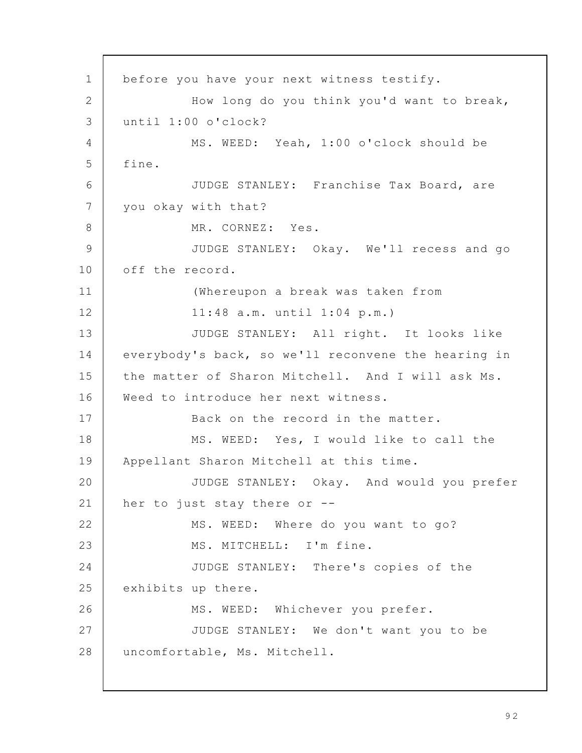before you have your next witness testify. How long do you think you'd want to break, until 1:00 o'clock? MS. WEED: Yeah, 1:00 o'clock should be fine. JUDGE STANLEY: Franchise Tax Board, are you okay with that? MR. CORNEZ: Yes. JUDGE STANLEY: Okay. We'll recess and go off the record. (Whereupon a break was taken from 11:48 a.m. until 1:04 p.m.) JUDGE STANLEY: All right. It looks like everybody's back, so we'll reconvene the hearing in the matter of Sharon Mitchell. And I will ask Ms. Weed to introduce her next witness. Back on the record in the matter. MS. WEED: Yes, I would like to call the Appellant Sharon Mitchell at this time. JUDGE STANLEY: Okay. And would you prefer her to just stay there or -- MS. WEED: Where do you want to go? MS. MITCHELL: I'm fine. JUDGE STANLEY: There's copies of the exhibits up there. MS. WEED: Whichever you prefer. JUDGE STANLEY: We don't want you to be uncomfortable, Ms. Mitchell. 1 2 3 4 5 6 7 8 9 10 11 12 13 14 15 16 17 18 19 20 21 22 23 24 25 26 27 28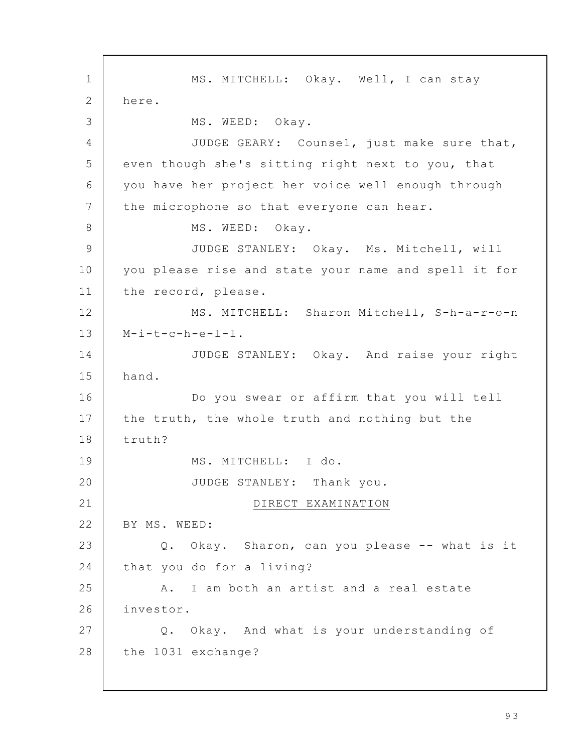MS. MITCHELL: Okay. Well, I can stay here. MS. WEED: Okay. JUDGE GEARY: Counsel, just make sure that, even though she's sitting right next to you, that you have her project her voice well enough through the microphone so that everyone can hear. MS. WEED: Okay. JUDGE STANLEY: Okay. Ms. Mitchell, will you please rise and state your name and spell it for the record, please. MS. MITCHELL: Sharon Mitchell, S-h-a-r-o-n  $M-i-t-c-h-e-l-1$ . JUDGE STANLEY: Okay. And raise your right hand. Do you swear or affirm that you will tell the truth, the whole truth and nothing but the truth? MS. MITCHELL: I do. JUDGE STANLEY: Thank you. DIRECT EXAMINATION BY MS. WEED: Q. Okay. Sharon, can you please -- what is it that you do for a living? A. I am both an artist and a real estate investor. Q. Okay. And what is your understanding of the 1031 exchange? 1 2 3 4 5 6 7 8 9 10 11 12 13 14 15 16 17 18 19 20 21 22 23 24 25 26 27 28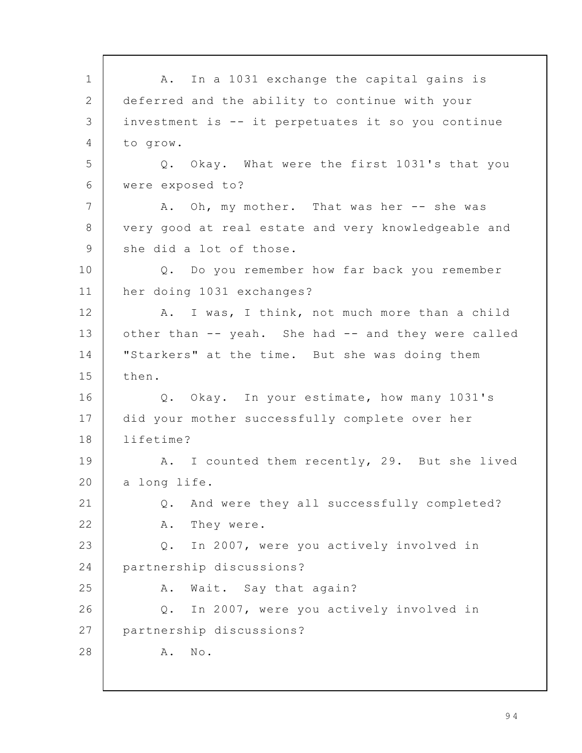A. In a 1031 exchange the capital gains is deferred and the ability to continue with your investment is -- it perpetuates it so you continue to grow. Q. Okay. What were the first 1031's that you were exposed to? A. Oh, my mother. That was her -- she was very good at real estate and very knowledgeable and she did a lot of those. Q. Do you remember how far back you remember her doing 1031 exchanges? A. I was, I think, not much more than a child other than -- yeah. She had -- and they were called "Starkers" at the time. But she was doing them then. Q. Okay. In your estimate, how many 1031's did your mother successfully complete over her lifetime? A. I counted them recently, 29. But she lived a long life. Q. And were they all successfully completed? A. They were. Q. In 2007, were you actively involved in partnership discussions? A. Wait. Say that again? Q. In 2007, were you actively involved in partnership discussions? A. No. 1 2 3 4 5 6 7 8 9 10 11 12 13 14 15 16 17 18 19 20 21 22 23 24 25 26 27 28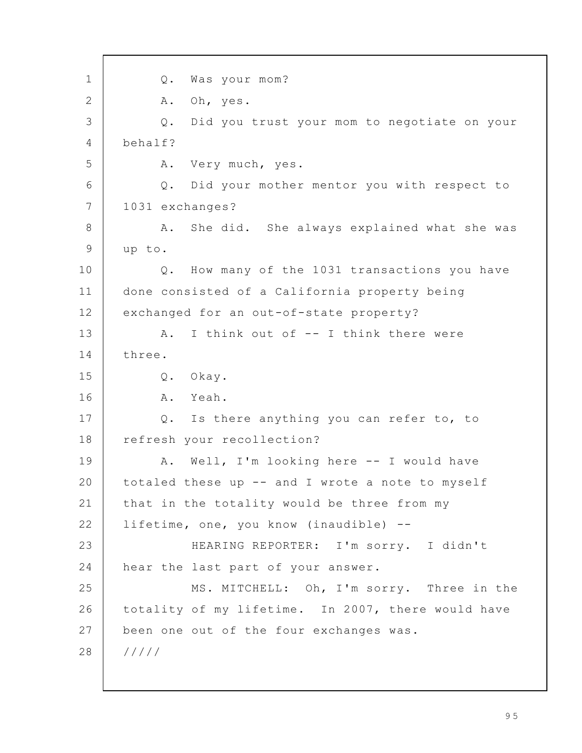Q. Was your mom? A. Oh, yes. Q. Did you trust your mom to negotiate on your behalf? A. Very much, yes. Q. Did your mother mentor you with respect to 1031 exchanges? A. She did. She always explained what she was up to. Q. How many of the 1031 transactions you have done consisted of a California property being exchanged for an out-of-state property? A. I think out of -- I think there were three. Q. Okay. A. Yeah. Q. Is there anything you can refer to, to refresh your recollection? A. Well, I'm looking here -- I would have totaled these up -- and I wrote a note to myself that in the totality would be three from my lifetime, one, you know (inaudible) -- HEARING REPORTER: I'm sorry. I didn't hear the last part of your answer. MS. MITCHELL: Oh, I'm sorry. Three in the totality of my lifetime. In 2007, there would have been one out of the four exchanges was. ///// 1 2 3 4 5 6 7 8 9 10 11 12 13 14 15 16 17 18 19 20 21 22 23 24 25 26 27 28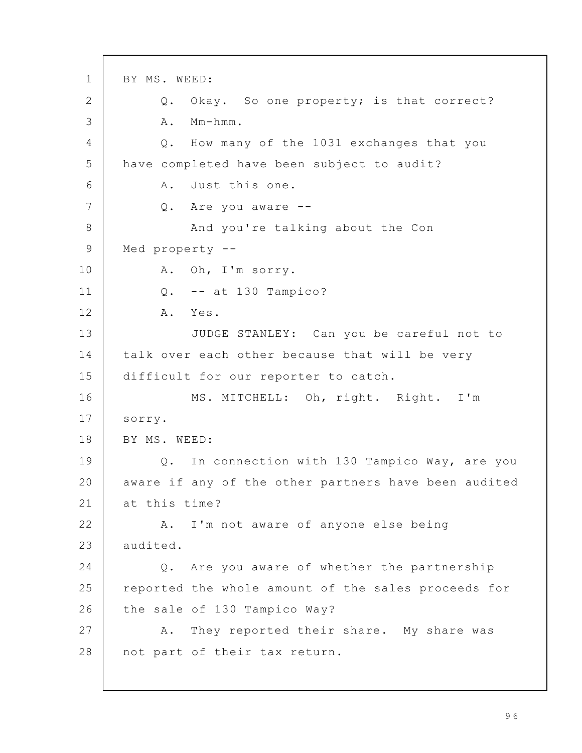BY MS. WEED: Q. Okay. So one property; is that correct? A. Mm-hmm. Q. How many of the 1031 exchanges that you have completed have been subject to audit? A. Just this one. Q. Are you aware -- And you're talking about the Con Med property -- A. Oh, I'm sorry. Q. -- at 130 Tampico? A. Yes. JUDGE STANLEY: Can you be careful not to talk over each other because that will be very difficult for our reporter to catch. MS. MITCHELL: Oh, right. Right. I'm sorry. BY MS. WEED: Q. In connection with 130 Tampico Way, are you aware if any of the other partners have been audited at this time? A. I'm not aware of anyone else being audited. Q. Are you aware of whether the partnership reported the whole amount of the sales proceeds for the sale of 130 Tampico Way? A. They reported their share. My share was not part of their tax return. 1 2 3 4 5 6 7 8 9 10 11 12 13 14 15 16 17 18 19 20 21 22 23 24 25 26 27 28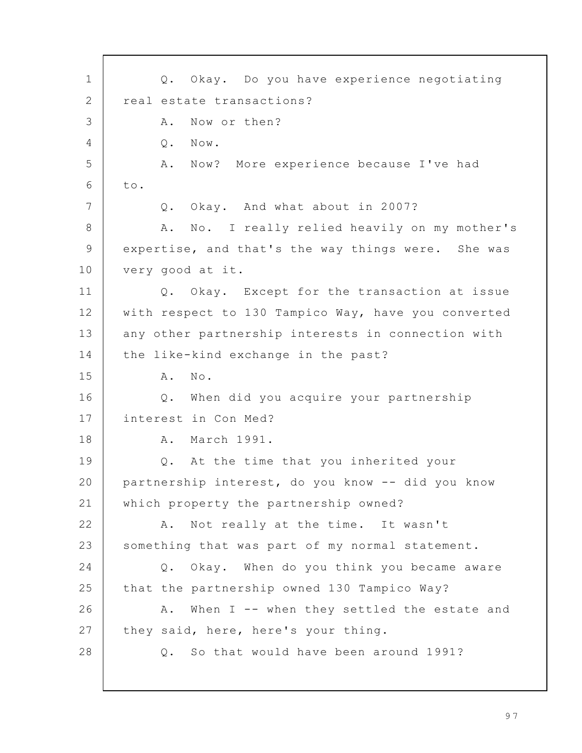Q. Okay. Do you have experience negotiating real estate transactions? A. Now or then? Q. Now. A. Now? More experience because I've had to. Q. Okay. And what about in 2007? A. No. I really relied heavily on my mother's expertise, and that's the way things were. She was very good at it. Q. Okay. Except for the transaction at issue with respect to 130 Tampico Way, have you converted any other partnership interests in connection with the like-kind exchange in the past? A. No. Q. When did you acquire your partnership interest in Con Med? A. March 1991. Q. At the time that you inherited your partnership interest, do you know -- did you know which property the partnership owned? A. Not really at the time. It wasn't something that was part of my normal statement. Q. Okay. When do you think you became aware that the partnership owned 130 Tampico Way? A. When I -- when they settled the estate and they said, here, here's your thing. Q. So that would have been around 1991? 1 2 3 4 5 6 7 8 9 10 11 12 13 14 15 16 17 18 19 20 21 22 23 24 25 26 27 28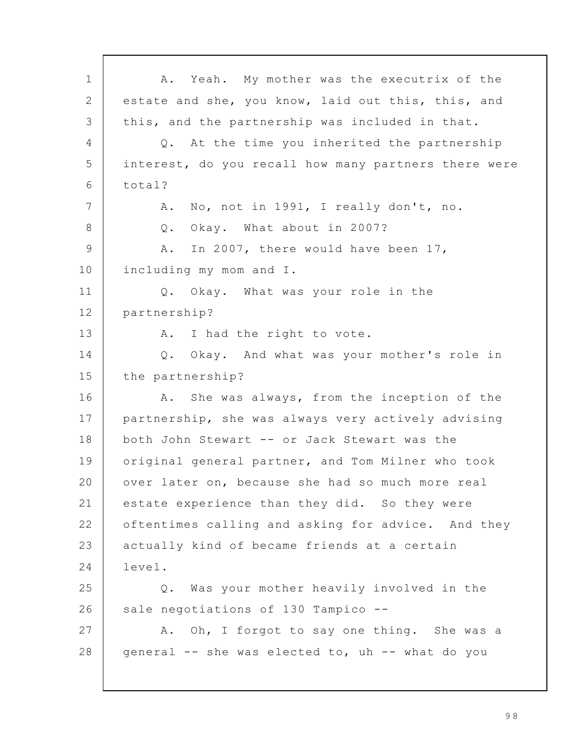A. Yeah. My mother was the executrix of the estate and she, you know, laid out this, this, and this, and the partnership was included in that. Q. At the time you inherited the partnership interest, do you recall how many partners there were total? A. No, not in 1991, I really don't, no. Q. Okay. What about in 2007? A. In 2007, there would have been 17, including my mom and I. Q. Okay. What was your role in the partnership? A. I had the right to vote. Q. Okay. And what was your mother's role in the partnership? A. She was always, from the inception of the partnership, she was always very actively advising both John Stewart -- or Jack Stewart was the original general partner, and Tom Milner who took over later on, because she had so much more real estate experience than they did. So they were oftentimes calling and asking for advice. And they actually kind of became friends at a certain level. Q. Was your mother heavily involved in the sale negotiations of 130 Tampico --A. Oh, I forgot to say one thing. She was a general -- she was elected to, uh -- what do you 1 2 3 4 5 6 7 8 9 10 11 12 13 14 15 16 17 18 19 20 21 22 23 24 25 26 27 28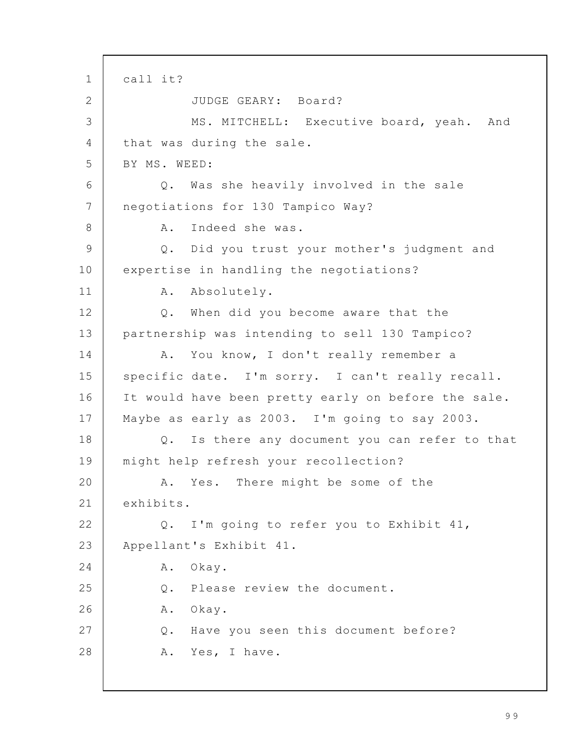call it? JUDGE GEARY: Board? MS. MITCHELL: Executive board, yeah. And that was during the sale. BY MS. WEED: Q. Was she heavily involved in the sale negotiations for 130 Tampico Way? A. Indeed she was. Q. Did you trust your mother's judgment and expertise in handling the negotiations? A. Absolutely. Q. When did you become aware that the partnership was intending to sell 130 Tampico? A. You know, I don't really remember a specific date. I'm sorry. I can't really recall. It would have been pretty early on before the sale. Maybe as early as 2003. I'm going to say 2003. Q. Is there any document you can refer to that might help refresh your recollection? A. Yes. There might be some of the exhibits. Q. I'm going to refer you to Exhibit 41, Appellant's Exhibit 41. A. Okay. Q. Please review the document. A. Okay. Q. Have you seen this document before? A. Yes, I have. 1 2 3 4 5 6 7 8 9 10 11 12 13 14 15 16 17 18 19 20 21 22 23 24 25 26 27 28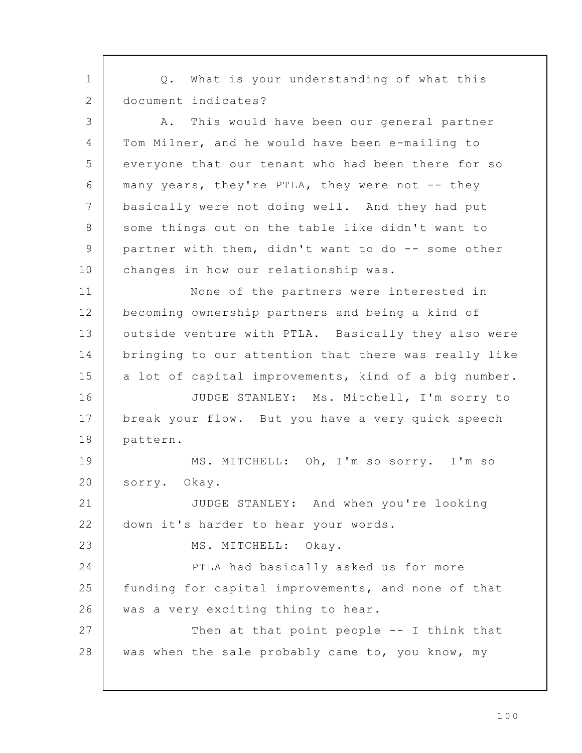Q. What is your understanding of what this document indicates? A. This would have been our general partner Tom Milner, and he would have been e-mailing to everyone that our tenant who had been there for so many years, they're PTLA, they were not -- they basically were not doing well. And they had put some things out on the table like didn't want to partner with them, didn't want to do -- some other changes in how our relationship was. None of the partners were interested in becoming ownership partners and being a kind of outside venture with PTLA. Basically they also were bringing to our attention that there was really like a lot of capital improvements, kind of a big number. JUDGE STANLEY: Ms. Mitchell, I'm sorry to break your flow. But you have a very quick speech pattern. MS. MITCHELL: Oh, I'm so sorry. I'm so sorry. Okay. JUDGE STANLEY: And when you're looking down it's harder to hear your words. MS. MITCHELL: Okay. PTLA had basically asked us for more funding for capital improvements, and none of that was a very exciting thing to hear. Then at that point people -- I think that was when the sale probably came to, you know, my 1 2 3 4 5 6 7 8 9 10 11 12 13 14 15 16 17 18 19 20 21 22 23 24 25 26 27 28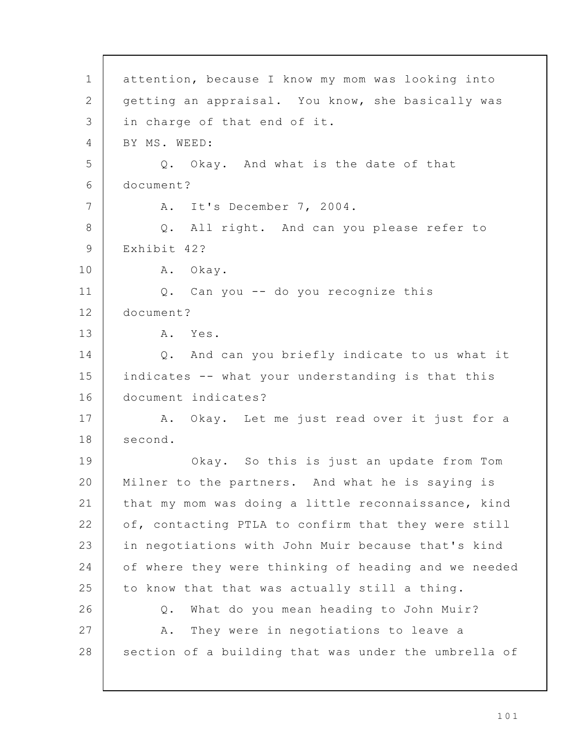attention, because I know my mom was looking into getting an appraisal. You know, she basically was in charge of that end of it. BY MS. WEED: Q. Okay. And what is the date of that document? A. It's December 7, 2004. Q. All right. And can you please refer to Exhibit 42? A. Okay. Q. Can you -- do you recognize this document? A. Yes. Q. And can you briefly indicate to us what it indicates -- what your understanding is that this document indicates? A. Okay. Let me just read over it just for a second. Okay. So this is just an update from Tom Milner to the partners. And what he is saying is that my mom was doing a little reconnaissance, kind of, contacting PTLA to confirm that they were still in negotiations with John Muir because that's kind of where they were thinking of heading and we needed to know that that was actually still a thing. Q. What do you mean heading to John Muir? A. They were in negotiations to leave a section of a building that was under the umbrella of 1 2 3 4 5 6 7 8 9 10 11 12 13 14 15 16 17 18 19 20 21 22 23 24 25 26 27 28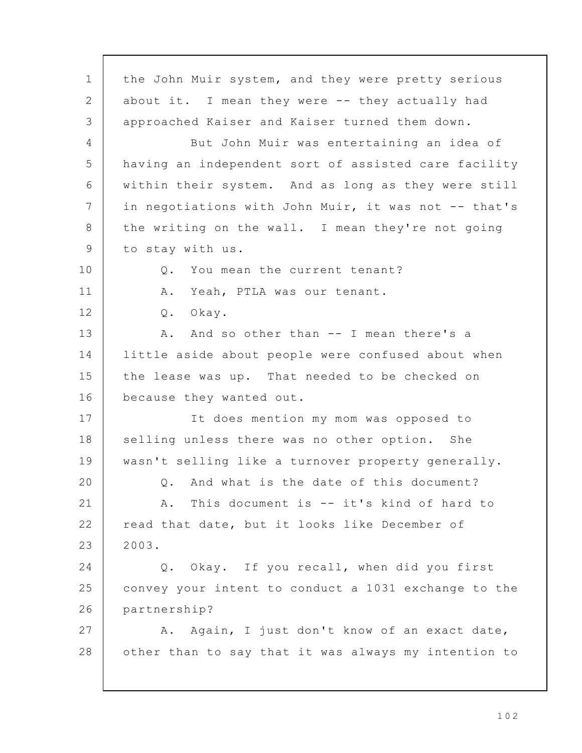the John Muir system, and they were pretty serious about it. I mean they were -- they actually had approached Kaiser and Kaiser turned them down. But John Muir was entertaining an idea of having an independent sort of assisted care facility within their system. And as long as they were still in negotiations with John Muir, it was not -- that's the writing on the wall. I mean they're not going to stay with us. Q. You mean the current tenant? A. Yeah, PTLA was our tenant. Q. Okay. A. And so other than -- I mean there's a little aside about people were confused about when the lease was up. That needed to be checked on because they wanted out. It does mention my mom was opposed to selling unless there was no other option. She wasn't selling like a turnover property generally. Q. And what is the date of this document? A. This document is -- it's kind of hard to read that date, but it looks like December of 2003. Q. Okay. If you recall, when did you first convey your intent to conduct a 1031 exchange to the partnership? A. Again, I just don't know of an exact date, other than to say that it was always my intention to 1 2 3  $\Delta$ 5 6 7 8 9 10 11 12 13 14 15 16 17 18 19 20 21 22 23 24 25 26 27 28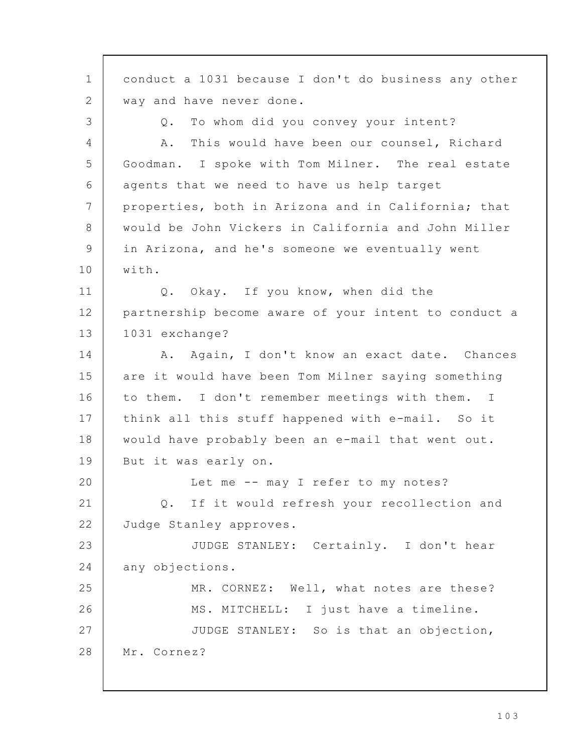conduct a 1031 because I don't do business any other way and have never done. Q. To whom did you convey your intent? A. This would have been our counsel, Richard Goodman. I spoke with Tom Milner. The real estate agents that we need to have us help target properties, both in Arizona and in California; that would be John Vickers in California and John Miller in Arizona, and he's someone we eventually went with. Q. Okay. If you know, when did the partnership become aware of your intent to conduct a 1031 exchange? A. Again, I don't know an exact date. Chances are it would have been Tom Milner saying something to them. I don't remember meetings with them. I think all this stuff happened with e-mail. So it would have probably been an e-mail that went out. But it was early on. Let me -- may I refer to my notes? Q. If it would refresh your recollection and Judge Stanley approves. JUDGE STANLEY: Certainly. I don't hear any objections. MR. CORNEZ: Well, what notes are these? MS. MITCHELL: I just have a timeline. JUDGE STANLEY: So is that an objection, Mr. Cornez? 1 2 3  $\Delta$ 5 6 7 8 9 10 11 12 13 14 15 16 17 18 19 20 21 22 23 24 25 26 27 28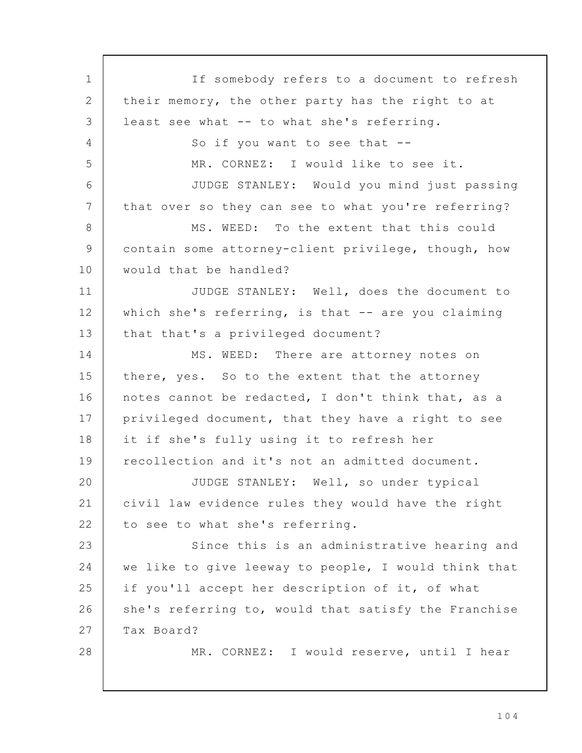If somebody refers to a document to refresh their memory, the other party has the right to at least see what -- to what she's referring. So if you want to see that -- MR. CORNEZ: I would like to see it. JUDGE STANLEY: Would you mind just passing that over so they can see to what you're referring? MS. WEED: To the extent that this could contain some attorney-client privilege, though, how would that be handled? JUDGE STANLEY: Well, does the document to which she's referring, is that -- are you claiming that that's a privileged document? MS. WEED: There are attorney notes on there, yes. So to the extent that the attorney notes cannot be redacted, I don't think that, as a privileged document, that they have a right to see it if she's fully using it to refresh her recollection and it's not an admitted document. JUDGE STANLEY: Well, so under typical civil law evidence rules they would have the right to see to what she's referring. Since this is an administrative hearing and we like to give leeway to people, I would think that if you'll accept her description of it, of what she's referring to, would that satisfy the Franchise Tax Board? MR. CORNEZ: I would reserve, until I hear 1 2 3 4 5 6 7 8 9 10 11 12 13 14 15 16 17 18 19 20 21 22 23 24 25 26 27 28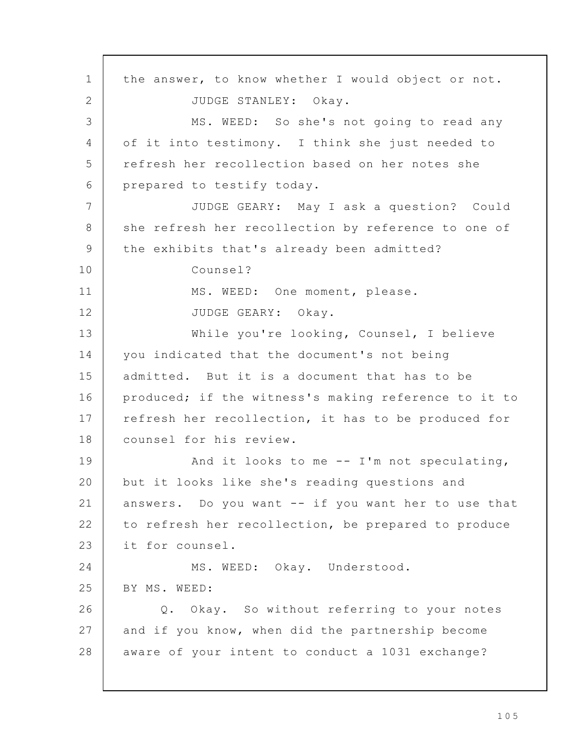the answer, to know whether I would object or not. JUDGE STANLEY: Okay. MS. WEED: So she's not going to read any of it into testimony. I think she just needed to refresh her recollection based on her notes she prepared to testify today. JUDGE GEARY: May I ask a question? Could she refresh her recollection by reference to one of the exhibits that's already been admitted? Counsel? MS. WEED: One moment, please. JUDGE GEARY: Okay. While you're looking, Counsel, I believe you indicated that the document's not being admitted. But it is a document that has to be produced; if the witness's making reference to it to refresh her recollection, it has to be produced for counsel for his review. And it looks to me -- I'm not speculating, but it looks like she's reading questions and answers. Do you want -- if you want her to use that to refresh her recollection, be prepared to produce it for counsel. MS. WEED: Okay. Understood. BY MS. WEED: Q. Okay. So without referring to your notes and if you know, when did the partnership become aware of your intent to conduct a 1031 exchange? 1 2 3 4 5 6 7 8 9 10 11 12 13 14 15 16 17 18 19 20 21 22 23 24 25 26 27 28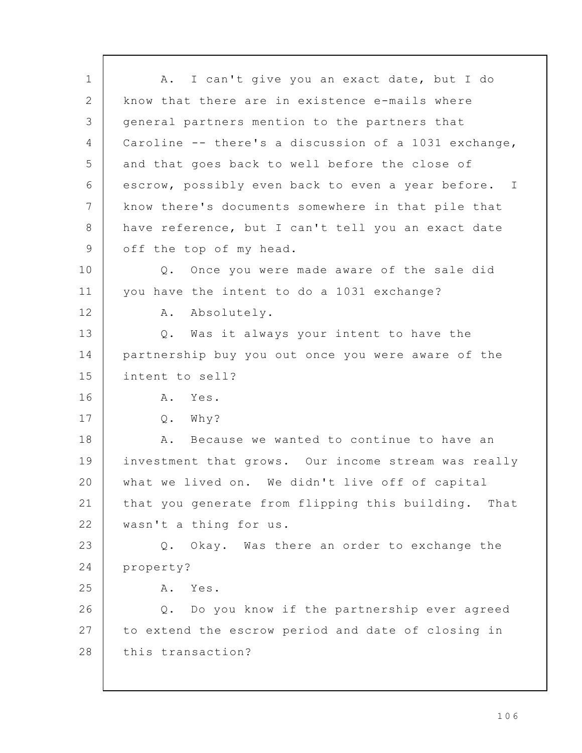A. I can't give you an exact date, but I do know that there are in existence e-mails where general partners mention to the partners that Caroline -- there's a discussion of a 1031 exchange, and that goes back to well before the close of escrow, possibly even back to even a year before. I know there's documents somewhere in that pile that have reference, but I can't tell you an exact date off the top of my head. Q. Once you were made aware of the sale did you have the intent to do a 1031 exchange? A. Absolutely. Q. Was it always your intent to have the partnership buy you out once you were aware of the intent to sell? A. Yes. Q. Why? A. Because we wanted to continue to have an investment that grows. Our income stream was really what we lived on. We didn't live off of capital that you generate from flipping this building. That wasn't a thing for us. Q. Okay. Was there an order to exchange the property? A. Yes. Q. Do you know if the partnership ever agreed to extend the escrow period and date of closing in this transaction? 1 2 3 4 5 6 7 8 9 10 11 12 13 14 15 16 17 18 19 20 21 22 23 24 25 26 27 28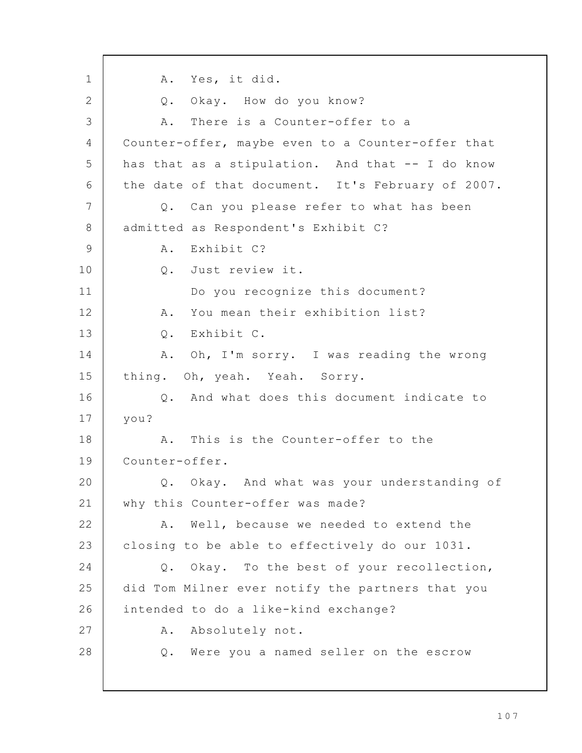A. Yes, it did. Q. Okay. How do you know? A. There is a Counter-offer to a Counter-offer, maybe even to a Counter-offer that has that as a stipulation. And that -- I do know the date of that document. It's February of 2007. Q. Can you please refer to what has been admitted as Respondent's Exhibit C? A. Exhibit C? Q. Just review it. Do you recognize this document? A. You mean their exhibition list? Q. Exhibit C. A. Oh, I'm sorry. I was reading the wrong thing. Oh, yeah. Yeah. Sorry. Q. And what does this document indicate to you? A. This is the Counter-offer to the Counter-offer. Q. Okay. And what was your understanding of why this Counter-offer was made? A. Well, because we needed to extend the closing to be able to effectively do our 1031. Q. Okay. To the best of your recollection, did Tom Milner ever notify the partners that you intended to do a like-kind exchange? A. Absolutely not. Q. Were you a named seller on the escrow 1 2 3 4 5 6 7 8 9 10 11 12 13 14 15 16 17 18 19 20 21 22 23 24 25 26 27 28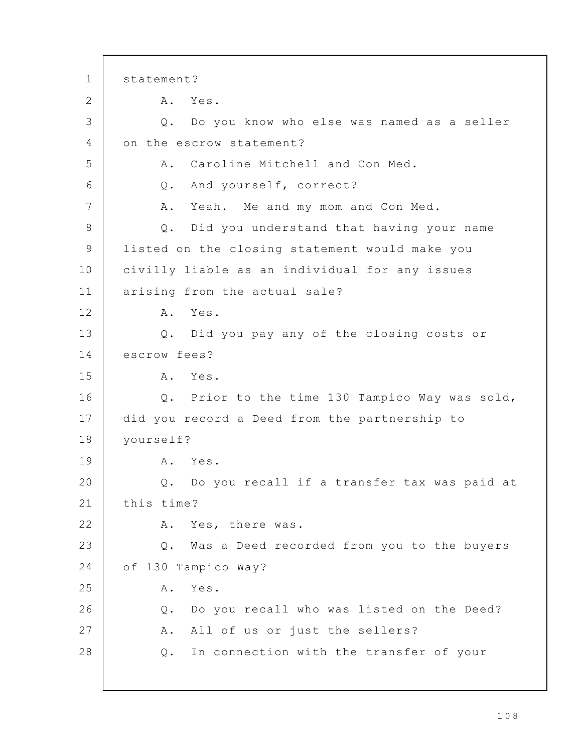statement? A. Yes. Q. Do you know who else was named as a seller on the escrow statement? A. Caroline Mitchell and Con Med. Q. And yourself, correct? A. Yeah. Me and my mom and Con Med. Q. Did you understand that having your name listed on the closing statement would make you civilly liable as an individual for any issues arising from the actual sale? A. Yes. Q. Did you pay any of the closing costs or escrow fees? A. Yes. Q. Prior to the time 130 Tampico Way was sold, did you record a Deed from the partnership to yourself? A. Yes. Q. Do you recall if a transfer tax was paid at this time? A. Yes, there was. Q. Was a Deed recorded from you to the buyers of 130 Tampico Way? A. Yes. Q. Do you recall who was listed on the Deed? A. All of us or just the sellers? Q. In connection with the transfer of your 1 2 3 4 5 6 7 8 9 10 11 12 13 14 15 16 17 18 19 20 21 22 23 24 25 26 27 28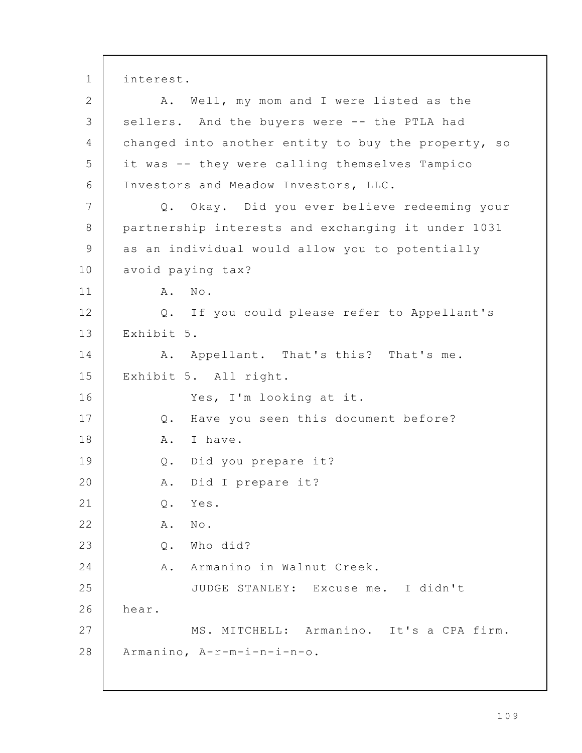interest. A. Well, my mom and I were listed as the sellers. And the buyers were -- the PTLA had changed into another entity to buy the property, so it was -- they were calling themselves Tampico Investors and Meadow Investors, LLC. Q. Okay. Did you ever believe redeeming your partnership interests and exchanging it under 1031 as an individual would allow you to potentially avoid paying tax? A. No. Q. If you could please refer to Appellant's Exhibit 5. A. Appellant. That's this? That's me. Exhibit 5. All right. Yes, I'm looking at it. Q. Have you seen this document before? A. I have. Q. Did you prepare it? A. Did I prepare it? Q. Yes. A. No. Q. Who did? A. Armanino in Walnut Creek. JUDGE STANLEY: Excuse me. I didn't hear. MS. MITCHELL: Armanino. It's a CPA firm. Armanino, A-r-m-i-n-i-n-o. 1 2 3 4 5 6 7 8 9 10 11 12 13 14 15 16 17 18 19 20 21 22 23 24 25 26 27 28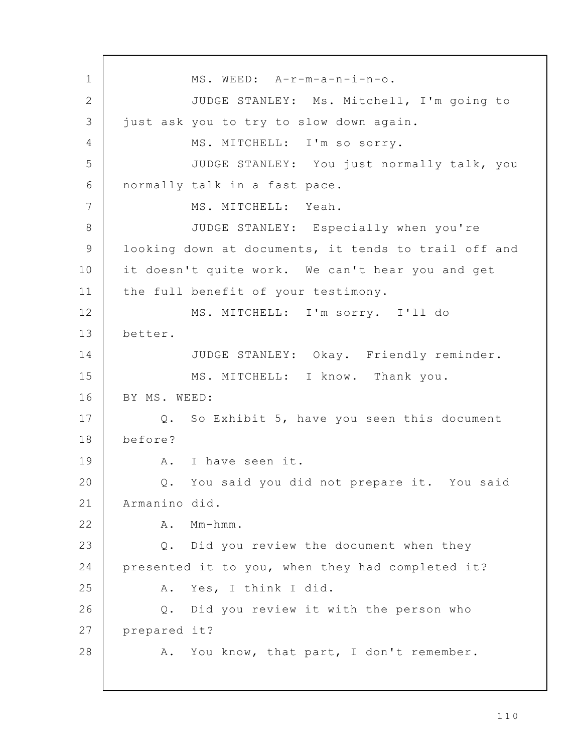MS. WEED: A-r-m-a-n-i-n-o. JUDGE STANLEY: Ms. Mitchell, I'm going to just ask you to try to slow down again. MS. MITCHELL: I'm so sorry. JUDGE STANLEY: You just normally talk, you normally talk in a fast pace. MS. MITCHELL: Yeah. JUDGE STANLEY: Especially when you're looking down at documents, it tends to trail off and it doesn't quite work. We can't hear you and get the full benefit of your testimony. MS. MITCHELL: I'm sorry. I'll do better. JUDGE STANLEY: Okay. Friendly reminder. MS. MITCHELL: I know. Thank you. BY MS. WEED: Q. So Exhibit 5, have you seen this document before? A. I have seen it. Q. You said you did not prepare it. You said Armanino did. A. Mm-hmm. Q. Did you review the document when they presented it to you, when they had completed it? A. Yes, I think I did. Q. Did you review it with the person who prepared it? A. You know, that part, I don't remember. 1 2 3 4 5 6 7 8 9 10 11 12 13 14 15 16 17 18 19 20 21 22 23 24 25 26 27 28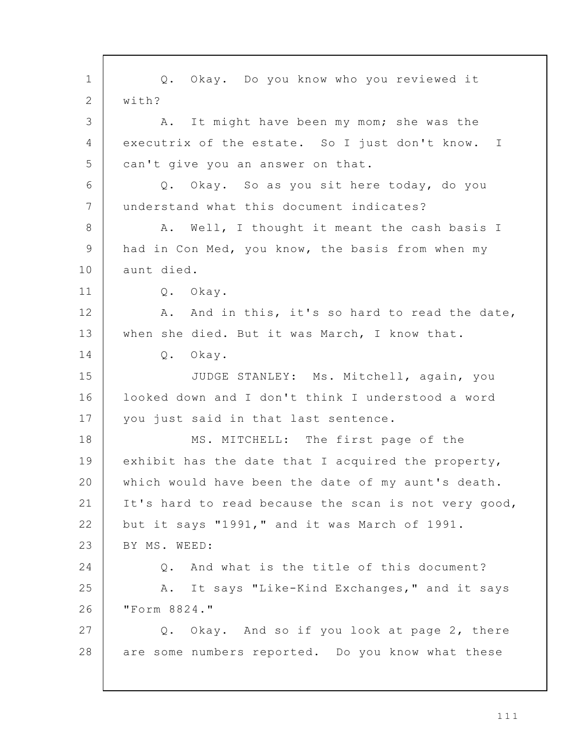Q. Okay. Do you know who you reviewed it with? A. It might have been my mom; she was the executrix of the estate. So I just don't know. I can't give you an answer on that. Q. Okay. So as you sit here today, do you understand what this document indicates? A. Well, I thought it meant the cash basis I had in Con Med, you know, the basis from when my aunt died. Q. Okay. A. And in this, it's so hard to read the date, when she died. But it was March, I know that. Q. Okay. JUDGE STANLEY: Ms. Mitchell, again, you looked down and I don't think I understood a word you just said in that last sentence. MS. MITCHELL: The first page of the exhibit has the date that I acquired the property, which would have been the date of my aunt's death. It's hard to read because the scan is not very good, but it says "1991," and it was March of 1991. BY MS. WEED: Q. And what is the title of this document? A. It says "Like-Kind Exchanges," and it says "Form 8824." Q. Okay. And so if you look at page 2, there are some numbers reported. Do you know what these 1 2 3 4 5 6 7 8 9 10 11 12 13 14 15 16 17 18 19 20 21 22 23 24 25 26 27 28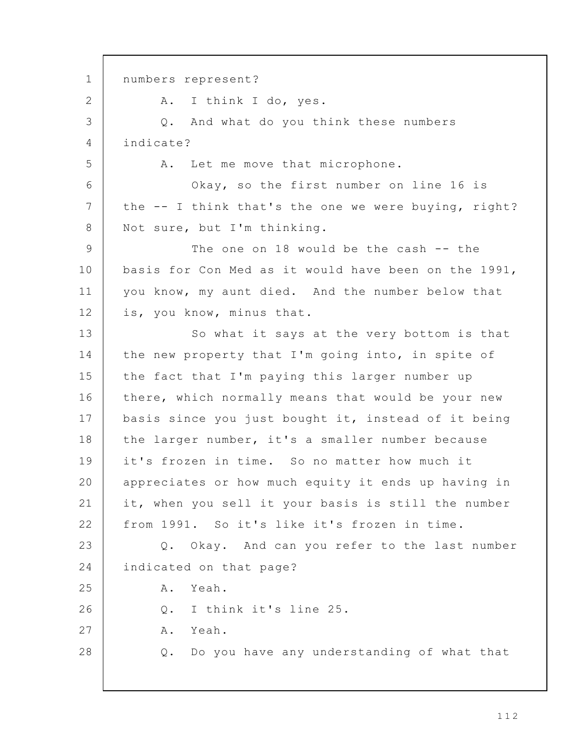numbers represent? A. I think I do, yes. Q. And what do you think these numbers indicate? A. Let me move that microphone. Okay, so the first number on line 16 is the -- I think that's the one we were buying, right? Not sure, but I'm thinking. The one on 18 would be the cash -- the basis for Con Med as it would have been on the 1991, you know, my aunt died. And the number below that is, you know, minus that. So what it says at the very bottom is that the new property that I'm going into, in spite of the fact that I'm paying this larger number up there, which normally means that would be your new basis since you just bought it, instead of it being the larger number, it's a smaller number because it's frozen in time. So no matter how much it appreciates or how much equity it ends up having in it, when you sell it your basis is still the number from 1991. So it's like it's frozen in time. Q. Okay. And can you refer to the last number indicated on that page? A. Yeah. Q. I think it's line 25. A. Yeah. Q. Do you have any understanding of what that 1 2 3 4 5 6 7 8 9 10 11 12 13 14 15 16 17 18 19 20 21 22 23 24 25 26 27 28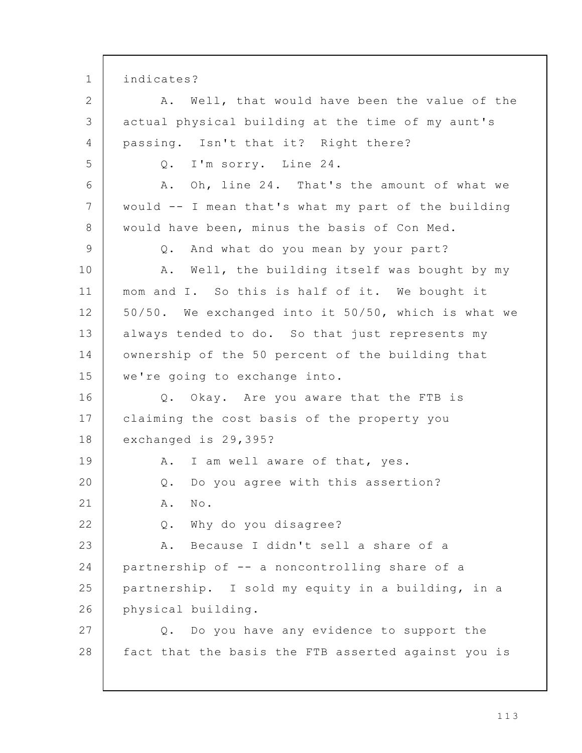indicates? A. Well, that would have been the value of the actual physical building at the time of my aunt's passing. Isn't that it? Right there? Q. I'm sorry. Line 24. A. Oh, line 24. That's the amount of what we would -- I mean that's what my part of the building would have been, minus the basis of Con Med. Q. And what do you mean by your part? A. Well, the building itself was bought by my mom and I. So this is half of it. We bought it 50/50. We exchanged into it 50/50, which is what we always tended to do. So that just represents my ownership of the 50 percent of the building that we're going to exchange into. Q. Okay. Are you aware that the FTB is claiming the cost basis of the property you exchanged is 29,395? A. I am well aware of that, yes. Q. Do you agree with this assertion? A. No. Q. Why do you disagree? A. Because I didn't sell a share of a partnership of -- a noncontrolling share of a partnership. I sold my equity in a building, in a physical building. Q. Do you have any evidence to support the fact that the basis the FTB asserted against you is 1 2 3 4 5 6 7 8 9 10 11 12 13 14 15 16 17 18 19 20 21 22 23 24 25 26 27 28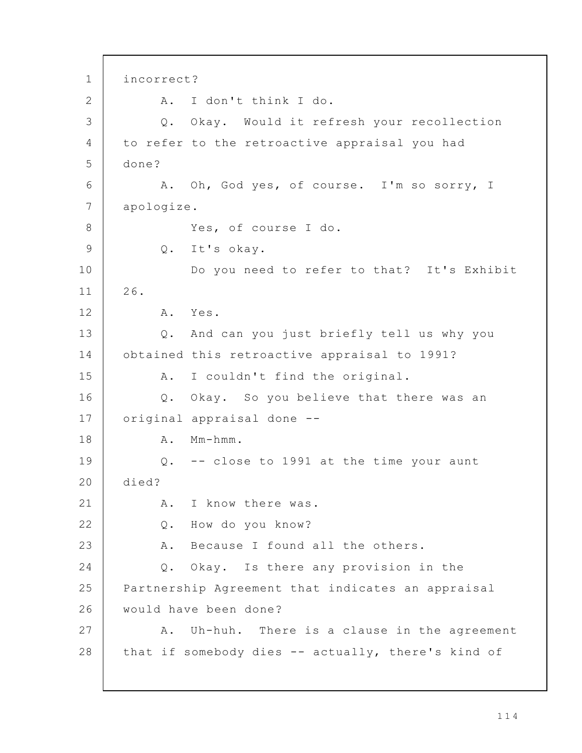incorrect? A. I don't think I do. Q. Okay. Would it refresh your recollection to refer to the retroactive appraisal you had done? A. Oh, God yes, of course. I'm so sorry, I apologize. Yes, of course I do. Q. It's okay. Do you need to refer to that? It's Exhibit 26. A. Yes. Q. And can you just briefly tell us why you obtained this retroactive appraisal to 1991? A. I couldn't find the original. Q. Okay. So you believe that there was an original appraisal done -- A. Mm-hmm. Q. -- close to 1991 at the time your aunt died? A. I know there was. Q. How do you know? A. Because I found all the others. Q. Okay. Is there any provision in the Partnership Agreement that indicates an appraisal would have been done? A. Uh-huh. There is a clause in the agreement that if somebody dies -- actually, there's kind of 1 2 3 4 5 6 7 8 9 10 11 12 13 14 15 16 17 18 19 20 21 22 23 24 25 26 27 28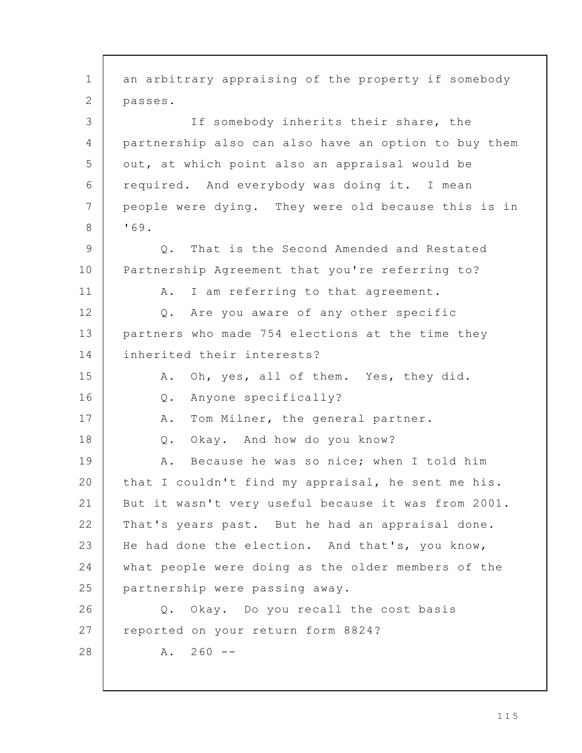an arbitrary appraising of the property if somebody passes. If somebody inherits their share, the partnership also can also have an option to buy them out, at which point also an appraisal would be required. And everybody was doing it. I mean people were dying. They were old because this is in '69. Q. That is the Second Amended and Restated Partnership Agreement that you're referring to? A. I am referring to that agreement. Q. Are you aware of any other specific partners who made 754 elections at the time they inherited their interests? A. Oh, yes, all of them. Yes, they did. Q. Anyone specifically? A. Tom Milner, the general partner. Q. Okay. And how do you know? A. Because he was so nice; when I told him that I couldn't find my appraisal, he sent me his. But it wasn't very useful because it was from 2001. That's years past. But he had an appraisal done. He had done the election. And that's, you know, what people were doing as the older members of the partnership were passing away. Q. Okay. Do you recall the cost basis reported on your return form 8824?  $A. 260 - -$ 1 2 3 4 5 6 7 8 9 10 11 12 13 14 15 16 17 18 19 20 21 22 23 24 25 26 27 28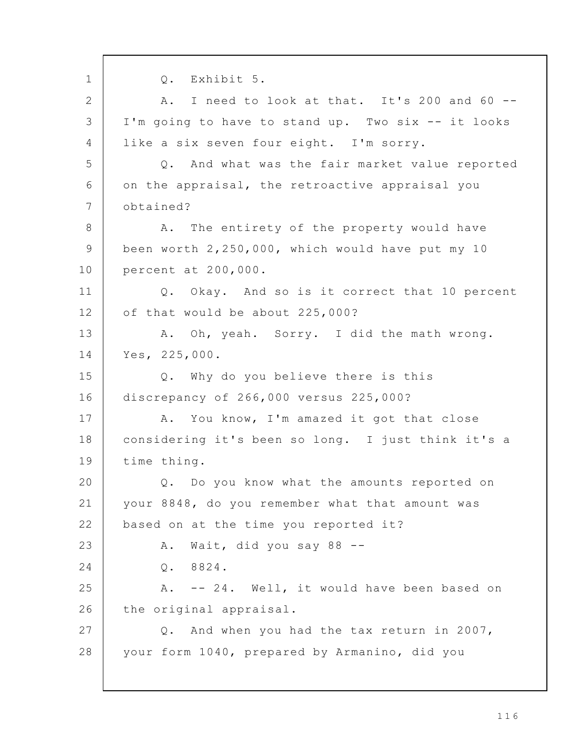Q. Exhibit 5. A. I need to look at that. It's 200 and 60 -- I'm going to have to stand up. Two six -- it looks like a six seven four eight. I'm sorry. Q. And what was the fair market value reported on the appraisal, the retroactive appraisal you obtained? A. The entirety of the property would have been worth 2,250,000, which would have put my 10 percent at 200,000. Q. Okay. And so is it correct that 10 percent of that would be about 225,000? A. Oh, yeah. Sorry. I did the math wrong. Yes, 225,000. Q. Why do you believe there is this discrepancy of 266,000 versus 225,000? A. You know, I'm amazed it got that close considering it's been so long. I just think it's a time thing. Q. Do you know what the amounts reported on your 8848, do you remember what that amount was based on at the time you reported it? A. Wait, did you say 88 -- Q. 8824. A. -- 24. Well, it would have been based on the original appraisal. Q. And when you had the tax return in 2007, your form 1040, prepared by Armanino, did you 1 2 3 4 5 6 7 8 9 10 11 12 13 14 15 16 17 18 19 20 21 22 23 24 25 26 27 28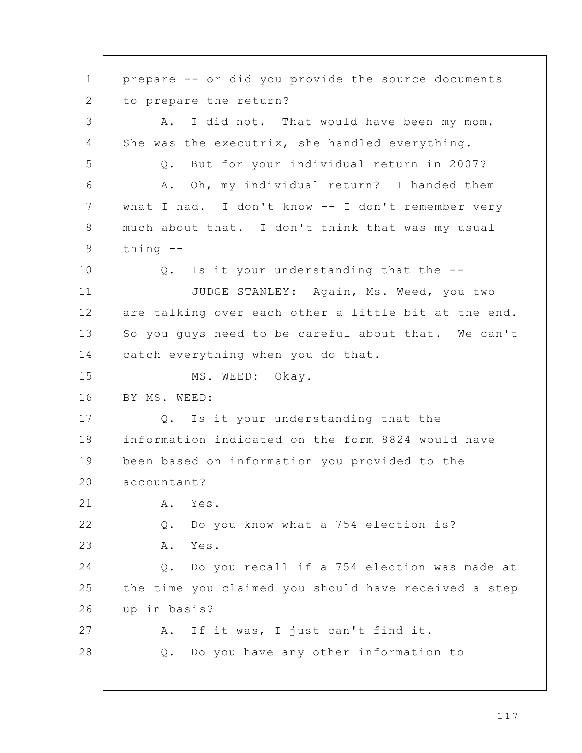prepare -- or did you provide the source documents to prepare the return? A. I did not. That would have been my mom. She was the executrix, she handled everything. Q. But for your individual return in 2007? A. Oh, my individual return? I handed them what I had. I don't know -- I don't remember very much about that. I don't think that was my usual thing -- Q. Is it your understanding that the -- JUDGE STANLEY: Again, Ms. Weed, you two are talking over each other a little bit at the end. So you guys need to be careful about that. We can't catch everything when you do that. MS. WEED: Okay. BY MS. WEED: Q. Is it your understanding that the information indicated on the form 8824 would have been based on information you provided to the accountant? A. Yes. Q. Do you know what a 754 election is? A. Yes. Q. Do you recall if a 754 election was made at the time you claimed you should have received a step up in basis? A. If it was, I just can't find it. Q. Do you have any other information to 1 2 3 4 5 6 7 8 9 10 11 12 13 14 15 16 17 18 19 20 21 22 23 24 25 26 27 28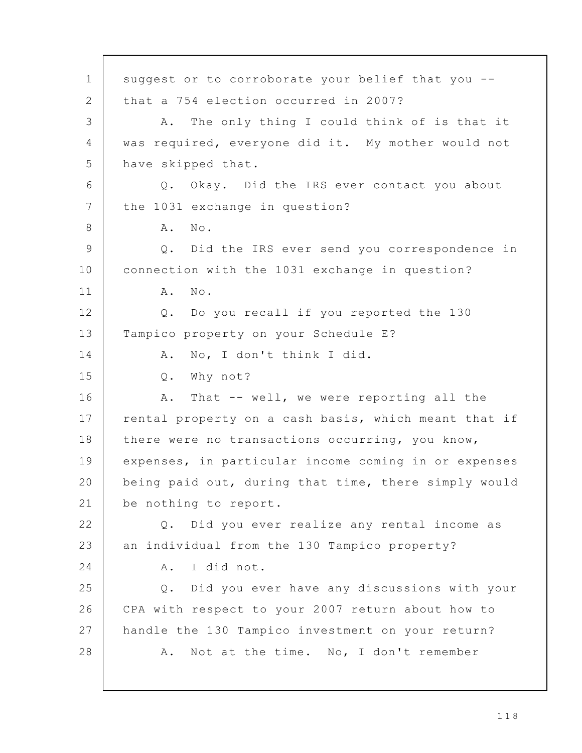suggest or to corroborate your belief that you - that a 754 election occurred in 2007? A. The only thing I could think of is that it was required, everyone did it. My mother would not have skipped that. Q. Okay. Did the IRS ever contact you about the 1031 exchange in question? A. No. Q. Did the IRS ever send you correspondence in connection with the 1031 exchange in question? A. No. Q. Do you recall if you reported the 130 Tampico property on your Schedule E? A. No, I don't think I did. Q. Why not? A. That -- well, we were reporting all the rental property on a cash basis, which meant that if there were no transactions occurring, you know, expenses, in particular income coming in or expenses being paid out, during that time, there simply would be nothing to report. Q. Did you ever realize any rental income as an individual from the 130 Tampico property? A. I did not. Q. Did you ever have any discussions with your CPA with respect to your 2007 return about how to handle the 130 Tampico investment on your return? A. Not at the time. No, I don't remember 1 2 3 4 5 6 7 8 9 10 11 12 13 14 15 16 17 18 19 20 21 22 23 24 25 26 27 28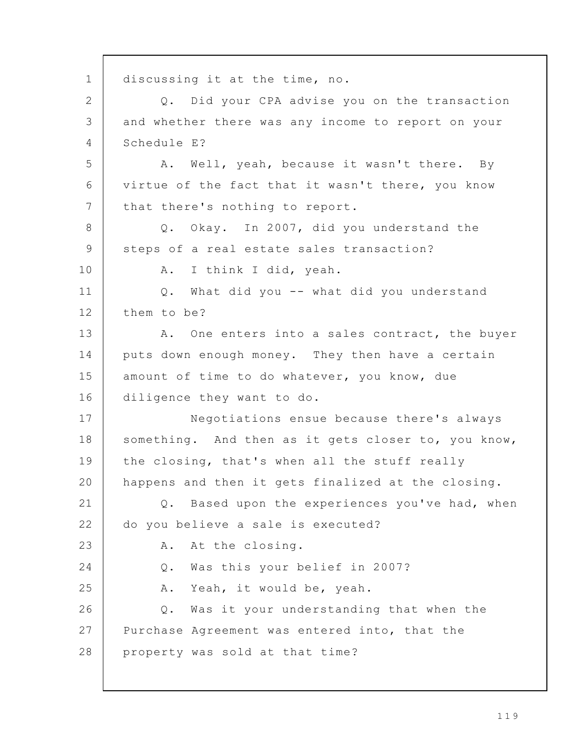discussing it at the time, no. Q. Did your CPA advise you on the transaction and whether there was any income to report on your Schedule E? A. Well, yeah, because it wasn't there. By virtue of the fact that it wasn't there, you know that there's nothing to report. Q. Okay. In 2007, did you understand the steps of a real estate sales transaction? A. I think I did, yeah. Q. What did you -- what did you understand them to be? A. One enters into a sales contract, the buyer puts down enough money. They then have a certain amount of time to do whatever, you know, due diligence they want to do. Negotiations ensue because there's always something. And then as it gets closer to, you know, the closing, that's when all the stuff really happens and then it gets finalized at the closing. Q. Based upon the experiences you've had, when do you believe a sale is executed? A. At the closing. Q. Was this your belief in 2007? A. Yeah, it would be, yeah. Q. Was it your understanding that when the Purchase Agreement was entered into, that the property was sold at that time? 1 2 3 4 5 6 7 8 9 10 11 12 13 14 15 16 17 18 19 20 21 22 23 24 25 26 27 28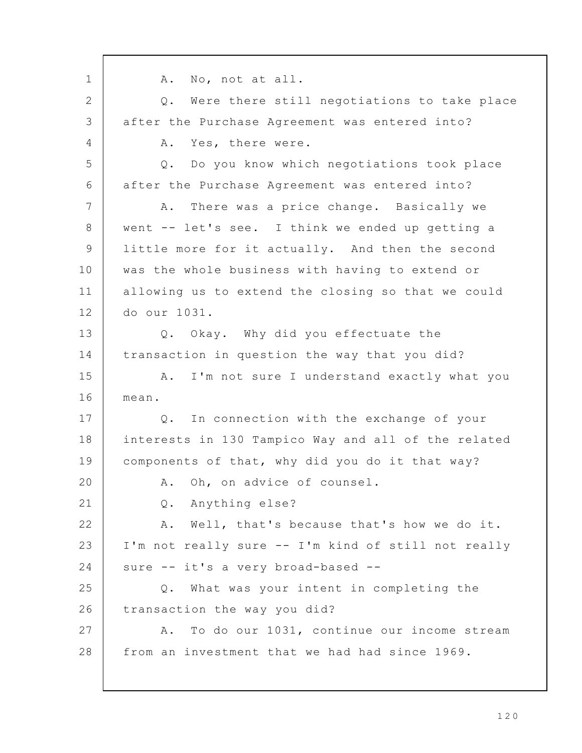A. No, not at all. Q. Were there still negotiations to take place after the Purchase Agreement was entered into? A. Yes, there were. Q. Do you know which negotiations took place after the Purchase Agreement was entered into? A. There was a price change. Basically we went -- let's see. I think we ended up getting a little more for it actually. And then the second was the whole business with having to extend or allowing us to extend the closing so that we could do our 1031. Q. Okay. Why did you effectuate the transaction in question the way that you did? A. I'm not sure I understand exactly what you mean. Q. In connection with the exchange of your interests in 130 Tampico Way and all of the related components of that, why did you do it that way? A. Oh, on advice of counsel. Q. Anything else? A. Well, that's because that's how we do it. I'm not really sure -- I'm kind of still not really sure -- it's a very broad-based --Q. What was your intent in completing the transaction the way you did? A. To do our 1031, continue our income stream from an investment that we had had since 1969. 1 2 3 4 5 6 7 8 9 10 11 12 13 14 15 16 17 18 19 20 21 22 23 24 25 26 27 28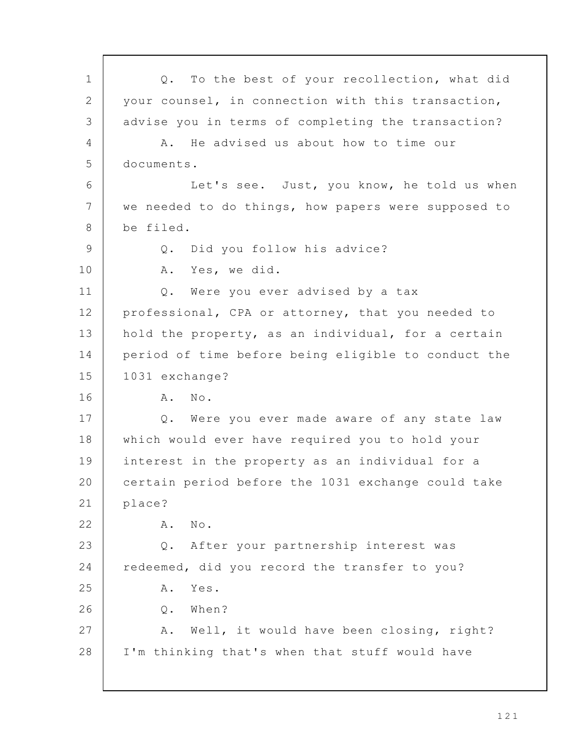Q. To the best of your recollection, what did your counsel, in connection with this transaction, advise you in terms of completing the transaction? A. He advised us about how to time our documents. Let's see. Just, you know, he told us when we needed to do things, how papers were supposed to be filed. Q. Did you follow his advice? A. Yes, we did. Q. Were you ever advised by a tax professional, CPA or attorney, that you needed to hold the property, as an individual, for a certain period of time before being eligible to conduct the 1031 exchange? A. No. Q. Were you ever made aware of any state law which would ever have required you to hold your interest in the property as an individual for a certain period before the 1031 exchange could take place? A. No. Q. After your partnership interest was redeemed, did you record the transfer to you? A. Yes. Q. When? A. Well, it would have been closing, right? I'm thinking that's when that stuff would have 1 2 3 4 5 6 7 8 9 10 11 12 13 14 15 16 17 18 19 20 21 22 23 24 25 26 27 28

1 2 1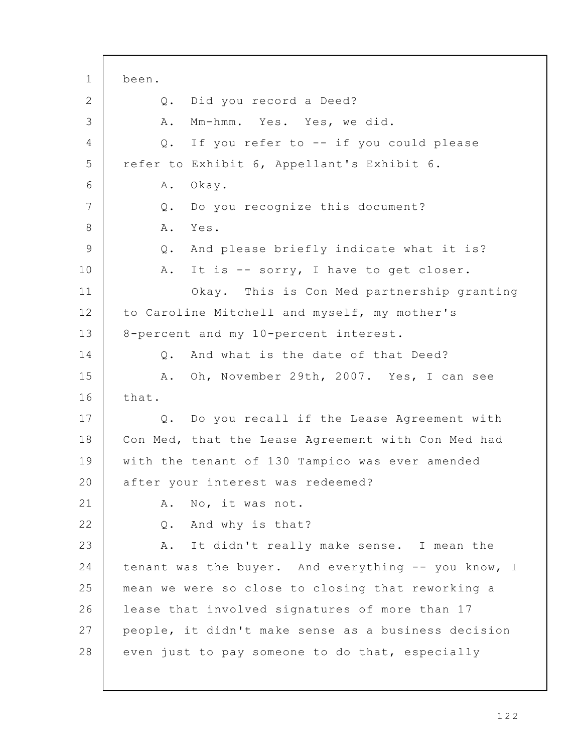been. Q. Did you record a Deed? A. Mm-hmm. Yes. Yes, we did. Q. If you refer to -- if you could please refer to Exhibit 6, Appellant's Exhibit 6. A. Okay. Q. Do you recognize this document? A. Yes. Q. And please briefly indicate what it is? A. It is -- sorry, I have to get closer. Okay. This is Con Med partnership granting to Caroline Mitchell and myself, my mother's 8-percent and my 10-percent interest. Q. And what is the date of that Deed? A. Oh, November 29th, 2007. Yes, I can see that. Q. Do you recall if the Lease Agreement with Con Med, that the Lease Agreement with Con Med had with the tenant of 130 Tampico was ever amended after your interest was redeemed? A. No, it was not. Q. And why is that? A. It didn't really make sense. I mean the tenant was the buyer. And everything -- you know, I mean we were so close to closing that reworking a lease that involved signatures of more than 17 people, it didn't make sense as a business decision even just to pay someone to do that, especially 1 2 3 4 5 6 7 8 9 10 11 12 13 14 15 16 17 18 19 20 21 22 23 24 25 26 27 28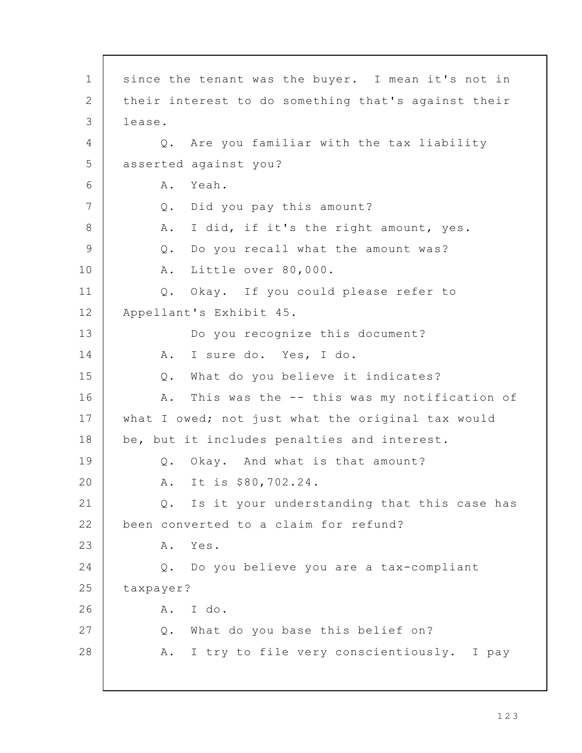since the tenant was the buyer. I mean it's not in their interest to do something that's against their lease. Q. Are you familiar with the tax liability asserted against you? A. Yeah. Q. Did you pay this amount? A. I did, if it's the right amount, yes. Q. Do you recall what the amount was? A. Little over 80,000. Q. Okay. If you could please refer to Appellant's Exhibit 45. Do you recognize this document? A. I sure do. Yes, I do. Q. What do you believe it indicates? A. This was the -- this was my notification of what I owed; not just what the original tax would be, but it includes penalties and interest. Q. Okay. And what is that amount? A. It is \$80,702.24. Q. Is it your understanding that this case has been converted to a claim for refund? A. Yes. Q. Do you believe you are a tax-compliant taxpayer? A. I do. Q. What do you base this belief on? A. I try to file very conscientiously. I pay 1 2 3 4 5 6 7 8 9 10 11 12 13 14 15 16 17 18 19 20 21 22 23 24 25 26 27 28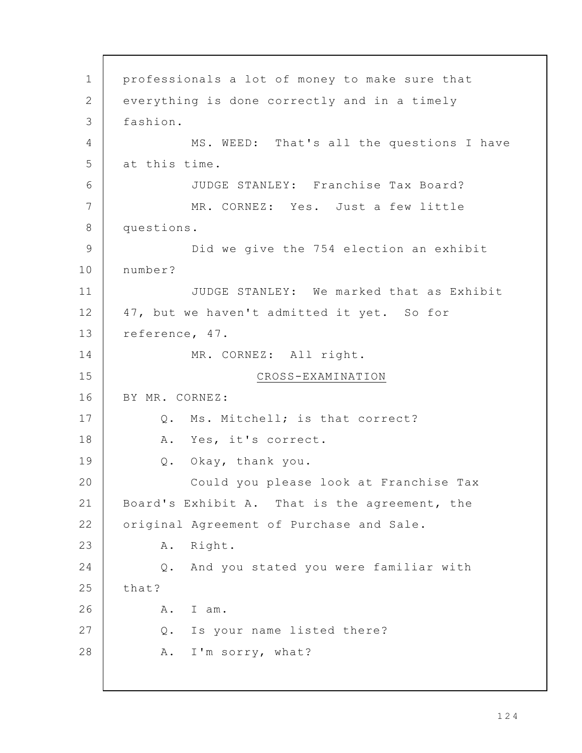professionals a lot of money to make sure that everything is done correctly and in a timely fashion. MS. WEED: That's all the questions I have at this time. JUDGE STANLEY: Franchise Tax Board? MR. CORNEZ: Yes. Just a few little questions. Did we give the 754 election an exhibit number? JUDGE STANLEY: We marked that as Exhibit 47, but we haven't admitted it yet. So for reference, 47. MR. CORNEZ: All right. CROSS-EXAMINATION BY MR. CORNEZ: Q. Ms. Mitchell; is that correct? A. Yes, it's correct. Q. Okay, thank you. Could you please look at Franchise Tax Board's Exhibit A. That is the agreement, the original Agreement of Purchase and Sale. A. Right. Q. And you stated you were familiar with that? A. I am. Q. Is your name listed there? A. I'm sorry, what? 1 2 3 4 5 6 7 8 9 10 11 12 13 14 15 16 17 18 19 20 21 22 23 24 25 26 27 28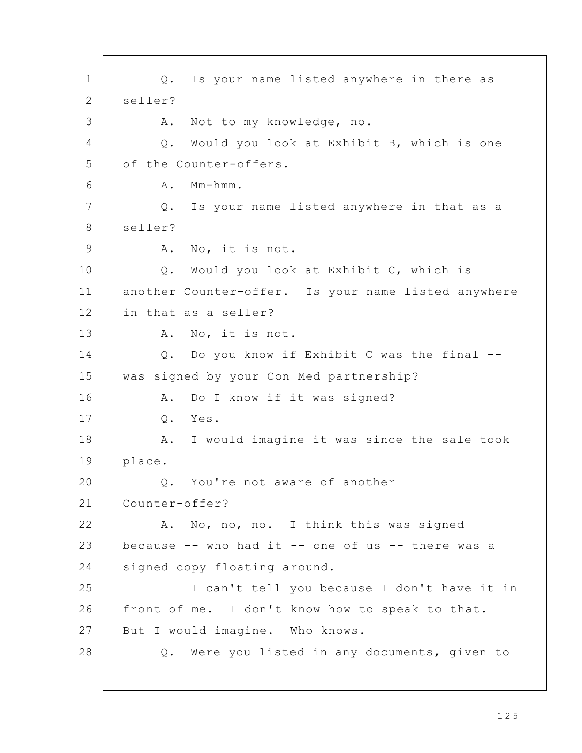Q. Is your name listed anywhere in there as seller? A. Not to my knowledge, no. Q. Would you look at Exhibit B, which is one of the Counter-offers. A. Mm-hmm. Q. Is your name listed anywhere in that as a seller? A. No, it is not. Q. Would you look at Exhibit C, which is another Counter-offer. Is your name listed anywhere in that as a seller? A. No, it is not. Q. Do you know if Exhibit C was the final - was signed by your Con Med partnership? A. Do I know if it was signed? Q. Yes. A. I would imagine it was since the sale took place. Q. You're not aware of another Counter-offer? A. No, no, no. I think this was signed because -- who had it -- one of us -- there was a signed copy floating around. I can't tell you because I don't have it in front of me. I don't know how to speak to that. But I would imagine. Who knows. Q. Were you listed in any documents, given to 1 2 3 4 5 6 7 8 9 10 11 12 13 14 15 16 17 18 19 20 21 22 23 24 25 26 27 28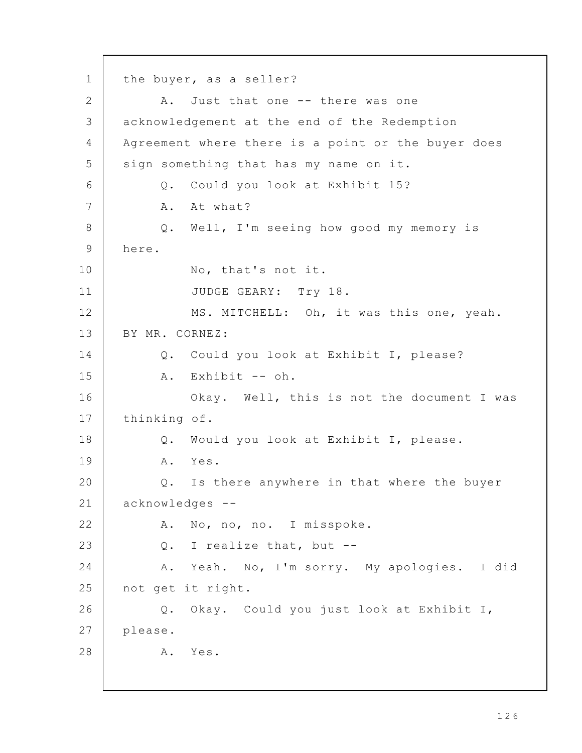the buyer, as a seller? A. Just that one -- there was one acknowledgement at the end of the Redemption Agreement where there is a point or the buyer does sign something that has my name on it. Q. Could you look at Exhibit 15? A. At what? Q. Well, I'm seeing how good my memory is here. No, that's not it. JUDGE GEARY: Try 18. MS. MITCHELL: Oh, it was this one, yeah. BY MR. CORNEZ: Q. Could you look at Exhibit I, please? A. Exhibit -- oh. Okay. Well, this is not the document I was thinking of. Q. Would you look at Exhibit I, please. A. Yes. Q. Is there anywhere in that where the buyer acknowledges -- A. No, no, no. I misspoke. Q. I realize that, but -- A. Yeah. No, I'm sorry. My apologies. I did not get it right. Q. Okay. Could you just look at Exhibit I, please. A. Yes. 1 2 3 4 5 6 7 8 9 10 11 12 13 14 15 16 17 18 19 20 21 22 23 24 25 26 27 28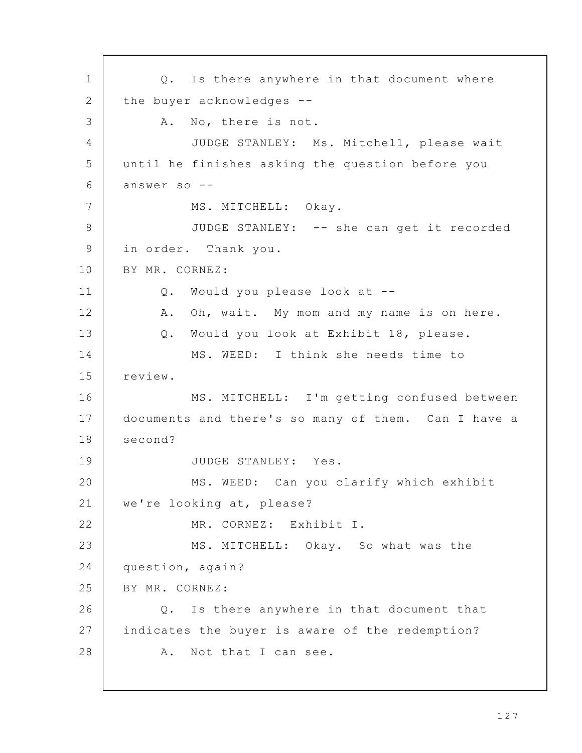Q. Is there anywhere in that document where the buyer acknowledges -- A. No, there is not. JUDGE STANLEY: Ms. Mitchell, please wait until he finishes asking the question before you answer so -- MS. MITCHELL: Okay. JUDGE STANLEY: -- she can get it recorded in order. Thank you. BY MR. CORNEZ: Q. Would you please look at -- A. Oh, wait. My mom and my name is on here. Q. Would you look at Exhibit 18, please. MS. WEED: I think she needs time to review. MS. MITCHELL: I'm getting confused between documents and there's so many of them. Can I have a second? JUDGE STANLEY: Yes. MS. WEED: Can you clarify which exhibit we're looking at, please? MR. CORNEZ: Exhibit I. MS. MITCHELL: Okay. So what was the question, again? BY MR. CORNEZ: Q. Is there anywhere in that document that indicates the buyer is aware of the redemption? A. Not that I can see. 1 2 3 4 5 6 7 8 9 10 11 12 13 14 15 16 17 18 19 20 21 22 23 24 25 26 27 28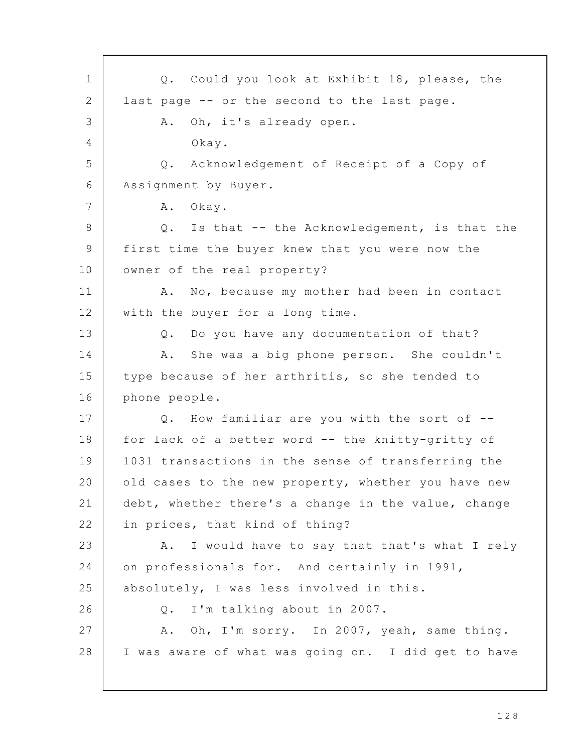Q. Could you look at Exhibit 18, please, the last page -- or the second to the last page. A. Oh, it's already open. Okay. Q. Acknowledgement of Receipt of a Copy of Assignment by Buyer. A. Okay. Q. Is that -- the Acknowledgement, is that the first time the buyer knew that you were now the owner of the real property? A. No, because my mother had been in contact with the buyer for a long time. Q. Do you have any documentation of that? A. She was a big phone person. She couldn't type because of her arthritis, so she tended to phone people. Q. How familiar are you with the sort of - for lack of a better word -- the knitty-gritty of 1031 transactions in the sense of transferring the old cases to the new property, whether you have new debt, whether there's a change in the value, change in prices, that kind of thing? A. I would have to say that that's what I rely on professionals for. And certainly in 1991, absolutely, I was less involved in this. Q. I'm talking about in 2007. A. Oh, I'm sorry. In 2007, yeah, same thing. I was aware of what was going on. I did get to have 1 2 3 4 5 6 7 8 9 10 11 12 13 14 15 16 17 18 19 20 21 22 23 24 25 26 27 28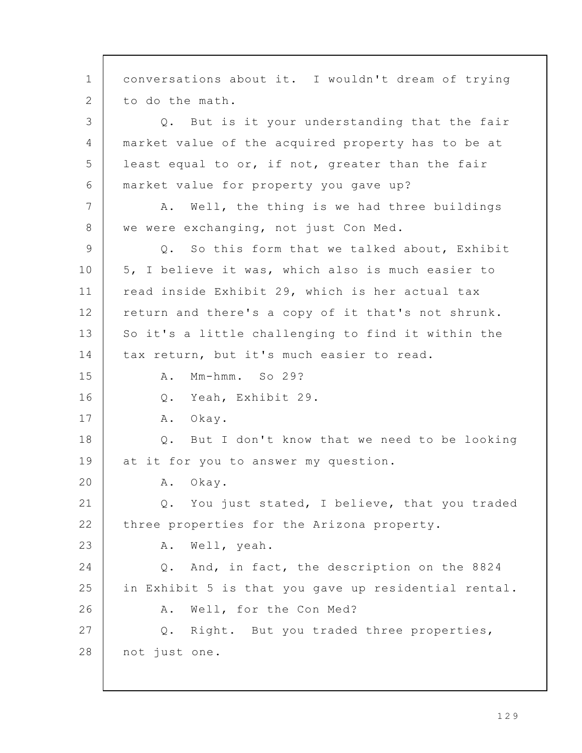conversations about it. I wouldn't dream of trying to do the math. Q. But is it your understanding that the fair market value of the acquired property has to be at least equal to or, if not, greater than the fair market value for property you gave up? A. Well, the thing is we had three buildings we were exchanging, not just Con Med. Q. So this form that we talked about, Exhibit 5, I believe it was, which also is much easier to read inside Exhibit 29, which is her actual tax return and there's a copy of it that's not shrunk. So it's a little challenging to find it within the tax return, but it's much easier to read. A. Mm-hmm. So 29? Q. Yeah, Exhibit 29. A. Okay. Q. But I don't know that we need to be looking at it for you to answer my question. A. Okay. Q. You just stated, I believe, that you traded three properties for the Arizona property. A. Well, yeah. Q. And, in fact, the description on the 8824 in Exhibit 5 is that you gave up residential rental. A. Well, for the Con Med? Q. Right. But you traded three properties, not just one. 1 2 3 4 5 6 7 8 9 10 11 12 13 14 15 16 17 18 19 20 21 22 23 24 25 26 27 28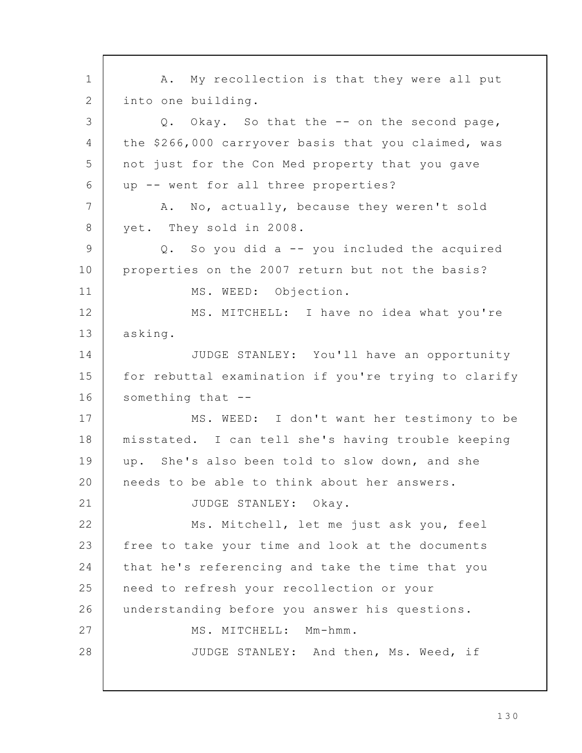A. My recollection is that they were all put into one building. Q. Okay. So that the -- on the second page, the \$266,000 carryover basis that you claimed, was not just for the Con Med property that you gave up -- went for all three properties? A. No, actually, because they weren't sold yet. They sold in 2008. Q. So you did a -- you included the acquired properties on the 2007 return but not the basis? MS. WEED: Objection. MS. MITCHELL: I have no idea what you're asking. JUDGE STANLEY: You'll have an opportunity for rebuttal examination if you're trying to clarify something that -- MS. WEED: I don't want her testimony to be misstated. I can tell she's having trouble keeping up. She's also been told to slow down, and she needs to be able to think about her answers. JUDGE STANLEY: Okay. Ms. Mitchell, let me just ask you, feel free to take your time and look at the documents that he's referencing and take the time that you need to refresh your recollection or your understanding before you answer his questions. MS. MITCHELL: Mm-hmm. JUDGE STANLEY: And then, Ms. Weed, if 1 2 3 4 5 6 7 8 9 10 11 12 13 14 15 16 17 18 19 20 21 22 23 24 25 26 27 28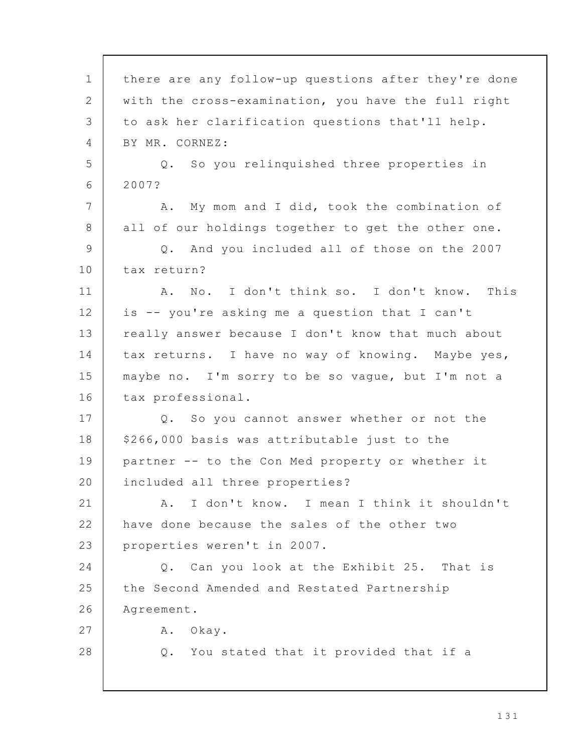there are any follow-up questions after they're done with the cross-examination, you have the full right to ask her clarification questions that'll help. BY MR. CORNEZ: Q. So you relinquished three properties in 2007? A. My mom and I did, took the combination of all of our holdings together to get the other one. Q. And you included all of those on the 2007 tax return? A. No. I don't think so. I don't know. This is -- you're asking me a question that I can't really answer because I don't know that much about tax returns. I have no way of knowing. Maybe yes, maybe no. I'm sorry to be so vague, but I'm not a tax professional. Q. So you cannot answer whether or not the \$266,000 basis was attributable just to the partner -- to the Con Med property or whether it included all three properties? A. I don't know. I mean I think it shouldn't have done because the sales of the other two properties weren't in 2007. Q. Can you look at the Exhibit 25. That is the Second Amended and Restated Partnership Agreement. A. Okay. Q. You stated that it provided that if a 1 2 3 4 5 6 7 8 9 10 11 12 13 14 15 16 17 18 19 20 21 22 23 24 25 26 27 28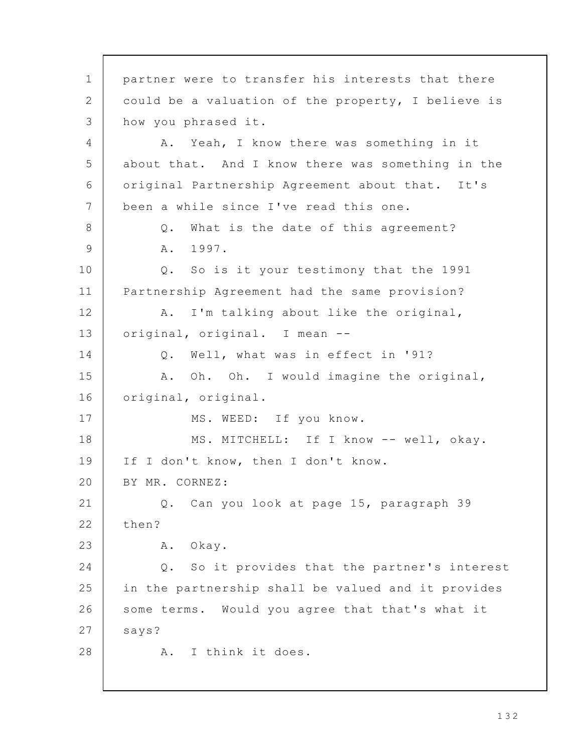partner were to transfer his interests that there could be a valuation of the property, I believe is how you phrased it. A. Yeah, I know there was something in it about that. And I know there was something in the original Partnership Agreement about that. It's been a while since I've read this one. Q. What is the date of this agreement? A. 1997. Q. So is it your testimony that the 1991 Partnership Agreement had the same provision? A. I'm talking about like the original, original, original. I mean -- Q. Well, what was in effect in '91? A. Oh. Oh. I would imagine the original, original, original. MS. WEED: If you know. MS. MITCHELL: If I know -- well, okay. If I don't know, then I don't know. BY MR. CORNEZ: Q. Can you look at page 15, paragraph 39 then? A. Okay. Q. So it provides that the partner's interest in the partnership shall be valued and it provides some terms. Would you agree that that's what it says? A. I think it does. 1 2 3 4 5 6 7 8 9 10 11 12 13 14 15 16 17 18 19 20 21 22 23 24 25 26 27 28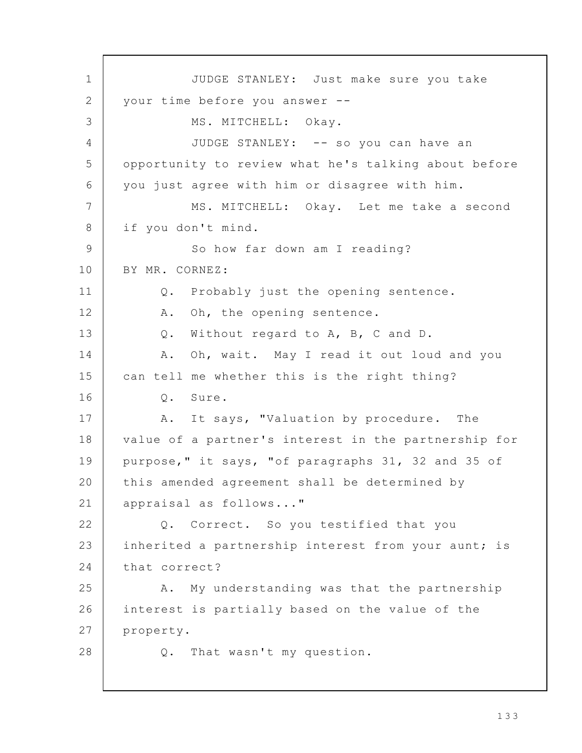JUDGE STANLEY: Just make sure you take your time before you answer -- MS. MITCHELL: Okay. JUDGE STANLEY: -- so you can have an opportunity to review what he's talking about before you just agree with him or disagree with him. MS. MITCHELL: Okay. Let me take a second if you don't mind. So how far down am I reading? BY MR. CORNEZ: Q. Probably just the opening sentence. A. Oh, the opening sentence. Q. Without regard to A, B, C and D. A. Oh, wait. May I read it out loud and you can tell me whether this is the right thing? Q. Sure. A. It says, "Valuation by procedure. The value of a partner's interest in the partnership for purpose," it says, "of paragraphs 31, 32 and 35 of this amended agreement shall be determined by appraisal as follows..." Q. Correct. So you testified that you inherited a partnership interest from your aunt; is that correct? A. My understanding was that the partnership interest is partially based on the value of the property. Q. That wasn't my question. 1 2 3 4 5 6 7 8 9 10 11 12 13 14 15 16 17 18 19 20 21 22 23 24 25 26 27 28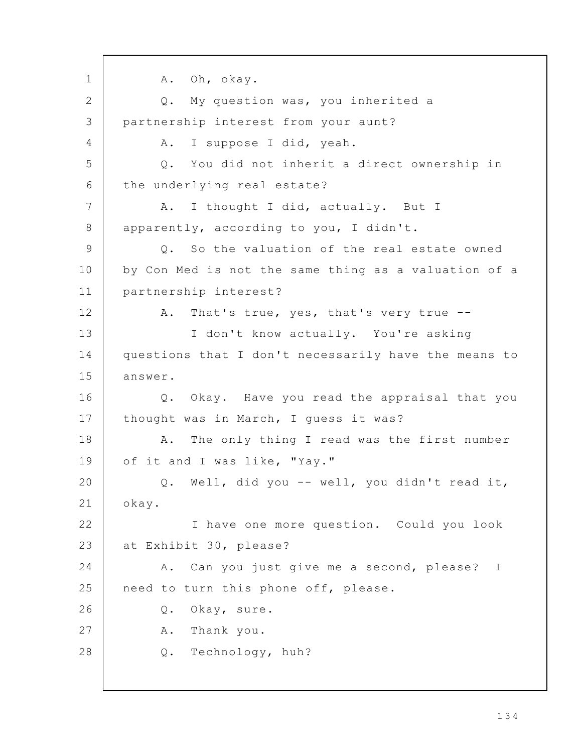A. Oh, okay. Q. My question was, you inherited a partnership interest from your aunt? A. I suppose I did, yeah. Q. You did not inherit a direct ownership in the underlying real estate? A. I thought I did, actually. But I apparently, according to you, I didn't. Q. So the valuation of the real estate owned by Con Med is not the same thing as a valuation of a partnership interest? A. That's true, yes, that's very true -- I don't know actually. You're asking questions that I don't necessarily have the means to answer. Q. Okay. Have you read the appraisal that you thought was in March, I guess it was? A. The only thing I read was the first number of it and I was like, "Yay." Q. Well, did you -- well, you didn't read it, okay. I have one more question. Could you look at Exhibit 30, please? A. Can you just give me a second, please? I need to turn this phone off, please. Q. Okay, sure. A. Thank you. Q. Technology, huh? 1 2 3 4 5 6 7 8 9 10 11 12 13 14 15 16 17 18 19 20 21 22 23 24 25 26 27 28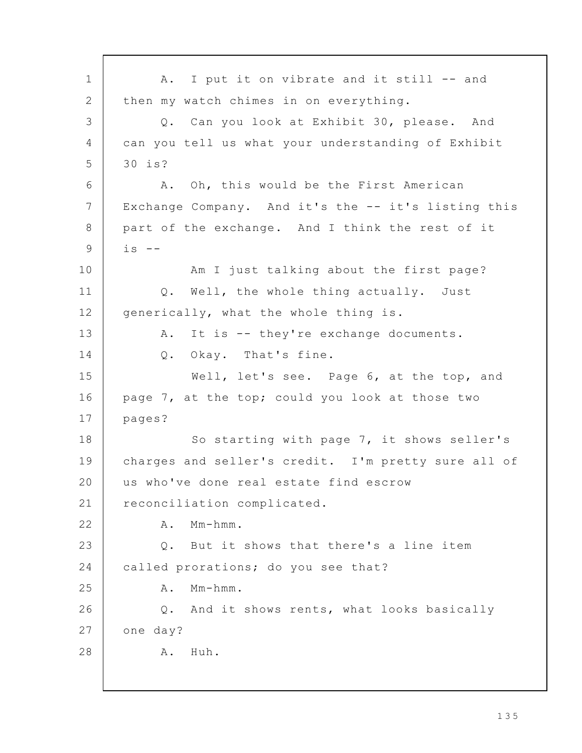A. I put it on vibrate and it still -- and then my watch chimes in on everything. Q. Can you look at Exhibit 30, please. And can you tell us what your understanding of Exhibit 30 is? A. Oh, this would be the First American Exchange Company. And it's the -- it's listing this part of the exchange. And I think the rest of it is  $-$ Am I just talking about the first page? Q. Well, the whole thing actually. Just generically, what the whole thing is. A. It is -- they're exchange documents. Q. Okay. That's fine. Well, let's see. Page 6, at the top, and page 7, at the top; could you look at those two pages? So starting with page 7, it shows seller's charges and seller's credit. I'm pretty sure all of us who've done real estate find escrow reconciliation complicated. A. Mm-hmm. Q. But it shows that there's a line item called prorations; do you see that? A. Mm-hmm. Q. And it shows rents, what looks basically one day? A. Huh. 1 2 3 4 5 6 7 8 9 10 11 12 13 14 15 16 17 18 19 20 21 22 23 24 25 26 27 28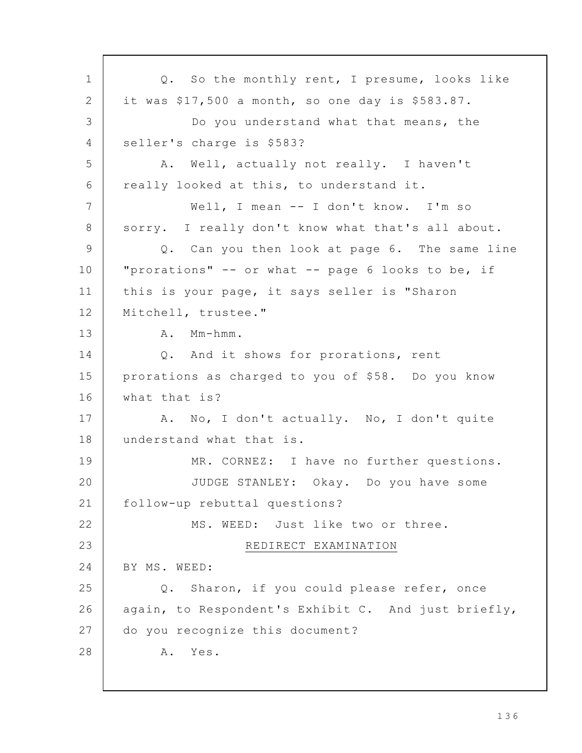Q. So the monthly rent, I presume, looks like it was \$17,500 a month, so one day is \$583.87. Do you understand what that means, the seller's charge is \$583? A. Well, actually not really. I haven't really looked at this, to understand it. Well, I mean -- I don't know. I'm so sorry. I really don't know what that's all about. Q. Can you then look at page 6. The same line "prorations" -- or what -- page 6 looks to be, if this is your page, it says seller is "Sharon Mitchell, trustee." A. Mm-hmm. Q. And it shows for prorations, rent prorations as charged to you of \$58. Do you know what that is? A. No, I don't actually. No, I don't quite understand what that is. MR. CORNEZ: I have no further questions. JUDGE STANLEY: Okay. Do you have some follow-up rebuttal questions? MS. WEED: Just like two or three. REDIRECT EXAMINATION BY MS. WEED: Q. Sharon, if you could please refer, once again, to Respondent's Exhibit C. And just briefly, do you recognize this document? A. Yes. 1 2 3 4 5 6 7 8 9 10 11 12 13 14 15 16 17 18 19 20 21 22 23 24 25 26 27 28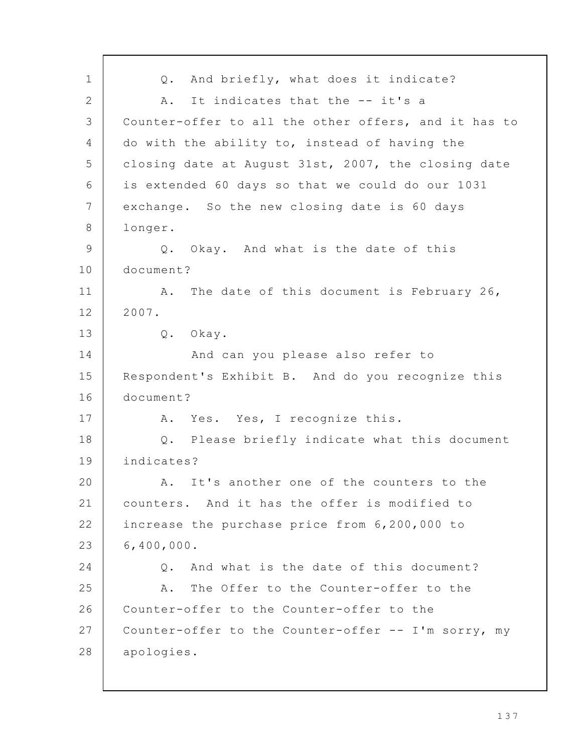Q. And briefly, what does it indicate? A. It indicates that the -- it's a Counter-offer to all the other offers, and it has to do with the ability to, instead of having the closing date at August 31st, 2007, the closing date is extended 60 days so that we could do our 1031 exchange. So the new closing date is 60 days longer. Q. Okay. And what is the date of this document? A. The date of this document is February 26, 2007. Q. Okay. And can you please also refer to Respondent's Exhibit B. And do you recognize this document? A. Yes. Yes, I recognize this. Q. Please briefly indicate what this document indicates? A. It's another one of the counters to the counters. And it has the offer is modified to increase the purchase price from 6,200,000 to 6,400,000. Q. And what is the date of this document? A. The Offer to the Counter-offer to the Counter-offer to the Counter-offer to the Counter-offer to the Counter-offer -- I'm sorry, my apologies. 1 2 3 4 5 6 7 8 9 10 11 12 13 14 15 16 17 18 19 20 21 22 23 24 25 26 27 28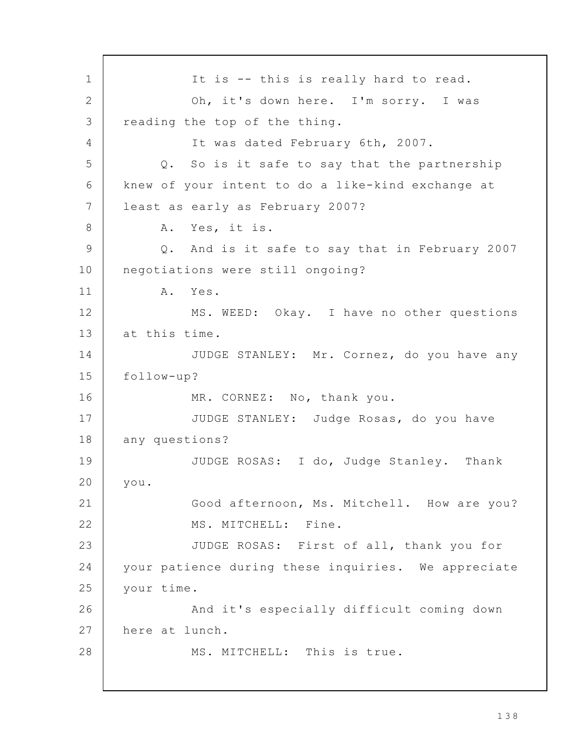It is -- this is really hard to read. Oh, it's down here. I'm sorry. I was reading the top of the thing. It was dated February 6th, 2007. Q. So is it safe to say that the partnership knew of your intent to do a like-kind exchange at least as early as February 2007? A. Yes, it is. Q. And is it safe to say that in February 2007 negotiations were still ongoing? A. Yes. MS. WEED: Okay. I have no other questions at this time. JUDGE STANLEY: Mr. Cornez, do you have any follow-up? MR. CORNEZ: No, thank you. JUDGE STANLEY: Judge Rosas, do you have any questions? JUDGE ROSAS: I do, Judge Stanley. Thank you. Good afternoon, Ms. Mitchell. How are you? MS. MITCHELL: Fine. JUDGE ROSAS: First of all, thank you for your patience during these inquiries. We appreciate your time. And it's especially difficult coming down here at lunch. MS. MITCHELL: This is true. 1 2 3 4 5 6 7 8 9 10 11 12 13 14 15 16 17 18 19 20 21 22 23 24 25 26 27 28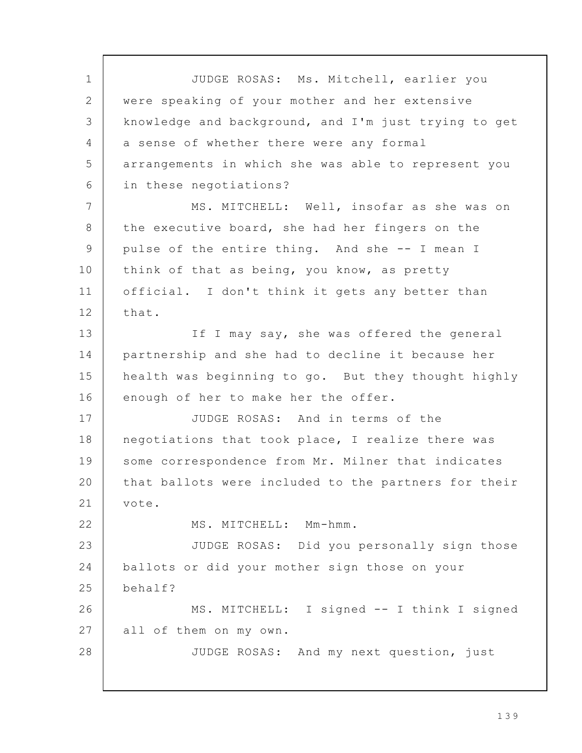JUDGE ROSAS: Ms. Mitchell, earlier you were speaking of your mother and her extensive knowledge and background, and I'm just trying to get a sense of whether there were any formal arrangements in which she was able to represent you in these negotiations? MS. MITCHELL: Well, insofar as she was on the executive board, she had her fingers on the pulse of the entire thing. And she -- I mean I think of that as being, you know, as pretty official. I don't think it gets any better than that. If I may say, she was offered the general partnership and she had to decline it because her health was beginning to go. But they thought highly enough of her to make her the offer. JUDGE ROSAS: And in terms of the negotiations that took place, I realize there was some correspondence from Mr. Milner that indicates that ballots were included to the partners for their vote. MS. MITCHELL: Mm-hmm. JUDGE ROSAS: Did you personally sign those ballots or did your mother sign those on your behalf? MS. MITCHELL: I signed -- I think I signed all of them on my own. JUDGE ROSAS: And my next question, just 1 2 3  $\Delta$ 5 6 7 8 9 10 11 12 13 14 15 16 17 18 19 20 21 22 23 24 25 26 27 28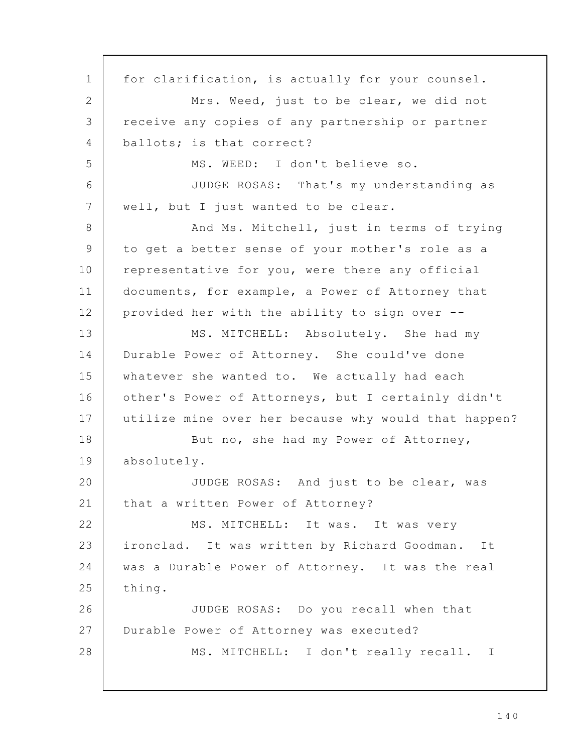for clarification, is actually for your counsel. Mrs. Weed, just to be clear, we did not receive any copies of any partnership or partner ballots; is that correct? MS. WEED: I don't believe so. JUDGE ROSAS: That's my understanding as well, but I just wanted to be clear. And Ms. Mitchell, just in terms of trying to get a better sense of your mother's role as a representative for you, were there any official documents, for example, a Power of Attorney that provided her with the ability to sign over -- MS. MITCHELL: Absolutely. She had my Durable Power of Attorney. She could've done whatever she wanted to. We actually had each other's Power of Attorneys, but I certainly didn't utilize mine over her because why would that happen? But no, she had my Power of Attorney, absolutely. JUDGE ROSAS: And just to be clear, was that a written Power of Attorney? MS. MITCHELL: It was. It was very ironclad. It was written by Richard Goodman. It was a Durable Power of Attorney. It was the real thing. JUDGE ROSAS: Do you recall when that Durable Power of Attorney was executed? MS. MITCHELL: I don't really recall. I 1 2 3 4 5 6 7 8 9 10 11 12 13 14 15 16 17 18 19 20 21 22 23 24 25 26 27 28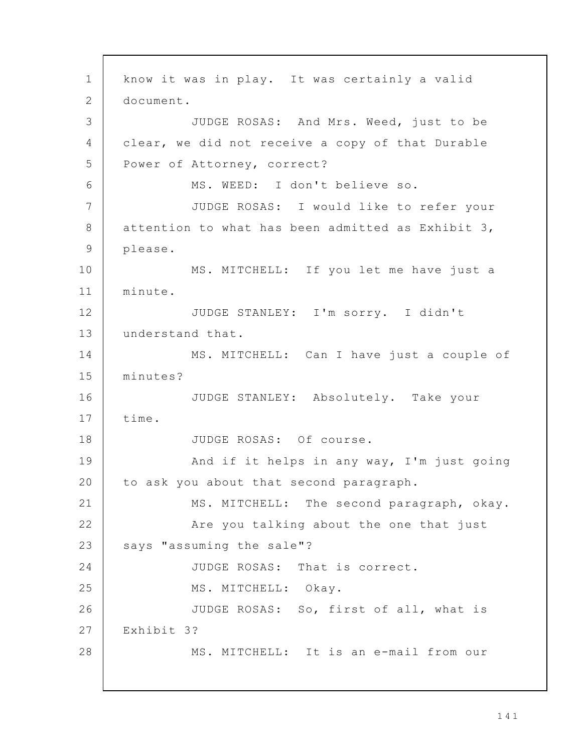know it was in play. It was certainly a valid document. JUDGE ROSAS: And Mrs. Weed, just to be clear, we did not receive a copy of that Durable Power of Attorney, correct? MS. WEED: I don't believe so. JUDGE ROSAS: I would like to refer your attention to what has been admitted as Exhibit 3, please. MS. MITCHELL: If you let me have just a minute. JUDGE STANLEY: I'm sorry. I didn't understand that. MS. MITCHELL: Can I have just a couple of minutes? JUDGE STANLEY: Absolutely. Take your time. JUDGE ROSAS: Of course. And if it helps in any way, I'm just going to ask you about that second paragraph. MS. MITCHELL: The second paragraph, okay. Are you talking about the one that just says "assuming the sale"? JUDGE ROSAS: That is correct. MS. MITCHELL: Okay. JUDGE ROSAS: So, first of all, what is Exhibit 3? MS. MITCHELL: It is an e-mail from our 1 2 3 4 5 6 7 8 9 10 11 12 13 14 15 16 17 18 19 20 21 22 23 24 25 26 27 28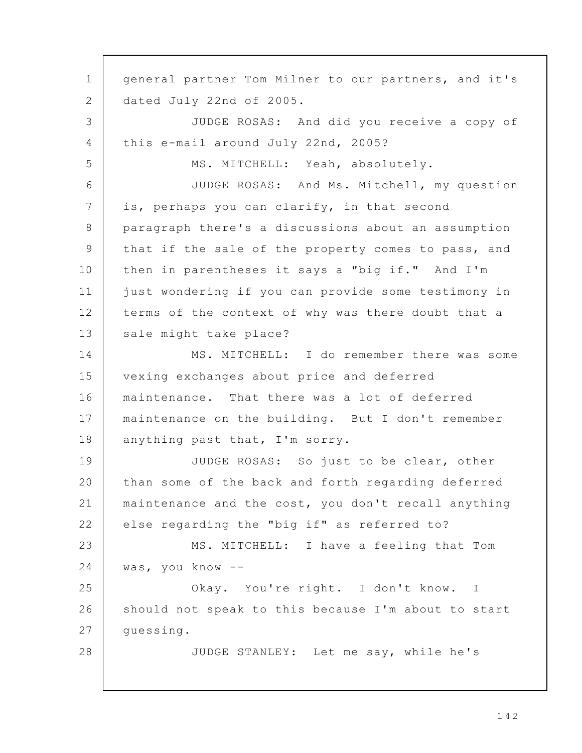general partner Tom Milner to our partners, and it's dated July 22nd of 2005. JUDGE ROSAS: And did you receive a copy of this e-mail around July 22nd, 2005? MS. MITCHELL: Yeah, absolutely. JUDGE ROSAS: And Ms. Mitchell, my question is, perhaps you can clarify, in that second paragraph there's a discussions about an assumption that if the sale of the property comes to pass, and then in parentheses it says a "big if." And I'm just wondering if you can provide some testimony in terms of the context of why was there doubt that a sale might take place? MS. MITCHELL: I do remember there was some vexing exchanges about price and deferred maintenance. That there was a lot of deferred maintenance on the building. But I don't remember anything past that, I'm sorry. JUDGE ROSAS: So just to be clear, other than some of the back and forth regarding deferred maintenance and the cost, you don't recall anything else regarding the "big if" as referred to? MS. MITCHELL: I have a feeling that Tom was, you know -- Okay. You're right. I don't know. I should not speak to this because I'm about to start guessing. JUDGE STANLEY: Let me say, while he's 1 2 3 4 5 6 7 8 9 10 11 12 13 14 15 16 17 18 19 20 21 22 23 24 25 26 27 28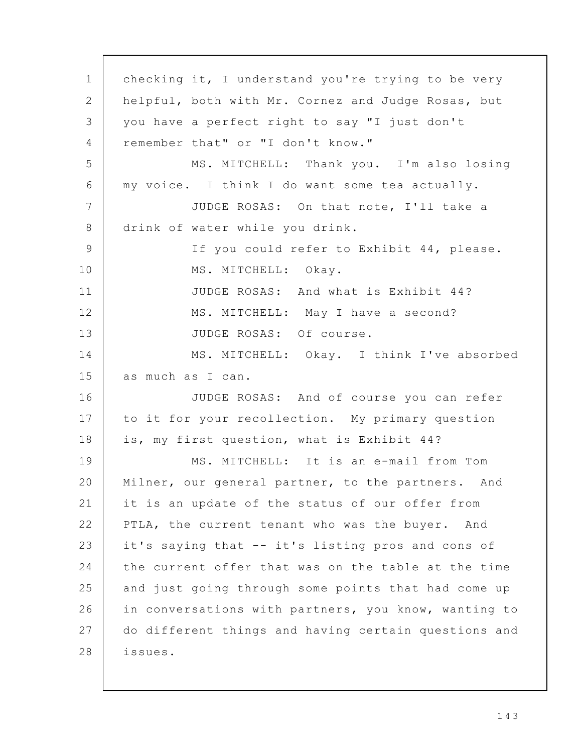checking it, I understand you're trying to be very helpful, both with Mr. Cornez and Judge Rosas, but you have a perfect right to say "I just don't remember that" or "I don't know." MS. MITCHELL: Thank you. I'm also losing my voice. I think I do want some tea actually. JUDGE ROSAS: On that note, I'll take a drink of water while you drink. If you could refer to Exhibit 44, please. MS. MITCHELL: Okay. JUDGE ROSAS: And what is Exhibit 44? MS. MITCHELL: May I have a second? JUDGE ROSAS: Of course. MS. MITCHELL: Okay. I think I've absorbed as much as I can. JUDGE ROSAS: And of course you can refer to it for your recollection. My primary question is, my first question, what is Exhibit 44? MS. MITCHELL: It is an e-mail from Tom Milner, our general partner, to the partners. And it is an update of the status of our offer from PTLA, the current tenant who was the buyer. And it's saying that -- it's listing pros and cons of the current offer that was on the table at the time and just going through some points that had come up in conversations with partners, you know, wanting to do different things and having certain questions and issues. 1 2 3  $\Delta$ 5 6 7 8 9 10 11 12 13 14 15 16 17 18 19 20 21 22 23 24 25 26 27 28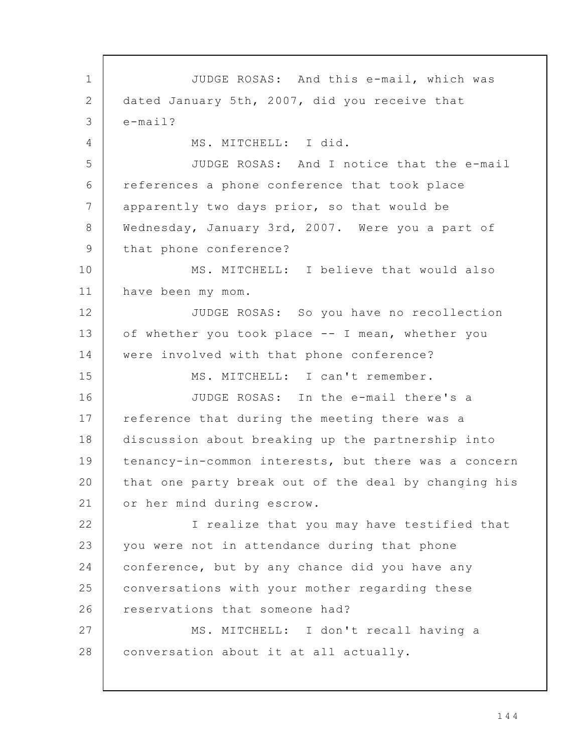JUDGE ROSAS: And this e-mail, which was dated January 5th, 2007, did you receive that e-mail? MS. MITCHELL: I did. JUDGE ROSAS: And I notice that the e-mail references a phone conference that took place apparently two days prior, so that would be Wednesday, January 3rd, 2007. Were you a part of that phone conference? MS. MITCHELL: I believe that would also have been my mom. JUDGE ROSAS: So you have no recollection of whether you took place -- I mean, whether you were involved with that phone conference? MS. MITCHELL: I can't remember. JUDGE ROSAS: In the e-mail there's a reference that during the meeting there was a discussion about breaking up the partnership into tenancy-in-common interests, but there was a concern that one party break out of the deal by changing his or her mind during escrow. I realize that you may have testified that you were not in attendance during that phone conference, but by any chance did you have any conversations with your mother regarding these reservations that someone had? MS. MITCHELL: I don't recall having a conversation about it at all actually. 1 2 3  $\Delta$ 5 6 7 8 9 10 11 12 13 14 15 16 17 18 19 20 21 22 23 24 25 26 27 28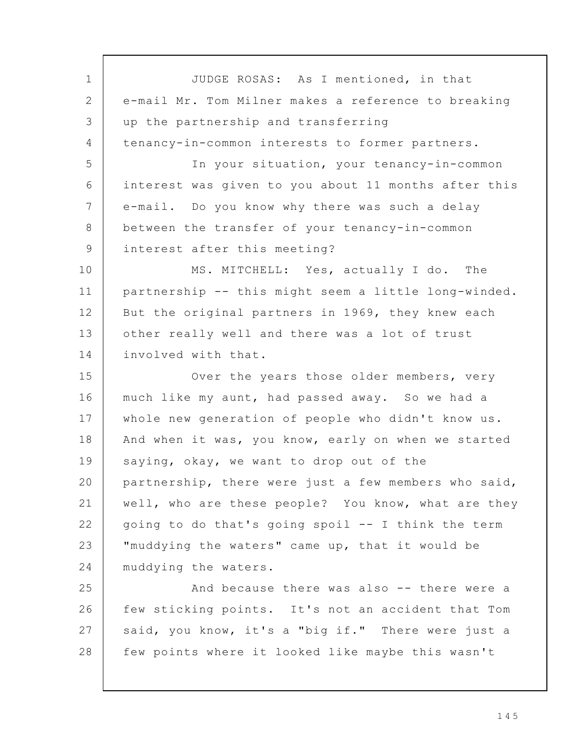JUDGE ROSAS: As I mentioned, in that e-mail Mr. Tom Milner makes a reference to breaking up the partnership and transferring tenancy-in-common interests to former partners. In your situation, your tenancy-in-common interest was given to you about 11 months after this e-mail. Do you know why there was such a delay between the transfer of your tenancy-in-common interest after this meeting? MS. MITCHELL: Yes, actually I do. The partnership -- this might seem a little long-winded. But the original partners in 1969, they knew each other really well and there was a lot of trust involved with that. Over the years those older members, very much like my aunt, had passed away. So we had a whole new generation of people who didn't know us. And when it was, you know, early on when we started saying, okay, we want to drop out of the partnership, there were just a few members who said, well, who are these people? You know, what are they going to do that's going spoil -- I think the term "muddying the waters" came up, that it would be muddying the waters. And because there was also -- there were a few sticking points. It's not an accident that Tom said, you know, it's a "big if." There were just a few points where it looked like maybe this wasn't 1 2 3 4 5 6 7 8 9 10 11 12 13 14 15 16 17 18 19 20 21 22 23 24 25 26 27 28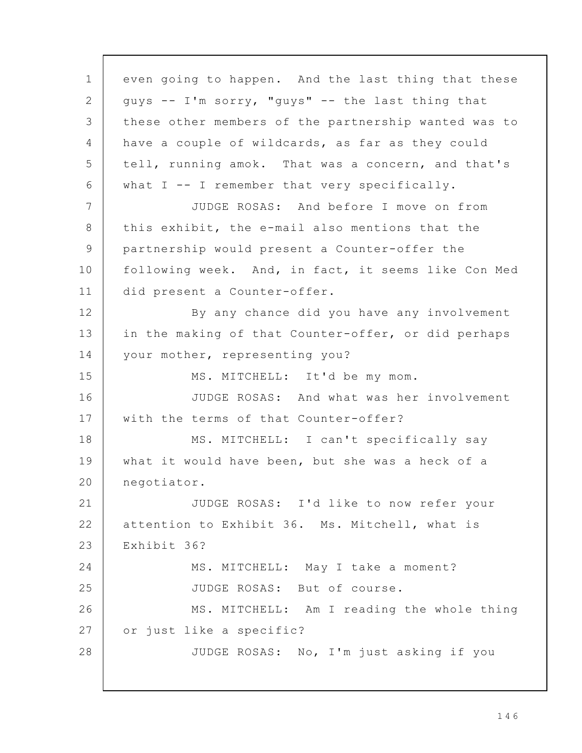even going to happen. And the last thing that these guys -- I'm sorry, "guys" -- the last thing that these other members of the partnership wanted was to have a couple of wildcards, as far as they could tell, running amok. That was a concern, and that's what I -- I remember that very specifically. JUDGE ROSAS: And before I move on from this exhibit, the e-mail also mentions that the partnership would present a Counter-offer the following week. And, in fact, it seems like Con Med did present a Counter-offer. By any chance did you have any involvement in the making of that Counter-offer, or did perhaps your mother, representing you? MS. MITCHELL: It'd be my mom. JUDGE ROSAS: And what was her involvement with the terms of that Counter-offer? MS. MITCHELL: I can't specifically say what it would have been, but she was a heck of a negotiator. JUDGE ROSAS: I'd like to now refer your attention to Exhibit 36. Ms. Mitchell, what is Exhibit 36? MS. MITCHELL: May I take a moment? JUDGE ROSAS: But of course. MS. MITCHELL: Am I reading the whole thing or just like a specific? JUDGE ROSAS: No, I'm just asking if you 1 2 3 4 5 6 7 8 9 10 11 12 13 14 15 16 17 18 19 20 21 22 23 24 25 26 27 28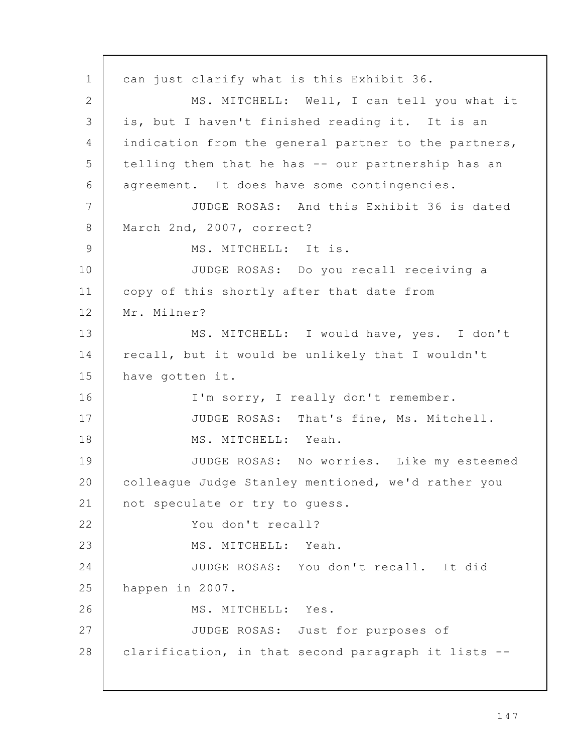can just clarify what is this Exhibit 36. MS. MITCHELL: Well, I can tell you what it is, but I haven't finished reading it. It is an indication from the general partner to the partners, telling them that he has -- our partnership has an agreement. It does have some contingencies. JUDGE ROSAS: And this Exhibit 36 is dated March 2nd, 2007, correct? MS. MITCHELL: It is. JUDGE ROSAS: Do you recall receiving a copy of this shortly after that date from Mr. Milner? MS. MITCHELL: I would have, yes. I don't recall, but it would be unlikely that I wouldn't have gotten it. I'm sorry, I really don't remember. JUDGE ROSAS: That's fine, Ms. Mitchell. MS. MITCHELL: Yeah. JUDGE ROSAS: No worries. Like my esteemed colleague Judge Stanley mentioned, we'd rather you not speculate or try to guess. You don't recall? MS. MITCHELL: Yeah. JUDGE ROSAS: You don't recall. It did happen in 2007. MS. MITCHELL: Yes. JUDGE ROSAS: Just for purposes of clarification, in that second paragraph it lists -- 1 2 3 4 5 6 7 8 9 10 11 12 13 14 15 16 17 18 19 20 21 22 23 24 25 26 27 28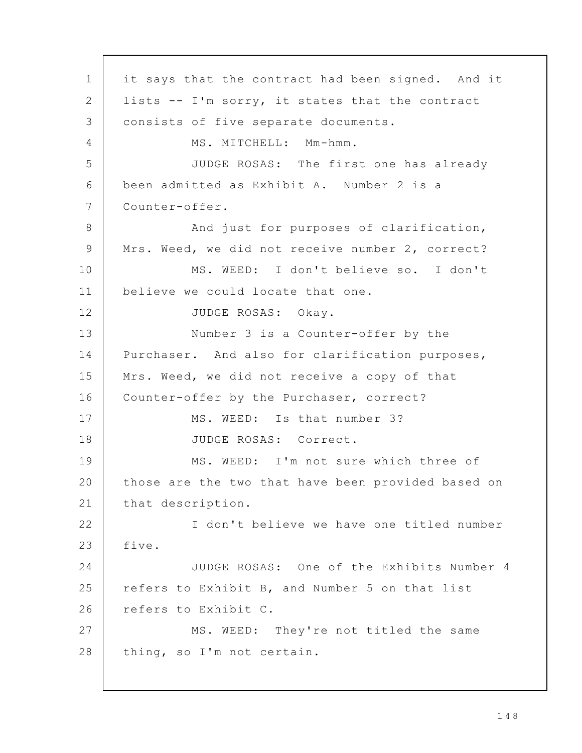it says that the contract had been signed. And it lists -- I'm sorry, it states that the contract consists of five separate documents. MS. MITCHELL: Mm-hmm. JUDGE ROSAS: The first one has already been admitted as Exhibit A. Number 2 is a Counter-offer. And just for purposes of clarification, Mrs. Weed, we did not receive number 2, correct? MS. WEED: I don't believe so. I don't believe we could locate that one. JUDGE ROSAS: Okay. Number 3 is a Counter-offer by the Purchaser. And also for clarification purposes, Mrs. Weed, we did not receive a copy of that Counter-offer by the Purchaser, correct? MS. WEED: Is that number 3? JUDGE ROSAS: Correct. MS. WEED: I'm not sure which three of those are the two that have been provided based on that description. I don't believe we have one titled number five. JUDGE ROSAS: One of the Exhibits Number 4 refers to Exhibit B, and Number 5 on that list refers to Exhibit C. MS. WEED: They're not titled the same thing, so I'm not certain. 1 2 3 4 5 6 7 8 9 10 11 12 13 14 15 16 17 18 19 20 21 22 23 24 25 26 27 28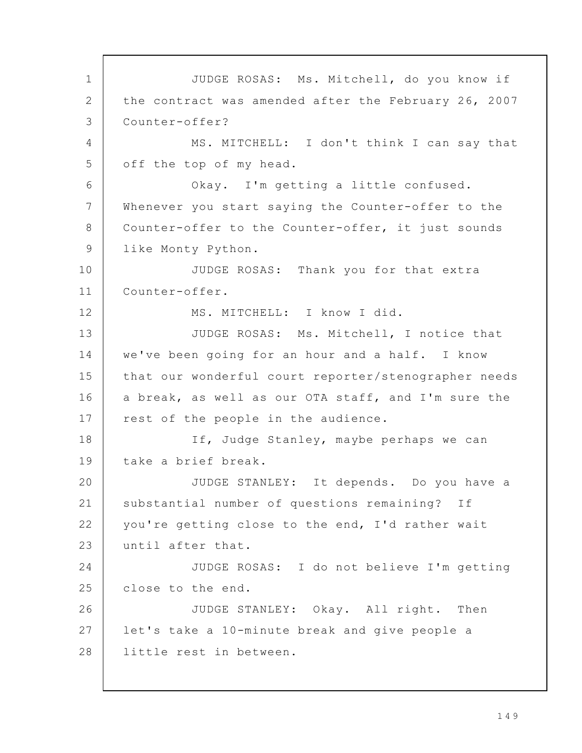JUDGE ROSAS: Ms. Mitchell, do you know if the contract was amended after the February 26, 2007 Counter-offer? MS. MITCHELL: I don't think I can say that off the top of my head. Okay. I'm getting a little confused. Whenever you start saying the Counter-offer to the Counter-offer to the Counter-offer, it just sounds like Monty Python. JUDGE ROSAS: Thank you for that extra Counter-offer. MS. MITCHELL: I know I did. JUDGE ROSAS: Ms. Mitchell, I notice that we've been going for an hour and a half. I know that our wonderful court reporter/stenographer needs a break, as well as our OTA staff, and I'm sure the rest of the people in the audience. If, Judge Stanley, maybe perhaps we can take a brief break. JUDGE STANLEY: It depends. Do you have a substantial number of questions remaining? If you're getting close to the end, I'd rather wait until after that. JUDGE ROSAS: I do not believe I'm getting close to the end. JUDGE STANLEY: Okay. All right. Then let's take a 10-minute break and give people a little rest in between. 1 2 3 4 5 6 7 8 9 10 11 12 13 14 15 16 17 18 19 20 21 22 23 24 25 26 27 28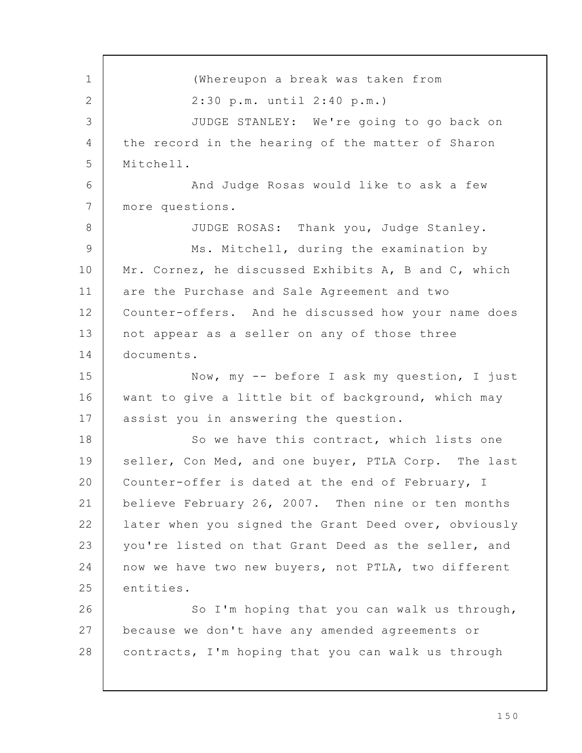(Whereupon a break was taken from 2:30 p.m. until 2:40 p.m.) JUDGE STANLEY: We're going to go back on the record in the hearing of the matter of Sharon Mitchell. And Judge Rosas would like to ask a few more questions. JUDGE ROSAS: Thank you, Judge Stanley. Ms. Mitchell, during the examination by Mr. Cornez, he discussed Exhibits A, B and C, which are the Purchase and Sale Agreement and two Counter-offers. And he discussed how your name does not appear as a seller on any of those three documents. Now, my -- before I ask my question, I just want to give a little bit of background, which may assist you in answering the question. So we have this contract, which lists one seller, Con Med, and one buyer, PTLA Corp. The last Counter-offer is dated at the end of February, I believe February 26, 2007. Then nine or ten months later when you signed the Grant Deed over, obviously you're listed on that Grant Deed as the seller, and now we have two new buyers, not PTLA, two different entities. So I'm hoping that you can walk us through, because we don't have any amended agreements or contracts, I'm hoping that you can walk us through 1 2 3 4 5 6 7 8 9 10 11 12 13 14 15 16 17 18 19 20 21 22 23 24 25 26 27 28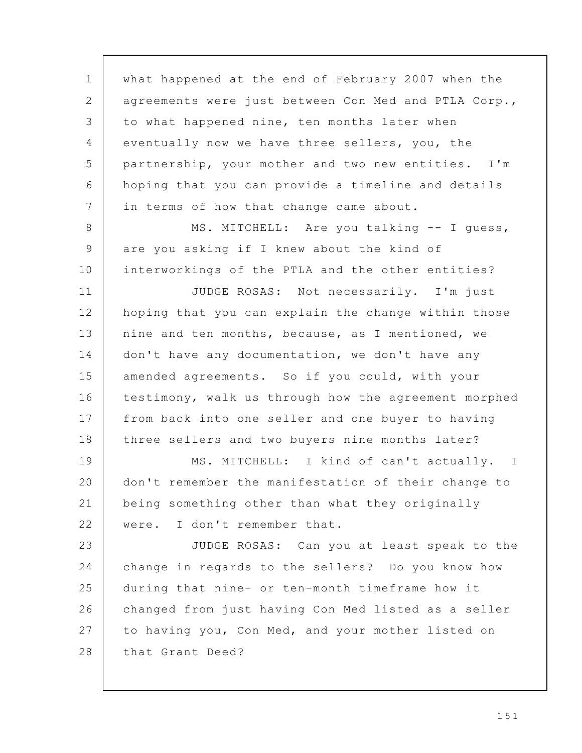what happened at the end of February 2007 when the agreements were just between Con Med and PTLA Corp., to what happened nine, ten months later when eventually now we have three sellers, you, the partnership, your mother and two new entities. I'm hoping that you can provide a timeline and details in terms of how that change came about. MS. MITCHELL: Are you talking -- I guess, are you asking if I knew about the kind of interworkings of the PTLA and the other entities? JUDGE ROSAS: Not necessarily. I'm just hoping that you can explain the change within those nine and ten months, because, as I mentioned, we don't have any documentation, we don't have any amended agreements. So if you could, with your testimony, walk us through how the agreement morphed from back into one seller and one buyer to having three sellers and two buyers nine months later? MS. MITCHELL: I kind of can't actually. I don't remember the manifestation of their change to being something other than what they originally were. I don't remember that. JUDGE ROSAS: Can you at least speak to the change in regards to the sellers? Do you know how during that nine- or ten-month timeframe how it changed from just having Con Med listed as a seller to having you, Con Med, and your mother listed on that Grant Deed? 1 2 3 4 5 6 7 8 9 10 11 12 13 14 15 16 17 18 19 20 21 22 23 24 25 26 27 28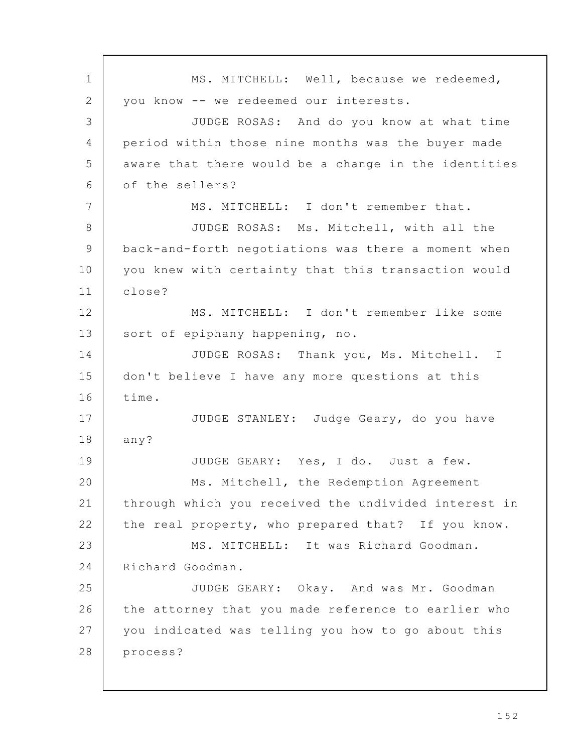MS. MITCHELL: Well, because we redeemed, you know -- we redeemed our interests. JUDGE ROSAS: And do you know at what time period within those nine months was the buyer made aware that there would be a change in the identities of the sellers? MS. MITCHELL: I don't remember that. JUDGE ROSAS: Ms. Mitchell, with all the back-and-forth negotiations was there a moment when you knew with certainty that this transaction would close? MS. MITCHELL: I don't remember like some sort of epiphany happening, no. JUDGE ROSAS: Thank you, Ms. Mitchell. I don't believe I have any more questions at this time. JUDGE STANLEY: Judge Geary, do you have any? JUDGE GEARY: Yes, I do. Just a few. Ms. Mitchell, the Redemption Agreement through which you received the undivided interest in the real property, who prepared that? If you know. MS. MITCHELL: It was Richard Goodman. Richard Goodman. JUDGE GEARY: Okay. And was Mr. Goodman the attorney that you made reference to earlier who you indicated was telling you how to go about this process? 1 2 3 4 5 6 7 8 9 10 11 12 13 14 15 16 17 18 19 20 21 22 23 24 25 26 27 28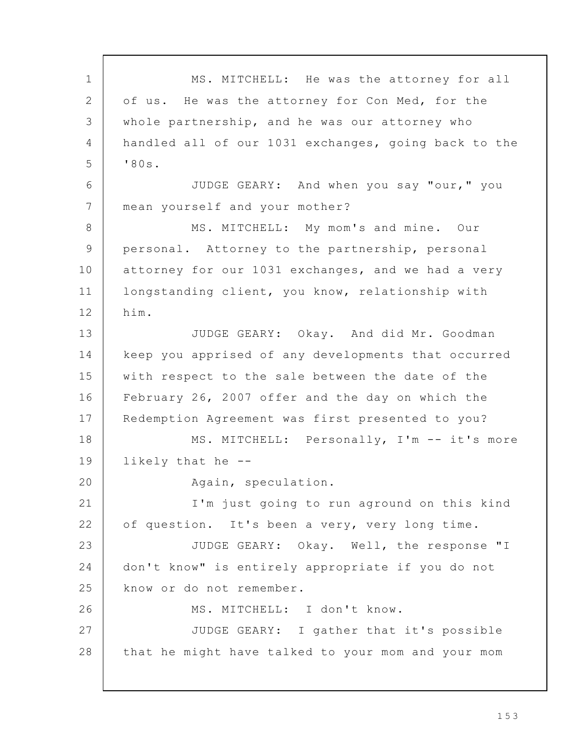MS. MITCHELL: He was the attorney for all of us. He was the attorney for Con Med, for the whole partnership, and he was our attorney who handled all of our 1031 exchanges, going back to the '80s. JUDGE GEARY: And when you say "our," you mean yourself and your mother? MS. MITCHELL: My mom's and mine. Our personal. Attorney to the partnership, personal attorney for our 1031 exchanges, and we had a very longstanding client, you know, relationship with him. JUDGE GEARY: Okay. And did Mr. Goodman keep you apprised of any developments that occurred with respect to the sale between the date of the February 26, 2007 offer and the day on which the Redemption Agreement was first presented to you? MS. MITCHELL: Personally, I'm -- it's more likely that he -- Again, speculation. I'm just going to run aground on this kind of question. It's been a very, very long time. JUDGE GEARY: Okay. Well, the response "I don't know" is entirely appropriate if you do not know or do not remember. MS. MITCHELL: I don't know. JUDGE GEARY: I gather that it's possible that he might have talked to your mom and your mom 1 2 3 4 5 6 7 8 9 10 11 12 13 14 15 16 17 18 19 20 21 22 23 24 25 26 27 28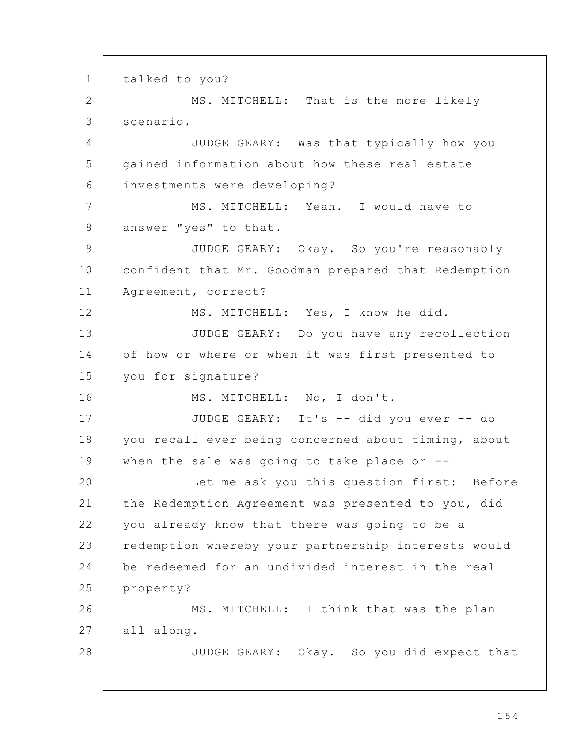talked to you? MS. MITCHELL: That is the more likely scenario. JUDGE GEARY: Was that typically how you gained information about how these real estate investments were developing? MS. MITCHELL: Yeah. I would have to answer "yes" to that. JUDGE GEARY: Okay. So you're reasonably confident that Mr. Goodman prepared that Redemption Agreement, correct? MS. MITCHELL: Yes, I know he did. JUDGE GEARY: Do you have any recollection of how or where or when it was first presented to you for signature? MS. MITCHELL: No, I don't. JUDGE GEARY: It's -- did you ever -- do you recall ever being concerned about timing, about when the sale was going to take place or --Let me ask you this question first: Before the Redemption Agreement was presented to you, did you already know that there was going to be a redemption whereby your partnership interests would be redeemed for an undivided interest in the real property? MS. MITCHELL: I think that was the plan all along. JUDGE GEARY: Okay. So you did expect that 1 2 3 4 5 6 7 8 9 10 11 12 13 14 15 16 17 18 19 20 21 22 23 24 25 26 27 28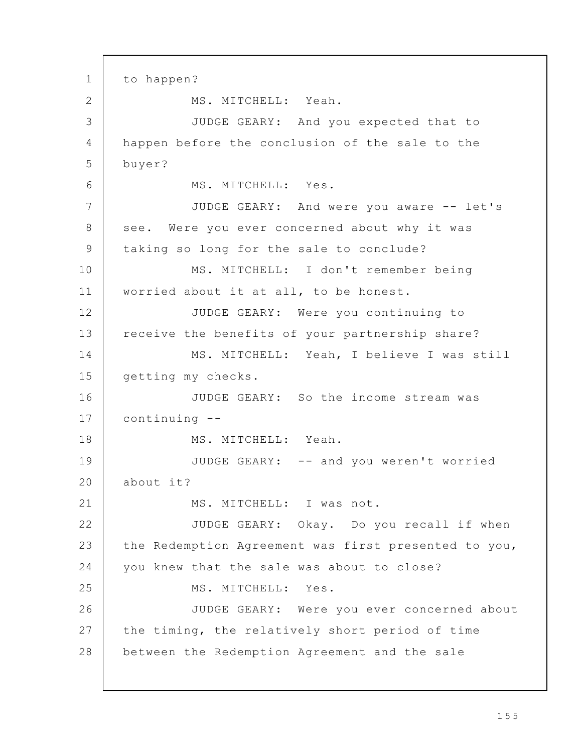to happen? MS. MITCHELL: Yeah. JUDGE GEARY: And you expected that to happen before the conclusion of the sale to the buyer? MS. MITCHELL: Yes. JUDGE GEARY: And were you aware -- let's see. Were you ever concerned about why it was taking so long for the sale to conclude? MS. MITCHELL: I don't remember being worried about it at all, to be honest. JUDGE GEARY: Were you continuing to receive the benefits of your partnership share? MS. MITCHELL: Yeah, I believe I was still getting my checks. JUDGE GEARY: So the income stream was continuing -- MS. MITCHELL: Yeah. JUDGE GEARY: -- and you weren't worried about it? MS. MITCHELL: I was not. JUDGE GEARY: Okay. Do you recall if when the Redemption Agreement was first presented to you, you knew that the sale was about to close? MS. MITCHELL: Yes. JUDGE GEARY: Were you ever concerned about the timing, the relatively short period of time between the Redemption Agreement and the sale 1 2 3 4 5 6 7 8 9 10 11 12 13 14 15 16 17 18 19 20 21 22 23 24 25 26 27 28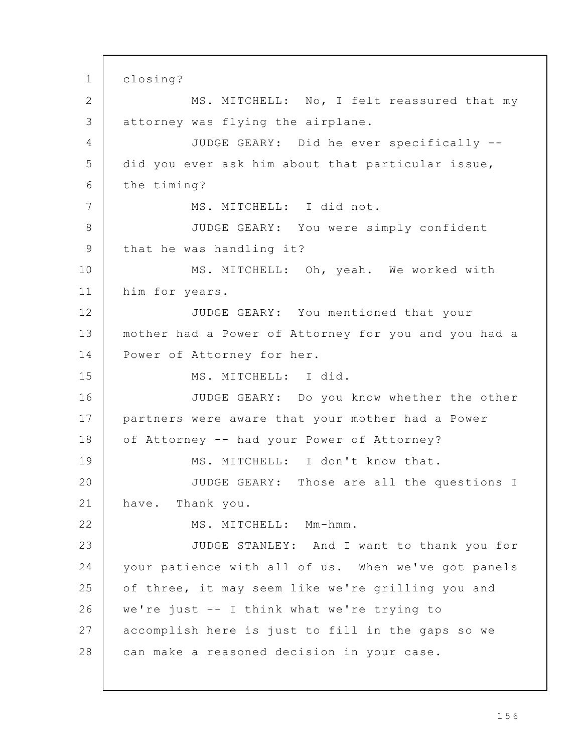closing? MS. MITCHELL: No, I felt reassured that my attorney was flying the airplane. JUDGE GEARY: Did he ever specifically - did you ever ask him about that particular issue, the timing? MS. MITCHELL: I did not. JUDGE GEARY: You were simply confident that he was handling it? MS. MITCHELL: Oh, yeah. We worked with him for years. JUDGE GEARY: You mentioned that your mother had a Power of Attorney for you and you had a Power of Attorney for her. MS. MITCHELL: I did. JUDGE GEARY: Do you know whether the other partners were aware that your mother had a Power of Attorney -- had your Power of Attorney? MS. MITCHELL: I don't know that. JUDGE GEARY: Those are all the questions I have. Thank you. MS. MITCHELL: Mm-hmm. JUDGE STANLEY: And I want to thank you for your patience with all of us. When we've got panels of three, it may seem like we're grilling you and we're just -- I think what we're trying to accomplish here is just to fill in the gaps so we can make a reasoned decision in your case. 1 2 3 4 5 6 7 8 9 10 11 12 13 14 15 16 17 18 19 20 21 22 23 24 25 26 27 28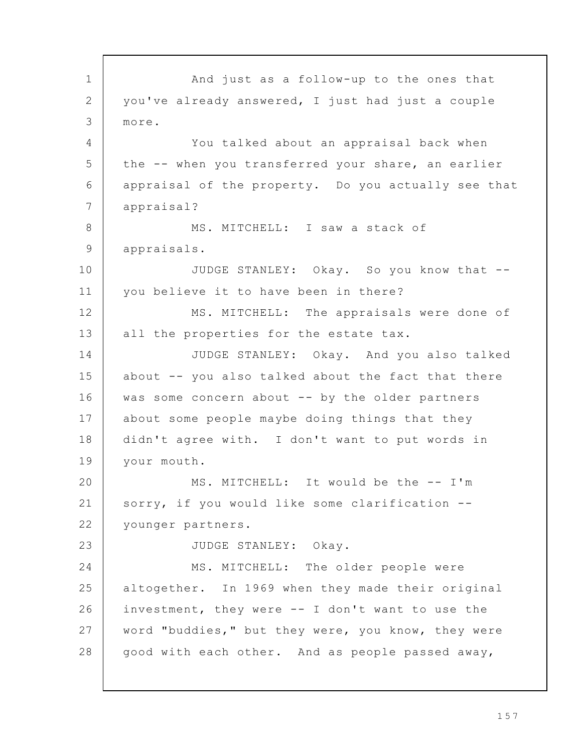And just as a follow-up to the ones that you've already answered, I just had just a couple more. You talked about an appraisal back when the -- when you transferred your share, an earlier appraisal of the property. Do you actually see that appraisal? MS. MITCHELL: I saw a stack of appraisals. JUDGE STANLEY: Okay. So you know that - you believe it to have been in there? MS. MITCHELL: The appraisals were done of all the properties for the estate tax. JUDGE STANLEY: Okay. And you also talked about -- you also talked about the fact that there was some concern about -- by the older partners about some people maybe doing things that they didn't agree with. I don't want to put words in your mouth. MS. MITCHELL: It would be the -- I'm sorry, if you would like some clarification - younger partners. JUDGE STANLEY: Okay. MS. MITCHELL: The older people were altogether. In 1969 when they made their original investment, they were -- I don't want to use the word "buddies," but they were, you know, they were good with each other. And as people passed away, 1 2 3 4 5 6 7 8 9 10 11 12 13 14 15 16 17 18 19 20 21 22 23 24 25 26 27 28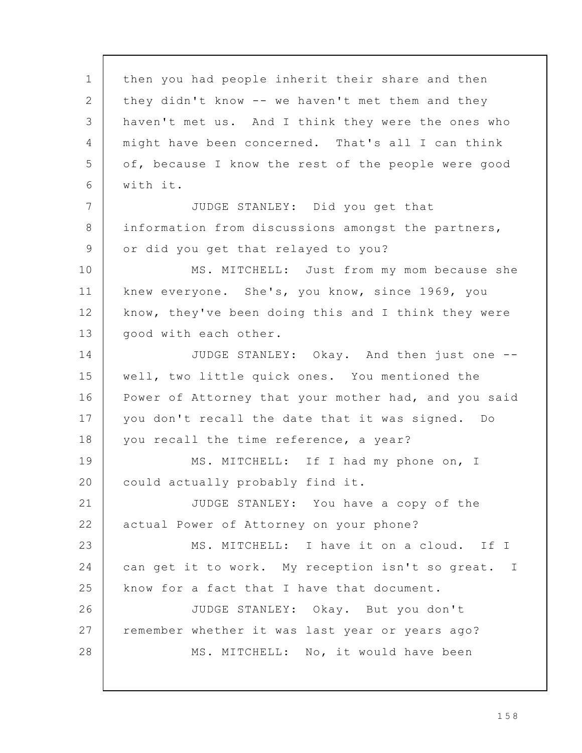then you had people inherit their share and then they didn't know -- we haven't met them and they haven't met us. And I think they were the ones who might have been concerned. That's all I can think of, because I know the rest of the people were good with it. JUDGE STANLEY: Did you get that information from discussions amongst the partners, or did you get that relayed to you? MS. MITCHELL: Just from my mom because she knew everyone. She's, you know, since 1969, you know, they've been doing this and I think they were good with each other. JUDGE STANLEY: Okay. And then just one - well, two little quick ones. You mentioned the Power of Attorney that your mother had, and you said you don't recall the date that it was signed. Do you recall the time reference, a year? MS. MITCHELL: If I had my phone on, I could actually probably find it. JUDGE STANLEY: You have a copy of the actual Power of Attorney on your phone? MS. MITCHELL: I have it on a cloud. If I can get it to work. My reception isn't so great. I know for a fact that I have that document. JUDGE STANLEY: Okay. But you don't remember whether it was last year or years ago? MS. MITCHELL: No, it would have been 1 2 3 4 5 6 7 8 9 10 11 12 13 14 15 16 17 18 19 20 21 22 23 24 25 26 27 28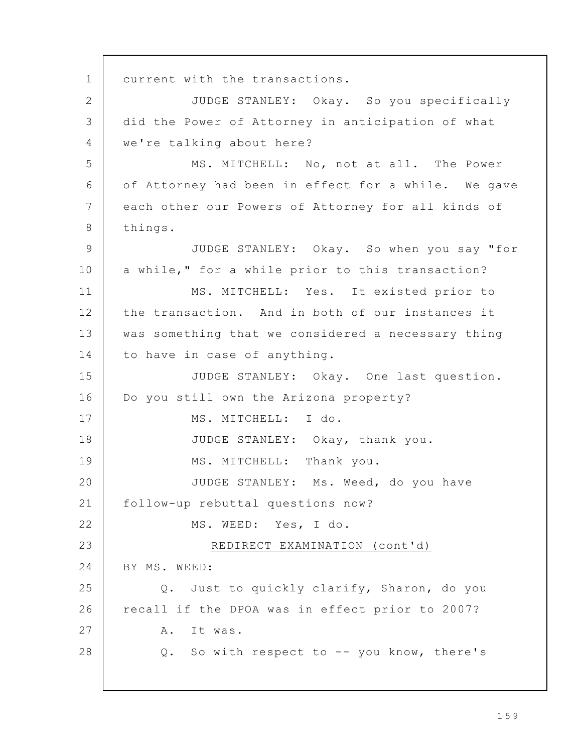current with the transactions. JUDGE STANLEY: Okay. So you specifically did the Power of Attorney in anticipation of what we're talking about here? MS. MITCHELL: No, not at all. The Power of Attorney had been in effect for a while. We gave each other our Powers of Attorney for all kinds of things. JUDGE STANLEY: Okay. So when you say "for a while," for a while prior to this transaction? MS. MITCHELL: Yes. It existed prior to the transaction. And in both of our instances it was something that we considered a necessary thing to have in case of anything. JUDGE STANLEY: Okay. One last question. Do you still own the Arizona property? MS. MITCHELL: I do. JUDGE STANLEY: Okay, thank you. MS. MITCHELL: Thank you. JUDGE STANLEY: Ms. Weed, do you have follow-up rebuttal questions now? MS. WEED: Yes, I do. REDIRECT EXAMINATION (cont'd) BY MS. WEED: Q. Just to quickly clarify, Sharon, do you recall if the DPOA was in effect prior to 2007? A. It was. Q. So with respect to -- you know, there's 1 2 3 4 5 6 7 8 9 10 11 12 13 14 15 16 17 18 19 20 21 22 23 24 25 26 27 28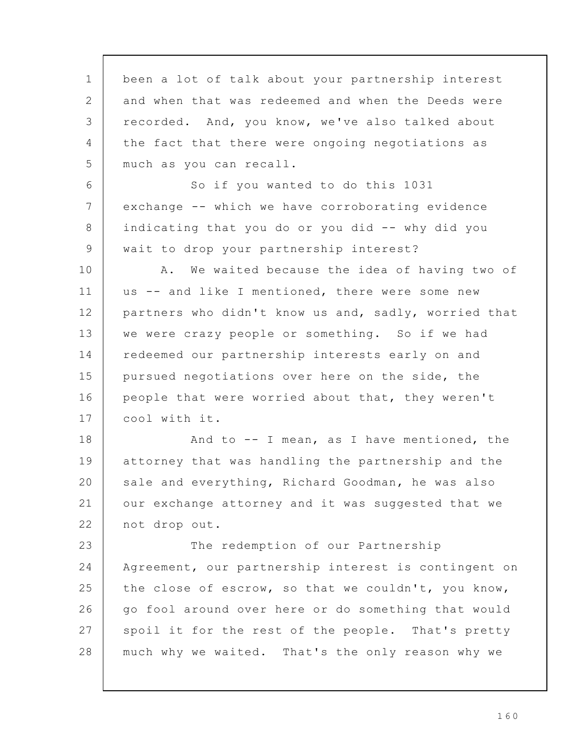been a lot of talk about your partnership interest and when that was redeemed and when the Deeds were recorded. And, you know, we've also talked about the fact that there were ongoing negotiations as much as you can recall. So if you wanted to do this 1031 exchange -- which we have corroborating evidence indicating that you do or you did -- why did you wait to drop your partnership interest? A. We waited because the idea of having two of us -- and like I mentioned, there were some new partners who didn't know us and, sadly, worried that we were crazy people or something. So if we had redeemed our partnership interests early on and pursued negotiations over here on the side, the people that were worried about that, they weren't cool with it. And to -- I mean, as I have mentioned, the attorney that was handling the partnership and the sale and everything, Richard Goodman, he was also our exchange attorney and it was suggested that we not drop out. The redemption of our Partnership Agreement, our partnership interest is contingent on the close of escrow, so that we couldn't, you know, go fool around over here or do something that would spoil it for the rest of the people. That's pretty much why we waited. That's the only reason why we 1 2 3 4 5 6 7 8 9 10 11 12 13 14 15 16 17 18 19 20 21 22 23 24 25 26 27 28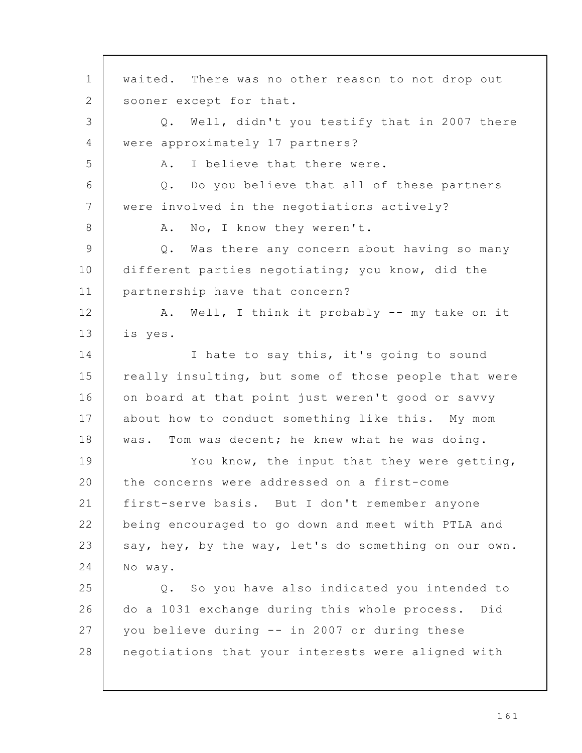waited. There was no other reason to not drop out sooner except for that. Q. Well, didn't you testify that in 2007 there were approximately 17 partners? A. I believe that there were. Q. Do you believe that all of these partners were involved in the negotiations actively? A. No, I know they weren't. Q. Was there any concern about having so many different parties negotiating; you know, did the partnership have that concern? A. Well, I think it probably -- my take on it is yes. I hate to say this, it's going to sound really insulting, but some of those people that were on board at that point just weren't good or savvy about how to conduct something like this. My mom was. Tom was decent; he knew what he was doing. You know, the input that they were getting, the concerns were addressed on a first-come first-serve basis. But I don't remember anyone being encouraged to go down and meet with PTLA and say, hey, by the way, let's do something on our own. No way. Q. So you have also indicated you intended to do a 1031 exchange during this whole process. Did you believe during -- in 2007 or during these negotiations that your interests were aligned with 1 2 3 4 5 6 7 8 9 10 11 12 13 14 15 16 17 18 19 20 21 22 23 24 25 26 27 28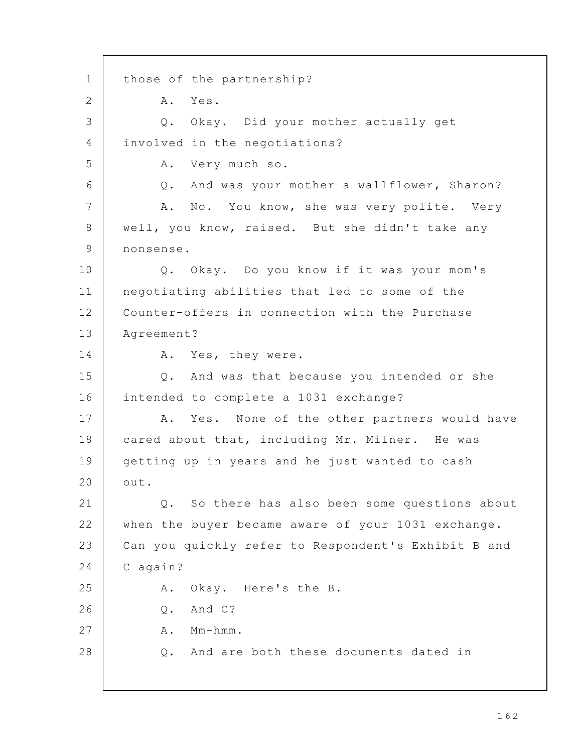those of the partnership? A. Yes. Q. Okay. Did your mother actually get involved in the negotiations? A. Very much so. Q. And was your mother a wallflower, Sharon? A. No. You know, she was very polite. Very well, you know, raised. But she didn't take any nonsense. Q. Okay. Do you know if it was your mom's negotiating abilities that led to some of the Counter-offers in connection with the Purchase Agreement? A. Yes, they were. Q. And was that because you intended or she intended to complete a 1031 exchange? A. Yes. None of the other partners would have cared about that, including Mr. Milner. He was getting up in years and he just wanted to cash out. Q. So there has also been some questions about when the buyer became aware of your 1031 exchange. Can you quickly refer to Respondent's Exhibit B and C again? A. Okay. Here's the B. Q. And C? A. Mm-hmm. Q. And are both these documents dated in 1 2 3 4 5 6 7 8 9 10 11 12 13 14 15 16 17 18 19 20 21 22 23 24 25 26 27 28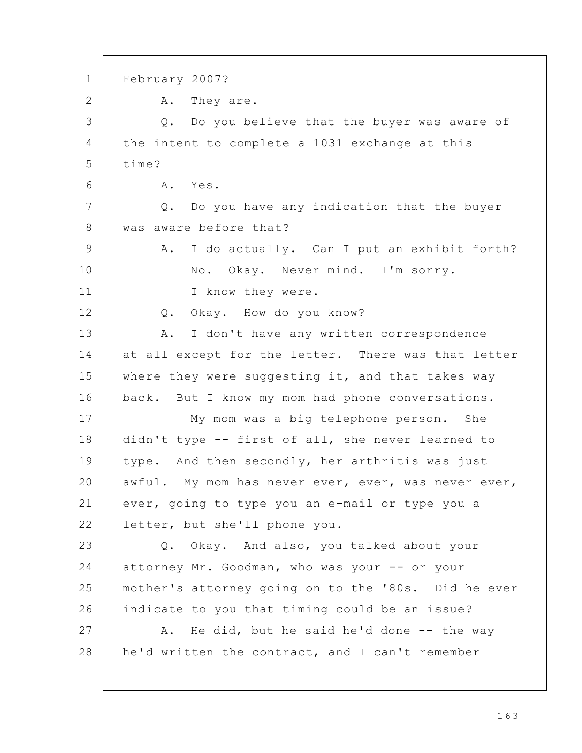February 2007? A. They are. Q. Do you believe that the buyer was aware of the intent to complete a 1031 exchange at this time? A. Yes. Q. Do you have any indication that the buyer was aware before that? A. I do actually. Can I put an exhibit forth? No. Okay. Never mind. I'm sorry. I know they were. Q. Okay. How do you know? A. I don't have any written correspondence at all except for the letter. There was that letter where they were suggesting it, and that takes way back. But I know my mom had phone conversations. My mom was a big telephone person. She didn't type -- first of all, she never learned to type. And then secondly, her arthritis was just awful. My mom has never ever, ever, was never ever, ever, going to type you an e-mail or type you a letter, but she'll phone you. Q. Okay. And also, you talked about your attorney Mr. Goodman, who was your -- or your mother's attorney going on to the '80s. Did he ever indicate to you that timing could be an issue? A. He did, but he said he'd done -- the way he'd written the contract, and I can't remember 1 2 3 4 5 6 7 8 9 10 11 12 13 14 15 16 17 18 19 20 21 22 23 24 25 26 27 28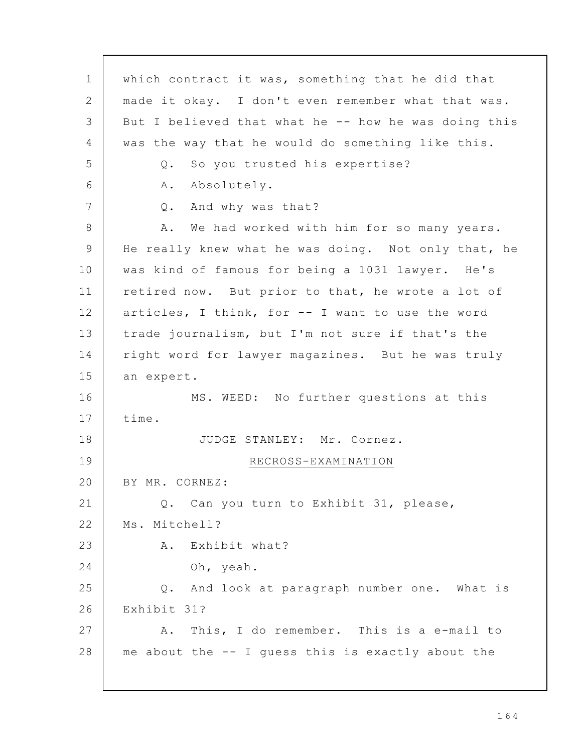which contract it was, something that he did that made it okay. I don't even remember what that was. But I believed that what he -- how he was doing this was the way that he would do something like this. Q. So you trusted his expertise? A. Absolutely. Q. And why was that? A. We had worked with him for so many years. He really knew what he was doing. Not only that, he was kind of famous for being a 1031 lawyer. He's retired now. But prior to that, he wrote a lot of articles, I think, for -- I want to use the word trade journalism, but I'm not sure if that's the right word for lawyer magazines. But he was truly an expert. MS. WEED: No further questions at this time. JUDGE STANLEY: Mr. Cornez. RECROSS-EXAMINATION BY MR. CORNEZ: Q. Can you turn to Exhibit 31, please, Ms. Mitchell? A. Exhibit what? Oh, yeah. Q. And look at paragraph number one. What is Exhibit 31? A. This, I do remember. This is a e-mail to me about the -- I guess this is exactly about the 1 2 3 4 5 6 7 8 9 10 11 12 13 14 15 16 17 18 19 20 21 22 23 24 25 26 27 28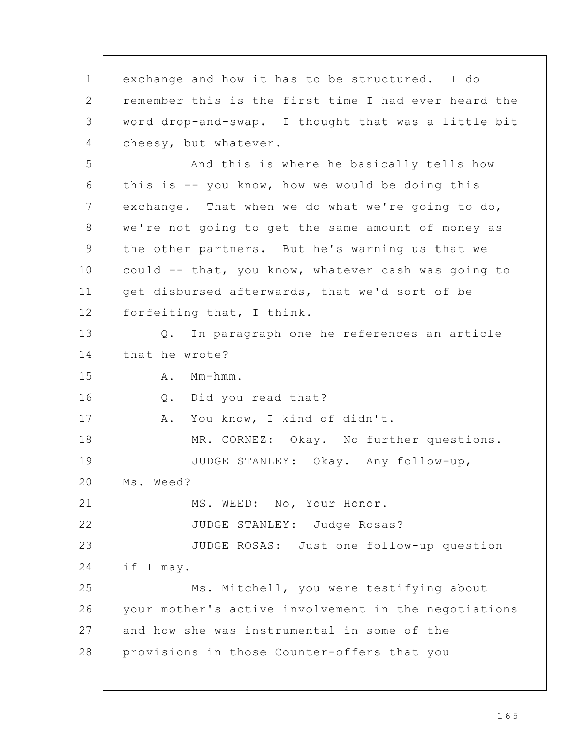exchange and how it has to be structured. I do remember this is the first time I had ever heard the word drop-and-swap. I thought that was a little bit cheesy, but whatever. And this is where he basically tells how this is -- you know, how we would be doing this exchange. That when we do what we're going to do, we're not going to get the same amount of money as the other partners. But he's warning us that we could -- that, you know, whatever cash was going to get disbursed afterwards, that we'd sort of be forfeiting that, I think. Q. In paragraph one he references an article that he wrote? A. Mm-hmm. Q. Did you read that? A. You know, I kind of didn't. MR. CORNEZ: Okay. No further questions. JUDGE STANLEY: Okay. Any follow-up, Ms. Weed? MS. WEED: No, Your Honor. JUDGE STANLEY: Judge Rosas? JUDGE ROSAS: Just one follow-up question if I may. Ms. Mitchell, you were testifying about your mother's active involvement in the negotiations and how she was instrumental in some of the provisions in those Counter-offers that you 1 2 3 4 5 6 7 8 9 10 11 12 13 14 15 16 17 18 19 20 21 22 23 24 25 26 27 28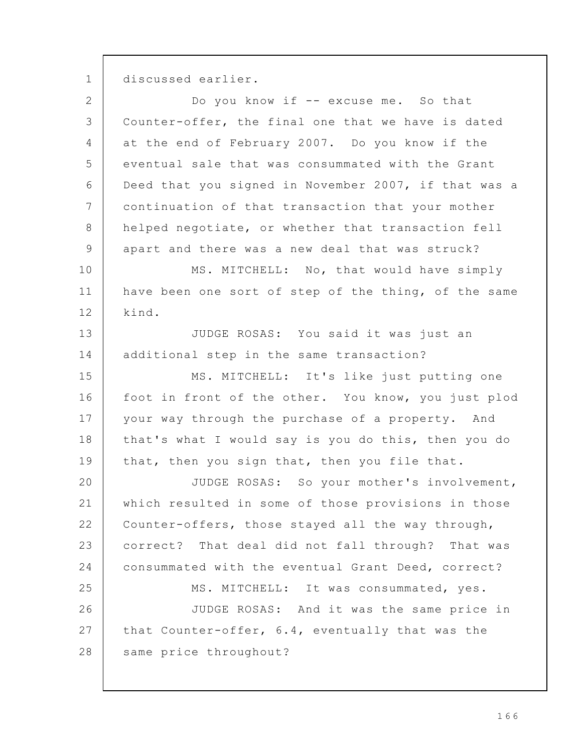discussed earlier. 1

| $\overline{2}$ | Do you know if -- excuse me. So that                 |
|----------------|------------------------------------------------------|
| $\mathfrak{Z}$ | Counter-offer, the final one that we have is dated   |
| 4              | at the end of February 2007. Do you know if the      |
| 5              | eventual sale that was consummated with the Grant    |
| 6              | Deed that you signed in November 2007, if that was a |
| $7\phantom{.}$ | continuation of that transaction that your mother    |
| 8              | helped negotiate, or whether that transaction fell   |
| $\mathsf 9$    | apart and there was a new deal that was struck?      |
| 10             | MS. MITCHELL: No, that would have simply             |
| 11             | have been one sort of step of the thing, of the same |
| 12             | kind.                                                |
| 13             | JUDGE ROSAS: You said it was just an                 |
| 14             | additional step in the same transaction?             |
| 15             | MS. MITCHELL: It's like just putting one             |
| 16             | foot in front of the other. You know, you just plod  |
| 17             | your way through the purchase of a property. And     |
| 18             | that's what I would say is you do this, then you do  |
| 19             | that, then you sign that, then you file that.        |
| 20             | JUDGE ROSAS: So your mother's involvement,           |
| 21             | which resulted in some of those provisions in those  |
| 22             | Counter-offers, those stayed all the way through,    |
| 23             | correct? That deal did not fall through? That was    |
| 24             | consummated with the eventual Grant Deed, correct?   |
| 25             | MS. MITCHELL: It was consummated, yes.               |
| 26             | JUDGE ROSAS: And it was the same price in            |
| 27             | that Counter-offer, 6.4, eventually that was the     |
| 28             | same price throughout?                               |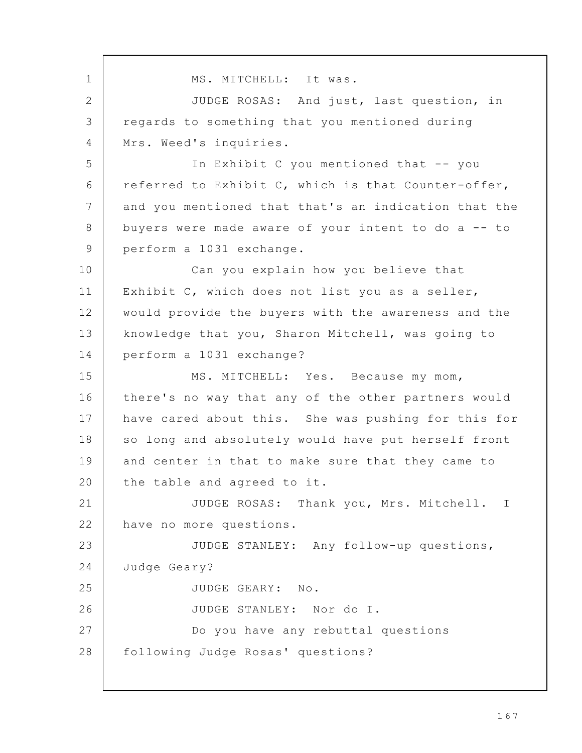MS. MITCHELL: It was. JUDGE ROSAS: And just, last question, in regards to something that you mentioned during Mrs. Weed's inquiries. In Exhibit C you mentioned that -- you referred to Exhibit C, which is that Counter-offer, and you mentioned that that's an indication that the buyers were made aware of your intent to do a -- to perform a 1031 exchange. Can you explain how you believe that Exhibit C, which does not list you as a seller, would provide the buyers with the awareness and the knowledge that you, Sharon Mitchell, was going to perform a 1031 exchange? MS. MITCHELL: Yes. Because my mom, there's no way that any of the other partners would have cared about this. She was pushing for this for so long and absolutely would have put herself front and center in that to make sure that they came to the table and agreed to it. JUDGE ROSAS: Thank you, Mrs. Mitchell. I have no more questions. JUDGE STANLEY: Any follow-up questions, Judge Geary? JUDGE GEARY: No. JUDGE STANLEY: Nor do I. Do you have any rebuttal questions following Judge Rosas' questions? 1 2 3  $\Delta$ 5 6 7 8 9 10 11 12 13 14 15 16 17 18 19 20 21 22 23 24 25 26 27 28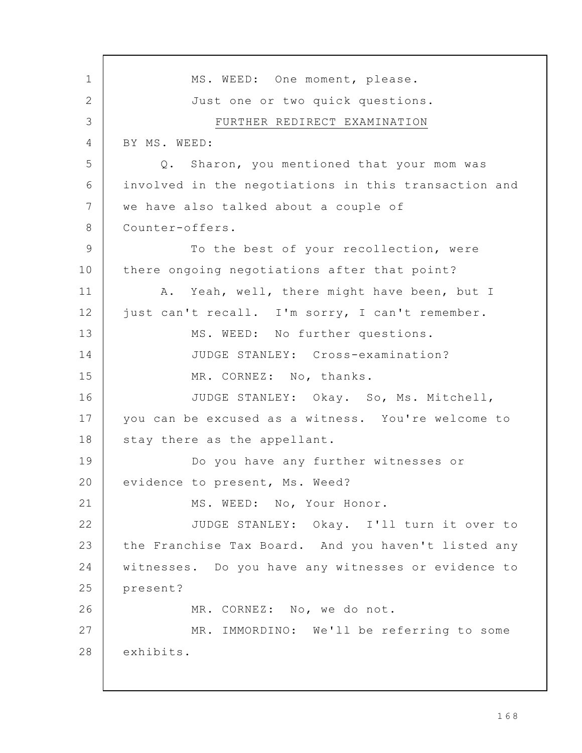MS. WEED: One moment, please. Just one or two quick questions. FURTHER REDIRECT EXAMINATION BY MS. WEED: Q. Sharon, you mentioned that your mom was involved in the negotiations in this transaction and we have also talked about a couple of Counter-offers. To the best of your recollection, were there ongoing negotiations after that point? A. Yeah, well, there might have been, but I just can't recall. I'm sorry, I can't remember. MS. WEED: No further questions. JUDGE STANLEY: Cross-examination? MR. CORNEZ: No, thanks. JUDGE STANLEY: Okay. So, Ms. Mitchell, you can be excused as a witness. You're welcome to stay there as the appellant. Do you have any further witnesses or evidence to present, Ms. Weed? MS. WEED: No, Your Honor. JUDGE STANLEY: Okay. I'll turn it over to the Franchise Tax Board. And you haven't listed any witnesses. Do you have any witnesses or evidence to present? MR. CORNEZ: No, we do not. MR. IMMORDINO: We'll be referring to some exhibits. 1 2 3 4 5 6 7 8 9 10 11 12 13 14 15 16 17 18 19 20 21 22 23 24 25 26 27 28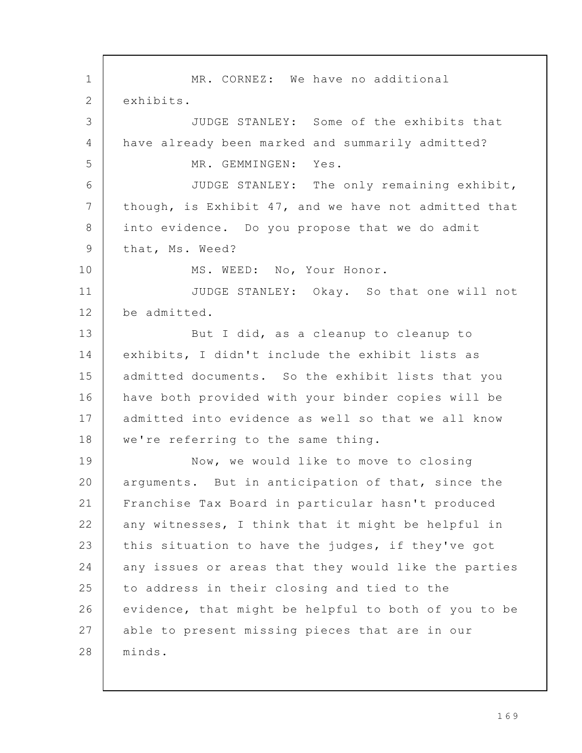MR. CORNEZ: We have no additional exhibits. JUDGE STANLEY: Some of the exhibits that have already been marked and summarily admitted? MR. GEMMINGEN: Yes. JUDGE STANLEY: The only remaining exhibit, though, is Exhibit 47, and we have not admitted that into evidence. Do you propose that we do admit that, Ms. Weed? MS. WEED: No, Your Honor. JUDGE STANLEY: Okay. So that one will not be admitted. But I did, as a cleanup to cleanup to exhibits, I didn't include the exhibit lists as admitted documents. So the exhibit lists that you have both provided with your binder copies will be admitted into evidence as well so that we all know we're referring to the same thing. Now, we would like to move to closing arguments. But in anticipation of that, since the Franchise Tax Board in particular hasn't produced any witnesses, I think that it might be helpful in this situation to have the judges, if they've got any issues or areas that they would like the parties to address in their closing and tied to the evidence, that might be helpful to both of you to be able to present missing pieces that are in our minds. 1 2 3 4 5 6 7 8 9 10 11 12 13 14 15 16 17 18 19 20 21 22 23 24 25 26 27 28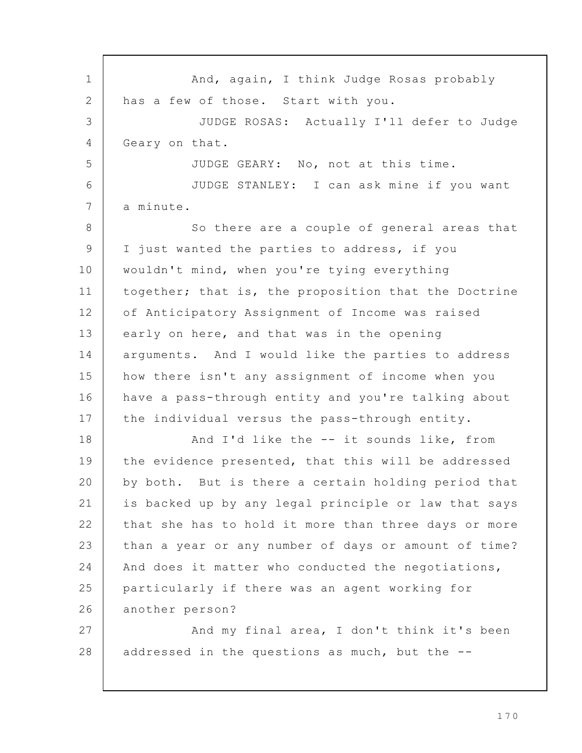And, again, I think Judge Rosas probably has a few of those. Start with you. JUDGE ROSAS: Actually I'll defer to Judge Geary on that. JUDGE GEARY: No, not at this time. JUDGE STANLEY: I can ask mine if you want a minute. So there are a couple of general areas that I just wanted the parties to address, if you wouldn't mind, when you're tying everything together; that is, the proposition that the Doctrine of Anticipatory Assignment of Income was raised early on here, and that was in the opening arguments. And I would like the parties to address how there isn't any assignment of income when you have a pass-through entity and you're talking about the individual versus the pass-through entity. And I'd like the -- it sounds like, from the evidence presented, that this will be addressed by both. But is there a certain holding period that is backed up by any legal principle or law that says that she has to hold it more than three days or more than a year or any number of days or amount of time? And does it matter who conducted the negotiations, particularly if there was an agent working for another person? And my final area, I don't think it's been addressed in the questions as much, but the -- 1 2 3 4 5 6 7 8 9 10 11 12 13 14 15 16 17 18 19 20 21 22 23 24 25 26 27 28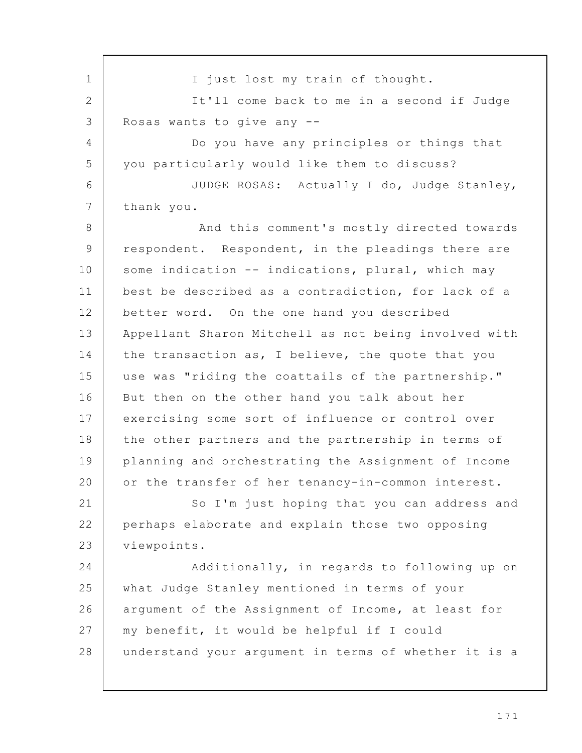I just lost my train of thought. It'll come back to me in a second if Judge Rosas wants to give any -- Do you have any principles or things that you particularly would like them to discuss? JUDGE ROSAS: Actually I do, Judge Stanley, thank you. And this comment's mostly directed towards respondent. Respondent, in the pleadings there are some indication -- indications, plural, which may best be described as a contradiction, for lack of a better word. On the one hand you described Appellant Sharon Mitchell as not being involved with the transaction as, I believe, the quote that you use was "riding the coattails of the partnership." But then on the other hand you talk about her exercising some sort of influence or control over the other partners and the partnership in terms of planning and orchestrating the Assignment of Income or the transfer of her tenancy-in-common interest. So I'm just hoping that you can address and perhaps elaborate and explain those two opposing viewpoints. Additionally, in regards to following up on what Judge Stanley mentioned in terms of your argument of the Assignment of Income, at least for my benefit, it would be helpful if I could understand your argument in terms of whether it is a 1 2 3 4 5 6 7 8 9 10 11 12 13 14 15 16 17 18 19 20 21 22 23 24 25 26 27 28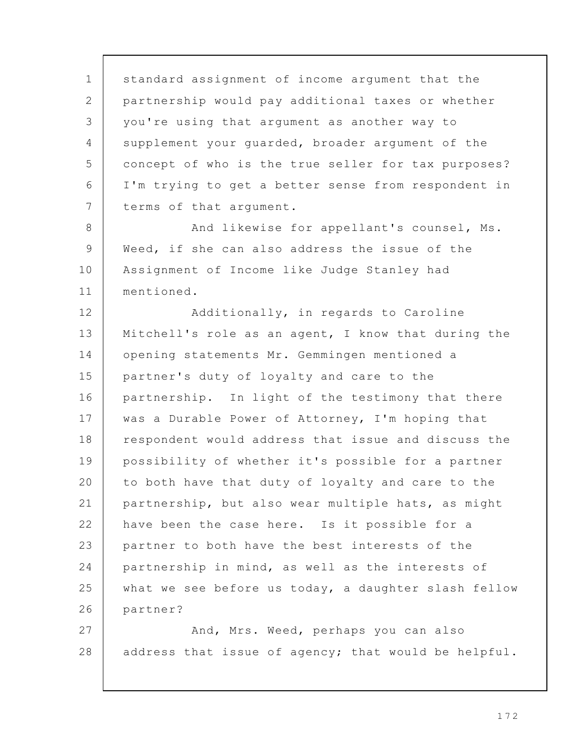standard assignment of income argument that the partnership would pay additional taxes or whether you're using that argument as another way to supplement your guarded, broader argument of the concept of who is the true seller for tax purposes? I'm trying to get a better sense from respondent in terms of that argument. And likewise for appellant's counsel, Ms. Weed, if she can also address the issue of the Assignment of Income like Judge Stanley had mentioned. Additionally, in regards to Caroline Mitchell's role as an agent, I know that during the opening statements Mr. Gemmingen mentioned a partner's duty of loyalty and care to the partnership. In light of the testimony that there was a Durable Power of Attorney, I'm hoping that respondent would address that issue and discuss the possibility of whether it's possible for a partner to both have that duty of loyalty and care to the partnership, but also wear multiple hats, as might have been the case here. Is it possible for a partner to both have the best interests of the partnership in mind, as well as the interests of what we see before us today, a daughter slash fellow partner? And, Mrs. Weed, perhaps you can also address that issue of agency; that would be helpful. 1 2 3 4 5 6 7 8 9 10 11 12 13 14 15 16 17 18 19 20 21 22 23 24 25 26 27 28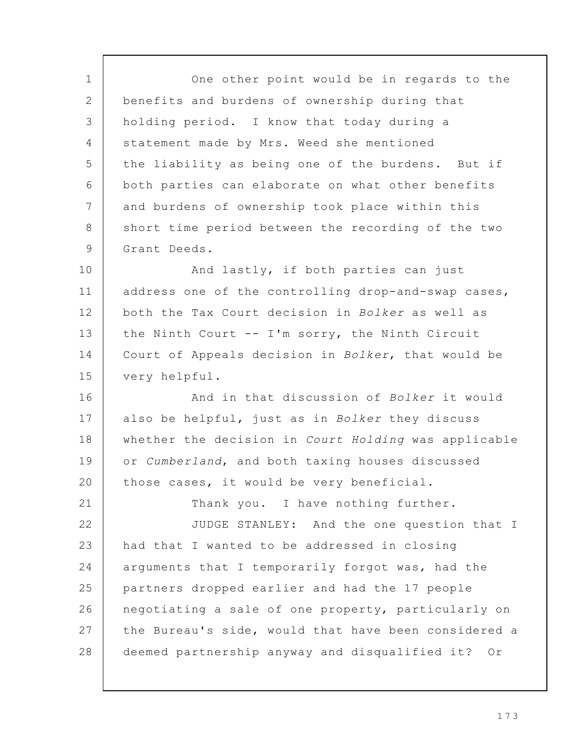One other point would be in regards to the benefits and burdens of ownership during that holding period. I know that today during a statement made by Mrs. Weed she mentioned the liability as being one of the burdens. But if both parties can elaborate on what other benefits and burdens of ownership took place within this short time period between the recording of the two Grant Deeds. And lastly, if both parties can just address one of the controlling drop-and-swap cases, both the Tax Court decision in Bolker as well as the Ninth Court -- I'm sorry, the Ninth Circuit Court of Appeals decision in Bolker, that would be very helpful. And in that discussion of Bolker it would also be helpful, just as in Bolker they discuss whether the decision in Court Holding was applicable or Cumberland, and both taxing houses discussed those cases, it would be very beneficial. Thank you. I have nothing further. JUDGE STANLEY: And the one question that I had that I wanted to be addressed in closing arguments that I temporarily forgot was, had the partners dropped earlier and had the 17 people negotiating a sale of one property, particularly on the Bureau's side, would that have been considered a deemed partnership anyway and disqualified it? Or 1 2 3 4 5 6 7 8 9 10 11 12 13 14 15 16 17 18 19 20 21 22 23 24 25 26 27 28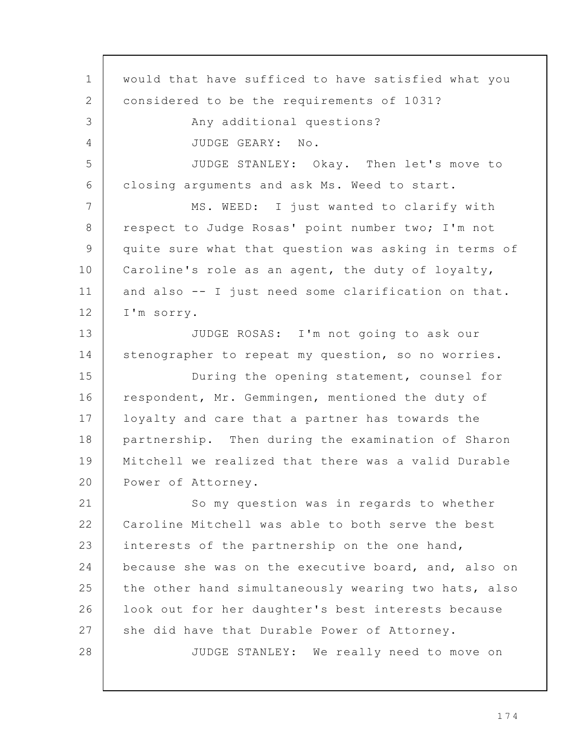would that have sufficed to have satisfied what you considered to be the requirements of 1031? Any additional questions? JUDGE GEARY: No. JUDGE STANLEY: Okay. Then let's move to closing arguments and ask Ms. Weed to start. MS. WEED: I just wanted to clarify with respect to Judge Rosas' point number two; I'm not quite sure what that question was asking in terms of Caroline's role as an agent, the duty of loyalty, and also -- I just need some clarification on that. I'm sorry. JUDGE ROSAS: I'm not going to ask our stenographer to repeat my question, so no worries. During the opening statement, counsel for respondent, Mr. Gemmingen, mentioned the duty of loyalty and care that a partner has towards the partnership. Then during the examination of Sharon Mitchell we realized that there was a valid Durable Power of Attorney. So my question was in regards to whether Caroline Mitchell was able to both serve the best interests of the partnership on the one hand, because she was on the executive board, and, also on the other hand simultaneously wearing two hats, also look out for her daughter's best interests because she did have that Durable Power of Attorney. JUDGE STANLEY: We really need to move on 1 2 3 4 5 6 7 8 9 10 11 12 13 14 15 16 17 18 19 20 21 22 23 24 25 26 27 28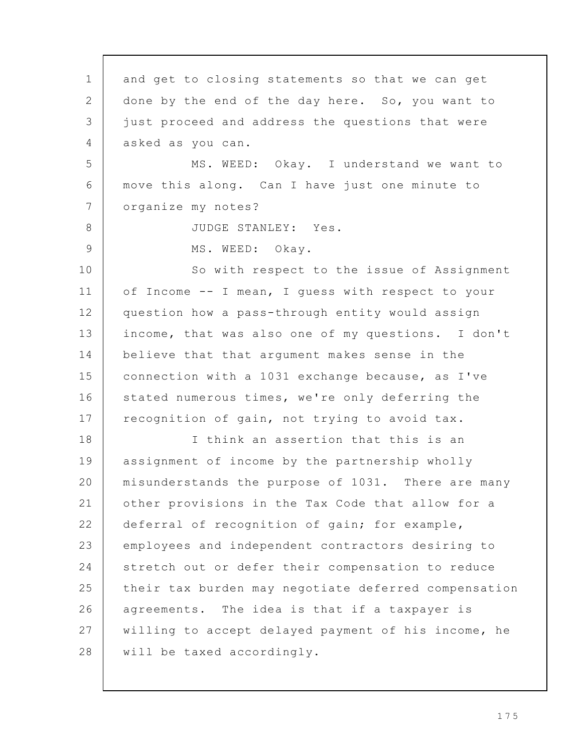and get to closing statements so that we can get done by the end of the day here. So, you want to just proceed and address the questions that were asked as you can. MS. WEED: Okay. I understand we want to move this along. Can I have just one minute to organize my notes? JUDGE STANLEY: Yes. MS. WEED: Okay. So with respect to the issue of Assignment of Income -- I mean, I guess with respect to your question how a pass-through entity would assign income, that was also one of my questions. I don't believe that that argument makes sense in the connection with a 1031 exchange because, as I've stated numerous times, we're only deferring the recognition of gain, not trying to avoid tax. I think an assertion that this is an assignment of income by the partnership wholly misunderstands the purpose of 1031. There are many other provisions in the Tax Code that allow for a deferral of recognition of gain; for example, employees and independent contractors desiring to stretch out or defer their compensation to reduce their tax burden may negotiate deferred compensation agreements. The idea is that if a taxpayer is willing to accept delayed payment of his income, he will be taxed accordingly. 1 2 3 4 5 6 7 8 9 10 11 12 13 14 15 16 17 18 19 20 21 22 23 24 25 26 27 28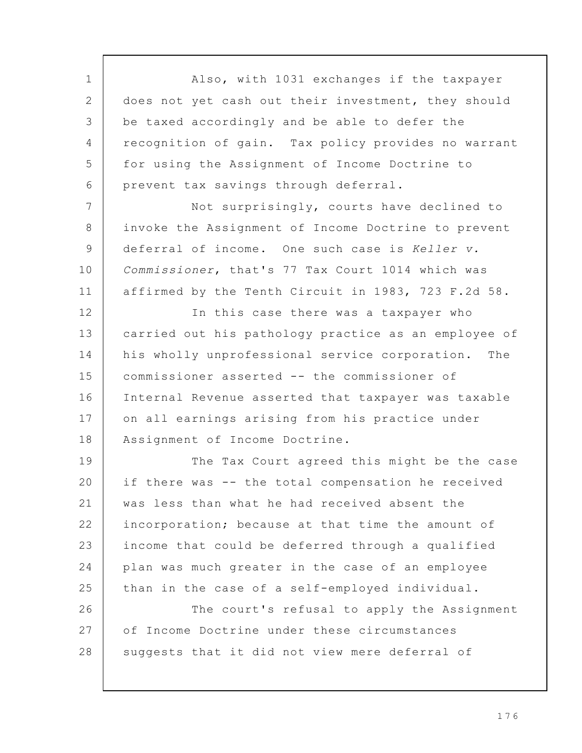Also, with 1031 exchanges if the taxpayer does not yet cash out their investment, they should be taxed accordingly and be able to defer the recognition of gain. Tax policy provides no warrant for using the Assignment of Income Doctrine to prevent tax savings through deferral. 1 2 3  $\Delta$ 5 6

Not surprisingly, courts have declined to invoke the Assignment of Income Doctrine to prevent deferral of income. One such case is Keller v. Commissioner, that's 77 Tax Court 1014 which was affirmed by the Tenth Circuit in 1983, 723 F.2d 58. 7 8 9 10 11

In this case there was a taxpayer who carried out his pathology practice as an employee of his wholly unprofessional service corporation. The commissioner asserted -- the commissioner of Internal Revenue asserted that taxpayer was taxable on all earnings arising from his practice under Assignment of Income Doctrine. 12 13 14 15 16 17 18

The Tax Court agreed this might be the case if there was -- the total compensation he received was less than what he had received absent the incorporation; because at that time the amount of income that could be deferred through a qualified plan was much greater in the case of an employee than in the case of a self-employed individual. The court's refusal to apply the Assignment of Income Doctrine under these circumstances suggests that it did not view mere deferral of 19 20 21 22 23 24 25 26 27 28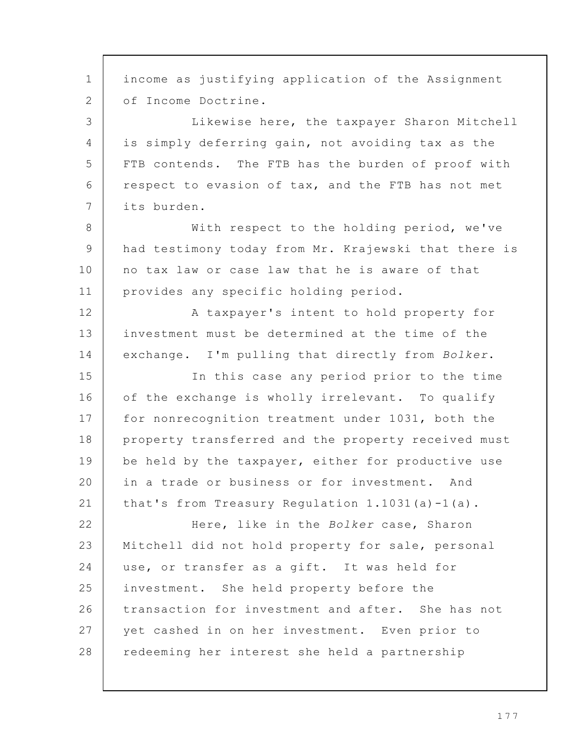income as justifying application of the Assignment of Income Doctrine. Likewise here, the taxpayer Sharon Mitchell is simply deferring gain, not avoiding tax as the FTB contends. The FTB has the burden of proof with respect to evasion of tax, and the FTB has not met its burden. With respect to the holding period, we've had testimony today from Mr. Krajewski that there is no tax law or case law that he is aware of that provides any specific holding period. A taxpayer's intent to hold property for investment must be determined at the time of the exchange. I'm pulling that directly from Bolker. In this case any period prior to the time of the exchange is wholly irrelevant. To qualify for nonrecognition treatment under 1031, both the property transferred and the property received must be held by the taxpayer, either for productive use in a trade or business or for investment. And that's from Treasury Regulation 1.1031(a)-1(a). Here, like in the Bolker case, Sharon Mitchell did not hold property for sale, personal use, or transfer as a gift. It was held for investment. She held property before the transaction for investment and after. She has not yet cashed in on her investment. Even prior to redeeming her interest she held a partnership 1 2 3 4 5 6 7 8 9 10 11 12 13 14 15 16 17 18 19 20 21 22 23 24 25 26 27 28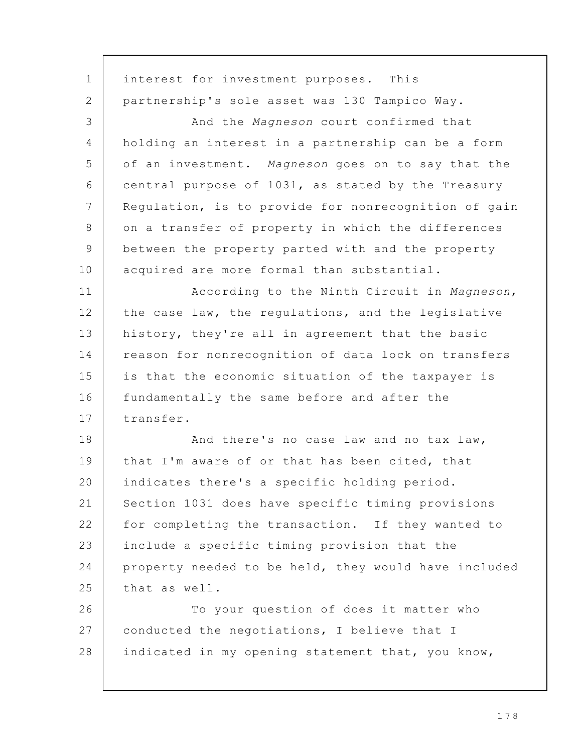interest for investment purposes. This partnership's sole asset was 130 Tampico Way. And the Magneson court confirmed that holding an interest in a partnership can be a form of an investment. Magneson goes on to say that the central purpose of 1031, as stated by the Treasury Regulation, is to provide for nonrecognition of gain on a transfer of property in which the differences between the property parted with and the property acquired are more formal than substantial. According to the Ninth Circuit in Magneson, the case law, the regulations, and the legislative history, they're all in agreement that the basic reason for nonrecognition of data lock on transfers is that the economic situation of the taxpayer is fundamentally the same before and after the transfer. And there's no case law and no tax law, that I'm aware of or that has been cited, that indicates there's a specific holding period. Section 1031 does have specific timing provisions for completing the transaction. If they wanted to include a specific timing provision that the property needed to be held, they would have included that as well. To your question of does it matter who conducted the negotiations, I believe that I indicated in my opening statement that, you know, 1 2 3 4 5 6 7 8 9 10 11 12 13 14 15 16 17 18 19 20 21 22 23 24 25 26 27 28

1 7 8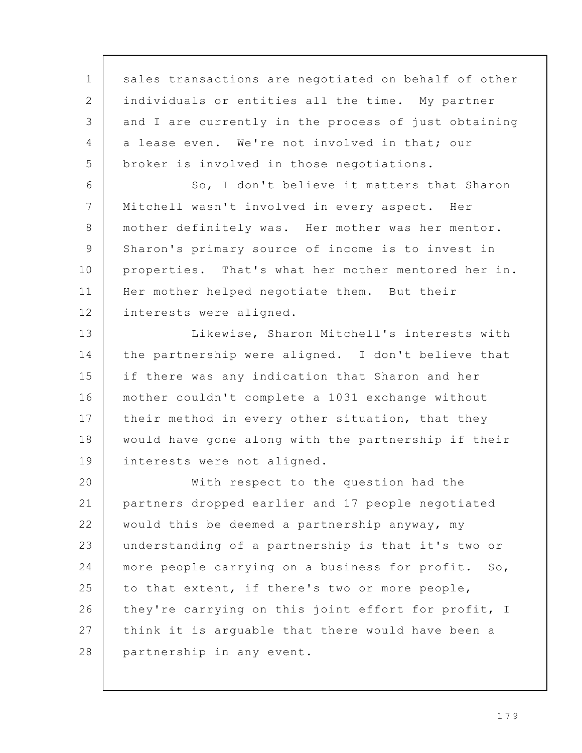sales transactions are negotiated on behalf of other individuals or entities all the time. My partner and I are currently in the process of just obtaining a lease even. We're not involved in that; our broker is involved in those negotiations. So, I don't believe it matters that Sharon Mitchell wasn't involved in every aspect. Her mother definitely was. Her mother was her mentor. Sharon's primary source of income is to invest in properties. That's what her mother mentored her in. Her mother helped negotiate them. But their interests were aligned. Likewise, Sharon Mitchell's interests with the partnership were aligned. I don't believe that if there was any indication that Sharon and her mother couldn't complete a 1031 exchange without their method in every other situation, that they would have gone along with the partnership if their interests were not aligned. With respect to the question had the partners dropped earlier and 17 people negotiated would this be deemed a partnership anyway, my understanding of a partnership is that it's two or more people carrying on a business for profit. So, to that extent, if there's two or more people, they're carrying on this joint effort for profit, I think it is arguable that there would have been a partnership in any event. 1 2 3 4 5 6 7 8 9 10 11 12 13 14 15 16 17 18 19 20 21 22 23 24 25 26 27 28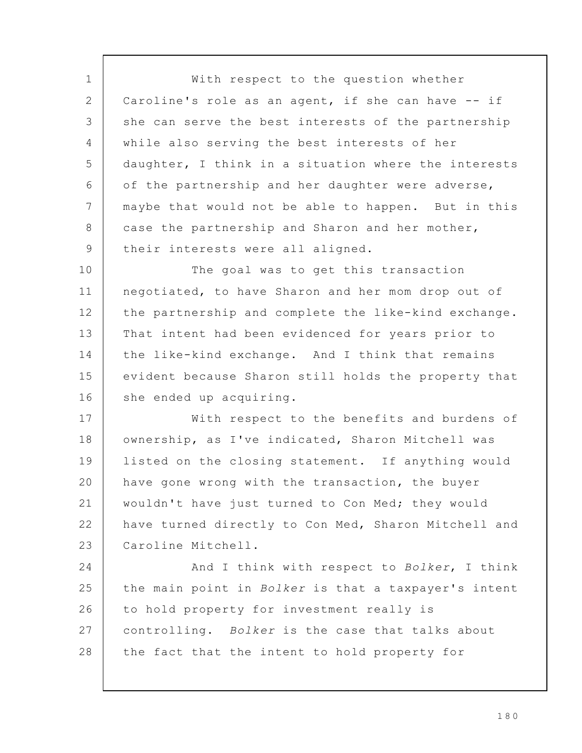With respect to the question whether Caroline's role as an agent, if she can have -- if she can serve the best interests of the partnership while also serving the best interests of her daughter, I think in a situation where the interests of the partnership and her daughter were adverse, maybe that would not be able to happen. But in this case the partnership and Sharon and her mother, their interests were all aligned. The goal was to get this transaction negotiated, to have Sharon and her mom drop out of the partnership and complete the like-kind exchange. That intent had been evidenced for years prior to the like-kind exchange. And I think that remains evident because Sharon still holds the property that she ended up acquiring. With respect to the benefits and burdens of ownership, as I've indicated, Sharon Mitchell was listed on the closing statement. If anything would have gone wrong with the transaction, the buyer wouldn't have just turned to Con Med; they would have turned directly to Con Med, Sharon Mitchell and Caroline Mitchell. And I think with respect to Bolker, I think the main point in Bolker is that a taxpayer's intent to hold property for investment really is controlling. Bolker is the case that talks about the fact that the intent to hold property for 1 2 3 4 5 6 7 8 9 10 11 12 13 14 15 16 17 18 19 20 21 22 23 24 25 26 27 28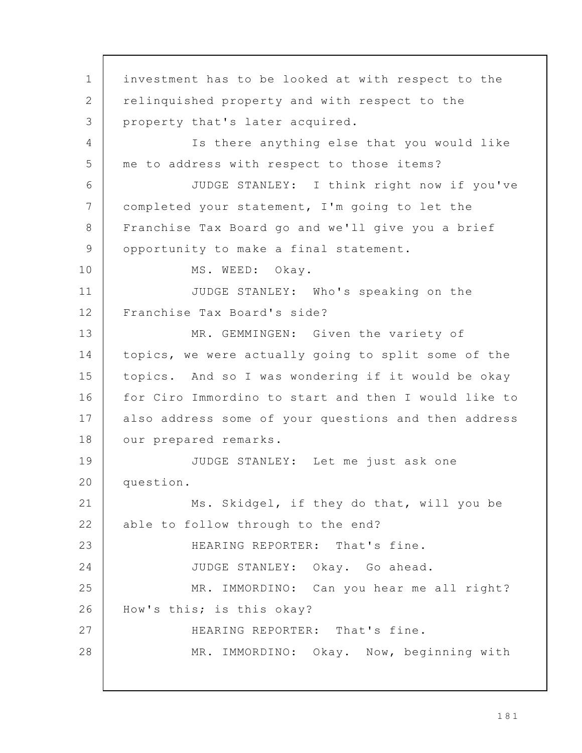investment has to be looked at with respect to the relinquished property and with respect to the property that's later acquired. Is there anything else that you would like me to address with respect to those items? JUDGE STANLEY: I think right now if you've completed your statement, I'm going to let the Franchise Tax Board go and we'll give you a brief opportunity to make a final statement. MS. WEED: Okay. JUDGE STANLEY: Who's speaking on the Franchise Tax Board's side? MR. GEMMINGEN: Given the variety of topics, we were actually going to split some of the topics. And so I was wondering if it would be okay for Ciro Immordino to start and then I would like to also address some of your questions and then address our prepared remarks. JUDGE STANLEY: Let me just ask one question. Ms. Skidgel, if they do that, will you be able to follow through to the end? HEARING REPORTER: That's fine. JUDGE STANLEY: Okay. Go ahead. MR. IMMORDINO: Can you hear me all right? How's this; is this okay? HEARING REPORTER: That's fine. MR. IMMORDINO: Okay. Now, beginning with 1 2 3  $\Delta$ 5 6 7 8 9 10 11 12 13 14 15 16 17 18 19 20 21 22 23 24 25 26 27 28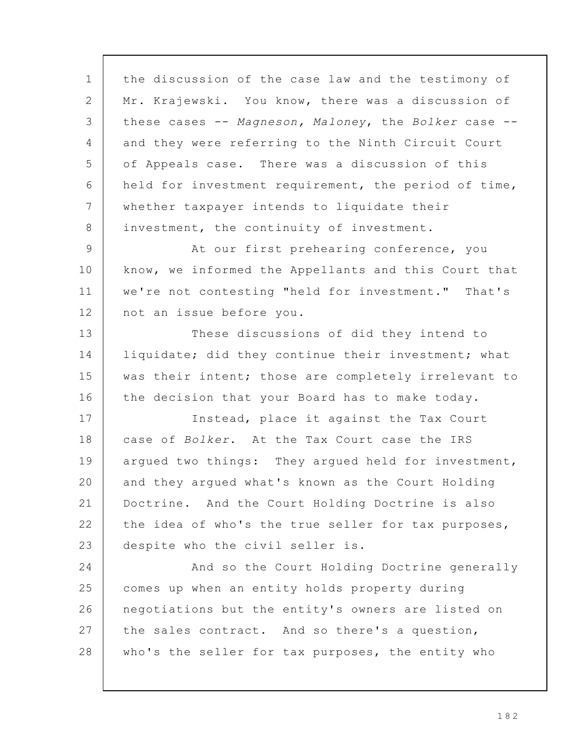the discussion of the case law and the testimony of Mr. Krajewski. You know, there was a discussion of these cases -- Magneson, Maloney, the Bolker case -and they were referring to the Ninth Circuit Court of Appeals case. There was a discussion of this held for investment requirement, the period of time, whether taxpayer intends to liquidate their investment, the continuity of investment. At our first prehearing conference, you know, we informed the Appellants and this Court that we're not contesting "held for investment." That's not an issue before you. These discussions of did they intend to liquidate; did they continue their investment; what was their intent; those are completely irrelevant to the decision that your Board has to make today. Instead, place it against the Tax Court case of Bolker. At the Tax Court case the IRS argued two things: They argued held for investment, and they argued what's known as the Court Holding Doctrine. And the Court Holding Doctrine is also the idea of who's the true seller for tax purposes, despite who the civil seller is. And so the Court Holding Doctrine generally comes up when an entity holds property during negotiations but the entity's owners are listed on the sales contract. And so there's a question, who's the seller for tax purposes, the entity who 1 2 3 4 5 6 7 8 9 10 11 12 13 14 15 16 17 18 19 20 21 22 23 24 25 26 27 28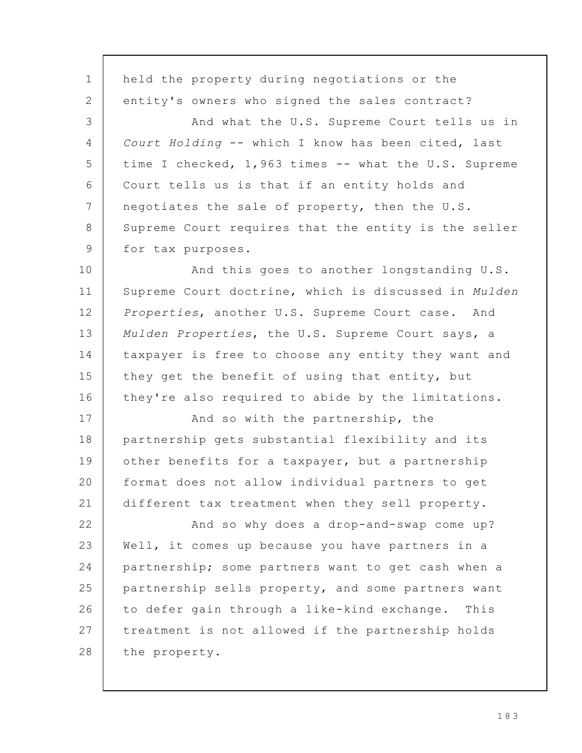held the property during negotiations or the entity's owners who signed the sales contract? And what the U.S. Supreme Court tells us in Court Holding -- which I know has been cited, last time I checked, 1,963 times -- what the U.S. Supreme Court tells us is that if an entity holds and negotiates the sale of property, then the U.S. Supreme Court requires that the entity is the seller for tax purposes. And this goes to another longstanding U.S. Supreme Court doctrine, which is discussed in Mulden Properties, another U.S. Supreme Court case. And Mulden Properties, the U.S. Supreme Court says, a taxpayer is free to choose any entity they want and they get the benefit of using that entity, but they're also required to abide by the limitations. And so with the partnership, the partnership gets substantial flexibility and its other benefits for a taxpayer, but a partnership format does not allow individual partners to get different tax treatment when they sell property. And so why does a drop-and-swap come up? Well, it comes up because you have partners in a partnership; some partners want to get cash when a partnership sells property, and some partners want to defer gain through a like-kind exchange. This treatment is not allowed if the partnership holds the property. 1 2 3 4 5 6 7 8 9 10 11 12 13 14 15 16 17 18 19 20 21 22 23 24 25 26 27 28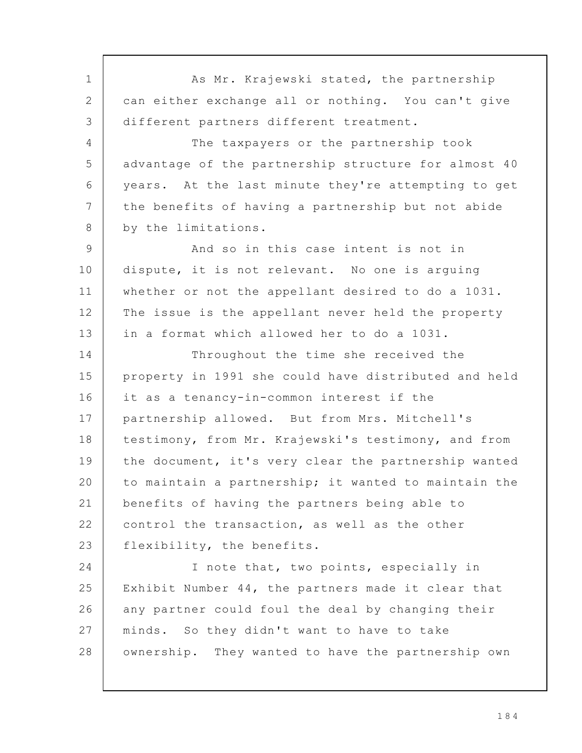As Mr. Krajewski stated, the partnership can either exchange all or nothing. You can't give different partners different treatment. The taxpayers or the partnership took advantage of the partnership structure for almost 40 years. At the last minute they're attempting to get the benefits of having a partnership but not abide by the limitations. And so in this case intent is not in dispute, it is not relevant. No one is arguing whether or not the appellant desired to do a 1031. The issue is the appellant never held the property in a format which allowed her to do a 1031. Throughout the time she received the property in 1991 she could have distributed and held it as a tenancy-in-common interest if the partnership allowed. But from Mrs. Mitchell's testimony, from Mr. Krajewski's testimony, and from the document, it's very clear the partnership wanted to maintain a partnership; it wanted to maintain the benefits of having the partners being able to control the transaction, as well as the other flexibility, the benefits. I note that, two points, especially in Exhibit Number 44, the partners made it clear that any partner could foul the deal by changing their minds. So they didn't want to have to take ownership. They wanted to have the partnership own 1 2 3 4 5 6 7 8 9 10 11 12 13 14 15 16 17 18 19 20 21 22 23 24 25 26 27 28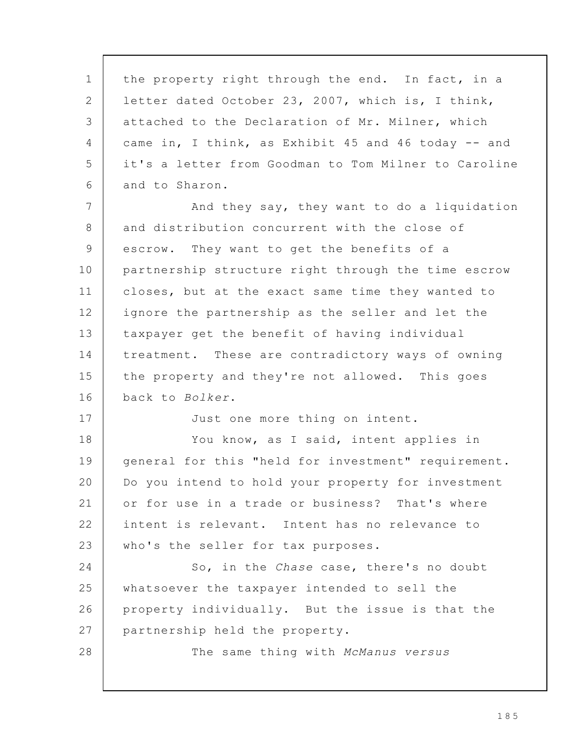the property right through the end. In fact, in a letter dated October 23, 2007, which is, I think, attached to the Declaration of Mr. Milner, which came in, I think, as Exhibit 45 and 46 today -- and it's a letter from Goodman to Tom Milner to Caroline and to Sharon. And they say, they want to do a liquidation and distribution concurrent with the close of escrow. They want to get the benefits of a partnership structure right through the time escrow closes, but at the exact same time they wanted to ignore the partnership as the seller and let the taxpayer get the benefit of having individual treatment. These are contradictory ways of owning the property and they're not allowed. This goes back to Bolker. Just one more thing on intent. You know, as I said, intent applies in general for this "held for investment" requirement. Do you intend to hold your property for investment or for use in a trade or business? That's where intent is relevant. Intent has no relevance to who's the seller for tax purposes. So, in the Chase case, there's no doubt whatsoever the taxpayer intended to sell the property individually. But the issue is that the partnership held the property. The same thing with McManus versus 1 2 3 4 5 6 7 8 9 10 11 12 13 14 15 16 17 18 19 20 21 22 23 24 25 26 27 28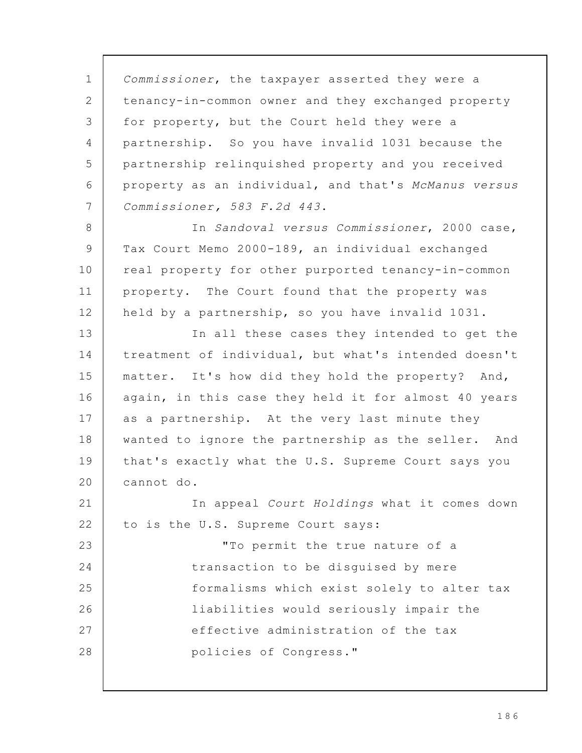Commissioner, the taxpayer asserted they were a tenancy-in-common owner and they exchanged property for property, but the Court held they were a partnership. So you have invalid 1031 because the partnership relinquished property and you received property as an individual, and that's McManus versus Commissioner, 583 F.2d 443. In Sandoval versus Commissioner, 2000 case, Tax Court Memo 2000-189, an individual exchanged real property for other purported tenancy-in-common property. The Court found that the property was held by a partnership, so you have invalid 1031. In all these cases they intended to get the treatment of individual, but what's intended doesn't matter. It's how did they hold the property? And, again, in this case they held it for almost 40 years as a partnership. At the very last minute they wanted to ignore the partnership as the seller. And that's exactly what the U.S. Supreme Court says you cannot do. In appeal Court Holdings what it comes down to is the U.S. Supreme Court says: "To permit the true nature of a transaction to be disguised by mere formalisms which exist solely to alter tax liabilities would seriously impair the effective administration of the tax policies of Congress." 1 2 3 4 5 6 7 8 9 10 11 12 13 14 15 16 17 18 19 20 21 22 23 24 25 26 27 28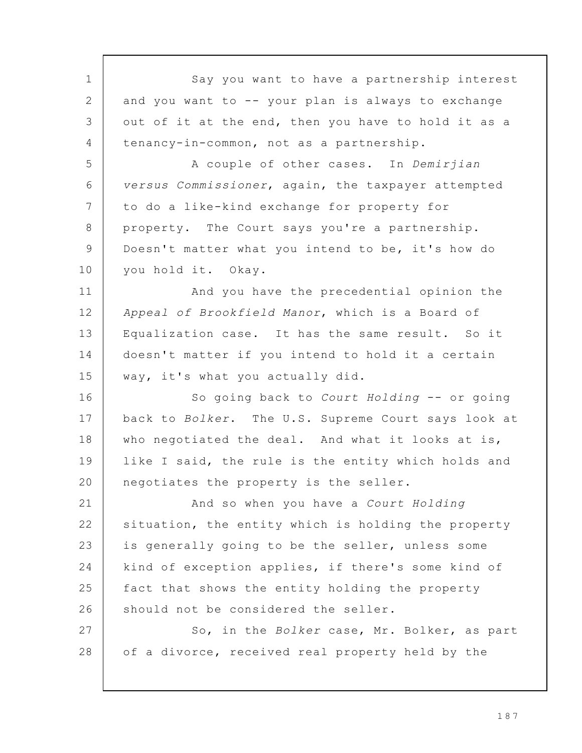Say you want to have a partnership interest and you want to -- your plan is always to exchange out of it at the end, then you have to hold it as a tenancy-in-common, not as a partnership. A couple of other cases. In Demirjian versus Commissioner, again, the taxpayer attempted to do a like-kind exchange for property for property. The Court says you're a partnership. Doesn't matter what you intend to be, it's how do you hold it. Okay. And you have the precedential opinion the Appeal of Brookfield Manor, which is a Board of Equalization case. It has the same result. So it doesn't matter if you intend to hold it a certain way, it's what you actually did. So going back to Court Holding -- or going back to Bolker. The U.S. Supreme Court says look at who negotiated the deal. And what it looks at is, like I said, the rule is the entity which holds and negotiates the property is the seller. And so when you have a Court Holding situation, the entity which is holding the property is generally going to be the seller, unless some kind of exception applies, if there's some kind of fact that shows the entity holding the property should not be considered the seller. So, in the Bolker case, Mr. Bolker, as part of a divorce, received real property held by the 1 2 3 4 5 6 7 8 9 10 11 12 13 14 15 16 17 18 19 20 21 22 23 24 25 26 27 28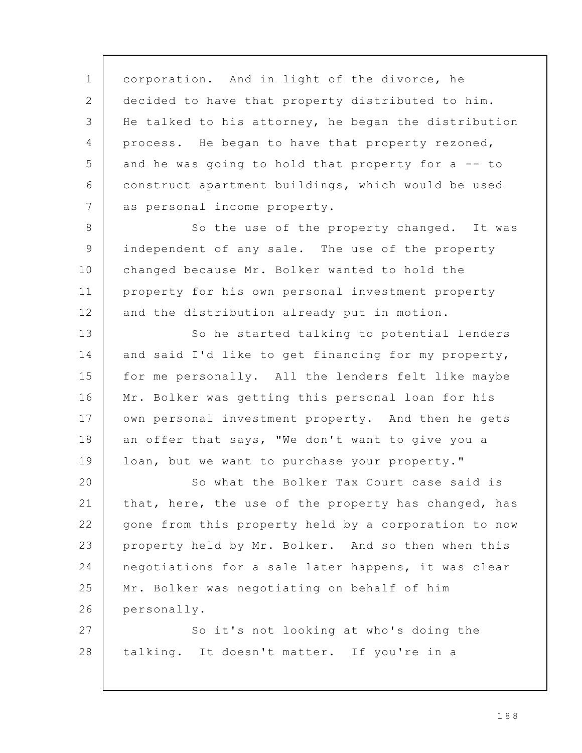corporation. And in light of the divorce, he decided to have that property distributed to him. He talked to his attorney, he began the distribution process. He began to have that property rezoned, and he was going to hold that property for a -- to construct apartment buildings, which would be used as personal income property. 1 2 3 4 5 6 7

So the use of the property changed. It was independent of any sale. The use of the property changed because Mr. Bolker wanted to hold the property for his own personal investment property and the distribution already put in motion. 8 9 10 11 12

So he started talking to potential lenders and said I'd like to get financing for my property, for me personally. All the lenders felt like maybe Mr. Bolker was getting this personal loan for his own personal investment property. And then he gets an offer that says, "We don't want to give you a loan, but we want to purchase your property." 13 14 15 16 17 18 19

So what the Bolker Tax Court case said is that, here, the use of the property has changed, has gone from this property held by a corporation to now property held by Mr. Bolker. And so then when this negotiations for a sale later happens, it was clear Mr. Bolker was negotiating on behalf of him personally. 20 21 22 23 24 25 26

So it's not looking at who's doing the talking. It doesn't matter. If you're in a 27 28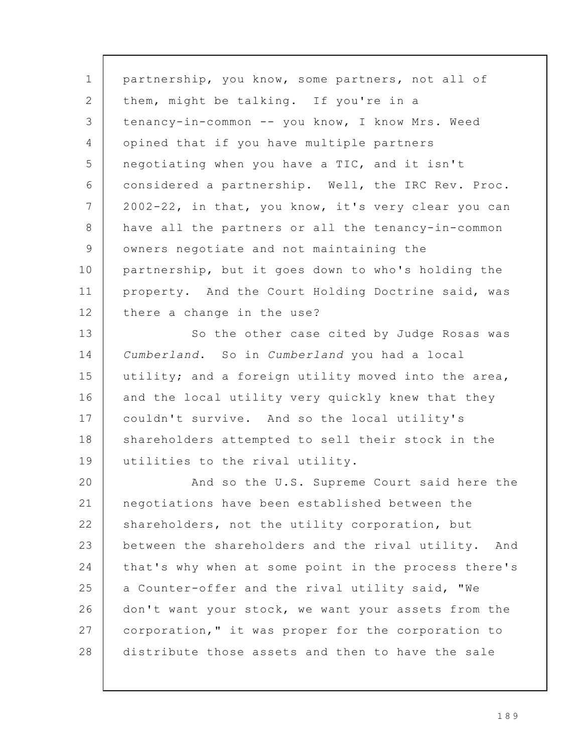partnership, you know, some partners, not all of them, might be talking. If you're in a tenancy-in-common -- you know, I know Mrs. Weed opined that if you have multiple partners negotiating when you have a TIC, and it isn't considered a partnership. Well, the IRC Rev. Proc. 2002-22, in that, you know, it's very clear you can have all the partners or all the tenancy-in-common owners negotiate and not maintaining the partnership, but it goes down to who's holding the property. And the Court Holding Doctrine said, was there a change in the use? So the other case cited by Judge Rosas was Cumberland. So in Cumberland you had a local utility; and a foreign utility moved into the area, and the local utility very quickly knew that they couldn't survive. And so the local utility's shareholders attempted to sell their stock in the utilities to the rival utility. And so the U.S. Supreme Court said here the negotiations have been established between the shareholders, not the utility corporation, but between the shareholders and the rival utility. And that's why when at some point in the process there's a Counter-offer and the rival utility said, "We don't want your stock, we want your assets from the corporation," it was proper for the corporation to distribute those assets and then to have the sale 1 2 3 4 5 6 7 8 9 10 11 12 13 14 15 16 17 18 19 20 21 22 23 24 25 26 27 28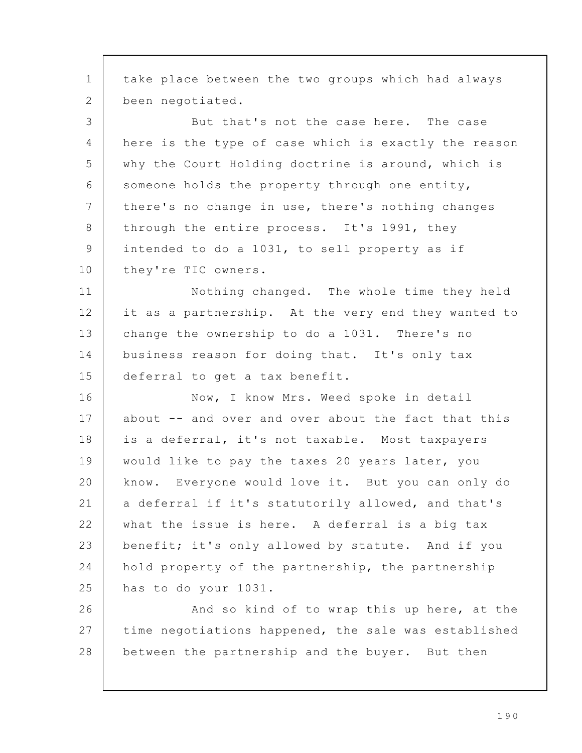take place between the two groups which had always been negotiated. But that's not the case here. The case here is the type of case which is exactly the reason why the Court Holding doctrine is around, which is someone holds the property through one entity, there's no change in use, there's nothing changes through the entire process. It's 1991, they intended to do a 1031, to sell property as if they're TIC owners. Nothing changed. The whole time they held it as a partnership. At the very end they wanted to change the ownership to do a 1031. There's no business reason for doing that. It's only tax deferral to get a tax benefit. Now, I know Mrs. Weed spoke in detail about -- and over and over about the fact that this is a deferral, it's not taxable. Most taxpayers would like to pay the taxes 20 years later, you know. Everyone would love it. But you can only do a deferral if it's statutorily allowed, and that's what the issue is here. A deferral is a big tax benefit; it's only allowed by statute. And if you hold property of the partnership, the partnership has to do your 1031. And so kind of to wrap this up here, at the time negotiations happened, the sale was established between the partnership and the buyer. But then 1 2 3 4 5 6 7 8 9 10 11 12 13 14 15 16 17 18 19 20 21 22 23 24 25 26 27 28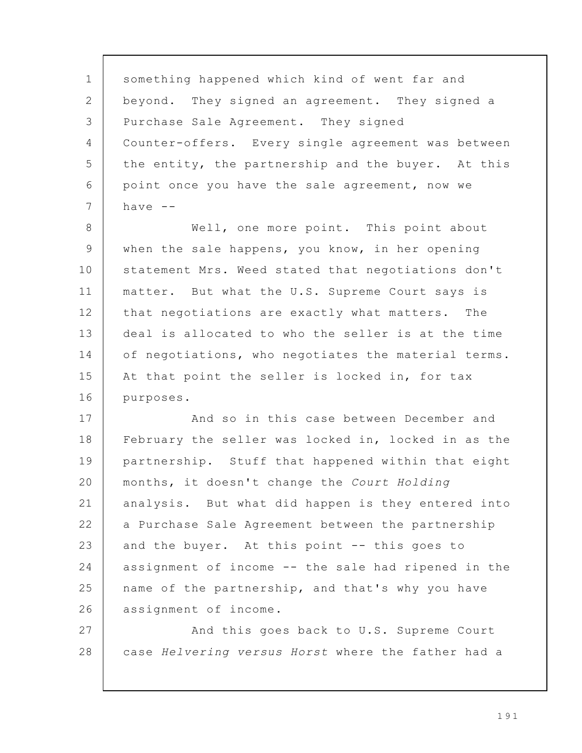something happened which kind of went far and beyond. They signed an agreement. They signed a Purchase Sale Agreement. They signed Counter-offers. Every single agreement was between the entity, the partnership and the buyer. At this point once you have the sale agreement, now we have  $--$ Well, one more point. This point about when the sale happens, you know, in her opening statement Mrs. Weed stated that negotiations don't matter. But what the U.S. Supreme Court says is that negotiations are exactly what matters. The deal is allocated to who the seller is at the time of negotiations, who negotiates the material terms. At that point the seller is locked in, for tax purposes. And so in this case between December and February the seller was locked in, locked in as the partnership. Stuff that happened within that eight months, it doesn't change the Court Holding analysis. But what did happen is they entered into a Purchase Sale Agreement between the partnership and the buyer. At this point -- this goes to assignment of income -- the sale had ripened in the name of the partnership, and that's why you have assignment of income. And this goes back to U.S. Supreme Court case Helvering versus Horst where the father had a 1 2 3 4 5 6 7 8 9 10 11 12 13 14 15 16 17 18 19 20 21 22 23 24 25 26 27 28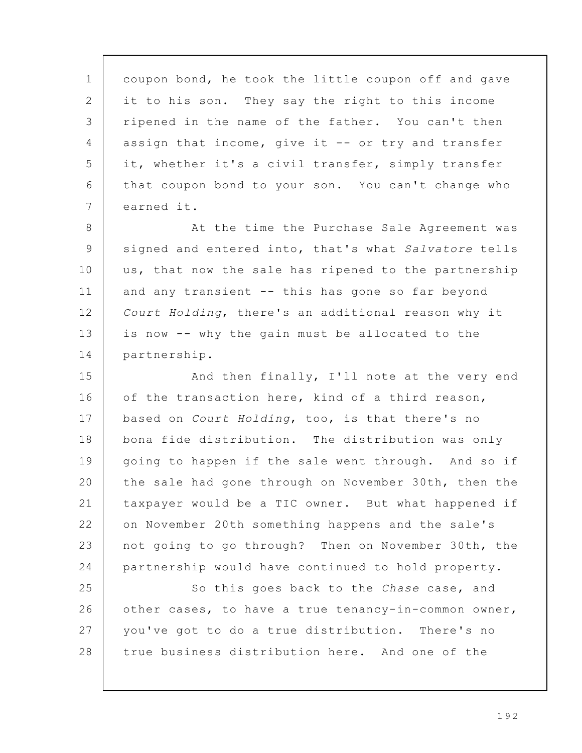coupon bond, he took the little coupon off and gave it to his son. They say the right to this income ripened in the name of the father. You can't then assign that income, give it -- or try and transfer it, whether it's a civil transfer, simply transfer that coupon bond to your son. You can't change who earned it. 1 2 3 4 5 6 7

At the time the Purchase Sale Agreement was signed and entered into, that's what Salvatore tells us, that now the sale has ripened to the partnership and any transient -- this has gone so far beyond Court Holding, there's an additional reason why it is now -- why the gain must be allocated to the partnership. 8 9 10 11 12 13 14

And then finally, I'll note at the very end of the transaction here, kind of a third reason, based on Court Holding, too, is that there's no bona fide distribution. The distribution was only going to happen if the sale went through. And so if the sale had gone through on November 30th, then the taxpayer would be a TIC owner. But what happened if on November 20th something happens and the sale's not going to go through? Then on November 30th, the partnership would have continued to hold property. 15 16 17 18 19 20 21 22 23 24

So this goes back to the Chase case, and other cases, to have a true tenancy-in-common owner, you've got to do a true distribution. There's no true business distribution here. And one of the 25 26 27 28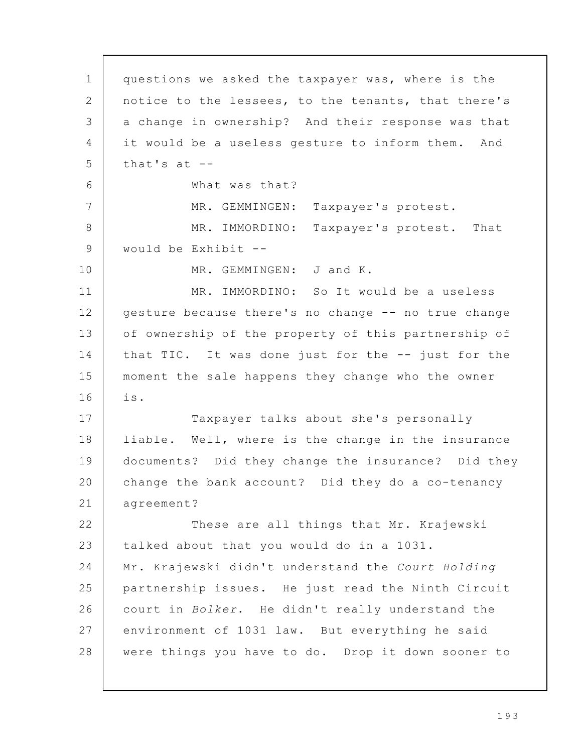questions we asked the taxpayer was, where is the notice to the lessees, to the tenants, that there's a change in ownership? And their response was that it would be a useless gesture to inform them. And that's at -- What was that? MR. GEMMINGEN: Taxpayer's protest. MR. IMMORDINO: Taxpayer's protest. That would be Exhibit -- MR. GEMMINGEN: J and K. MR. IMMORDINO: So It would be a useless gesture because there's no change -- no true change of ownership of the property of this partnership of that TIC. It was done just for the -- just for the moment the sale happens they change who the owner is. Taxpayer talks about she's personally liable. Well, where is the change in the insurance documents? Did they change the insurance? Did they change the bank account? Did they do a co-tenancy agreement? These are all things that Mr. Krajewski talked about that you would do in a 1031. Mr. Krajewski didn't understand the Court Holding partnership issues. He just read the Ninth Circuit court in Bolker. He didn't really understand the environment of 1031 law. But everything he said were things you have to do. Drop it down sooner to 1 2 3 4 5 6 7 8 9 10 11 12 13 14 15 16 17 18 19 20 21 22 23 24 25 26 27 28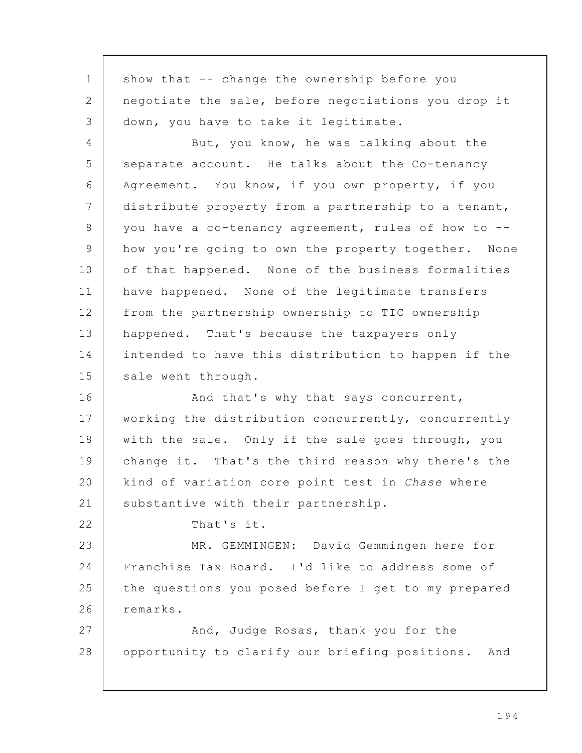show that -- change the ownership before you negotiate the sale, before negotiations you drop it down, you have to take it legitimate. But, you know, he was talking about the separate account. He talks about the Co-tenancy Agreement. You know, if you own property, if you distribute property from a partnership to a tenant, you have a co-tenancy agreement, rules of how to - how you're going to own the property together. None of that happened. None of the business formalities have happened. None of the legitimate transfers from the partnership ownership to TIC ownership happened. That's because the taxpayers only intended to have this distribution to happen if the sale went through. And that's why that says concurrent, working the distribution concurrently, concurrently with the sale. Only if the sale goes through, you change it. That's the third reason why there's the kind of variation core point test in Chase where substantive with their partnership. That's it. MR. GEMMINGEN: David Gemmingen here for Franchise Tax Board. I'd like to address some of the questions you posed before I get to my prepared remarks. And, Judge Rosas, thank you for the opportunity to clarify our briefing positions. And 1 2 3 4 5 6 7 8 9 10 11 12 13 14 15 16 17 18 19 20 21 22 23 24 25 26 27 28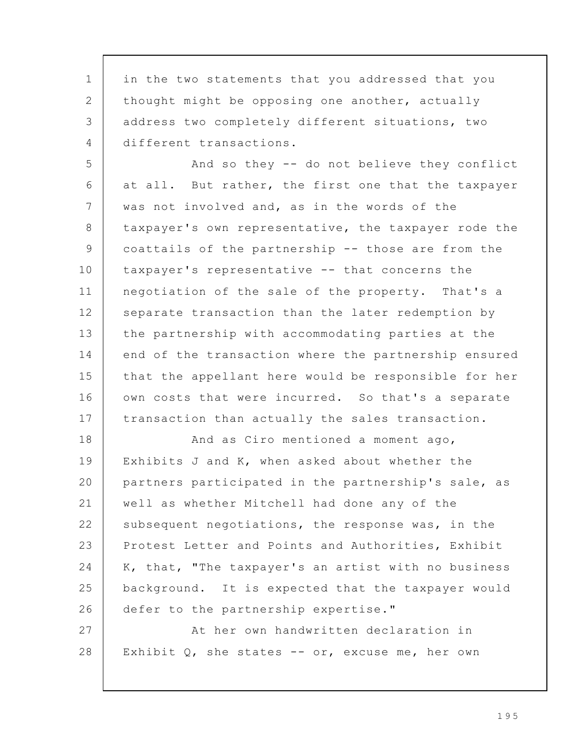in the two statements that you addressed that you thought might be opposing one another, actually address two completely different situations, two different transactions. 1 2 3 4

And so they -- do not believe they conflict at all. But rather, the first one that the taxpayer was not involved and, as in the words of the taxpayer's own representative, the taxpayer rode the coattails of the partnership -- those are from the taxpayer's representative -- that concerns the negotiation of the sale of the property. That's a separate transaction than the later redemption by the partnership with accommodating parties at the end of the transaction where the partnership ensured that the appellant here would be responsible for her own costs that were incurred. So that's a separate transaction than actually the sales transaction. 5 6 7 8 9 10 11 12 13 14 15 16 17

And as Ciro mentioned a moment ago, Exhibits J and K, when asked about whether the partners participated in the partnership's sale, as well as whether Mitchell had done any of the subsequent negotiations, the response was, in the Protest Letter and Points and Authorities, Exhibit K, that, "The taxpayer's an artist with no business background. It is expected that the taxpayer would defer to the partnership expertise." At her own handwritten declaration in 18 19 20 21 22 23 24 25 26 27

Exhibit  $Q$ , she states -- or, excuse me, her own

28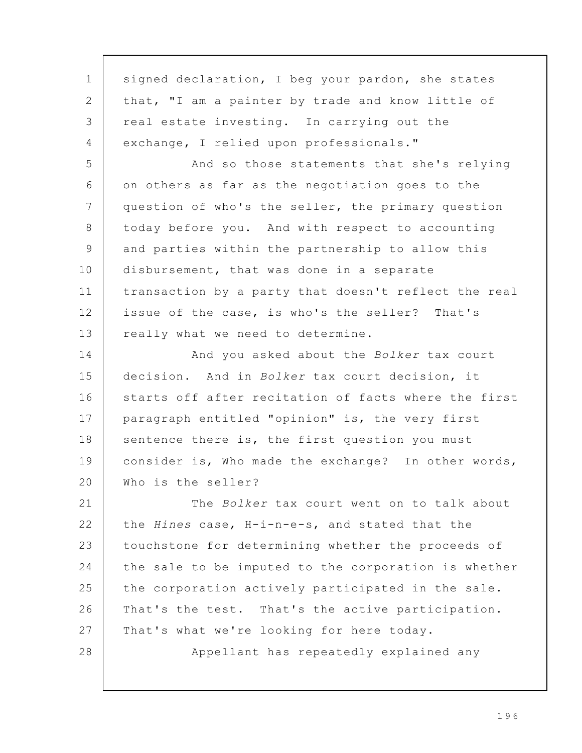signed declaration, I beg your pardon, she states that, "I am a painter by trade and know little of real estate investing. In carrying out the exchange, I relied upon professionals." And so those statements that she's relying on others as far as the negotiation goes to the question of who's the seller, the primary question today before you. And with respect to accounting and parties within the partnership to allow this disbursement, that was done in a separate transaction by a party that doesn't reflect the real issue of the case, is who's the seller? That's really what we need to determine. And you asked about the Bolker tax court decision. And in Bolker tax court decision, it starts off after recitation of facts where the first paragraph entitled "opinion" is, the very first sentence there is, the first question you must consider is, Who made the exchange? In other words, Who is the seller? The Bolker tax court went on to talk about the Hines case, H-i-n-e-s, and stated that the touchstone for determining whether the proceeds of the sale to be imputed to the corporation is whether the corporation actively participated in the sale. That's the test. That's the active participation. That's what we're looking for here today. Appellant has repeatedly explained any 1 2 3 4 5 6 7 8 9 10 11 12 13 14 15 16 17 18 19 20 21 22 23 24 25 26 27 28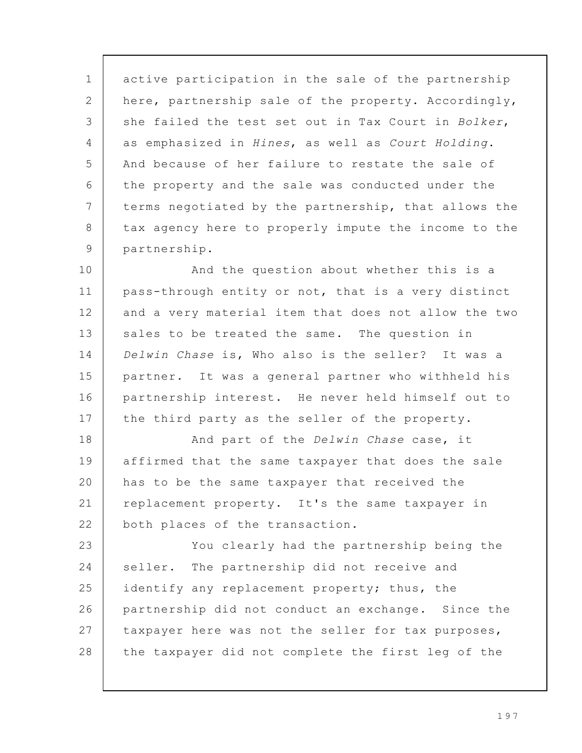active participation in the sale of the partnership here, partnership sale of the property. Accordingly, she failed the test set out in Tax Court in Bolker, as emphasized in Hines, as well as Court Holding. And because of her failure to restate the sale of the property and the sale was conducted under the terms negotiated by the partnership, that allows the tax agency here to properly impute the income to the partnership. 1 2 3 4 5 6 7 8 9

And the question about whether this is a pass-through entity or not, that is a very distinct and a very material item that does not allow the two sales to be treated the same. The question in Delwin Chase is, Who also is the seller? It was a partner. It was a general partner who withheld his partnership interest. He never held himself out to the third party as the seller of the property. 10 11 12 13 14 15 16 17

And part of the Delwin Chase case, it affirmed that the same taxpayer that does the sale has to be the same taxpayer that received the replacement property. It's the same taxpayer in both places of the transaction. 18 19 20 21 22

You clearly had the partnership being the seller. The partnership did not receive and identify any replacement property; thus, the partnership did not conduct an exchange. Since the taxpayer here was not the seller for tax purposes, the taxpayer did not complete the first leg of the 23 24 25 26 27 28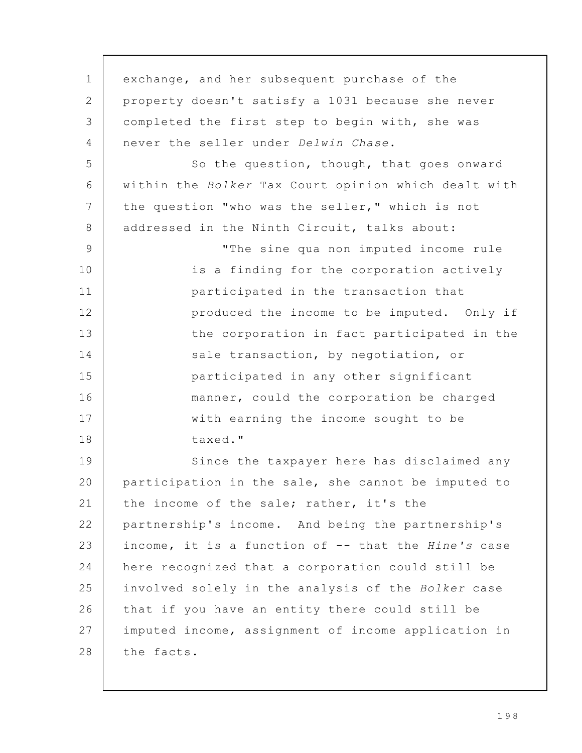| 1  | exchange, and her subsequent purchase of the         |
|----|------------------------------------------------------|
| 2  | property doesn't satisfy a 1031 because she never    |
| 3  | completed the first step to begin with, she was      |
| 4  | never the seller under Delwin Chase.                 |
| 5  | So the question, though, that goes onward            |
| 6  | within the Bolker Tax Court opinion which dealt with |
| 7  | the question "who was the seller," which is not      |
| 8  | addressed in the Ninth Circuit, talks about:         |
| 9  | "The sine qua non imputed income rule                |
| 10 | is a finding for the corporation actively            |
| 11 | participated in the transaction that                 |
| 12 | produced the income to be imputed. Only if           |
| 13 | the corporation in fact participated in the          |
| 14 | sale transaction, by negotiation, or                 |
| 15 | participated in any other significant                |
| 16 | manner, could the corporation be charged             |
| 17 | with earning the income sought to be                 |
| 18 | taxed."                                              |
| 19 | Since the taxpayer here has disclaimed any           |
| 20 | participation in the sale, she cannot be imputed to  |
| 21 | the income of the sale; rather, it's the             |
| 22 | partnership's income. And being the partnership's    |
| 23 | income, it is a function of -- that the Hine's case  |
| 24 | here recognized that a corporation could still be    |
| 25 | involved solely in the analysis of the Bolker case   |
| 26 | that if you have an entity there could still be      |
| 27 | imputed income, assignment of income application in  |
| 28 | the facts.                                           |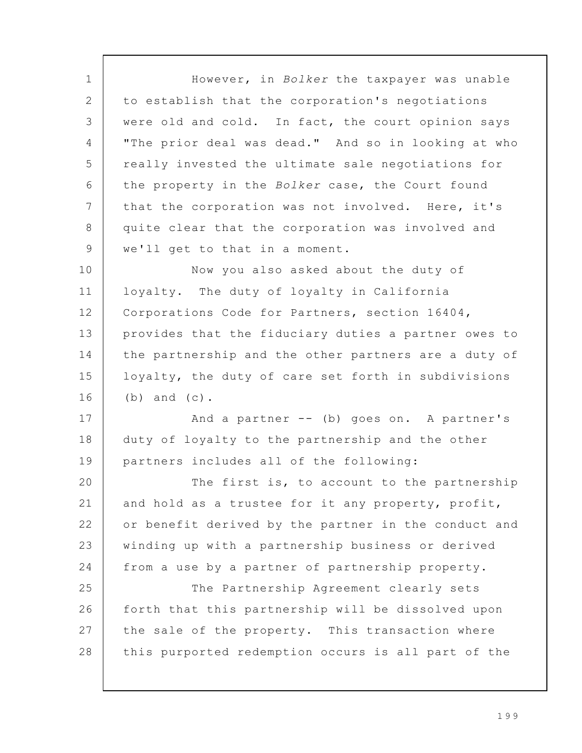However, in Bolker the taxpayer was unable to establish that the corporation's negotiations were old and cold. In fact, the court opinion says "The prior deal was dead." And so in looking at who really invested the ultimate sale negotiations for the property in the Bolker case, the Court found that the corporation was not involved. Here, it's quite clear that the corporation was involved and we'll get to that in a moment. Now you also asked about the duty of loyalty. The duty of loyalty in California Corporations Code for Partners, section 16404, provides that the fiduciary duties a partner owes to the partnership and the other partners are a duty of loyalty, the duty of care set forth in subdivisions (b) and (c). And a partner -- (b) goes on. A partner's duty of loyalty to the partnership and the other partners includes all of the following: The first is, to account to the partnership and hold as a trustee for it any property, profit, or benefit derived by the partner in the conduct and winding up with a partnership business or derived from a use by a partner of partnership property. The Partnership Agreement clearly sets forth that this partnership will be dissolved upon the sale of the property. This transaction where this purported redemption occurs is all part of the 1 2 3 4 5 6 7 8 9 10 11 12 13 14 15 16 17 18 19 20 21 22 23 24 25 26 27 28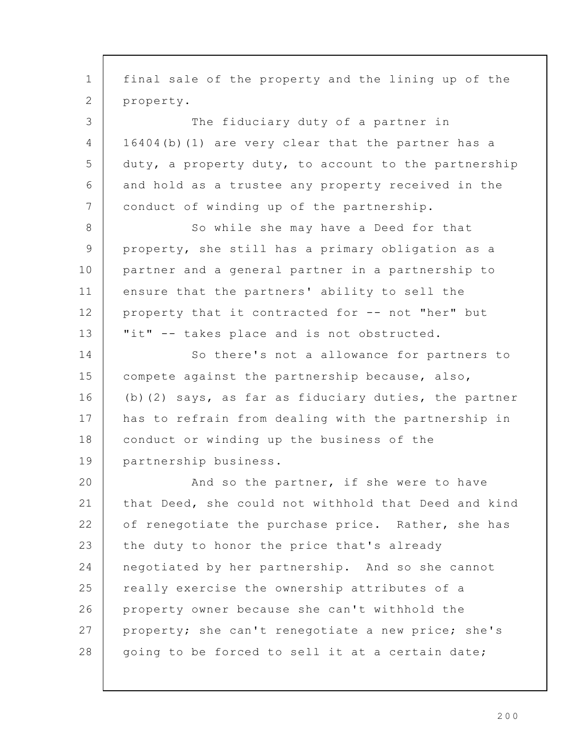final sale of the property and the lining up of the property. The fiduciary duty of a partner in 16404(b)(1) are very clear that the partner has a duty, a property duty, to account to the partnership and hold as a trustee any property received in the conduct of winding up of the partnership. So while she may have a Deed for that property, she still has a primary obligation as a partner and a general partner in a partnership to ensure that the partners' ability to sell the property that it contracted for -- not "her" but "it" -- takes place and is not obstructed. So there's not a allowance for partners to compete against the partnership because, also, (b)(2) says, as far as fiduciary duties, the partner has to refrain from dealing with the partnership in conduct or winding up the business of the partnership business. And so the partner, if she were to have that Deed, she could not withhold that Deed and kind of renegotiate the purchase price. Rather, she has the duty to honor the price that's already negotiated by her partnership. And so she cannot really exercise the ownership attributes of a property owner because she can't withhold the property; she can't renegotiate a new price; she's going to be forced to sell it at a certain date; 1 2 3 4 5 6 7 8 9 10 11 12 13 14 15 16 17 18 19 20 21 22 23 24 25 26 27 28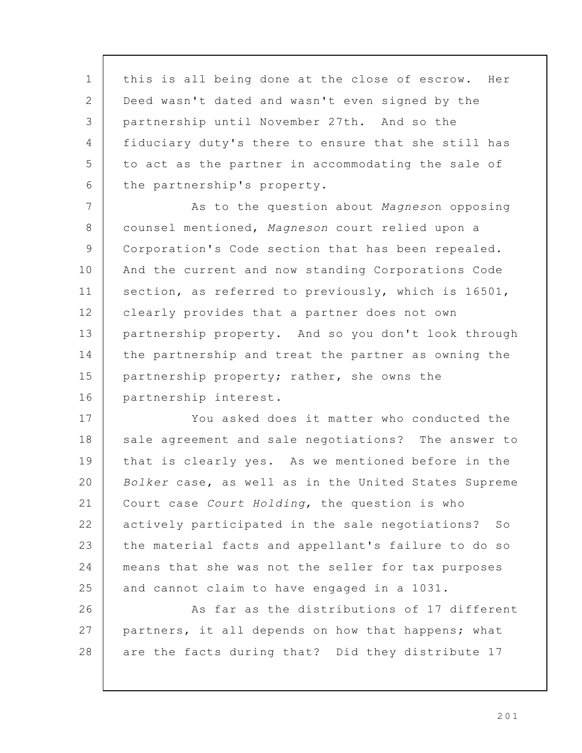this is all being done at the close of escrow. Her Deed wasn't dated and wasn't even signed by the partnership until November 27th. And so the fiduciary duty's there to ensure that she still has to act as the partner in accommodating the sale of the partnership's property. As to the question about Magneson opposing counsel mentioned, Magneson court relied upon a Corporation's Code section that has been repealed. And the current and now standing Corporations Code section, as referred to previously, which is 16501, clearly provides that a partner does not own partnership property. And so you don't look through the partnership and treat the partner as owning the partnership property; rather, she owns the partnership interest. You asked does it matter who conducted the sale agreement and sale negotiations? The answer to that is clearly yes. As we mentioned before in the Bolker case, as well as in the United States Supreme Court case Court Holding, the question is who actively participated in the sale negotiations? So the material facts and appellant's failure to do so means that she was not the seller for tax purposes and cannot claim to have engaged in a 1031. As far as the distributions of 17 different partners, it all depends on how that happens; what are the facts during that? Did they distribute 17 1 2 3 4 5 6 7 8 9 10 11 12 13 14 15 16 17 18 19 20 21 22 23 24 25 26 27 28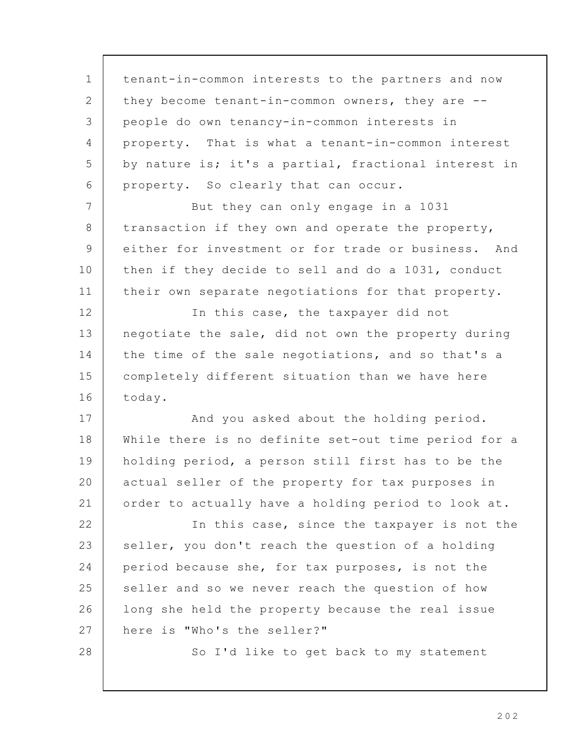| $\mathbf 1$ | tenant-in-common interests to the partners and now   |
|-------------|------------------------------------------------------|
| 2           | they become tenant-in-common owners, they are --     |
| 3           | people do own tenancy-in-common interests in         |
| 4           | property. That is what a tenant-in-common interest   |
| 5           | by nature is; it's a partial, fractional interest in |
| 6           | property. So clearly that can occur.                 |
| 7           | But they can only engage in a 1031                   |
| 8           | transaction if they own and operate the property,    |
| 9           | either for investment or for trade or business. And  |
| 10          | then if they decide to sell and do a 1031, conduct   |
| 11          | their own separate negotiations for that property.   |
| 12          | In this case, the taxpayer did not                   |
| 13          | negotiate the sale, did not own the property during  |
| 14          | the time of the sale negotiations, and so that's a   |
| 15          | completely different situation than we have here     |
| 16          | today.                                               |
| 17          | And you asked about the holding period.              |
| 18          | While there is no definite set-out time period for a |
| 19          | holding period, a person still first has to be the   |
| 20          | actual seller of the property for tax purposes in    |
| 21          | order to actually have a holding period to look at.  |
| 22          | In this case, since the taxpayer is not the          |
| 23          | seller, you don't reach the question of a holding    |
| 24          | period because she, for tax purposes, is not the     |
| 25          | seller and so we never reach the question of how     |
| 26          | long she held the property because the real issue    |
| 27          | here is "Who's the seller?"                          |
| 28          | So I'd like to get back to my statement              |
|             |                                                      |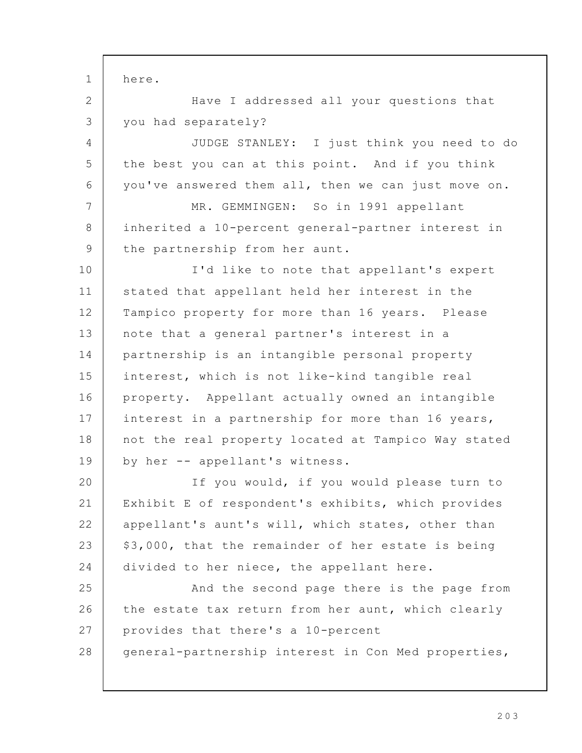here. Have I addressed all your questions that you had separately? JUDGE STANLEY: I just think you need to do the best you can at this point. And if you think you've answered them all, then we can just move on. MR. GEMMINGEN: So in 1991 appellant inherited a 10-percent general-partner interest in the partnership from her aunt. I'd like to note that appellant's expert stated that appellant held her interest in the Tampico property for more than 16 years. Please note that a general partner's interest in a partnership is an intangible personal property interest, which is not like-kind tangible real property. Appellant actually owned an intangible interest in a partnership for more than 16 years, not the real property located at Tampico Way stated by her -- appellant's witness. If you would, if you would please turn to Exhibit E of respondent's exhibits, which provides appellant's aunt's will, which states, other than \$3,000, that the remainder of her estate is being divided to her niece, the appellant here. And the second page there is the page from the estate tax return from her aunt, which clearly provides that there's a 10-percent general-partnership interest in Con Med properties, 1 2 3 4 5 6 7 8 9 10 11 12 13 14 15 16 17 18 19 20 21 22 23 24 25 26 27 28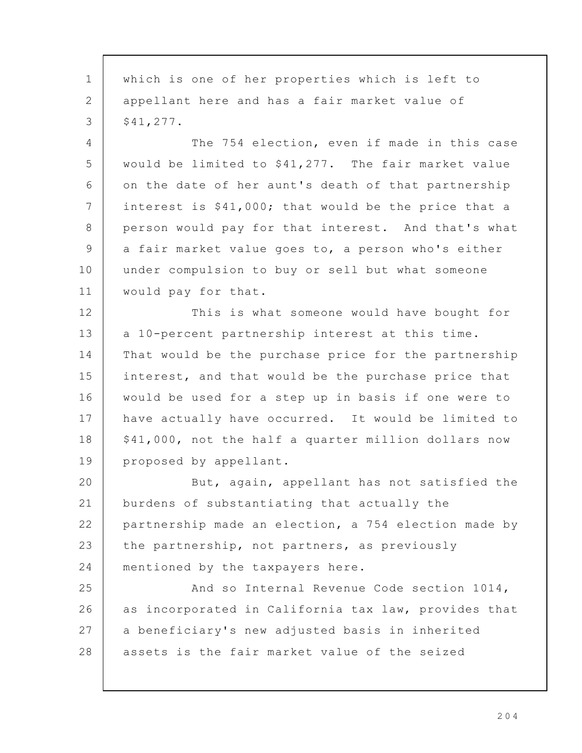which is one of her properties which is left to appellant here and has a fair market value of \$41,277. The 754 election, even if made in this case would be limited to \$41,277. The fair market value on the date of her aunt's death of that partnership interest is \$41,000; that would be the price that a person would pay for that interest. And that's what a fair market value goes to, a person who's either under compulsion to buy or sell but what someone would pay for that. This is what someone would have bought for a 10-percent partnership interest at this time. That would be the purchase price for the partnership interest, and that would be the purchase price that would be used for a step up in basis if one were to have actually have occurred. It would be limited to \$41,000, not the half a quarter million dollars now proposed by appellant. But, again, appellant has not satisfied the burdens of substantiating that actually the partnership made an election, a 754 election made by the partnership, not partners, as previously mentioned by the taxpayers here. And so Internal Revenue Code section 1014, as incorporated in California tax law, provides that a beneficiary's new adjusted basis in inherited assets is the fair market value of the seized 1 2 3 4 5 6 7 8 9 10 11 12 13 14 15 16 17 18 19 20 21 22 23 24 25 26 27 28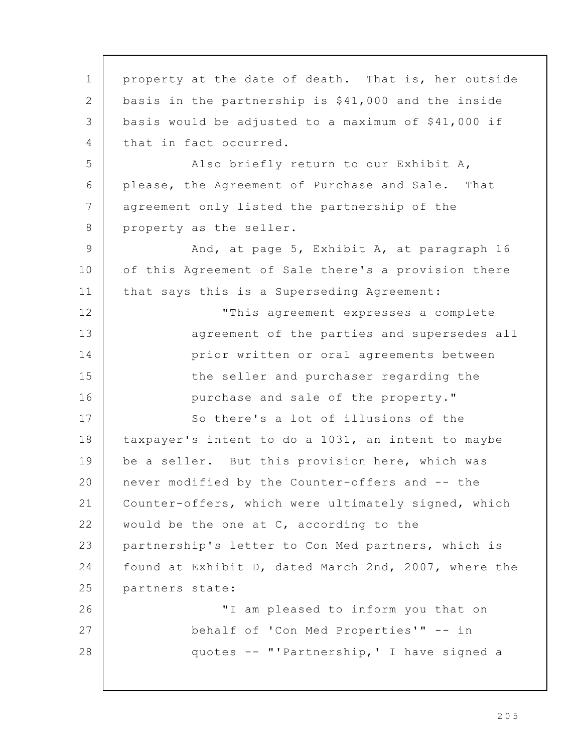property at the date of death. That is, her outside basis in the partnership is \$41,000 and the inside basis would be adjusted to a maximum of \$41,000 if that in fact occurred. Also briefly return to our Exhibit A, please, the Agreement of Purchase and Sale. That agreement only listed the partnership of the property as the seller. And, at page 5, Exhibit A, at paragraph 16 of this Agreement of Sale there's a provision there that says this is a Superseding Agreement: "This agreement expresses a complete agreement of the parties and supersedes all prior written or oral agreements between the seller and purchaser regarding the purchase and sale of the property." So there's a lot of illusions of the taxpayer's intent to do a 1031, an intent to maybe be a seller. But this provision here, which was never modified by the Counter-offers and -- the Counter-offers, which were ultimately signed, which would be the one at C, according to the partnership's letter to Con Med partners, which is found at Exhibit D, dated March 2nd, 2007, where the partners state: "I am pleased to inform you that on behalf of 'Con Med Properties'" -- in quotes -- "'Partnership,' I have signed a 1 2 3 4 5 6 7 8 9 10 11 12 13 14 15 16 17 18 19 20 21 22 23 24 25 26 27 28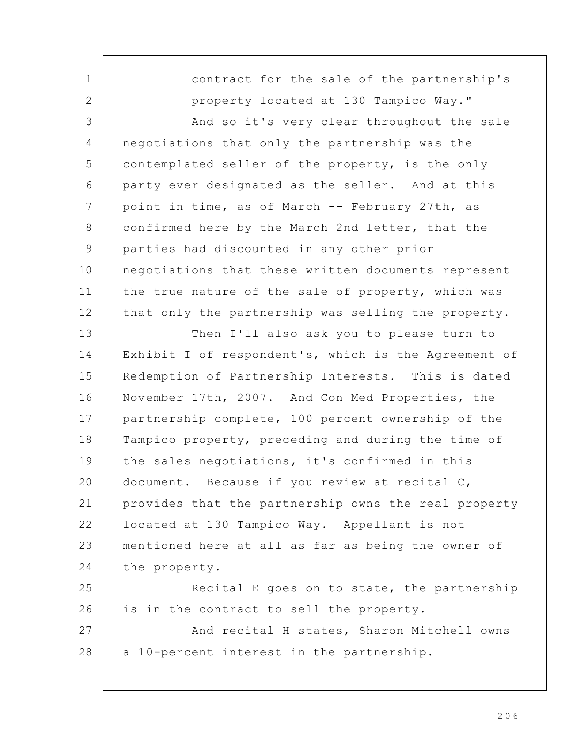contract for the sale of the partnership's property located at 130 Tampico Way." And so it's very clear throughout the sale negotiations that only the partnership was the contemplated seller of the property, is the only party ever designated as the seller. And at this point in time, as of March -- February 27th, as confirmed here by the March 2nd letter, that the parties had discounted in any other prior negotiations that these written documents represent the true nature of the sale of property, which was that only the partnership was selling the property. Then I'll also ask you to please turn to Exhibit I of respondent's, which is the Agreement of Redemption of Partnership Interests. This is dated November 17th, 2007. And Con Med Properties, the partnership complete, 100 percent ownership of the Tampico property, preceding and during the time of the sales negotiations, it's confirmed in this document. Because if you review at recital C, provides that the partnership owns the real property located at 130 Tampico Way. Appellant is not mentioned here at all as far as being the owner of the property. Recital E goes on to state, the partnership is in the contract to sell the property. And recital H states, Sharon Mitchell owns a 10-percent interest in the partnership. 1 2 3 4 5 6 7 8 9 10 11 12 13 14 15 16 17 18 19 20 21 22 23 24 25 26 27 28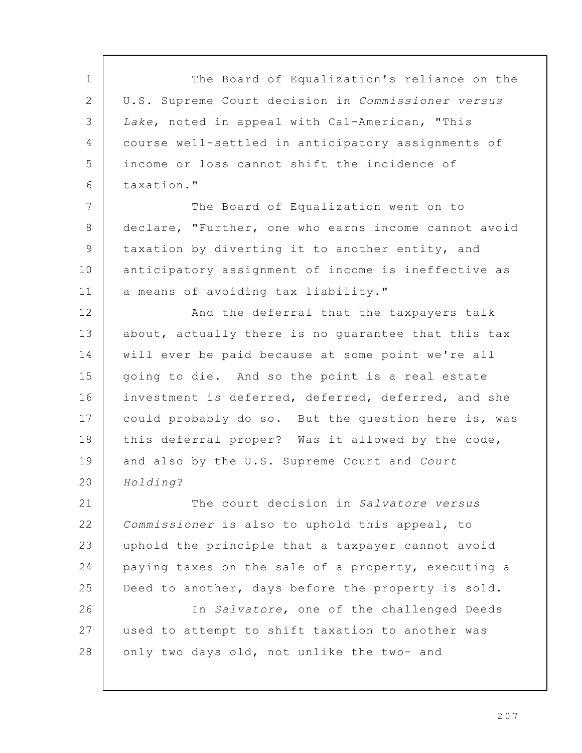The Board of Equalization's reliance on the U.S. Supreme Court decision in Commissioner versus Lake, noted in appeal with Cal-American, "This course well-settled in anticipatory assignments of income or loss cannot shift the incidence of taxation." The Board of Equalization went on to declare, "Further, one who earns income cannot avoid taxation by diverting it to another entity, and anticipatory assignment of income is ineffective as a means of avoiding tax liability." And the deferral that the taxpayers talk about, actually there is no guarantee that this tax will ever be paid because at some point we're all going to die. And so the point is a real estate investment is deferred, deferred, deferred, and she could probably do so. But the question here is, was this deferral proper? Was it allowed by the code, and also by the U.S. Supreme Court and Court Holding? The court decision in Salvatore versus Commissioner is also to uphold this appeal, to uphold the principle that a taxpayer cannot avoid paying taxes on the sale of a property, executing a Deed to another, days before the property is sold. In Salvatore, one of the challenged Deeds used to attempt to shift taxation to another was only two days old, not unlike the two- and 1 2 3 4 5 6 7 8 9 10 11 12 13 14 15 16 17 18 19 20 21 22 23 24 25 26 27 28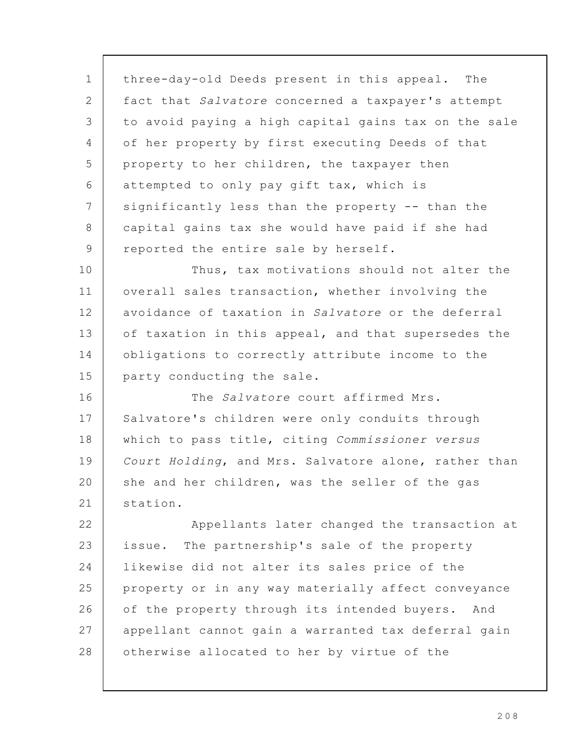three-day-old Deeds present in this appeal. The fact that Salvatore concerned a taxpayer's attempt to avoid paying a high capital gains tax on the sale of her property by first executing Deeds of that property to her children, the taxpayer then attempted to only pay gift tax, which is significantly less than the property -- than the capital gains tax she would have paid if she had reported the entire sale by herself. Thus, tax motivations should not alter the overall sales transaction, whether involving the avoidance of taxation in Salvatore or the deferral of taxation in this appeal, and that supersedes the obligations to correctly attribute income to the party conducting the sale. The Salvatore court affirmed Mrs. Salvatore's children were only conduits through which to pass title, citing Commissioner versus Court Holding, and Mrs. Salvatore alone, rather than she and her children, was the seller of the gas station. Appellants later changed the transaction at issue. The partnership's sale of the property likewise did not alter its sales price of the property or in any way materially affect conveyance of the property through its intended buyers. And appellant cannot gain a warranted tax deferral gain otherwise allocated to her by virtue of the 1 2 3 4 5 6 7 8 9 10 11 12 13 14 15 16 17 18 19 20 21 22 23 24 25 26 27 28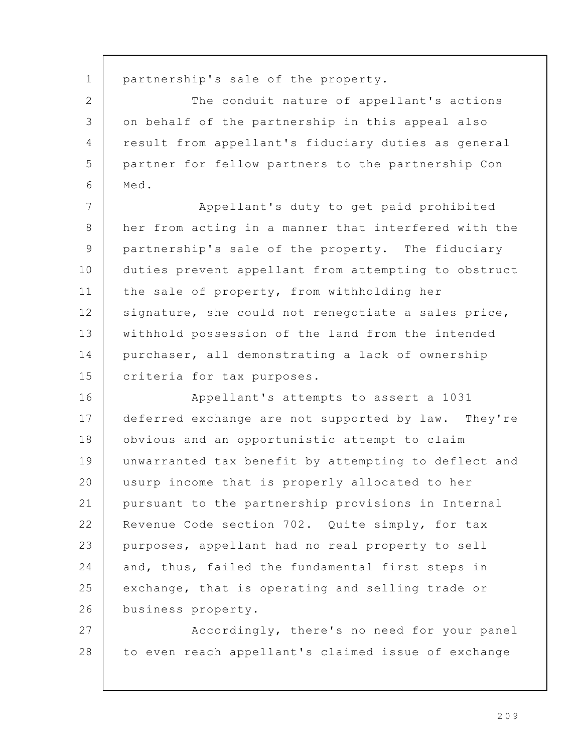partnership's sale of the property. The conduit nature of appellant's actions on behalf of the partnership in this appeal also result from appellant's fiduciary duties as general partner for fellow partners to the partnership Con Med. Appellant's duty to get paid prohibited her from acting in a manner that interfered with the partnership's sale of the property. The fiduciary duties prevent appellant from attempting to obstruct the sale of property, from withholding her signature, she could not renegotiate a sales price, withhold possession of the land from the intended purchaser, all demonstrating a lack of ownership criteria for tax purposes. Appellant's attempts to assert a 1031 deferred exchange are not supported by law. They're obvious and an opportunistic attempt to claim unwarranted tax benefit by attempting to deflect and usurp income that is properly allocated to her pursuant to the partnership provisions in Internal Revenue Code section 702. Quite simply, for tax purposes, appellant had no real property to sell and, thus, failed the fundamental first steps in exchange, that is operating and selling trade or business property. Accordingly, there's no need for your panel to even reach appellant's claimed issue of exchange 1 2 3 4 5 6 7 8 9 10 11 12 13 14 15 16 17 18 19 20 21 22 23 24 25 26 27 28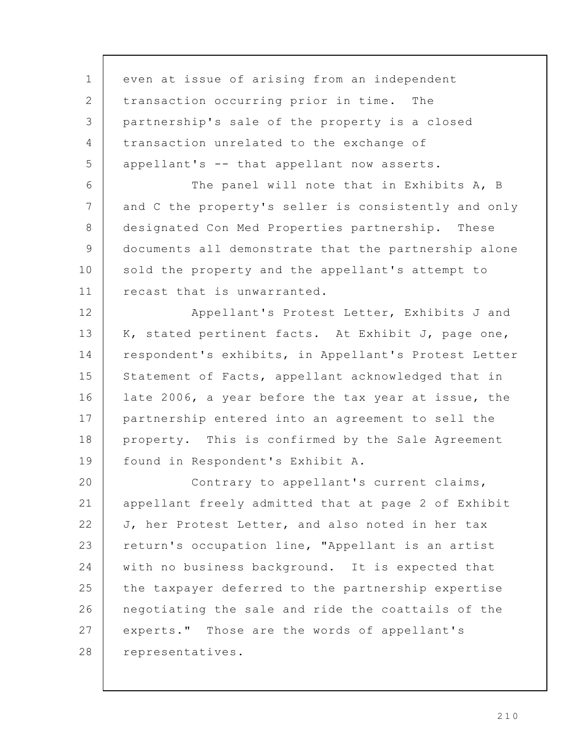even at issue of arising from an independent transaction occurring prior in time. The partnership's sale of the property is a closed transaction unrelated to the exchange of appellant's -- that appellant now asserts. The panel will note that in Exhibits A, B and C the property's seller is consistently and only designated Con Med Properties partnership. These documents all demonstrate that the partnership alone sold the property and the appellant's attempt to recast that is unwarranted. Appellant's Protest Letter, Exhibits J and K, stated pertinent facts. At Exhibit J, page one, respondent's exhibits, in Appellant's Protest Letter Statement of Facts, appellant acknowledged that in late 2006, a year before the tax year at issue, the partnership entered into an agreement to sell the property. This is confirmed by the Sale Agreement found in Respondent's Exhibit A. Contrary to appellant's current claims, appellant freely admitted that at page 2 of Exhibit J, her Protest Letter, and also noted in her tax return's occupation line, "Appellant is an artist with no business background. It is expected that the taxpayer deferred to the partnership expertise negotiating the sale and ride the coattails of the experts." Those are the words of appellant's representatives. 1 2 3 4 5 6 7 8 9 10 11 12 13 14 15 16 17 18 19 20 21 22 23 24 25 26 27 28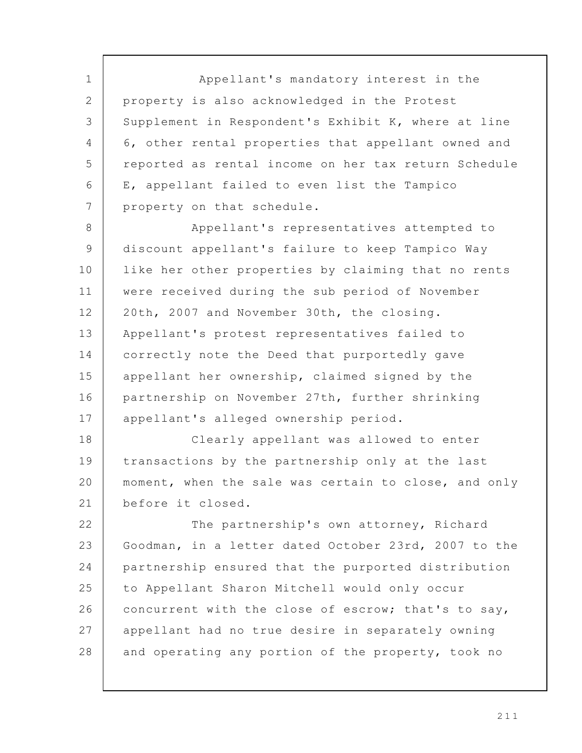Appellant's mandatory interest in the property is also acknowledged in the Protest Supplement in Respondent's Exhibit K, where at line 6, other rental properties that appellant owned and reported as rental income on her tax return Schedule E, appellant failed to even list the Tampico property on that schedule. 1 2 3 4 5 6 7

Appellant's representatives attempted to discount appellant's failure to keep Tampico Way like her other properties by claiming that no rents were received during the sub period of November 20th, 2007 and November 30th, the closing. Appellant's protest representatives failed to correctly note the Deed that purportedly gave appellant her ownership, claimed signed by the partnership on November 27th, further shrinking appellant's alleged ownership period. 8 9 10 11 12 13 14 15 16 17

Clearly appellant was allowed to enter transactions by the partnership only at the last moment, when the sale was certain to close, and only before it closed. 18 19 20 21

The partnership's own attorney, Richard Goodman, in a letter dated October 23rd, 2007 to the partnership ensured that the purported distribution to Appellant Sharon Mitchell would only occur concurrent with the close of escrow; that's to say, appellant had no true desire in separately owning and operating any portion of the property, took no 22 23 24 25 26 27 28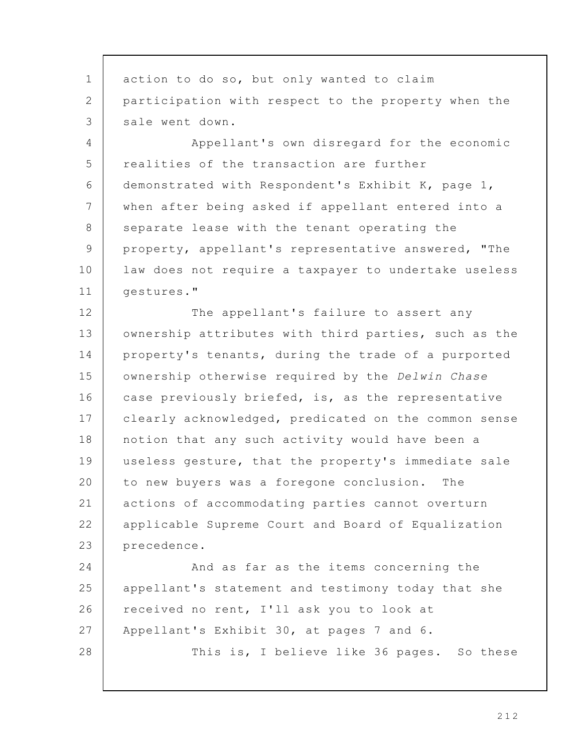action to do so, but only wanted to claim participation with respect to the property when the sale went down. Appellant's own disregard for the economic realities of the transaction are further demonstrated with Respondent's Exhibit K, page 1, when after being asked if appellant entered into a separate lease with the tenant operating the property, appellant's representative answered, "The law does not require a taxpayer to undertake useless gestures." The appellant's failure to assert any ownership attributes with third parties, such as the property's tenants, during the trade of a purported ownership otherwise required by the Delwin Chase case previously briefed, is, as the representative clearly acknowledged, predicated on the common sense notion that any such activity would have been a useless gesture, that the property's immediate sale to new buyers was a foregone conclusion. The actions of accommodating parties cannot overturn applicable Supreme Court and Board of Equalization precedence. And as far as the items concerning the appellant's statement and testimony today that she received no rent, I'll ask you to look at Appellant's Exhibit 30, at pages 7 and 6. This is, I believe like 36 pages. So these 1 2 3 4 5 6 7 8 9 10 11 12 13 14 15 16 17 18 19 20 21 22 23 24 25 26 27 28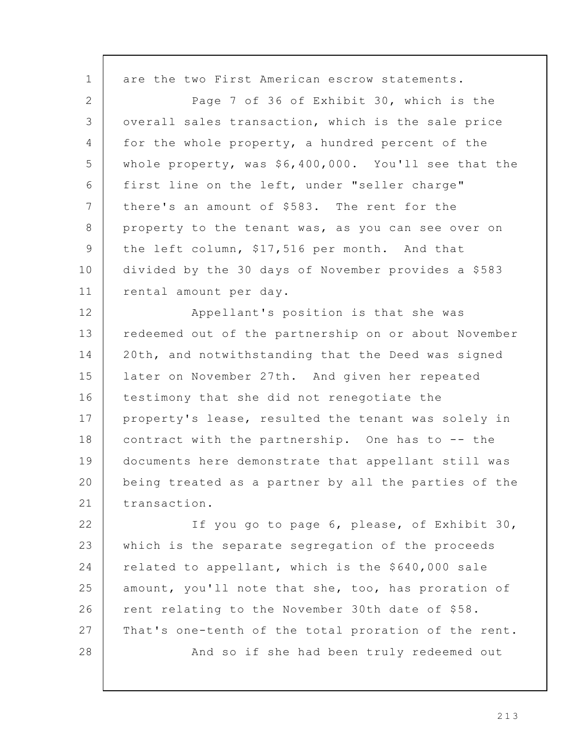are the two First American escrow statements. Page 7 of 36 of Exhibit 30, which is the overall sales transaction, which is the sale price for the whole property, a hundred percent of the whole property, was \$6,400,000. You'll see that the first line on the left, under "seller charge" there's an amount of \$583. The rent for the property to the tenant was, as you can see over on the left column, \$17,516 per month. And that divided by the 30 days of November provides a \$583 rental amount per day. Appellant's position is that she was redeemed out of the partnership on or about November 20th, and notwithstanding that the Deed was signed later on November 27th. And given her repeated testimony that she did not renegotiate the property's lease, resulted the tenant was solely in contract with the partnership. One has to -- the documents here demonstrate that appellant still was being treated as a partner by all the parties of the transaction. If you go to page 6, please, of Exhibit 30, which is the separate segregation of the proceeds related to appellant, which is the \$640,000 sale amount, you'll note that she, too, has proration of rent relating to the November 30th date of \$58. That's one-tenth of the total proration of the rent. And so if she had been truly redeemed out 1 2 3 4 5 6 7 8 9 10 11 12 13 14 15 16 17 18 19 20 21 22 23 24 25 26 27 28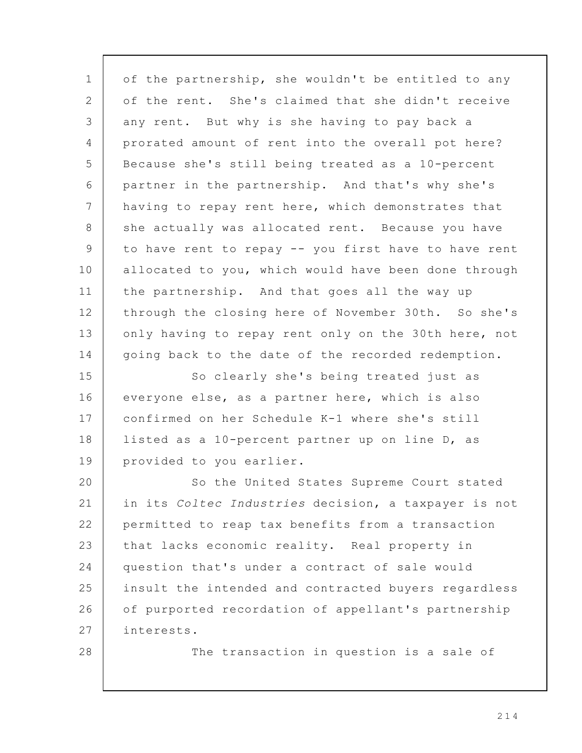of the partnership, she wouldn't be entitled to any of the rent. She's claimed that she didn't receive any rent. But why is she having to pay back a prorated amount of rent into the overall pot here? Because she's still being treated as a 10-percent partner in the partnership. And that's why she's having to repay rent here, which demonstrates that she actually was allocated rent. Because you have to have rent to repay -- you first have to have rent allocated to you, which would have been done through the partnership. And that goes all the way up through the closing here of November 30th. So she's only having to repay rent only on the 30th here, not going back to the date of the recorded redemption. So clearly she's being treated just as everyone else, as a partner here, which is also confirmed on her Schedule K-1 where she's still listed as a 10-percent partner up on line D, as provided to you earlier. So the United States Supreme Court stated in its Coltec Industries decision, a taxpayer is not permitted to reap tax benefits from a transaction that lacks economic reality. Real property in question that's under a contract of sale would insult the intended and contracted buyers regardless of purported recordation of appellant's partnership interests. The transaction in question is a sale of 1 2 3 4 5 6 7 8 9 10 11 12 13 14 15 16 17 18 19 20 21 22 23 24 25 26 27 28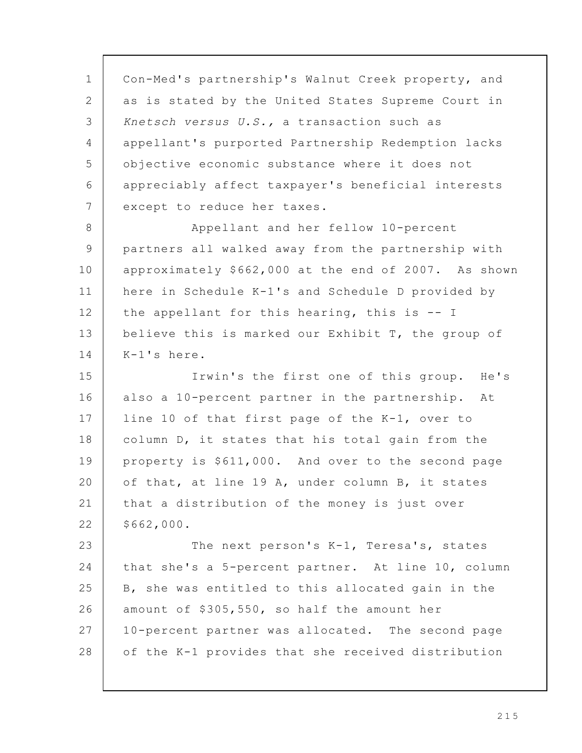Con-Med's partnership's Walnut Creek property, and as is stated by the United States Supreme Court in Knetsch versus U.S., a transaction such as appellant's purported Partnership Redemption lacks objective economic substance where it does not appreciably affect taxpayer's beneficial interests except to reduce her taxes. Appellant and her fellow 10-percent partners all walked away from the partnership with approximately \$662,000 at the end of 2007. As shown here in Schedule K-1's and Schedule D provided by the appellant for this hearing, this is -- I believe this is marked our Exhibit T, the group of K-1's here. Irwin's the first one of this group. He's also a 10-percent partner in the partnership. At line 10 of that first page of the K-1, over to column D, it states that his total gain from the property is \$611,000. And over to the second page of that, at line 19 A, under column B, it states that a distribution of the money is just over \$662,000. The next person's K-1, Teresa's, states that she's a 5-percent partner. At line 10, column B, she was entitled to this allocated gain in the amount of \$305,550, so half the amount her 10-percent partner was allocated. The second page of the K-1 provides that she received distribution 1 2 3 4 5 6 7 8 9 10 11 12 13 14 15 16 17 18 19 20 21 22 23 24 25 26 27 28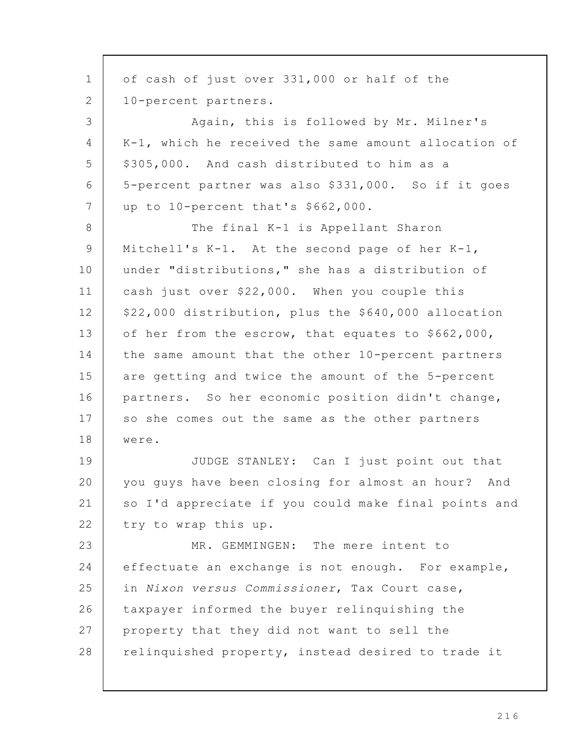of cash of just over 331,000 or half of the 10-percent partners. Again, this is followed by Mr. Milner's K-1, which he received the same amount allocation of \$305,000. And cash distributed to him as a 5-percent partner was also \$331,000. So if it goes up to 10-percent that's \$662,000. The final K-1 is Appellant Sharon Mitchell's K-1. At the second page of her K-1, under "distributions," she has a distribution of cash just over \$22,000. When you couple this \$22,000 distribution, plus the \$640,000 allocation of her from the escrow, that equates to \$662,000, the same amount that the other 10-percent partners are getting and twice the amount of the 5-percent partners. So her economic position didn't change, so she comes out the same as the other partners were. JUDGE STANLEY: Can I just point out that you guys have been closing for almost an hour? And so I'd appreciate if you could make final points and try to wrap this up. MR. GEMMINGEN: The mere intent to effectuate an exchange is not enough. For example, in Nixon versus Commissioner, Tax Court case, taxpayer informed the buyer relinquishing the property that they did not want to sell the relinquished property, instead desired to trade it 1 2 3 4 5 6 7 8 9 10 11 12 13 14 15 16 17 18 19 20 21 22 23 24 25 26 27 28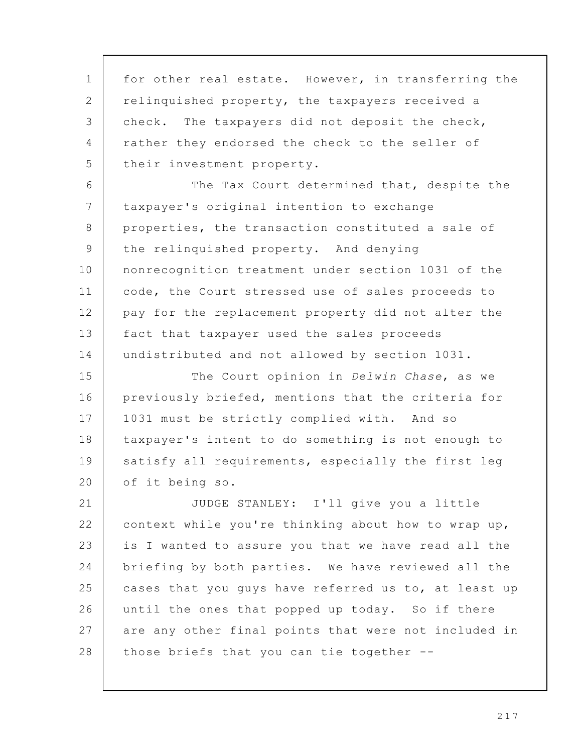for other real estate. However, in transferring the relinquished property, the taxpayers received a check. The taxpayers did not deposit the check, rather they endorsed the check to the seller of their investment property. 1 2 3 4 5

The Tax Court determined that, despite the taxpayer's original intention to exchange properties, the transaction constituted a sale of the relinquished property. And denying nonrecognition treatment under section 1031 of the code, the Court stressed use of sales proceeds to pay for the replacement property did not alter the fact that taxpayer used the sales proceeds undistributed and not allowed by section 1031. 6 7 8 9 10 11 12 13 14

The Court opinion in Delwin Chase, as we previously briefed, mentions that the criteria for 1031 must be strictly complied with. And so taxpayer's intent to do something is not enough to satisfy all requirements, especially the first leg of it being so. 15 16 17 18 19 20

JUDGE STANLEY: I'll give you a little context while you're thinking about how to wrap up, is I wanted to assure you that we have read all the briefing by both parties. We have reviewed all the cases that you guys have referred us to, at least up until the ones that popped up today. So if there are any other final points that were not included in those briefs that you can tie together -- 21 22 23 24 25 26 27 28

2 1 7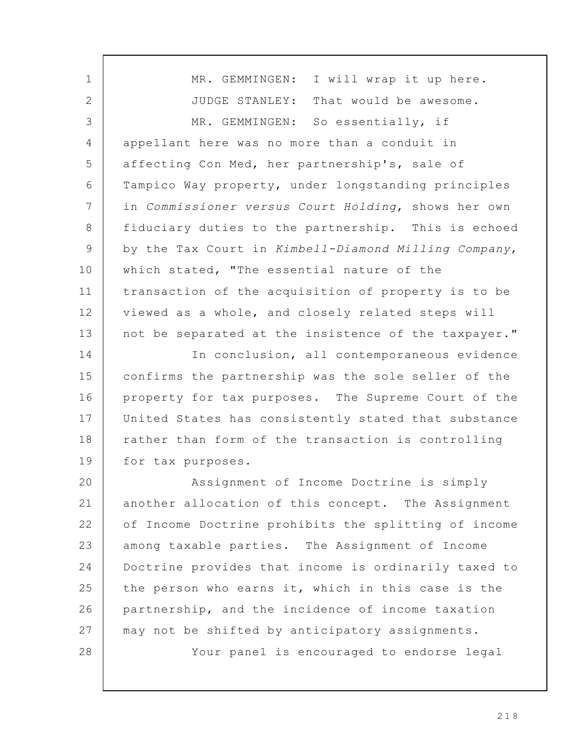MR. GEMMINGEN: I will wrap it up here. JUDGE STANLEY: That would be awesome. MR. GEMMINGEN: So essentially, if appellant here was no more than a conduit in affecting Con Med, her partnership's, sale of Tampico Way property, under longstanding principles in Commissioner versus Court Holding, shows her own fiduciary duties to the partnership. This is echoed by the Tax Court in Kimbell-Diamond Milling Company, which stated, "The essential nature of the transaction of the acquisition of property is to be viewed as a whole, and closely related steps will not be separated at the insistence of the taxpayer." In conclusion, all contemporaneous evidence confirms the partnership was the sole seller of the property for tax purposes. The Supreme Court of the United States has consistently stated that substance rather than form of the transaction is controlling for tax purposes. Assignment of Income Doctrine is simply another allocation of this concept. The Assignment of Income Doctrine prohibits the splitting of income among taxable parties. The Assignment of Income Doctrine provides that income is ordinarily taxed to the person who earns it, which in this case is the partnership, and the incidence of income taxation may not be shifted by anticipatory assignments. Your panel is encouraged to endorse legal 1 2 3 4 5 6 7 8 9 10 11 12 13 14 15 16 17 18 19 20 21 22 23 24 25 26 27 28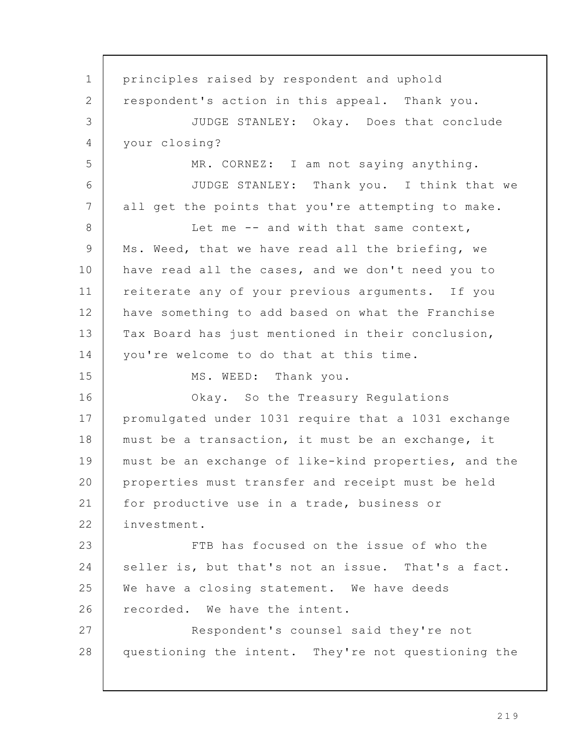principles raised by respondent and uphold respondent's action in this appeal. Thank you. JUDGE STANLEY: Okay. Does that conclude your closing? MR. CORNEZ: I am not saying anything. JUDGE STANLEY: Thank you. I think that we all get the points that you're attempting to make. Let me -- and with that same context, Ms. Weed, that we have read all the briefing, we have read all the cases, and we don't need you to reiterate any of your previous arguments. If you have something to add based on what the Franchise Tax Board has just mentioned in their conclusion, you're welcome to do that at this time. MS. WEED: Thank you. Okay. So the Treasury Regulations promulgated under 1031 require that a 1031 exchange must be a transaction, it must be an exchange, it must be an exchange of like-kind properties, and the properties must transfer and receipt must be held for productive use in a trade, business or investment. FTB has focused on the issue of who the seller is, but that's not an issue. That's a fact. We have a closing statement. We have deeds recorded. We have the intent. Respondent's counsel said they're not questioning the intent. They're not questioning the 1 2 3 4 5 6 7 8 9 10 11 12 13 14 15 16 17 18 19 20 21 22 23 24 25 26 27 28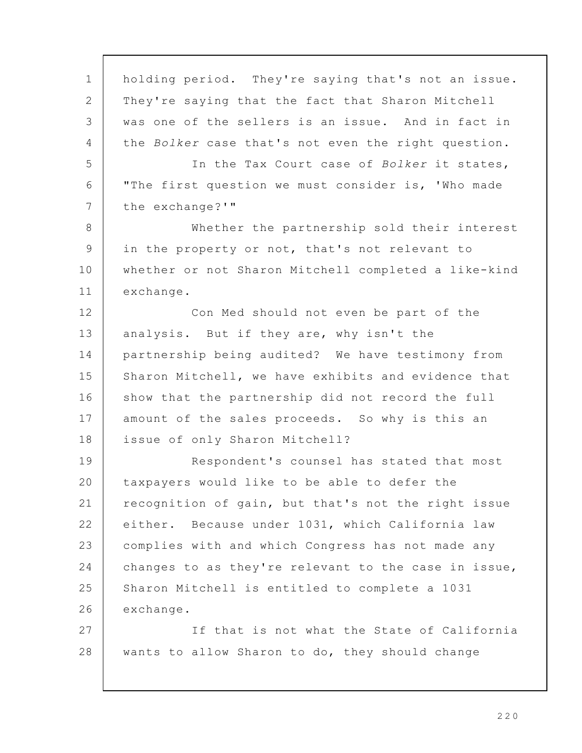holding period. They're saying that's not an issue. They're saying that the fact that Sharon Mitchell was one of the sellers is an issue. And in fact in the Bolker case that's not even the right question. In the Tax Court case of Bolker it states, "The first question we must consider is, 'Who made the exchange?'" Whether the partnership sold their interest in the property or not, that's not relevant to whether or not Sharon Mitchell completed a like-kind exchange. Con Med should not even be part of the analysis. But if they are, why isn't the partnership being audited? We have testimony from Sharon Mitchell, we have exhibits and evidence that show that the partnership did not record the full amount of the sales proceeds. So why is this an issue of only Sharon Mitchell? Respondent's counsel has stated that most taxpayers would like to be able to defer the recognition of gain, but that's not the right issue either. Because under 1031, which California law complies with and which Congress has not made any changes to as they're relevant to the case in issue, Sharon Mitchell is entitled to complete a 1031 exchange. If that is not what the State of California wants to allow Sharon to do, they should change 1 2 3 4 5 6 7 8 9 10 11 12 13 14 15 16 17 18 19 20 21 22 23 24 25 26 27 28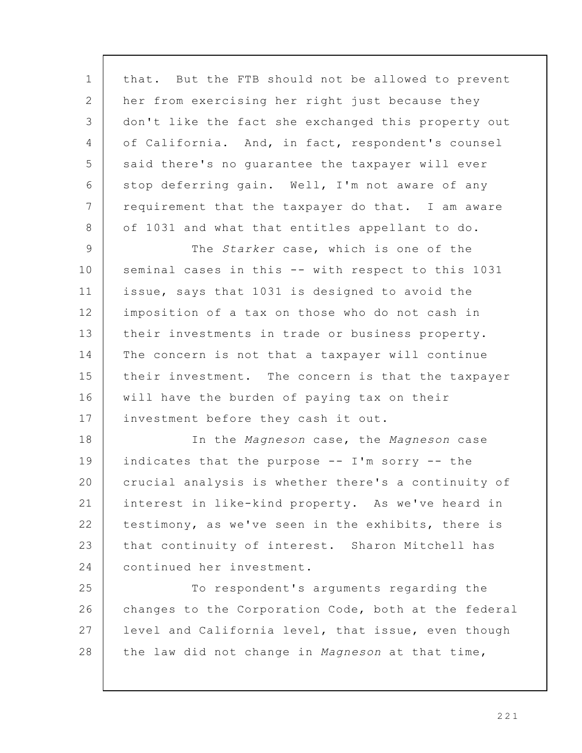that. But the FTB should not be allowed to prevent her from exercising her right just because they don't like the fact she exchanged this property out of California. And, in fact, respondent's counsel said there's no guarantee the taxpayer will ever stop deferring gain. Well, I'm not aware of any requirement that the taxpayer do that. I am aware of 1031 and what that entitles appellant to do. 1 2 3 4 5 6 7 8

The *Starker* case, which is one of the seminal cases in this -- with respect to this 1031 issue, says that 1031 is designed to avoid the imposition of a tax on those who do not cash in their investments in trade or business property. The concern is not that a taxpayer will continue their investment. The concern is that the taxpayer will have the burden of paying tax on their investment before they cash it out. 9 10 11 12 13 14 15 16 17

In the Magneson case, the Magneson case indicates that the purpose -- I'm sorry -- the crucial analysis is whether there's a continuity of interest in like-kind property. As we've heard in testimony, as we've seen in the exhibits, there is that continuity of interest. Sharon Mitchell has continued her investment. 18 19 20 21 22 23 24

To respondent's arguments regarding the changes to the Corporation Code, both at the federal level and California level, that issue, even though the law did not change in Magneson at that time, 25 26 27 28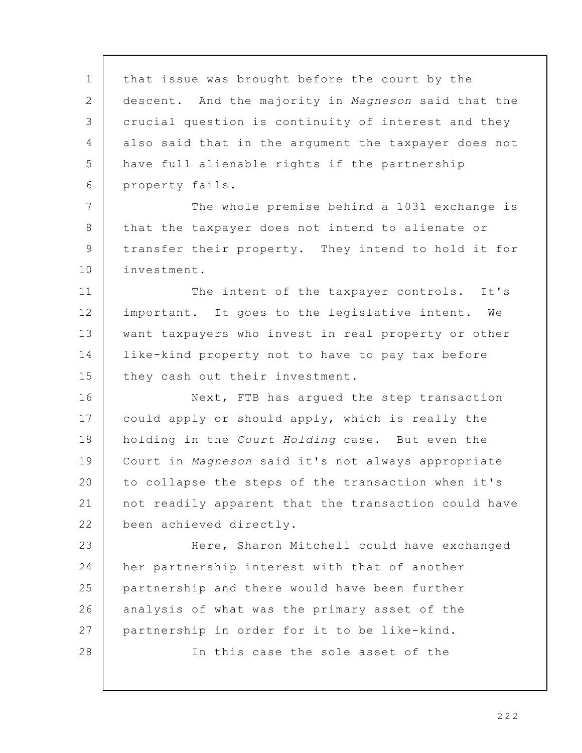that issue was brought before the court by the descent. And the majority in Magneson said that the crucial question is continuity of interest and they also said that in the argument the taxpayer does not have full alienable rights if the partnership property fails. The whole premise behind a 1031 exchange is that the taxpayer does not intend to alienate or transfer their property. They intend to hold it for investment. The intent of the taxpayer controls. It's important. It goes to the legislative intent. We want taxpayers who invest in real property or other like-kind property not to have to pay tax before they cash out their investment. Next, FTB has argued the step transaction could apply or should apply, which is really the holding in the Court Holding case. But even the Court in Magneson said it's not always appropriate to collapse the steps of the transaction when it's not readily apparent that the transaction could have been achieved directly. Here, Sharon Mitchell could have exchanged her partnership interest with that of another partnership and there would have been further analysis of what was the primary asset of the partnership in order for it to be like-kind. In this case the sole asset of the 1 2 3 4 5 6 7 8 9 10 11 12 13 14 15 16 17 18 19 20 21 22 23 24 25 26 27 28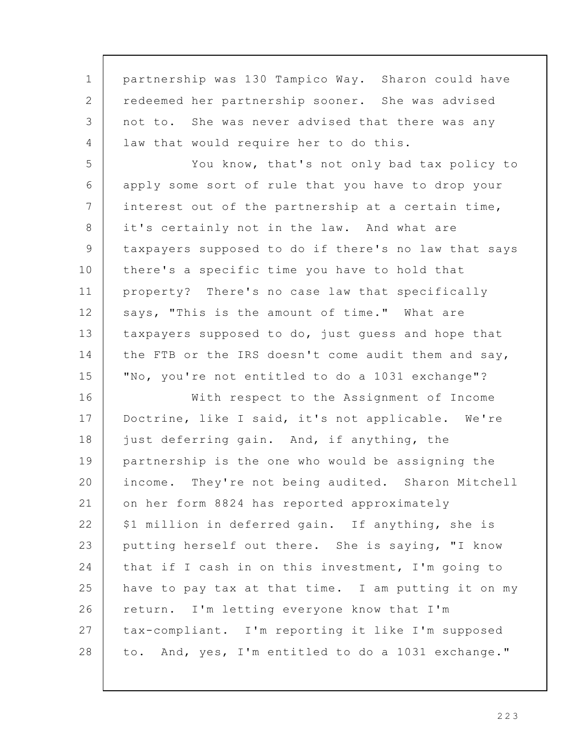partnership was 130 Tampico Way. Sharon could have redeemed her partnership sooner. She was advised not to. She was never advised that there was any law that would require her to do this. You know, that's not only bad tax policy to apply some sort of rule that you have to drop your interest out of the partnership at a certain time, it's certainly not in the law. And what are taxpayers supposed to do if there's no law that says there's a specific time you have to hold that property? There's no case law that specifically says, "This is the amount of time." What are taxpayers supposed to do, just guess and hope that the FTB or the IRS doesn't come audit them and say, "No, you're not entitled to do a 1031 exchange"? With respect to the Assignment of Income Doctrine, like I said, it's not applicable. We're just deferring gain. And, if anything, the partnership is the one who would be assigning the income. They're not being audited. Sharon Mitchell on her form 8824 has reported approximately \$1 million in deferred gain. If anything, she is putting herself out there. She is saying, "I know that if I cash in on this investment, I'm going to have to pay tax at that time. I am putting it on my return. I'm letting everyone know that I'm tax-compliant. I'm reporting it like I'm supposed to. And, yes, I'm entitled to do a 1031 exchange." 1 2 3 4 5 6 7 8 9 10 11 12 13 14 15 16 17 18 19 20 21 22 23 24 25 26 27 28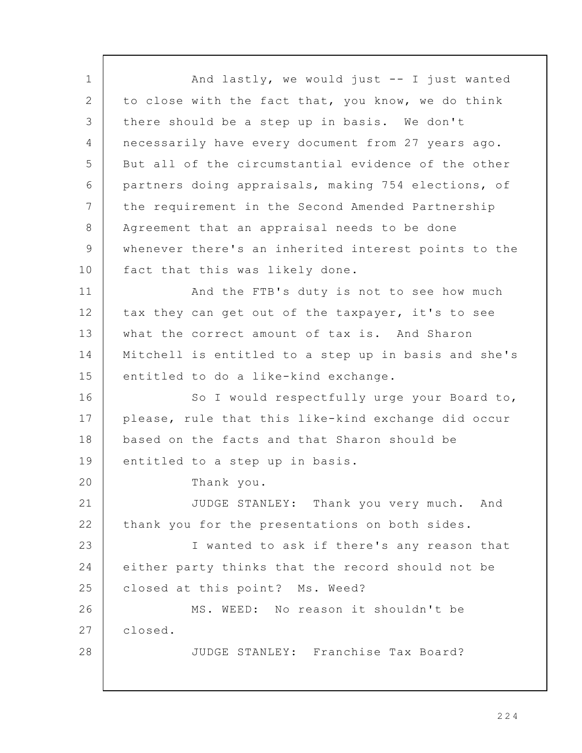And lastly, we would just -- I just wanted to close with the fact that, you know, we do think there should be a step up in basis. We don't necessarily have every document from 27 years ago. But all of the circumstantial evidence of the other partners doing appraisals, making 754 elections, of the requirement in the Second Amended Partnership Agreement that an appraisal needs to be done whenever there's an inherited interest points to the fact that this was likely done. And the FTB's duty is not to see how much tax they can get out of the taxpayer, it's to see what the correct amount of tax is. And Sharon Mitchell is entitled to a step up in basis and she's entitled to do a like-kind exchange. So I would respectfully urge your Board to, please, rule that this like-kind exchange did occur based on the facts and that Sharon should be entitled to a step up in basis. Thank you. JUDGE STANLEY: Thank you very much. And thank you for the presentations on both sides. I wanted to ask if there's any reason that either party thinks that the record should not be closed at this point? Ms. Weed? MS. WEED: No reason it shouldn't be closed. JUDGE STANLEY: Franchise Tax Board? 1 2 3  $\Delta$ 5 6 7 8 9 10 11 12 13 14 15 16 17 18 19 20 21 22 23 24 25 26 27 28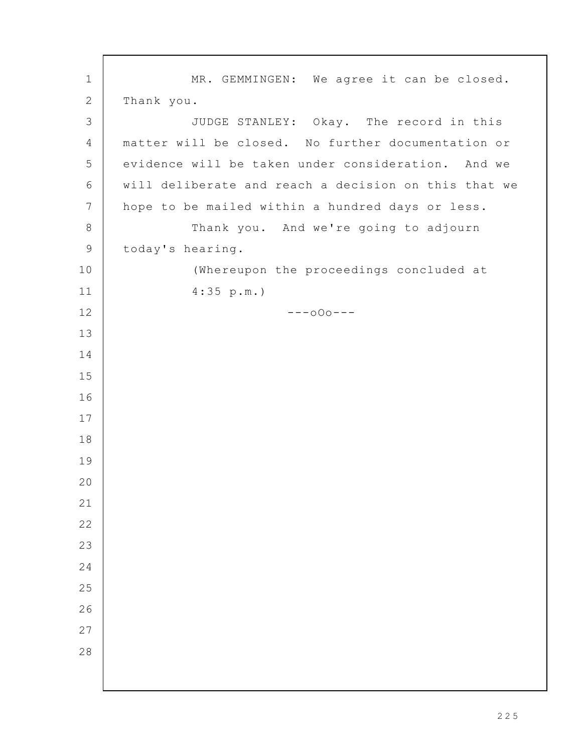MR. GEMMINGEN: We agree it can be closed. Thank you. JUDGE STANLEY: Okay. The record in this matter will be closed. No further documentation or evidence will be taken under consideration. And we will deliberate and reach a decision on this that we hope to be mailed within a hundred days or less. Thank you. And we're going to adjourn today's hearing. (Whereupon the proceedings concluded at 4:35 p.m.) ---oOo---